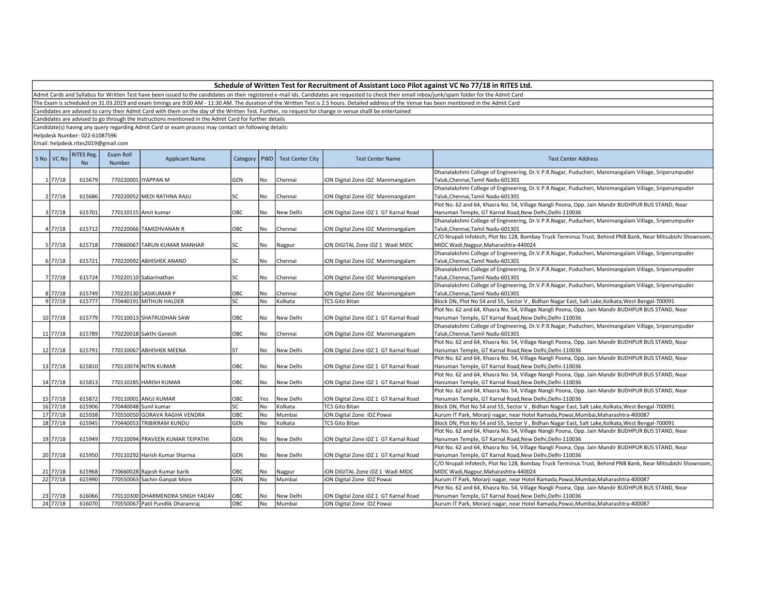Admit Cards and Syllabus for Written Test have been issued to the candidates on their registered e-mail ids. Candidates are requested to check their email inbox/junk/spam folder for the Admit Card

The Exam is scheduled on 31.03.2019 and exam timings are 9:00 AM - 11:30 AM. The duration of the Written Test is 2.5 hours. Detailed address of the Venue has been mentioned in the Admit Card

Candidates are advised to carry their Admit Card with them on the day of the Written Test. Further, no request for change in venue shalll be entertained

Candidates are advised to go through the Instructions mentioned in the Admit Card for further details

Candidate(s) having any query regarding Admit Card or exam process may contact on following details:

Helpdesk Number: 022-61087596

| S No VC No                                       | <b>RITES Reg.</b><br><b>No</b> | Exam Roll<br>Number | <b>Applicant Name</b>                         | Category    | <b>PWD</b> | <b>Test Center City</b> | <b>Test Center Name</b>                                        | <b>Test Center Address</b>                                                                                                                                                                            |
|--------------------------------------------------|--------------------------------|---------------------|-----------------------------------------------|-------------|------------|-------------------------|----------------------------------------------------------------|-------------------------------------------------------------------------------------------------------------------------------------------------------------------------------------------------------|
|                                                  |                                |                     |                                               |             |            |                         |                                                                | Dhanalakshmi College of Engineering, Dr.V.P.R.Nagar, Puducheri, Manimangalam Village, Sriperumpuder                                                                                                   |
| $1 \frac{77}{18}$                                | 615679                         |                     | 770220001 IYAPPAN M                           | <b>GEN</b>  | No         | Chennai                 | iON Digital Zone iDZ Manimangalam                              | Taluk, Chennai, Tamil Nadu-601301                                                                                                                                                                     |
|                                                  |                                |                     |                                               |             |            |                         |                                                                | Dhanalakshmi College of Engineering, Dr.V.P.R.Nagar, Puducheri, Manimangalam Village, Sriperumpuder                                                                                                   |
| $2 \frac{77}{18}$                                | 615686                         |                     | 770220052 MEDI RATHNA RAJU                    | lsc         | No         | Chennai                 | iON Digital Zone iDZ Manimangalam                              | Taluk, Chennai, Tamil Nadu-601301                                                                                                                                                                     |
|                                                  |                                |                     |                                               |             |            |                         |                                                                | Plot No. 62 and 64, Khasra No. 54, Village Nangli Poona, Opp. Jain Mandir BUDHPUR BUS STAND, Near                                                                                                     |
| 3 77/18                                          | 615701                         |                     | 770110115 Amit kumar                          | OBC         | <b>No</b>  | New Delhi               | iON Digital Zone iDZ 1 GT Karnal Road                          | Hanuman Temple, GT Karnal Road, New Delhi, Delhi-110036<br>Dhanalakshmi College of Engineering, Dr.V.P.R.Nagar, Puducheri, Manimangalam Village, Sriperumpuder                                        |
|                                                  | 615712                         |                     |                                               |             |            |                         |                                                                |                                                                                                                                                                                                       |
| 4 77/18                                          |                                |                     | 770220066 TAMIZHVANAN R                       | OBC         | No         | Chennai                 | iON Digital Zone iDZ Manimangalam                              | Taluk, Chennai, Tamil Nadu-601301                                                                                                                                                                     |
|                                                  |                                |                     |                                               |             |            |                         |                                                                | C/O Nrupali Infotech, Plot No 128, Bombay Truck Terminus Trust, Behind PNB Bank, Near Mitsubishi Showroom,                                                                                            |
| $5 \frac{77}{18}$                                | 615718                         |                     | 770660067 TARUN KUMAR MANHAR                  | lsc         | No         | Nagpur                  | ION DIGITAL Zone IDZ 1 Wadi MIDC                               | MIDC Wadi, Nagpur, Maharashtra-440024                                                                                                                                                                 |
|                                                  |                                |                     |                                               |             |            |                         |                                                                | Dhanalakshmi College of Engineering, Dr.V.P.R.Nagar, Puducheri, Manimangalam Village, Sriperumpuder                                                                                                   |
| $6\frac{77}{18}$                                 | 615721                         |                     | 770220092 ABHISHEK ANAND                      | lsc         | No         | Chennai                 | iON Digital Zone iDZ Manimangalam                              | Taluk, Chennai, Tamil Nadu-601301                                                                                                                                                                     |
|                                                  | 615724                         |                     |                                               | SC          | No         |                         |                                                                | Dhanalakshmi College of Engineering, Dr.V.P.R.Nagar, Puducheri, Manimangalam Village, Sriperumpuder                                                                                                   |
| 7 77/18                                          |                                |                     | 770220110 Sabarinathan                        |             |            | Chennai                 | iON Digital Zone iDZ Manimangalam                              | Taluk, Chennai, Tamil Nadu-601301<br>Dhanalakshmi College of Engineering, Dr.V.P.R.Nagar, Puducheri, Manimangalam Village, Sriperumpuder                                                              |
| $8 \overline{77/18}$                             | 615749                         |                     | 770220130 SASIKUMAR P                         | OBC         | No         | Chennai                 |                                                                | Taluk, Chennai, Tamil Nadu-601301                                                                                                                                                                     |
| $9\overline{77/18}$                              | 615777                         |                     | 770440191 MITHUN HALDER                       | <b>SC</b>   | <b>No</b>  | Kolkata                 | ION Digital Zone IDZ Manimangalam<br><b>TCS Gito Bitan</b>     | Block DN, Plot No 54 and 55, Sector V, Bidhan Nagar East, Salt Lake, Kolkata, West Bengal-700091                                                                                                      |
|                                                  |                                |                     |                                               |             |            |                         |                                                                | Plot No. 62 and 64, Khasra No. 54, Village Nangli Poona, Opp. Jain Mandir BUDHPUR BUS STAND, Near                                                                                                     |
| 10 77/18                                         | 615779                         |                     | 770110013 SHATRUDHAN SAW                      | ОВС         | No         | New Delhi               | iON Digital Zone iDZ 1 GT Karnal Road                          | Hanuman Temple, GT Karnal Road, New Delhi, Delhi-110036                                                                                                                                               |
|                                                  |                                |                     |                                               |             |            |                         |                                                                | Dhanalakshmi College of Engineering, Dr.V.P.R.Nagar, Puducheri, Manimangalam Village, Sriperumpuder                                                                                                   |
| 11 77/18                                         | 615789                         |                     | 770220018 Sakthi Ganesh                       | OBC         | No         | Chennai                 | iON Digital Zone iDZ Manimangalam                              | Taluk, Chennai, Tamil Nadu-601301                                                                                                                                                                     |
|                                                  |                                |                     |                                               |             |            |                         |                                                                | Plot No. 62 and 64, Khasra No. 54, Village Nangli Poona, Opp. Jain Mandir BUDHPUR BUS STAND, Near                                                                                                     |
| 12 77/18                                         | 615791                         |                     | 770110067 ABHISHEK MEENA                      | Ist         | No         | New Delhi               | iON Digital Zone iDZ 1 GT Karnal Road                          | Hanuman Temple, GT Karnal Road, New Delhi, Delhi-110036                                                                                                                                               |
|                                                  |                                |                     |                                               |             |            |                         |                                                                | Plot No. 62 and 64, Khasra No. 54, Village Nangli Poona, Opp. Jain Mandir BUDHPUR BUS STAND, Near                                                                                                     |
| 13 77/18                                         | 615810                         |                     | 770110074 NITIN KUMAR                         | OBC         | <b>No</b>  | New Delhi               | iON Digital Zone iDZ 1 GT Karnal Road                          | Hanuman Temple, GT Karnal Road, New Delhi, Delhi-110036                                                                                                                                               |
|                                                  |                                |                     |                                               |             |            |                         |                                                                |                                                                                                                                                                                                       |
| 14 77/18                                         | 615813                         |                     | 770110285 HARISH KUMAR                        | ОВС         | <b>No</b>  | New Delhi               |                                                                | Plot No. 62 and 64, Khasra No. 54, Village Nangli Poona, Opp. Jain Mandir BUDHPUR BUS STAND, Near<br>Hanuman Temple, GT Karnal Road, New Delhi, Delhi-110036                                          |
|                                                  |                                |                     |                                               |             |            |                         | iON Digital Zone iDZ 1 GT Karnal Road                          | Plot No. 62 and 64, Khasra No. 54, Village Nangli Poona, Opp. Jain Mandir BUDHPUR BUS STAND, Near                                                                                                     |
|                                                  | 615872                         |                     |                                               |             | Yes        |                         |                                                                |                                                                                                                                                                                                       |
| 15 77/18<br>$16 \overline{\smash{\big)}\ 77/18}$ | 615906                         |                     | 770110001 ANUJ KUMAR<br>770440048 Sunil kumar | OBC<br>lsc  | <b>No</b>  | New Delhi<br>Kolkata    | iON Digital Zone iDZ 1 GT Karnal Road<br><b>TCS Gito Bitan</b> | Hanuman Temple, GT Karnal Road, New Delhi, Delhi-110036                                                                                                                                               |
| 17 77/18                                         | 615938                         |                     | 770550050 GORAVA RAGHA VENDRA                 | OBC         | No         | Mumbai                  |                                                                | Block DN, Plot No 54 and 55, Sector V, Bidhan Nagar East, Salt Lake, Kolkata, West Bengal-700091                                                                                                      |
| 18 77/18                                         | 615945                         |                     | 770440053 TRIBIKRAM KUNDU                     | <b>GEN</b>  | <b>No</b>  | Kolkata                 | iON Digital Zone IDZ Powai<br><b>TCS Gito Bitan</b>            | Aurum IT Park, Morarji nagar, near Hotel Ramada, Powai, Mumbai, Maharashtra-400087                                                                                                                    |
|                                                  |                                |                     |                                               |             |            |                         |                                                                | Block DN, Plot No 54 and 55, Sector V, Bidhan Nagar East, Salt Lake, Kolkata, West Bengal-700091<br>Plot No. 62 and 64, Khasra No. 54, Village Nangli Poona, Opp. Jain Mandir BUDHPUR BUS STAND, Near |
| 19 77/18                                         | 615949                         |                     | 770110094 PRAVEEN KUMAR TEIPATHI              | <b>GEN</b>  | <b>No</b>  | New Delhi               | iON Digital Zone iDZ 1 GT Karnal Road                          | Hanuman Temple, GT Karnal Road, New Delhi, Delhi-110036                                                                                                                                               |
|                                                  |                                |                     |                                               |             |            |                         |                                                                | Plot No. 62 and 64, Khasra No. 54, Village Nangli Poona, Opp. Jain Mandir BUDHPUR BUS STAND, Near                                                                                                     |
|                                                  |                                |                     |                                               |             |            |                         |                                                                |                                                                                                                                                                                                       |
| 20 77/18                                         | 615950                         |                     | 770110292 Harish Kumar Sharma                 | GEN         | No         | New Delhi               | iON Digital Zone iDZ 1 GT Karnal Road                          | Hanuman Temple, GT Karnal Road, New Delhi, Delhi-110036                                                                                                                                               |
|                                                  |                                |                     |                                               |             |            |                         |                                                                | C/O Nrupali Infotech, Plot No 128, Bombay Truck Terminus Trust, Behind PNB Bank, Near Mitsubishi Showroom,                                                                                            |
| 21 77/18                                         | 615968                         |                     | 770660028 Rajesh Kumar barik                  | OBC         | No         | Nagpur                  | iON DIGITAL Zone iDZ 1 Wadi MIDC                               | MIDC Wadi, Nagpur, Maharashtra-440024                                                                                                                                                                 |
| 22 77/18                                         | 615990                         |                     | 770550063 Sachin Ganpat More                  | <b>GEN</b>  | No         | Mumbai                  | iON Digital Zone IDZ Powai                                     | Aurum IT Park, Morarji nagar, near Hotel Ramada, Powai, Mumbai, Maharashtra-400087                                                                                                                    |
|                                                  |                                |                     |                                               |             |            |                         |                                                                | Plot No. 62 and 64, Khasra No. 54, Village Nangli Poona, Opp. Jain Mandir BUDHPUR BUS STAND, Near                                                                                                     |
| 23 77/18                                         | 616066                         |                     | 770110300 DHARMENDRA SINGH YADAV              | OBC<br>Іовс | No         | New Delhi               | iON Digital Zone iDZ 1 GT Karnal Road                          | Hanuman Temple, GT Karnal Road, New Delhi, Delhi-110036                                                                                                                                               |
| 24 77/18                                         | 616070                         |                     | 770550067 Patil Pundlik Dharamrai             |             | <b>No</b>  | Mumbai                  | iON Digital Zone IDZ Powai                                     | Aurum IT Park, Morarji nagar, near Hotel Ramada, Powai, Mumbai, Maharashtra-400087                                                                                                                    |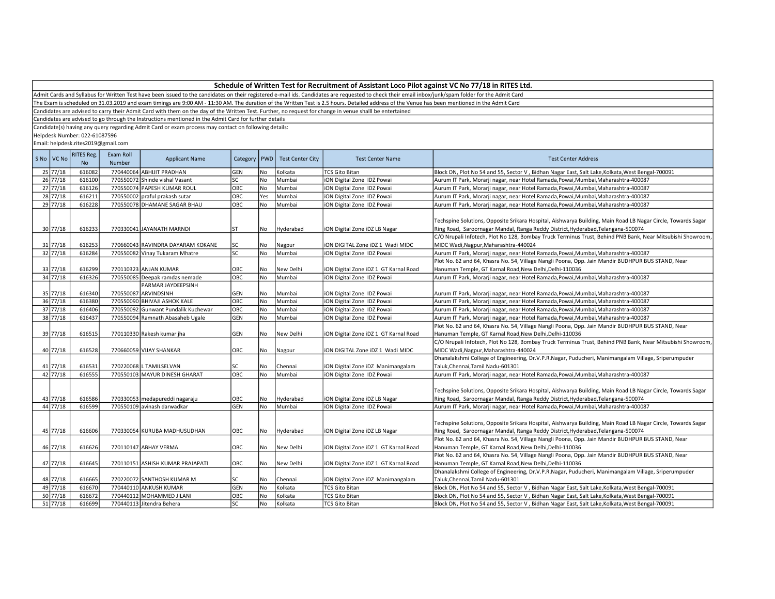| Schedule of Written Test for Recruitment of Assistant Loco Pilot against VC No 77/18 in RITES Ltd. |  |
|----------------------------------------------------------------------------------------------------|--|
|----------------------------------------------------------------------------------------------------|--|

The Exam is scheduled on 31.03.2019 and exam timings are 9:00 AM - 11:30 AM. The duration of the Written Test is 2.5 hours. Detailed address of the Venue has been mentioned in the Admit Card

Candidates are advised to carry their Admit Card with them on the day of the Written Test. Further, no request for change in venue shalll be entertained

Candidates are advised to go through the Instructions mentioned in the Admit Card for further details

Candidate(s) having any query regarding Admit Card or exam process may contact on following details:

Helpdesk Number: 022-61087596

| S No VC No            | RITES Reg.<br><b>No</b> | Exam Roll<br>Number | <b>Applicant Name</b>               | Category PWD |           | <b>Test Center City</b> | <b>Test Center Name</b>               | <b>Test Center Address</b>                                                                                                                                                                                                                                                                                     |
|-----------------------|-------------------------|---------------------|-------------------------------------|--------------|-----------|-------------------------|---------------------------------------|----------------------------------------------------------------------------------------------------------------------------------------------------------------------------------------------------------------------------------------------------------------------------------------------------------------|
| 25 77/18              | 616082                  |                     | 770440064 ABHIJIT PRADHAN           | GEN          | No        | Kolkata                 | <b>TCS Gito Bitan</b>                 | Block DN, Plot No 54 and 55, Sector V, Bidhan Nagar East, Salt Lake, Kolkata, West Bengal-700091                                                                                                                                                                                                               |
| 26 77/18              | 616100                  |                     | 770550072 Shinde vishal Vasant      | SC.          | <b>No</b> | Mumbai                  | iON Digital Zone IDZ Powai            | Aurum IT Park, Morarji nagar, near Hotel Ramada, Powai, Mumbai, Maharashtra-400087                                                                                                                                                                                                                             |
| 27 77/18              | 616126                  |                     | 770550074 PAPESH KUMAR ROUL         | ОВС          | No        | Mumbai                  | iON Digital Zone IDZ Powai            | Aurum IT Park, Morarji nagar, near Hotel Ramada, Powai, Mumbai, Maharashtra-400087                                                                                                                                                                                                                             |
| 28 77/18              | 616211                  |                     | 770550002 praful prakash sutar      | OBC          | Yes       | Mumbai                  | iON Digital Zone IDZ Powai            | Aurum IT Park, Morarji nagar, near Hotel Ramada, Powai, Mumbai, Maharashtra-400087                                                                                                                                                                                                                             |
| 29 77/18              | 616228                  |                     | 770550078 DHAMANE SAGAR BHAU        | OBC          | No        | Mumbai                  | ION Digital Zone IDZ Powai            | Aurum IT Park, Morarji nagar, near Hotel Ramada, Powai, Mumbai, Maharashtra-400087                                                                                                                                                                                                                             |
| 30 77/18              | 616233                  |                     | 770330041 JAYANATH MARNDI           | <b>ST</b>    | l No      | Hyderabad               | ION Digital Zone IDZ LB Nagar         | Techspine Solutions, Opposite Srikara Hospital, Aishwarya Building, Main Road LB Nagar Circle, Towards Sagar<br>Ring Road, Saroornagar Mandal, Ranga Reddy District, Hyderabad, Telangana-500074<br>C/O Nrupali Infotech, Plot No 128, Bombay Truck Terminus Trust, Behind PNB Bank, Near Mitsubishi Showroom, |
| 31 77/18              | 616253                  |                     | 770660043 RAVINDRA DAYARAM KOKANE   | SC           | No        | Nagpur                  | ION DIGITAL Zone IDZ 1 Wadi MIDC      | MIDC Wadi, Nagpur, Maharashtra-440024                                                                                                                                                                                                                                                                          |
| 32 77/18              | 616284                  |                     | 770550082 Vinay Tukaram Mhatre      | SC.          | <b>No</b> | Mumbai                  | iON Digital Zone IDZ Powai            | Aurum IT Park, Morarji nagar, near Hotel Ramada, Powai, Mumbai, Maharashtra-400087                                                                                                                                                                                                                             |
|                       |                         |                     |                                     |              |           |                         |                                       | Plot No. 62 and 64, Khasra No. 54, Village Nangli Poona, Opp. Jain Mandir BUDHPUR BUS STAND, Near                                                                                                                                                                                                              |
| 33 77/18              | 616299                  |                     | 770110323 ANJAN KUMAR               | OBC          | No        | New Delhi               | ION Digital Zone IDZ 1 GT Karnal Road | Hanuman Temple, GT Karnal Road, New Delhi, Delhi-110036                                                                                                                                                                                                                                                        |
| $34 \overline{77/18}$ | 616326                  |                     | 770550085 Deepak ramdas nemade      | ОВС          | No        | Mumbai                  | iON Digital Zone IDZ Powai            | Aurum IT Park, Morarji nagar, near Hotel Ramada, Powai, Mumbai, Maharashtra-400087                                                                                                                                                                                                                             |
|                       |                         |                     | PARMAR JAYDEEPSINH                  |              |           |                         |                                       |                                                                                                                                                                                                                                                                                                                |
| 35 77/18              | 616340                  |                     | 770550087 ARVINDSINH                | GEN          | No        | Mumbai                  | iON Digital Zone IDZ Powai            | Aurum IT Park, Morarji nagar, near Hotel Ramada, Powai, Mumbai, Maharashtra-400087                                                                                                                                                                                                                             |
| 36 77/18              | 616380                  |                     | 770550090 BHIVAJI ASHOK KALE        | OBC          | No        | Mumbai                  | iON Digital Zone IDZ Powai            | Aurum IT Park, Morarji nagar, near Hotel Ramada, Powai, Mumbai, Maharashtra-400087                                                                                                                                                                                                                             |
| 37 77/18              | 616406                  |                     | 770550092 Gunwant Pundalik Kuchewar | ОВС          | No        | Mumbai                  | iON Digital Zone IDZ Powai            | Aurum IT Park, Morarji nagar, near Hotel Ramada, Powai, Mumbai, Maharashtra-400087                                                                                                                                                                                                                             |
| 38 77/18              | 616437                  |                     | 770550094 Ramnath Abasaheb Ugale    | GEN          | No        | Mumbai                  | iON Digital Zone IDZ Powai            | Aurum IT Park, Morarji nagar, near Hotel Ramada, Powai, Mumbai, Maharashtra-400087                                                                                                                                                                                                                             |
| 39 77/18              | 616515                  |                     | 770110330 Rakesh kumar jha          | GEN          | No        | New Delhi               | iON Digital Zone iDZ 1 GT Karnal Road | Plot No. 62 and 64, Khasra No. 54, Village Nangli Poona, Opp. Jain Mandir BUDHPUR BUS STAND, Near<br>Hanuman Temple, GT Karnal Road, New Delhi, Delhi-110036                                                                                                                                                   |
| 40 77/18              | 616528                  |                     | 770660059 VIJAY SHANKAR             | OBC          | No        | Nagpur                  | ION DIGITAL Zone IDZ 1 Wadi MIDC      | C/O Nrupali Infotech, Plot No 128, Bombay Truck Terminus Trust, Behind PNB Bank, Near Mitsubishi Showroom,<br>MIDC Wadi, Nagpur, Maharashtra-440024                                                                                                                                                            |
| 41 77/18              | 616531                  |                     | 770220068 L TAMILSELVAN             | SC           | No        | Chennai                 | iON Digital Zone iDZ Manimangalam     | Dhanalakshmi College of Engineering, Dr.V.P.R.Nagar, Puducheri, Manimangalam Village, Sriperumpuder<br>Taluk, Chennai, Tamil Nadu-601301                                                                                                                                                                       |
| 42 77/18              | 616555                  |                     | 770550103 MAYUR DINESH GHARAT       | OBC          | No        | Mumbai                  | iON Digital Zone IDZ Powai            | Aurum IT Park, Morarji nagar, near Hotel Ramada, Powai, Mumbai, Maharashtra-400087                                                                                                                                                                                                                             |
| 43 77/18              | 616586                  |                     | 770330053 medapureddi nagaraju      | OBC          | No        | Hyderabad               | iON Digital Zone iDZ LB Nagar         | Techspine Solutions, Opposite Srikara Hospital, Aishwarya Building, Main Road LB Nagar Circle, Towards Sagar<br>Ring Road, Saroornagar Mandal, Ranga Reddy District, Hyderabad, Telangana-500074                                                                                                               |
| 44 77/18              | 616599                  |                     | 770550109 avinash darwadkar         | GEN          | No        | Mumbai                  | iON Digital Zone IDZ Powai            | Aurum IT Park, Morarji nagar, near Hotel Ramada, Powai, Mumbai, Maharashtra-400087                                                                                                                                                                                                                             |
| 45 77/18              | 616606                  |                     | 770330054 KURUBA MADHUSUDHAN        | OBC          | No        | Hyderabad               | iON Digital Zone iDZ LB Nagar         | Techspine Solutions, Opposite Srikara Hospital, Aishwarya Building, Main Road LB Nagar Circle, Towards Sagar<br>Ring Road, Saroornagar Mandal, Ranga Reddy District, Hyderabad, Telangana-500074                                                                                                               |
| 46 77/18              | 616626                  |                     | 770110147 ABHAY VERMA               | OBC          | No        | New Delhi               | iON Digital Zone iDZ 1 GT Karnal Road | Plot No. 62 and 64, Khasra No. 54, Village Nangli Poona, Opp. Jain Mandir BUDHPUR BUS STAND, Near<br>Hanuman Temple, GT Karnal Road, New Delhi, Delhi-110036                                                                                                                                                   |
| 47 77/18              | 616645                  |                     | 770110151 ASHISH KUMAR PRAJAPATI    | OBC          | No        | New Delhi               | iON Digital Zone iDZ 1 GT Karnal Road | Plot No. 62 and 64, Khasra No. 54, Village Nangli Poona, Opp. Jain Mandir BUDHPUR BUS STAND, Near<br>Hanuman Temple, GT Karnal Road,New Delhi,Delhi-110036                                                                                                                                                     |
| 48 77/18              | 616665                  |                     | 770220072 SANTHOSH KUMAR M          | SC           | No        | Chennai                 | iON Digital Zone iDZ Manimangalam     | Dhanalakshmi College of Engineering, Dr.V.P.R.Nagar, Puducheri, Manimangalam Village, Sriperumpuder<br>Taluk, Chennai, Tamil Nadu-601301                                                                                                                                                                       |
| 49 77/18              | 616670                  |                     | 770440110 ANKUSH KUMAR              | GEN          | No        | Kolkata                 | <b>TCS Gito Bitan</b>                 | Block DN, Plot No 54 and 55, Sector V, Bidhan Nagar East, Salt Lake, Kolkata, West Bengal-700091                                                                                                                                                                                                               |
| 50 77/18              | 616672                  |                     | 770440112 MOHAMMED JILANI           | ОВС          | No        | Kolkata                 | <b>TCS Gito Bitan</b>                 | Block DN, Plot No 54 and 55, Sector V, Bidhan Nagar East, Salt Lake, Kolkata, West Bengal-700091                                                                                                                                                                                                               |
| 51 77/18              | 616699                  |                     | 770440113 Jitendra Behera           | SC           | No        | Kolkata                 | <b>TCS Gito Bitan</b>                 | Block DN, Plot No 54 and 55, Sector V, Bidhan Nagar East, Salt Lake, Kolkata, West Bengal-700091                                                                                                                                                                                                               |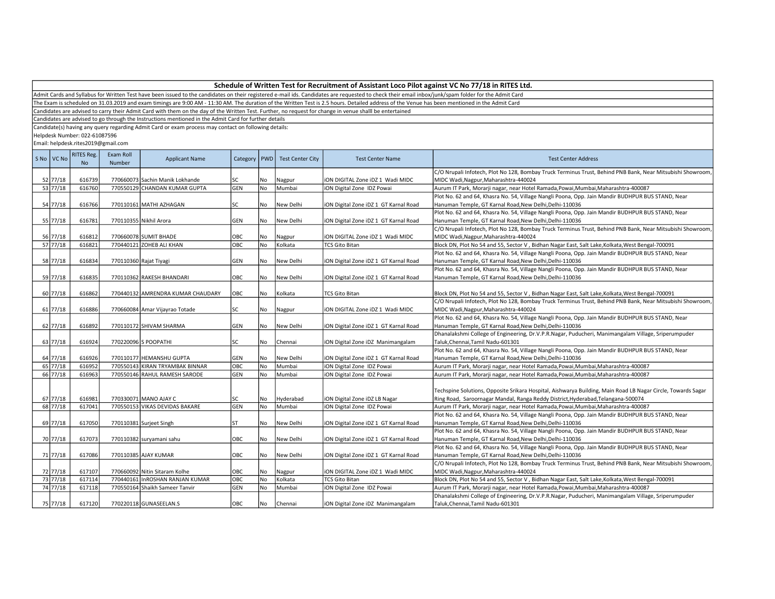Admit Cards and Syllabus for Written Test have been issued to the candidates on their registered e-mail ids. Candidates are requested to check their email inbox/junk/spam folder for the Admit Card

The Exam is scheduled on 31.03.2019 and exam timings are 9:00 AM - 11:30 AM. The duration of the Written Test is 2.5 hours. Detailed address of the Venue has been mentioned in the Admit Card

Candidates are advised to carry their Admit Card with them on the day of the Written Test. Further, no request for change in venue shalll be entertained

Candidates are advised to go through the Instructions mentioned in the Admit Card for further details

Candidate(s) having any query regarding Admit Card or exam process may contact on following details:

Helpdesk Number: 022-61087596

| S No VC No | <b>RITES Reg.</b><br><b>No</b> | Exam Roll<br>Number | <b>Applicant Name</b>                                            | Category   | <b>PWD</b>      | <b>Test Center City</b> | <b>Test Center Name</b>                                        | <b>Test Center Address</b>                                                                                                  |
|------------|--------------------------------|---------------------|------------------------------------------------------------------|------------|-----------------|-------------------------|----------------------------------------------------------------|-----------------------------------------------------------------------------------------------------------------------------|
| 52 77/18   |                                |                     |                                                                  |            |                 |                         |                                                                | C/O Nrupali Infotech, Plot No 128, Bombay Truck Terminus Trust, Behind PNB Bank, Near Mitsubishi Showroom,                  |
| 53 77/18   | 616739<br>616760               |                     | 770660073 Sachin Manik Lokhande<br>770550129 CHANDAN KUMAR GUPTA | SC<br>GEN  | No<br><b>No</b> | Nagpur<br>Mumbai        | ION DIGITAL Zone IDZ 1 Wadi MIDC<br>iON Digital Zone IDZ Powai | MIDC Wadi, Nagpur, Maharashtra-440024<br>Aurum IT Park, Morarji nagar, near Hotel Ramada, Powai, Mumbai, Maharashtra-400087 |
|            |                                |                     |                                                                  |            |                 |                         |                                                                | Plot No. 62 and 64, Khasra No. 54, Village Nangli Poona, Opp. Jain Mandir BUDHPUR BUS STAND, Near                           |
| 54 77/18   | 616766                         |                     | 770110161 MATHI AZHAGAN                                          | SC         | No              | New Delhi               | ION Digital Zone IDZ 1 GT Karnal Road                          | Hanuman Temple, GT Karnal Road, New Delhi, Delhi-110036                                                                     |
|            |                                |                     |                                                                  |            |                 |                         |                                                                | Plot No. 62 and 64, Khasra No. 54, Village Nangli Poona, Opp. Jain Mandir BUDHPUR BUS STAND, Near                           |
| 55 77/18   | 616781                         |                     | 770110355 Nikhil Arora                                           | GEN        | No              | New Delhi               | iON Digital Zone iDZ 1 GT Karnal Road                          | Hanuman Temple, GT Karnal Road, New Delhi, Delhi-110036                                                                     |
|            |                                |                     |                                                                  |            |                 |                         |                                                                | C/O Nrupali Infotech, Plot No 128, Bombay Truck Terminus Trust, Behind PNB Bank, Near Mitsubishi Showroom,                  |
| 56 77/18   | 616812                         |                     | 770660078 SUMIT BHADE                                            | OBC        | No              | Nagpur                  | ION DIGITAL Zone IDZ 1 Wadi MIDC                               | MIDC Wadi, Nagpur, Maharashtra-440024                                                                                       |
| $57$ 77/18 | 616821                         |                     | 770440121 ZOHEB ALI KHAN                                         | <b>OBC</b> | <b>No</b>       | Kolkata                 | <b>TCS Gito Bitan</b>                                          | Block DN, Plot No 54 and 55, Sector V, Bidhan Nagar East, Salt Lake, Kolkata, West Bengal-700091                            |
|            |                                |                     |                                                                  |            |                 |                         |                                                                | Plot No. 62 and 64, Khasra No. 54, Village Nangli Poona, Opp. Jain Mandir BUDHPUR BUS STAND, Near                           |
| 58 77/18   | 616834                         |                     | 770110360 Rajat Tiyagi                                           | GEN        | No              | New Delhi               | iON Digital Zone iDZ 1 GT Karnal Road                          | Hanuman Temple, GT Karnal Road, New Delhi, Delhi-110036                                                                     |
|            |                                |                     |                                                                  |            |                 |                         |                                                                | Plot No. 62 and 64, Khasra No. 54, Village Nangli Poona, Opp. Jain Mandir BUDHPUR BUS STAND, Near                           |
| 59 77/18   | 616835                         |                     | 770110362 RAKESH BHANDARI                                        | OBC        | No              | New Delhi               | iON Digital Zone iDZ 1 GT Karnal Road                          | Hanuman Temple, GT Karnal Road, New Delhi, Delhi-110036                                                                     |
|            |                                |                     |                                                                  |            |                 |                         |                                                                |                                                                                                                             |
| 60 77/18   | 616862                         |                     | 770440132 AMRENDRA KUMAR CHAUDARY                                | OBC        | No              | Kolkata                 | <b>TCS Gito Bitan</b>                                          | Block DN, Plot No 54 and 55, Sector V, Bidhan Nagar East, Salt Lake, Kolkata, West Bengal-700091                            |
|            |                                |                     |                                                                  |            |                 |                         |                                                                | C/O Nrupali Infotech, Plot No 128, Bombay Truck Terminus Trust, Behind PNB Bank, Near Mitsubishi Showroom,                  |
| 61 77/18   | 616886                         |                     | 770660084 Amar Vijayrao Totade                                   | SC         | No              | Nagpur                  | ION DIGITAL Zone IDZ 1 Wadi MIDC                               | MIDC Wadi, Nagpur, Maharashtra-440024                                                                                       |
|            |                                |                     |                                                                  |            |                 |                         |                                                                | Plot No. 62 and 64, Khasra No. 54, Village Nangli Poona, Opp. Jain Mandir BUDHPUR BUS STAND, Near                           |
| 62 77/18   | 616892                         |                     | 770110172 SHIVAM SHARMA                                          | GEN        | No              | New Delhi               | ION Digital Zone IDZ 1 GT Karnal Road                          | Hanuman Temple, GT Karnal Road, New Delhi, Delhi-110036                                                                     |
|            |                                |                     |                                                                  |            |                 |                         |                                                                | Dhanalakshmi College of Engineering, Dr.V.P.R.Nagar, Puducheri, Manimangalam Village, Sriperumpuder                         |
| 63 77/18   | 616924                         |                     | 770220096 S POOPATHI                                             | SC         | No              | Chennai                 | iON Digital Zone iDZ Manimangalam                              | Taluk, Chennai, Tamil Nadu-601301                                                                                           |
|            |                                |                     |                                                                  |            |                 |                         |                                                                | Plot No. 62 and 64, Khasra No. 54, Village Nangli Poona, Opp. Jain Mandir BUDHPUR BUS STAND, Near                           |
| 64 77/18   | 616926                         |                     | 770110177 HEMANSHU GUPTA                                         | GEN        | No              | New Delhi               | iON Digital Zone iDZ 1 GT Karnal Road                          | Hanuman Temple, GT Karnal Road, New Delhi, Delhi-110036                                                                     |
| 65 77/18   | 616952                         |                     | 770550143 KIRAN TRYAMBAK BINNAR                                  | ОВС        | No              | Mumbai                  | ION Digital Zone IDZ Powai                                     | Aurum IT Park, Morarji nagar, near Hotel Ramada, Powai, Mumbai, Maharashtra-400087                                          |
| 66 77/18   | 616963                         |                     | 770550146 RAHUL RAMESH SARODE                                    | GEN        | No              | Mumbai                  | iON Digital Zone IDZ Powai                                     | Aurum IT Park, Morarji nagar, near Hotel Ramada, Powai, Mumbai, Maharashtra-400087                                          |
|            |                                |                     |                                                                  |            |                 |                         |                                                                |                                                                                                                             |
|            |                                |                     |                                                                  |            |                 |                         |                                                                | Techspine Solutions, Opposite Srikara Hospital, Aishwarya Building, Main Road LB Nagar Circle, Towards Sagar                |
| 67 77/18   | 616981                         |                     | 770330071 MANO AJAY C                                            | SC         | No              | Hyderabad               | ION Digital Zone IDZ LB Nagar                                  | Ring Road, Saroornagar Mandal, Ranga Reddy District, Hyderabad, Telangana-500074                                            |
| 68 77/18   | 617041                         |                     | 770550153 VIKAS DEVIDAS BAKARE                                   | GEN        | No              | Mumbai                  | ION Digital Zone IDZ Powai                                     | Aurum IT Park, Morarji nagar, near Hotel Ramada, Powai, Mumbai, Maharashtra-400087                                          |
|            |                                |                     |                                                                  |            |                 |                         |                                                                | Plot No. 62 and 64, Khasra No. 54, Village Nangli Poona, Opp. Jain Mandir BUDHPUR BUS STAND, Near                           |
| 69 77/18   | 617050                         |                     | 770110381 Surjeet Singh                                          | ST         | No              | New Delhi               | iON Digital Zone iDZ 1 GT Karnal Road                          | Hanuman Temple, GT Karnal Road, New Delhi, Delhi-110036                                                                     |
|            |                                |                     |                                                                  |            |                 |                         |                                                                | Plot No. 62 and 64, Khasra No. 54, Village Nangli Poona, Opp. Jain Mandir BUDHPUR BUS STAND, Near                           |
| 70 77/18   | 617073                         |                     | 770110382 suryamani sahu                                         | OBC        | No              | New Delhi               | iON Digital Zone iDZ 1 GT Karnal Road                          | Hanuman Temple, GT Karnal Road, New Delhi, Delhi-110036                                                                     |
|            |                                |                     |                                                                  |            |                 |                         |                                                                | Plot No. 62 and 64, Khasra No. 54, Village Nangli Poona, Opp. Jain Mandir BUDHPUR BUS STAND, Near                           |
| 71 77/18   | 617086                         |                     | 770110385 AJAY KUMAR                                             | OBC        | No              | New Delhi               | iON Digital Zone iDZ 1 GT Karnal Road                          | Hanuman Temple, GT Karnal Road, New Delhi, Delhi-110036                                                                     |
|            |                                |                     |                                                                  |            |                 |                         |                                                                | C/O Nrupali Infotech, Plot No 128, Bombay Truck Terminus Trust, Behind PNB Bank, Near Mitsubishi Showroom,                  |
| 72 77/18   | 617107                         |                     | 770660092 Nitin Sitaram Kolhe                                    | OBC        | No              | Nagpur                  | ION DIGITAL Zone IDZ 1 Wadi MIDC                               | MIDC Wadi, Nagpur, Maharashtra-440024                                                                                       |
| 73 77/18   | 617114                         |                     | 770440161 InROSHAN RANJAN KUMAR                                  | OBC        | No              | Kolkata                 | TCS Gito Bitan                                                 | Block DN, Plot No 54 and 55, Sector V, Bidhan Nagar East, Salt Lake, Kolkata, West Bengal-700091                            |
| 74 77/18   | 617118                         |                     | 770550164 Shaikh Sameer Tanvir                                   | GEN        | No              | Mumbai                  | ION Digital Zone IDZ Powai                                     | Aurum IT Park, Morarji nagar, near Hotel Ramada, Powai, Mumbai, Maharashtra-400087                                          |
|            |                                |                     |                                                                  |            |                 |                         |                                                                | Dhanalakshmi College of Engineering, Dr.V.P.R.Nagar, Puducheri, Manimangalam Village, Sriperumpuder                         |
| 75 77/18   | 617120                         |                     | 770220118 GUNASEELAN.S                                           | OBC        | No              | Chennai                 | ION Digital Zone IDZ Manimangalam                              | Taluk.Chennai.Tamil Nadu-601301                                                                                             |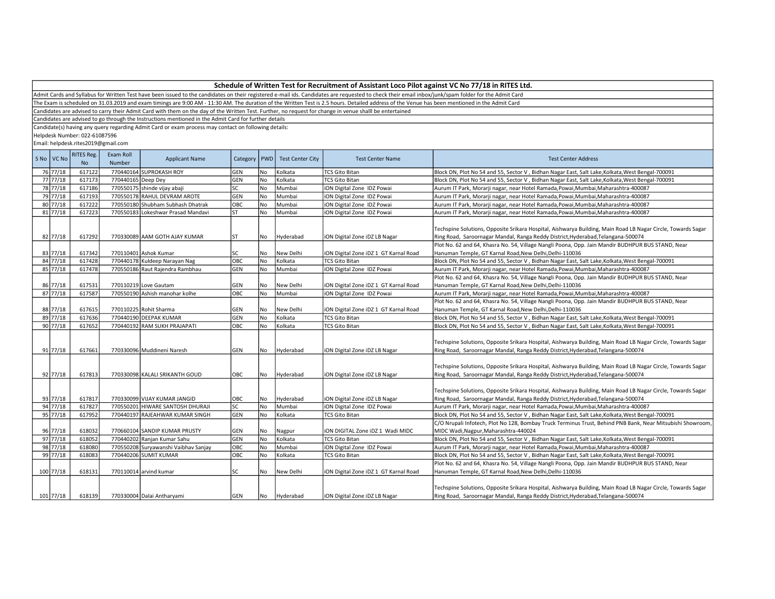Admit Cards and Syllabus for Written Test have been issued to the candidates on their registered e-mail ids. Candidates are requested to check their email inbox/junk/spam folder for the Admit Card

The Exam is scheduled on 31.03.2019 and exam timings are 9:00 AM - 11:30 AM. The duration of the Written Test is 2.5 hours. Detailed address of the Venue has been mentioned in the Admit Card

Candidates are advised to carry their Admit Card with them on the day of the Written Test. Further, no request for change in venue shalll be entertained

Candidates are advised to go through the Instructions mentioned in the Admit Card for further details

Candidate(s) having any query regarding Admit Card or exam process may contact on following details:

Helpdesk Number: 022-61087596

| S No   VC No          | <b>RITES Reg.</b><br><b>No</b> | Exam Roll<br>Number | <b>Applicant Name</b>                | Category   PWD |           | <b>Test Center City</b> | <b>Test Center Name</b>               | <b>Test Center Address</b>                                                                                                                                                                       |
|-----------------------|--------------------------------|---------------------|--------------------------------------|----------------|-----------|-------------------------|---------------------------------------|--------------------------------------------------------------------------------------------------------------------------------------------------------------------------------------------------|
| 76 77/18              | 617122                         |                     | 770440164 SUPROKASH ROY              | GEN            | No        | Kolkata                 | <b>TCS Gito Bitan</b>                 | Block DN, Plot No 54 and 55, Sector V, Bidhan Nagar East, Salt Lake, Kolkata, West Bengal-700091                                                                                                 |
| 77 77/18              | 617173                         | 770440165 Deep Dey  |                                      | GEN            | No        | Kolkata                 | <b>TCS Gito Bitan</b>                 | Block DN, Plot No 54 and 55, Sector V, Bidhan Nagar East, Salt Lake, Kolkata, West Bengal-700091                                                                                                 |
| 78 77/18              | 617186                         |                     | 770550175 shinde vijay abaji         | SC.            | No        | Mumbai                  | iON Digital Zone IDZ Powai            | Aurum IT Park, Morarji nagar, near Hotel Ramada, Powai, Mumbai, Maharashtra-400087                                                                                                               |
| 79 77/18              | 617193                         |                     | 770550178 RAHUL DEVRAM AROTE         | GEN            | No        | Mumbai                  | iON Digital Zone IDZ Powai            | Aurum IT Park, Morarji nagar, near Hotel Ramada, Powai, Mumbai, Maharashtra-400087                                                                                                               |
| 80 77/18              | 617222                         |                     | 770550180 Shubham Subhash Dhatrak    | ОВС            | No        | Mumbai                  | iON Digital Zone IDZ Powai            | Aurum IT Park, Morarji nagar, near Hotel Ramada, Powai, Mumbai, Maharashtra-400087                                                                                                               |
| 81 77/18              | 617223                         |                     | 770550183 Lokeshwar Prasad Mandavi   | ST             | No        | Mumbai                  | iON Digital Zone IDZ Powai            | Aurum IT Park, Morarji nagar, near Hotel Ramada, Powai, Mumbai, Maharashtra-400087                                                                                                               |
| 82 77/18              | 617292                         |                     | 770330089 AAM GOTH AJAY KUMAR        | ST             | No        | Hyderabad               | ION Digital Zone IDZ LB Nagar         | Techspine Solutions, Opposite Srikara Hospital, Aishwarya Building, Main Road LB Nagar Circle, Towards Sagar<br>Ring Road, Saroornagar Mandal, Ranga Reddy District, Hyderabad, Telangana-500074 |
|                       |                                |                     |                                      |                |           |                         |                                       | Plot No. 62 and 64, Khasra No. 54, Village Nangli Poona, Opp. Jain Mandir BUDHPUR BUS STAND, Near                                                                                                |
| 83 77/18              | 617342                         |                     | 770110401 Ashok Kumar                | SC             | No        | New Delhi               | iON Digital Zone iDZ 1 GT Karnal Road | Hanuman Temple, GT Karnal Road, New Delhi, Delhi-110036                                                                                                                                          |
| 84 77/18              | 617428                         |                     | 770440178 Kuldeep Narayan Nag        | ОВС            | No        | Kolkata                 | <b>TCS Gito Bitan</b>                 | Block DN, Plot No 54 and 55, Sector V, Bidhan Nagar East, Salt Lake, Kolkata, West Bengal-700091                                                                                                 |
| 85 77/18              | 617478                         |                     | 770550186 Raut Rajendra Rambhau      | GEN            | No        | Mumbai                  | ION Digital Zone IDZ Powai            | Aurum IT Park, Morarji nagar, near Hotel Ramada, Powai, Mumbai, Maharashtra-400087                                                                                                               |
|                       |                                |                     |                                      |                |           |                         |                                       | Plot No. 62 and 64, Khasra No. 54, Village Nangli Poona, Opp. Jain Mandir BUDHPUR BUS STAND, Near                                                                                                |
| 86 77/18              | 617531                         |                     | 770110219 Love Gautam                | GEN            | No        | New Delhi               | iON Digital Zone iDZ 1 GT Karnal Road | Hanuman Temple, GT Karnal Road, New Delhi, Delhi-110036                                                                                                                                          |
| $87 \overline{77/18}$ | 617587                         |                     | 770550190 Ashish manohar kolhe       | ОВС            | No        | Mumbai                  | iON Digital Zone IDZ Powai            | Aurum IT Park, Morarji nagar, near Hotel Ramada, Powai, Mumbai, Maharashtra-400087                                                                                                               |
|                       |                                |                     |                                      |                |           |                         |                                       | Plot No. 62 and 64, Khasra No. 54, Village Nangli Poona, Opp. Jain Mandir BUDHPUR BUS STAND, Near                                                                                                |
| 88 77/18              | 617615                         |                     | 770110225 Rohit Sharma               | GEN            | No        | New Delhi               | iON Digital Zone iDZ 1 GT Karnal Road | Hanuman Temple, GT Karnal Road, New Delhi, Delhi-110036                                                                                                                                          |
| 89 77/18              | 617636                         |                     | 770440190 DEEPAK KUMAR               | GEN            | No        | Kolkata                 | <b>TCS Gito Bitan</b>                 | Block DN, Plot No 54 and 55, Sector V, Bidhan Nagar East, Salt Lake, Kolkata, West Bengal-700091                                                                                                 |
| 90 77/18              | 617652                         |                     | 770440192 RAM SUKH PRAJAPATI         | ОВС            | No        | Kolkata                 | <b>TCS Gito Bitan</b>                 | Block DN, Plot No 54 and 55, Sector V, Bidhan Nagar East, Salt Lake, Kolkata, West Bengal-700091                                                                                                 |
| 91 77/18              | 617661                         |                     | 770330096 Muddineni Naresh           | GEN            | No        | Hyderabad               | ION Digital Zone IDZ LB Nagar         | Techspine Solutions, Opposite Srikara Hospital, Aishwarya Building, Main Road LB Nagar Circle, Towards Sagar<br>Ring Road, Saroornagar Mandal, Ranga Reddy District, Hyderabad, Telangana-500074 |
| 92 77/18              | 617813                         |                     | 770330098 KALALI SRIKANTH GOUD       | OBC            | No        | Hyderabad               | ION Digital Zone IDZ LB Nagar         | Techspine Solutions, Opposite Srikara Hospital, Aishwarya Building, Main Road LB Nagar Circle, Towards Sagar<br>Ring Road, Saroornagar Mandal, Ranga Reddy District, Hyderabad, Telangana-500074 |
| 93 77/18              | 617817                         |                     | 770330099 VIJAY KUMAR JANGID         | OBC            | No        | Hyderabad               | iON Digital Zone iDZ LB Nagar         | Techspine Solutions, Opposite Srikara Hospital, Aishwarya Building, Main Road LB Nagar Circle, Towards Sagar<br>Ring Road, Saroornagar Mandal, Ranga Reddy District, Hyderabad, Telangana-500074 |
| 94 77/18              | 617827                         |                     | 770550201 HIWARE SANTOSH DHURAJI     | SC             | No        | Mumbai                  | ION Digital Zone IDZ Powai            | Aurum IT Park, Morarji nagar, near Hotel Ramada, Powai, Mumbai, Maharashtra-400087                                                                                                               |
| 95 77/18              | 617952                         |                     | 770440197 RAJEAHWAR KUMAR SINGH      | GEN            | No        | Kolkata                 | <b>TCS Gito Bitan</b>                 | Block DN, Plot No 54 and 55, Sector V, Bidhan Nagar East, Salt Lake, Kolkata, West Bengal-700091                                                                                                 |
|                       |                                |                     |                                      |                |           |                         |                                       | C/O Nrupali Infotech, Plot No 128, Bombay Truck Terminus Trust, Behind PNB Bank, Near Mitsubishi Showroom,                                                                                       |
| 96 77/18              | 618032                         |                     | 770660104 SANDIP KUMAR PRUSTY        | GEN            | No        | Nagpur                  | ION DIGITAL Zone IDZ 1 Wadi MIDC      | MIDC Wadi, Nagpur, Maharashtra-440024                                                                                                                                                            |
| 97 77/18              | 618052                         |                     | 770440202 Ranjan Kumar Sahu          | GEN            | No        | Kolkata                 | <b>TCS Gito Bitan</b>                 | Block DN, Plot No 54 and 55, Sector V, Bidhan Nagar East, Salt Lake, Kolkata, West Bengal-700091                                                                                                 |
| 98 77/18              | 618080                         |                     | 770550208 Suryawanshi Vaibhav Sanjay | ОВС            | No        | Mumbai                  | ION Digital Zone IDZ Powai            | Aurum IT Park, Morarji nagar, near Hotel Ramada, Powai, Mumbai, Maharashtra-400087                                                                                                               |
| 99 77/18              | 618083                         |                     | 770440206 SUMIT KUMAR                | ОВС            | <b>No</b> | Kolkata                 | <b>TCS Gito Bitan</b>                 | Block DN, Plot No 54 and 55, Sector V, Bidhan Nagar East, Salt Lake, Kolkata, West Bengal-700091                                                                                                 |
| 100 77/18             | 618131                         |                     | 770110014 arvind kumar               | SC             | No        | New Delhi               | iON Digital Zone iDZ 1 GT Karnal Road | Plot No. 62 and 64, Khasra No. 54, Village Nangli Poona, Opp. Jain Mandir BUDHPUR BUS STAND, Near<br>Hanuman Temple, GT Karnal Road, New Delhi, Delhi-110036                                     |
| 101 77/18             | 618139                         |                     | 770330004 Dalai Antharyami           | GEN            | No        | Hyderabad               | ION Digital Zone IDZ LB Nagar         | Techspine Solutions, Opposite Srikara Hospital, Aishwarya Building, Main Road LB Nagar Circle, Towards Sagar<br>Ring Road, Saroornagar Mandal, Ranga Reddy District, Hyderabad, Telangana-500074 |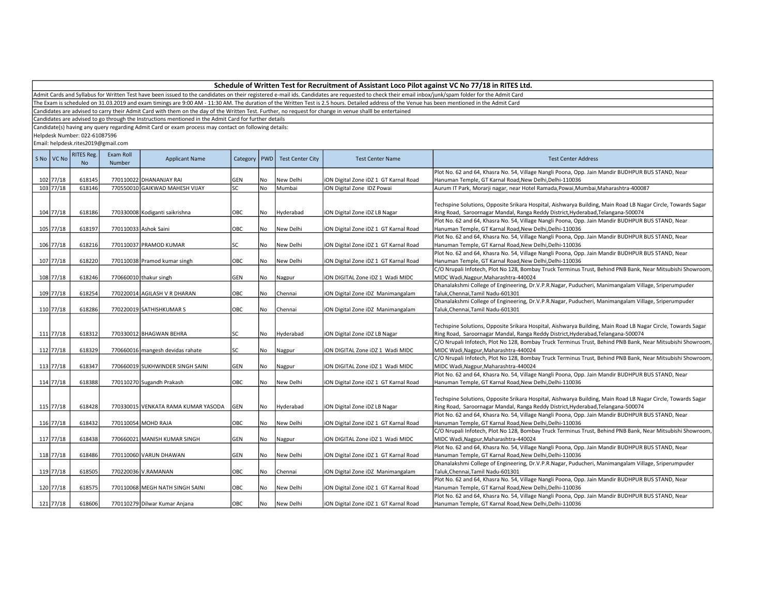| Schedule of Written Test for Recruitment of Assistant Loco Pilot against VC No 77/18 in RITES Ltd. |  |
|----------------------------------------------------------------------------------------------------|--|
|----------------------------------------------------------------------------------------------------|--|

The Exam is scheduled on 31.03.2019 and exam timings are 9:00 AM - 11:30 AM. The duration of the Written Test is 2.5 hours. Detailed address of the Venue has been mentioned in the Admit Card

Candidates are advised to carry their Admit Card with them on the day of the Written Test. Further, no request for change in venue shalll be entertained

Candidates are advised to go through the Instructions mentioned in the Admit Card for further details

Candidate(s) having any query regarding Admit Card or exam process may contact on following details:

Helpdesk Number: 022-61087596

| S No   VC No | <b>RITES Reg.</b><br><b>No</b> | Exam Roll<br>Number | <b>Applicant Name</b>               | Category   PWD |           | <b>Test Center City</b> | <b>Test Center Name</b>               | <b>Test Center Address</b>                                                                                   |
|--------------|--------------------------------|---------------------|-------------------------------------|----------------|-----------|-------------------------|---------------------------------------|--------------------------------------------------------------------------------------------------------------|
|              |                                |                     |                                     |                |           |                         |                                       | Plot No. 62 and 64, Khasra No. 54, Village Nangli Poona, Opp. Jain Mandir BUDHPUR BUS STAND, Near            |
| 102 77/18    | 618145                         |                     | 770110022 DHANANJAY RAI             | GEN            | No        | New Delhi               | iON Digital Zone iDZ 1 GT Karnal Road | Hanuman Temple, GT Karnal Road, New Delhi, Delhi-110036                                                      |
| 103 77/18    | 618146                         |                     | 770550010 GAIKWAD MAHESH VIJAY      | <b>SC</b>      | <b>No</b> | Mumbai                  | iON Digital Zone IDZ Powai            | Aurum IT Park, Morarji nagar, near Hotel Ramada, Powai, Mumbai, Maharashtra-400087                           |
|              |                                |                     |                                     |                |           |                         |                                       |                                                                                                              |
|              |                                |                     |                                     |                |           |                         |                                       | Techspine Solutions, Opposite Srikara Hospital, Aishwarya Building, Main Road LB Nagar Circle, Towards Sagar |
| 104 77/18    | 618186                         |                     | 770330008 Kodiganti saikrishna      | OBC            | No        | Hyderabad               | iON Digital Zone iDZ LB Nagar         | Ring Road, Saroornagar Mandal, Ranga Reddy District, Hyderabad, Telangana-500074                             |
|              |                                |                     |                                     |                |           |                         |                                       | Plot No. 62 and 64, Khasra No. 54, Village Nangli Poona, Opp. Jain Mandir BUDHPUR BUS STAND, Near            |
| 105 77/18    | 618197                         |                     | 770110033 Ashok Saini               | OBC            | No        | New Delhi               | iON Digital Zone iDZ 1 GT Karnal Road | Hanuman Temple, GT Karnal Road, New Delhi, Delhi-110036                                                      |
|              |                                |                     |                                     |                |           |                         |                                       | Plot No. 62 and 64, Khasra No. 54, Village Nangli Poona, Opp. Jain Mandir BUDHPUR BUS STAND, Near            |
| 106 77/18    | 618216                         |                     | 770110037 PRAMOD KUMAR              | SC             | No        | New Delhi               | iON Digital Zone iDZ 1 GT Karnal Road | Hanuman Temple, GT Karnal Road, New Delhi, Delhi-110036                                                      |
|              |                                |                     |                                     |                |           |                         |                                       | Plot No. 62 and 64, Khasra No. 54, Village Nangli Poona, Opp. Jain Mandir BUDHPUR BUS STAND, Near            |
| 107 77/18    | 618220                         |                     | 770110038 Pramod kumar singh        | OBC            | No        | New Delhi               | iON Digital Zone iDZ 1 GT Karnal Road | Hanuman Temple, GT Karnal Road, New Delhi, Delhi-110036                                                      |
|              |                                |                     |                                     |                |           |                         |                                       | C/O Nrupali Infotech, Plot No 128, Bombay Truck Terminus Trust, Behind PNB Bank, Near Mitsubishi Showroom,   |
| 108 77/18    | 618246                         |                     | 770660010 thakur singh              | GEN            | No        | Nagpur                  | ION DIGITAL Zone IDZ 1 Wadi MIDC      | MIDC Wadi, Nagpur, Maharashtra-440024                                                                        |
|              |                                |                     |                                     |                |           |                         |                                       | Dhanalakshmi College of Engineering, Dr.V.P.R.Nagar, Puducheri, Manimangalam Village, Sriperumpuder          |
| 109 77/18    | 618254                         |                     | 770220014 AGILASH V R DHARAN        | OBC            | No        | Chennai                 | iON Digital Zone iDZ Manimangalam     | Taluk, Chennai, Tamil Nadu-601301                                                                            |
|              |                                |                     |                                     |                |           |                         |                                       | Dhanalakshmi College of Engineering, Dr.V.P.R.Nagar, Puducheri, Manimangalam Village, Sriperumpuder          |
| 110 77/18    | 618286                         |                     | 770220019 SATHISHKUMAR S            | OBC            | No        | Chennai                 | iON Digital Zone iDZ Manimangalam     | Taluk, Chennai, Tamil Nadu-601301                                                                            |
|              |                                |                     |                                     |                |           |                         |                                       |                                                                                                              |
|              |                                |                     |                                     |                |           |                         |                                       | Techspine Solutions, Opposite Srikara Hospital, Aishwarya Building, Main Road LB Nagar Circle, Towards Sagar |
| 111 77/18    | 618312                         |                     | 770330012 BHAGWAN BEHRA             | SC             | No        | Hyderabad               | iON Digital Zone iDZ LB Nagar         | Ring Road, Saroornagar Mandal, Ranga Reddy District, Hyderabad, Telangana-500074                             |
|              |                                |                     |                                     |                |           |                         |                                       | C/O Nrupali Infotech, Plot No 128, Bombay Truck Terminus Trust, Behind PNB Bank, Near Mitsubishi Showroom,   |
| 112 77/18    | 618329                         |                     | 770660016 mangesh devidas rahate    | SC             | No        | Nagpur                  | iON DIGITAL Zone iDZ 1 Wadi MIDC      | MIDC Wadi, Nagpur, Maharashtra-440024                                                                        |
|              |                                |                     |                                     |                |           |                         |                                       | C/O Nrupali Infotech, Plot No 128, Bombay Truck Terminus Trust, Behind PNB Bank, Near Mitsubishi Showroom,   |
| 113 77/18    | 618347                         |                     | 770660019 SUKHWINDER SINGH SAINI    | GEN            | No        | Nagpur                  | iON DIGITAL Zone iDZ 1 Wadi MIDC      | MIDC Wadi, Nagpur, Maharashtra-440024                                                                        |
|              |                                |                     |                                     |                |           |                         |                                       | Plot No. 62 and 64, Khasra No. 54, Village Nangli Poona, Opp. Jain Mandir BUDHPUR BUS STAND, Near            |
| 114 77/18    | 618388                         |                     | 770110270 Sugandh Prakash           | OBC            | No        | New Delhi               | iON Digital Zone iDZ 1 GT Karnal Road | Hanuman Temple, GT Karnal Road, New Delhi, Delhi-110036                                                      |
|              |                                |                     |                                     |                |           |                         |                                       |                                                                                                              |
|              |                                |                     |                                     |                |           |                         |                                       | Techspine Solutions, Opposite Srikara Hospital, Aishwarya Building, Main Road LB Nagar Circle, Towards Sagar |
| 115 77/18    | 618428                         |                     | 770330015 VENKATA RAMA KUMAR YASODA | GEN            | No        | Hyderabad               | iON Digital Zone iDZ LB Nagar         | Ring Road, Saroornagar Mandal, Ranga Reddy District, Hyderabad, Telangana-500074                             |
|              |                                |                     |                                     |                |           |                         |                                       | Plot No. 62 and 64, Khasra No. 54, Village Nangli Poona, Opp. Jain Mandir BUDHPUR BUS STAND, Near            |
| 116 77/18    | 618432                         |                     | 770110054 MOHD RAJA                 | OBC            | No        | New Delhi               | iON Digital Zone iDZ 1 GT Karnal Road | Hanuman Temple, GT Karnal Road, New Delhi, Delhi-110036                                                      |
|              |                                |                     |                                     |                |           |                         |                                       | C/O Nrupali Infotech, Plot No 128, Bombay Truck Terminus Trust, Behind PNB Bank, Near Mitsubishi Showroom,   |
| 117 77/18    | 618438                         |                     | 770660021 MANISH KUMAR SINGH        | GEN            | No        | Nagpur                  | iON DIGITAL Zone iDZ 1 Wadi MIDC      | MIDC Wadi, Nagpur, Maharashtra-440024                                                                        |
|              |                                |                     |                                     |                |           |                         |                                       | Plot No. 62 and 64, Khasra No. 54, Village Nangli Poona, Opp. Jain Mandir BUDHPUR BUS STAND, Near            |
| 118 77/18    | 618486                         |                     | 770110060 VARUN DHAWAN              | GEN            | No        | New Delhi               | iON Digital Zone iDZ 1 GT Karnal Road | Hanuman Temple, GT Karnal Road, New Delhi, Delhi-110036                                                      |
|              |                                |                     |                                     |                |           |                         |                                       | Dhanalakshmi College of Engineering, Dr.V.P.R.Nagar, Puducheri, Manimangalam Village, Sriperumpuder          |
| 119 77/18    | 618505                         |                     | 770220036 V.RAMANAN                 | OBC            | No        | Chennai                 | iON Digital Zone iDZ Manimangalam     | Taluk, Chennai, Tamil Nadu-601301                                                                            |
|              |                                |                     |                                     |                |           |                         |                                       | Plot No. 62 and 64, Khasra No. 54, Village Nangli Poona, Opp. Jain Mandir BUDHPUR BUS STAND, Near            |
| 120 77/18    | 618575                         |                     | 770110068 MEGH NATH SINGH SAINI     | OBC            | No        | New Delhi               | iON Digital Zone iDZ 1 GT Karnal Road | Hanuman Temple, GT Karnal Road, New Delhi, Delhi-110036                                                      |
|              |                                |                     |                                     |                |           |                         |                                       | Plot No. 62 and 64, Khasra No. 54, Village Nangli Poona, Opp. Jain Mandir BUDHPUR BUS STAND, Near            |
| 121 77/18    | 618606                         |                     | 770110279 Dilwar Kumar Anjana       | <b>OBC</b>     | No        | New Delhi               | iON Digital Zone iDZ 1 GT Karnal Road | Hanuman Temple, GT Karnal Road, New Delhi, Delhi-110036                                                      |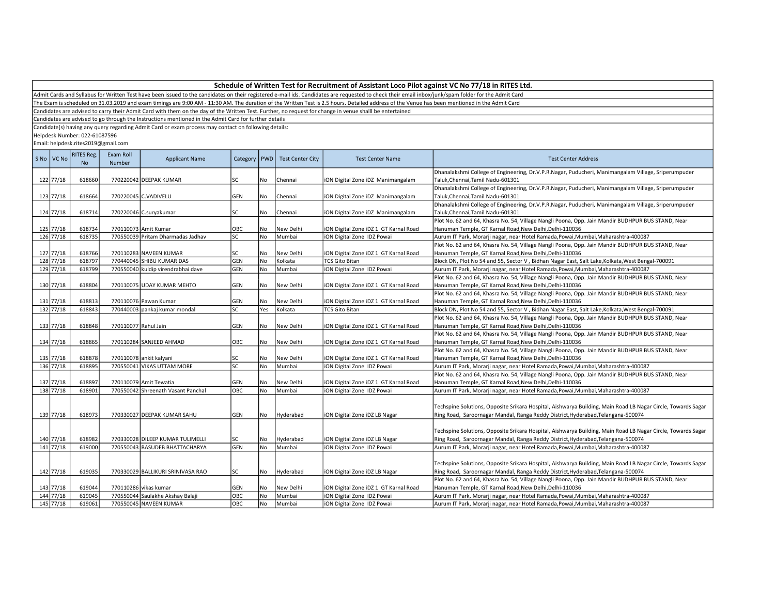The Exam is scheduled on 31.03.2019 and exam timings are 9:00 AM - 11:30 AM. The duration of the Written Test is 2.5 hours. Detailed address of the Venue has been mentioned in the Admit Card

Candidates are advised to carry their Admit Card with them on the day of the Written Test. Further, no request for change in venue shalll be entertained

Candidates are advised to go through the Instructions mentioned in the Admit Card for further details

Candidate(s) having any query regarding Admit Card or exam process may contact on following details:

Helpdesk Number: 022-61087596

| S <sub>No</sub> | VC No     | <b>RITES Reg.</b><br>No | Exam Roll<br>Number  | <b>Applicant Name</b>              | Category   PWD |           | <b>Test Center City</b> | <b>Test Center Name</b>               | <b>Test Center Address</b>                                                                                                               |
|-----------------|-----------|-------------------------|----------------------|------------------------------------|----------------|-----------|-------------------------|---------------------------------------|------------------------------------------------------------------------------------------------------------------------------------------|
|                 | 122 77/18 | 618660                  |                      | 770220042 DEEPAK KUMAR             | SC             | No        | Chennai                 | iON Digital Zone iDZ Manimangalam     | Dhanalakshmi College of Engineering, Dr.V.P.R.Nagar, Puducheri, Manimangalam Village, Sriperumpuder<br>Taluk, Chennai, Tamil Nadu-601301 |
|                 |           |                         |                      |                                    |                |           |                         |                                       | Dhanalakshmi College of Engineering, Dr.V.P.R.Nagar, Puducheri, Manimangalam Village, Sriperumpuder                                      |
|                 | 123 77/18 | 618664                  |                      | 770220045 C.VADIVELU               | GEN            | No        | Chennai                 | iON Digital Zone iDZ Manimangalam     | Taluk, Chennai, Tamil Nadu-601301                                                                                                        |
|                 |           |                         |                      |                                    |                |           |                         |                                       | Dhanalakshmi College of Engineering, Dr.V.P.R.Nagar, Puducheri, Manimangalam Village, Sriperumpuder                                      |
|                 | 124 77/18 | 618714                  |                      | 770220046 C.suryakumar             | SC             | No        | Chennai                 | iON Digital Zone iDZ Manimangalam     | Taluk, Chennai, Tamil Nadu-601301                                                                                                        |
|                 |           |                         |                      |                                    |                |           |                         |                                       | Plot No. 62 and 64, Khasra No. 54, Village Nangli Poona, Opp. Jain Mandir BUDHPUR BUS STAND, Near                                        |
|                 | 125 77/18 | 618734                  |                      | 770110073 Amit Kumar               | OBC            | No        | New Delhi               | iON Digital Zone iDZ 1 GT Karnal Road | Hanuman Temple, GT Karnal Road, New Delhi, Delhi-110036                                                                                  |
|                 | 126 77/18 | 618735                  |                      | 770550039 Pritam Dharmadas Jadhav  | lsc            | No        | Mumbai                  | iON Digital Zone IDZ Powai            | Aurum IT Park, Morarji nagar, near Hotel Ramada, Powai, Mumbai, Maharashtra-400087                                                       |
|                 |           |                         |                      |                                    |                |           |                         |                                       | Plot No. 62 and 64, Khasra No. 54, Village Nangli Poona, Opp. Jain Mandir BUDHPUR BUS STAND, Near                                        |
|                 | 127 77/18 | 618766                  |                      | 770110283 NAVEEN KUMAR             | SC             | No        | New Delhi               | iON Digital Zone iDZ 1 GT Karnal Road | Hanuman Temple, GT Karnal Road, New Delhi, Delhi-110036                                                                                  |
|                 | 128 77/18 | 618797                  |                      | 770440045 SHIBU KUMAR DAS          | <b>GEN</b>     | No        | Kolkata                 | <b>TCS Gito Bitan</b>                 | Block DN, Plot No 54 and 55, Sector V, Bidhan Nagar East, Salt Lake, Kolkata, West Bengal-700091                                         |
|                 | 129 77/18 | 618799                  |                      | 770550040 kuldip virendrabhai dave | GEN            | No        | Mumbai                  | iON Digital Zone IDZ Powai            | Aurum IT Park, Morarji nagar, near Hotel Ramada,Powai,Mumbai,Maharashtra-400087                                                          |
|                 |           |                         |                      |                                    |                |           |                         |                                       | Plot No. 62 and 64, Khasra No. 54, Village Nangli Poona, Opp. Jain Mandir BUDHPUR BUS STAND, Near                                        |
|                 | 130 77/18 | 618804                  |                      | 770110075 UDAY KUMAR MEHTO         | GEN            | No        | New Delhi               | iON Digital Zone iDZ 1 GT Karnal Road | Hanuman Temple, GT Karnal Road, New Delhi, Delhi-110036                                                                                  |
|                 |           |                         |                      |                                    |                |           |                         |                                       | Plot No. 62 and 64, Khasra No. 54, Village Nangli Poona, Opp. Jain Mandir BUDHPUR BUS STAND, Near                                        |
|                 | 131 77/18 | 618813                  |                      | 770110076 Pawan Kumar              | GEN            | No        | New Delhi               | iON Digital Zone iDZ 1 GT Karnal Road | Hanuman Temple, GT Karnal Road, New Delhi, Delhi-110036                                                                                  |
|                 | 132 77/18 | 618843                  |                      | 770440003 pankaj kumar mondal      | SC             | Yes       | Kolkata                 | <b>TCS Gito Bitan</b>                 | Block DN, Plot No 54 and 55, Sector V, Bidhan Nagar East, Salt Lake, Kolkata, West Bengal-700091                                         |
|                 |           |                         |                      |                                    |                |           |                         |                                       | Plot No. 62 and 64, Khasra No. 54, Village Nangli Poona, Opp. Jain Mandir BUDHPUR BUS STAND, Near                                        |
|                 | 133 77/18 | 618848                  | 770110077 Rahul Jain |                                    | GEN            | No        | New Delhi               | iON Digital Zone iDZ 1 GT Karnal Road | Hanuman Temple, GT Karnal Road, New Delhi, Delhi-110036                                                                                  |
|                 |           |                         |                      |                                    |                |           |                         |                                       | Plot No. 62 and 64, Khasra No. 54, Village Nangli Poona, Opp. Jain Mandir BUDHPUR BUS STAND, Near                                        |
|                 | 134 77/18 | 618865                  |                      | 770110284 SANJEED AHMAD            | OBC            | No        | New Delhi               | iON Digital Zone iDZ 1 GT Karnal Road | Hanuman Temple, GT Karnal Road, New Delhi, Delhi-110036                                                                                  |
|                 |           |                         |                      |                                    |                |           |                         |                                       | Plot No. 62 and 64, Khasra No. 54, Village Nangli Poona, Opp. Jain Mandir BUDHPUR BUS STAND, Near                                        |
|                 | 135 77/18 | 618878                  |                      | 770110078 ankit kalyani            | SC             | No        | New Delhi               | iON Digital Zone iDZ 1 GT Karnal Road | Hanuman Temple, GT Karnal Road, New Delhi, Delhi-110036                                                                                  |
|                 | 136 77/18 | 618895                  |                      | 770550041 VIKAS UTTAM MORE         | SC             | No        | Mumbai                  | iON Digital Zone IDZ Powai            | Aurum IT Park, Morarji nagar, near Hotel Ramada, Powai, Mumbai, Maharashtra-400087                                                       |
|                 |           |                         |                      |                                    |                |           |                         |                                       | Plot No. 62 and 64, Khasra No. 54, Village Nangli Poona, Opp. Jain Mandir BUDHPUR BUS STAND, Near                                        |
|                 | 137 77/18 | 618897                  |                      | 770110079 Amit Tewatia             | GEN            | No        | New Delhi               | iON Digital Zone iDZ 1 GT Karnal Road | Hanuman Temple, GT Karnal Road, New Delhi, Delhi-110036                                                                                  |
|                 | 138 77/18 | 618901                  |                      | 770550042 Shreenath Vasant Panchal | OBC            | <b>No</b> | Mumbai                  | iON Digital Zone IDZ Powai            | Aurum IT Park, Morarji nagar, near Hotel Ramada, Powai, Mumbai, Maharashtra-400087                                                       |
|                 |           |                         |                      |                                    |                |           |                         |                                       |                                                                                                                                          |
|                 |           |                         |                      |                                    |                |           |                         |                                       | Techspine Solutions, Opposite Srikara Hospital, Aishwarya Building, Main Road LB Nagar Circle, Towards Sagar                             |
|                 | 139 77/18 | 618973                  |                      | 770330027 DEEPAK KUMAR SAHU        | GEN            | No        | Hyderabad               | iON Digital Zone iDZ LB Nagar         | Ring Road, Saroornagar Mandal, Ranga Reddy District, Hyderabad, Telangana-500074                                                         |
|                 |           |                         |                      |                                    |                |           |                         |                                       |                                                                                                                                          |
|                 |           |                         |                      |                                    |                |           |                         |                                       | Techspine Solutions, Opposite Srikara Hospital, Aishwarya Building, Main Road LB Nagar Circle, Towards Sagar                             |
|                 | 140 77/18 | 618982                  |                      | 770330028 DILEEP KUMAR TULIMELLI   | <b>SC</b>      | No        | Hyderabad               | iON Digital Zone iDZ LB Nagar         | Ring Road, Saroornagar Mandal, Ranga Reddy District, Hyderabad, Telangana-500074                                                         |
|                 | 141 77/18 | 619000                  |                      | 770550043 BASUDEB BHATTACHARYA     | <b>GEN</b>     | No        | Mumbai                  | iON Digital Zone IDZ Powai            | Aurum IT Park, Morarji nagar, near Hotel Ramada, Powai, Mumbai, Maharashtra-400087                                                       |
|                 |           |                         |                      |                                    |                |           |                         |                                       |                                                                                                                                          |
|                 |           |                         |                      |                                    |                |           |                         |                                       | Techspine Solutions, Opposite Srikara Hospital, Aishwarya Building, Main Road LB Nagar Circle, Towards Sagar                             |
|                 | 142 77/18 | 619035                  |                      | 770330029 BALLIKURI SRINIVASA RAO  | SC             | No        | Hyderabad               | iON Digital Zone iDZ LB Nagar         | Ring Road, Saroornagar Mandal, Ranga Reddy District, Hyderabad, Telangana-500074                                                         |
|                 |           |                         |                      |                                    |                |           |                         |                                       | Plot No. 62 and 64, Khasra No. 54, Village Nangli Poona, Opp. Jain Mandir BUDHPUR BUS STAND, Near                                        |
|                 | 143 77/18 | 619044                  |                      | 770110286 vikas kumar              | GEN            | No.       | New Delhi               | iON Digital Zone iDZ 1 GT Karnal Road | Hanuman Temple, GT Karnal Road, New Delhi, Delhi-110036                                                                                  |
|                 | 144 77/18 | 619045                  |                      | 770550044 Saulakhe Akshay Balaji   | ОВС            | No        | Mumbai                  | iON Digital Zone IDZ Powai            | Aurum IT Park, Morarji nagar, near Hotel Ramada, Powai, Mumbai, Maharashtra-400087                                                       |
|                 | 145 77/18 | 619061                  |                      | 770550045 NAVEEN KUMAR             | OBC            | No        | Mumbai                  | iON Digital Zone IDZ Powai            | Aurum IT Park, Morarji nagar, near Hotel Ramada,Powai,Mumbai,Maharashtra-400087                                                          |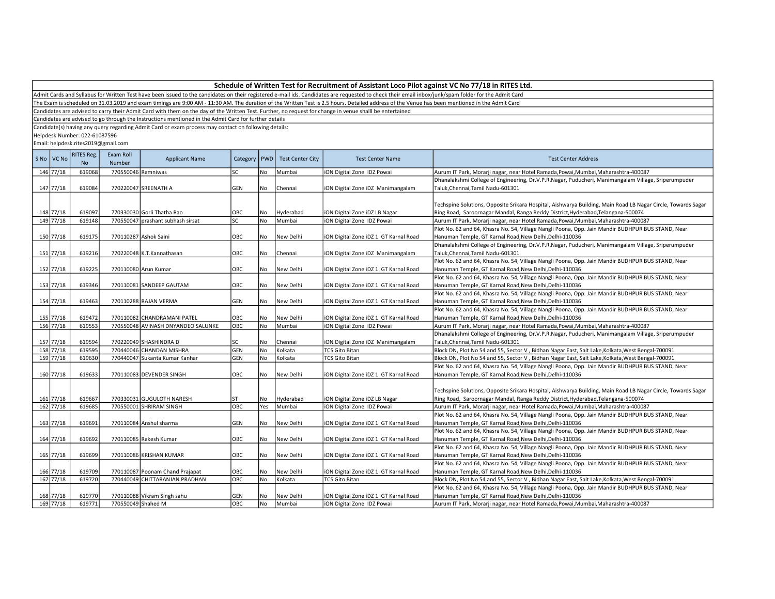| Schedule of Written Test for Recruitment of Assistant Loco Pilot against VC No 77/18 in RITES Ltd. |  |
|----------------------------------------------------------------------------------------------------|--|
|----------------------------------------------------------------------------------------------------|--|

The Exam is scheduled on 31.03.2019 and exam timings are 9:00 AM - 11:30 AM. The duration of the Written Test is 2.5 hours. Detailed address of the Venue has been mentioned in the Admit Card

Candidates are advised to carry their Admit Card with them on the day of the Written Test. Further, no request for change in venue shalll be entertained

Candidates are advised to go through the Instructions mentioned in the Admit Card for further details

Candidate(s) having any query regarding Admit Card or exam process may contact on following details:

Helpdesk Number: 022-61087596

|            | <b>RITES Reg.</b> | Exam Roll          |                                    |           |           |                                   |                                       |                                                                                                              |
|------------|-------------------|--------------------|------------------------------------|-----------|-----------|-----------------------------------|---------------------------------------|--------------------------------------------------------------------------------------------------------------|
| S No VC No | <b>No</b>         | <b>Number</b>      | <b>Applicant Name</b>              |           |           | Category   PWD   Test Center City | <b>Test Center Name</b>               | <b>Test Center Address</b>                                                                                   |
| 146 77/18  | 619068            | 770550046 Ramniwas |                                    | SC        | No        | Mumbai                            | ON Digital Zone IDZ Powai             | Aurum IT Park, Morarji nagar, near Hotel Ramada, Powai, Mumbai, Maharashtra-400087                           |
|            |                   |                    |                                    |           |           |                                   |                                       | Dhanalakshmi College of Engineering, Dr.V.P.R.Nagar, Puducheri, Manimangalam Village, Sriperumpuder          |
| 147 77/18  | 619084            |                    | 770220047 SREENATH A               | GEN       | No        | Chennai                           | ON Digital Zone iDZ Manimangalam      | Taluk, Chennai, Tamil Nadu-601301                                                                            |
|            |                   |                    |                                    |           |           |                                   |                                       |                                                                                                              |
|            |                   |                    |                                    |           |           |                                   |                                       | Techspine Solutions, Opposite Srikara Hospital, Aishwarya Building, Main Road LB Nagar Circle, Towards Sagar |
| 148 77/18  | 619097            |                    | 770330030 Gorli Thatha Rao         | OBC       | No        | Hyderabad                         | ON Digital Zone iDZ LB Nagar          | Ring Road, Saroornagar Mandal, Ranga Reddy District, Hyderabad, Telangana-500074                             |
| 149 77/18  | 619148            |                    | 770550047 prashant subhash sirsat  | SC        | No        | Mumbai                            | ON Digital Zone IDZ Powai             | Aurum IT Park, Morarji nagar, near Hotel Ramada, Powai, Mumbai, Maharashtra-400087                           |
|            |                   |                    |                                    |           |           |                                   |                                       | Plot No. 62 and 64, Khasra No. 54, Village Nangli Poona, Opp. Jain Mandir BUDHPUR BUS STAND, Near            |
| 150 77/18  | 619175            |                    | 770110287 Ashok Saini              | OBC       | No        | New Delhi                         | iON Digital Zone iDZ 1 GT Karnal Road | Hanuman Temple, GT Karnal Road, New Delhi, Delhi-110036                                                      |
|            |                   |                    |                                    |           |           |                                   |                                       | Dhanalakshmi College of Engineering, Dr.V.P.R.Nagar, Puducheri, Manimangalam Village, Sriperumpuder          |
| 151 77/18  | 619216            |                    | 770220048 K.T.Kannathasan          | OBC       | No        | Chennai                           | iON Digital Zone iDZ Manimangalam     | Taluk, Chennai, Tamil Nadu-601301                                                                            |
|            |                   |                    |                                    |           |           |                                   |                                       | Plot No. 62 and 64, Khasra No. 54, Village Nangli Poona, Opp. Jain Mandir BUDHPUR BUS STAND, Near            |
| 152 77/18  | 619225            |                    | 770110080 Arun Kumar               | OBC       | <b>No</b> | New Delhi                         | iON Digital Zone iDZ 1 GT Karnal Road | Hanuman Temple, GT Karnal Road, New Delhi, Delhi-110036                                                      |
|            |                   |                    |                                    |           |           |                                   |                                       | Plot No. 62 and 64, Khasra No. 54, Village Nangli Poona, Opp. Jain Mandir BUDHPUR BUS STAND, Near            |
| 153 77/18  | 619346            |                    | 770110081 SANDEEP GAUTAM           | OBC       | No        | New Delhi                         | iON Digital Zone iDZ 1 GT Karnal Road | Hanuman Temple, GT Karnal Road, New Delhi, Delhi-110036                                                      |
|            |                   |                    |                                    |           |           |                                   |                                       | Plot No. 62 and 64, Khasra No. 54, Village Nangli Poona, Opp. Jain Mandir BUDHPUR BUS STAND, Near            |
| 154 77/18  | 619463            |                    | 770110288 RAJAN VERMA              | GEN       | No        | New Delhi                         | iON Digital Zone iDZ 1 GT Karnal Road | Hanuman Temple, GT Karnal Road,New Delhi,Delhi-110036                                                        |
|            |                   |                    |                                    |           |           |                                   |                                       | Plot No. 62 and 64, Khasra No. 54, Village Nangli Poona, Opp. Jain Mandir BUDHPUR BUS STAND, Near            |
| 155 77/18  | 619472            |                    | 770110082 CHANDRAMANI PATEL        | OBC       | No        | New Delhi                         | iON Digital Zone iDZ 1 GT Karnal Road | Hanuman Temple, GT Karnal Road, New Delhi, Delhi-110036                                                      |
| 156 77/18  | 619553            |                    | 770550048 AVINASH DNYANDEO SALUNKE | OBC       | No        | Mumbai                            | iON Digital Zone IDZ Powai            | Aurum IT Park, Morarji nagar, near Hotel Ramada, Powai, Mumbai, Maharashtra-400087                           |
|            |                   |                    |                                    |           |           |                                   |                                       | Dhanalakshmi College of Engineering, Dr.V.P.R.Nagar, Puducheri, Manimangalam Village, Sriperumpuder          |
| 157 77/18  | 619594            |                    | 770220049 SHASHINDRA D             | SC        | No        | Chennai                           | ON Digital Zone iDZ Manimangalam      | Taluk, Chennai, Tamil Nadu-601301                                                                            |
| 158 77/18  | 619595            |                    | 770440046 CHANDAN MISHRA           | GEN       | No        | Kolkata                           | <b>TCS Gito Bitan</b>                 | Block DN, Plot No 54 and 55, Sector V, Bidhan Nagar East, Salt Lake, Kolkata, West Bengal-700091             |
| 159 77/18  | 619630            |                    | 770440047 Sukanta Kumar Kanhar     | GEN       | No        | Kolkata                           | <b>TCS Gito Bitan</b>                 | Block DN, Plot No 54 and 55, Sector V, Bidhan Nagar East, Salt Lake, Kolkata, West Bengal-700091             |
|            |                   |                    |                                    |           |           |                                   |                                       | Plot No. 62 and 64, Khasra No. 54, Village Nangli Poona, Opp. Jain Mandir BUDHPUR BUS STAND, Near            |
| 160 77/18  | 619633            |                    | 770110083 DEVENDER SINGH           | OBC       | No        | New Delhi                         | ON Digital Zone iDZ 1 GT Karnal Road  | Hanuman Temple, GT Karnal Road, New Delhi, Delhi-110036                                                      |
|            |                   |                    |                                    |           |           |                                   |                                       |                                                                                                              |
|            |                   |                    |                                    |           |           |                                   |                                       | Techspine Solutions, Opposite Srikara Hospital, Aishwarya Building, Main Road LB Nagar Circle, Towards Sagar |
| 161 77/18  | 619667            |                    | 770330031 GUGULOTH NARESH          | <b>ST</b> | No.       | Hyderabad                         | iON Digital Zone iDZ LB Nagar         | Ring Road, Saroornagar Mandal, Ranga Reddy District, Hyderabad, Telangana-500074                             |
| 162 77/18  | 619685            |                    | 770550001 SHRIRAM SINGH            | OBC       | Yes       | Mumbai                            | iON Digital Zone IDZ Powai            | Aurum IT Park, Morarji nagar, near Hotel Ramada, Powai, Mumbai, Maharashtra-400087                           |
|            |                   |                    |                                    |           |           |                                   |                                       | Plot No. 62 and 64, Khasra No. 54, Village Nangli Poona, Opp. Jain Mandir BUDHPUR BUS STAND, Near            |
| 163 77/18  | 619691            |                    | 770110084 Anshul sharma            | GEN       | l No      | New Delhi                         | iON Digital Zone iDZ 1 GT Karnal Road | Hanuman Temple, GT Karnal Road, New Delhi, Delhi-110036                                                      |
|            |                   |                    |                                    |           |           |                                   |                                       | Plot No. 62 and 64, Khasra No. 54, Village Nangli Poona, Opp. Jain Mandir BUDHPUR BUS STAND, Near            |
| 164 77/18  | 619692            |                    | 770110085 Rakesh Kumar             | OBC       | No        | New Delhi                         | iON Digital Zone iDZ 1 GT Karnal Road | Hanuman Temple, GT Karnal Road, New Delhi, Delhi-110036                                                      |
|            |                   |                    |                                    |           |           |                                   |                                       | Plot No. 62 and 64, Khasra No. 54, Village Nangli Poona, Opp. Jain Mandir BUDHPUR BUS STAND, Near            |
| 165 77/18  | 619699            |                    | 770110086 KRISHAN KUMAR            | OBC       | No        | New Delhi                         | iON Digital Zone iDZ 1 GT Karnal Road | Hanuman Temple, GT Karnal Road,New Delhi,Delhi-110036                                                        |
|            |                   |                    |                                    |           |           |                                   |                                       | Plot No. 62 and 64, Khasra No. 54, Village Nangli Poona, Opp. Jain Mandir BUDHPUR BUS STAND, Near            |
| 166 77/18  | 619709            |                    | 770110087 Poonam Chand Prajapat    | OBC       | No.       | New Delhi                         | ON Digital Zone iDZ 1 GT Karnal Road  | Hanuman Temple, GT Karnal Road, New Delhi, Delhi-110036                                                      |
| 167 77/18  | 619720            |                    | 770440049 CHITTARANJAN PRADHAN     | OBC       | No        | Kolkata                           | <b>TCS Gito Bitan</b>                 | Block DN, Plot No 54 and 55, Sector V, Bidhan Nagar East, Salt Lake, Kolkata, West Bengal-700091             |
|            |                   |                    |                                    |           |           |                                   |                                       | Plot No. 62 and 64, Khasra No. 54, Village Nangli Poona, Opp. Jain Mandir BUDHPUR BUS STAND, Near            |
| 168 77/18  | 619770            |                    | 770110088 Vikram Singh sahu        | GEN       | No        | New Delhi                         | ON Digital Zone iDZ 1 GT Karnal Road  | Hanuman Temple, GT Karnal Road, New Delhi, Delhi-110036                                                      |
| 169 77/18  | 619771            | 770550049 Shahed M |                                    | OBC       | No        | <b>Mumbai</b>                     | iON Digital Zone IDZ Powai            | Aurum IT Park, Morarji nagar, near Hotel Ramada, Powai, Mumbai, Maharashtra-400087                           |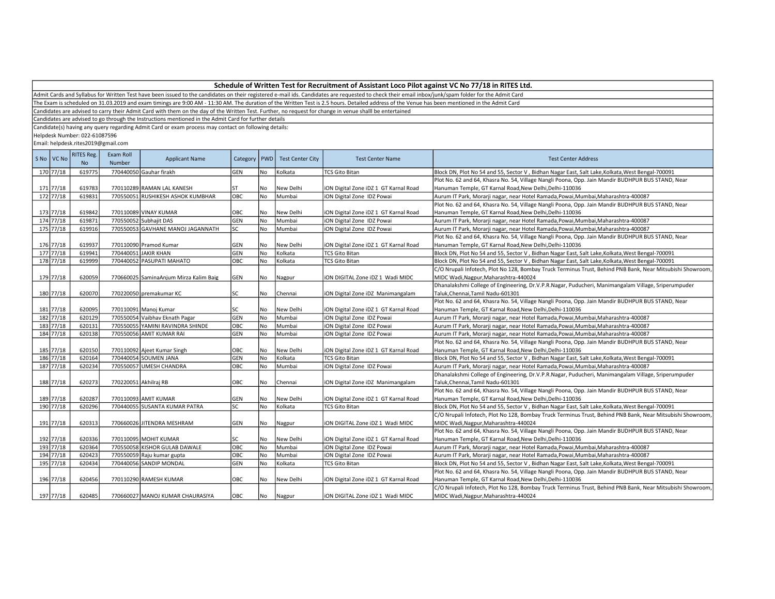| Schedule of Written Test for Recruitment of Assistant Loco Pilot against VC No 77/18 in RITES Ltd. |  |
|----------------------------------------------------------------------------------------------------|--|
|----------------------------------------------------------------------------------------------------|--|

The Exam is scheduled on 31.03.2019 and exam timings are 9:00 AM - 11:30 AM. The duration of the Written Test is 2.5 hours. Detailed address of the Venue has been mentioned in the Admit Card

Candidates are advised to carry their Admit Card with them on the day of the Written Test. Further, no request for change in venue shalll be entertained

Candidates are advised to go through the Instructions mentioned in the Admit Card for further details

Candidate(s) having any query regarding Admit Card or exam process may contact on following details:

Helpdesk Number: 022-61087596

| S No   VC No | <b>RITES Reg.</b><br><b>No</b> | Exam Roll<br>Number | <b>Applicant Name</b>                  | Category   PWD |           | <b>Test Center City</b> | <b>Test Center Name</b>               | <b>Test Center Address</b>                                                                                 |
|--------------|--------------------------------|---------------------|----------------------------------------|----------------|-----------|-------------------------|---------------------------------------|------------------------------------------------------------------------------------------------------------|
| 170 77/18    | 619775                         |                     | 770440050 Gauhar firakh                | GEN            | No        | Kolkata                 | <b>TCS Gito Bitan</b>                 | Block DN, Plot No 54 and 55, Sector V, Bidhan Nagar East, Salt Lake, Kolkata, West Bengal-700091           |
|              |                                |                     |                                        |                |           |                         |                                       | Plot No. 62 and 64, Khasra No. 54, Village Nangli Poona, Opp. Jain Mandir BUDHPUR BUS STAND, Near          |
| 171 77/18    | 619783                         |                     | 770110289 RAMAN LAL KANESH             | ST             | No        | New Delhi               | iON Digital Zone iDZ 1 GT Karnal Road | Hanuman Temple, GT Karnal Road, New Delhi, Delhi-110036                                                    |
| 172 77/18    | 619831                         |                     | 770550051 RUSHIKESH ASHOK KUMBHAR      | OBC            | <b>No</b> | Mumbai                  | iON Digital Zone IDZ Powai            | Aurum IT Park, Morarji nagar, near Hotel Ramada, Powai, Mumbai, Maharashtra-400087                         |
|              |                                |                     |                                        |                |           |                         |                                       | Plot No. 62 and 64, Khasra No. 54, Village Nangli Poona, Opp. Jain Mandir BUDHPUR BUS STAND, Near          |
| 173 77/18    | 619842                         |                     | 770110089 VINAY KUMAR                  | OBC            | No        | New Delhi               | iON Digital Zone iDZ 1 GT Karnal Road | Hanuman Temple, GT Karnal Road, New Delhi, Delhi-110036                                                    |
| 174 77/18    | 619871                         |                     | 770550052 Subhajit DAS                 | GEN            | No        | Mumbai                  | ION Digital Zone IDZ Powai            | Aurum IT Park, Morarji nagar, near Hotel Ramada, Powai, Mumbai, Maharashtra-400087                         |
| 175 77/18    | 619916                         |                     | 770550053 GAVHANE MANOJ JAGANNATH      | SC             | No        | Mumbai                  | iON Digital Zone IDZ Powai            | Aurum IT Park, Morarji nagar, near Hotel Ramada,Powai,Mumbai,Maharashtra-400087                            |
|              |                                |                     |                                        |                |           |                         |                                       | Plot No. 62 and 64, Khasra No. 54, Village Nangli Poona, Opp. Jain Mandir BUDHPUR BUS STAND, Near          |
| 176 77/18    | 619937                         |                     | 770110090 Pramod Kumar                 | GEN            | No        | New Delhi               | iON Digital Zone iDZ 1 GT Karnal Road | Hanuman Temple, GT Karnal Road, New Delhi, Delhi-110036                                                    |
| 177 77/18    | 619941                         |                     | 770440051 JAKIR KHAN                   | GEN            | No        | Kolkata                 | <b>TCS Gito Bitan</b>                 | Block DN, Plot No 54 and 55, Sector V, Bidhan Nagar East, Salt Lake, Kolkata, West Bengal-700091           |
| 178 77/18    | 619999                         |                     | 770440052 PASUPATI MAHATO              | ОВС            | <b>No</b> | Kolkata                 | <b>TCS Gito Bitan</b>                 | Block DN, Plot No 54 and 55, Sector V, Bidhan Nagar East, Salt Lake, Kolkata, West Bengal-700091           |
|              |                                |                     |                                        |                |           |                         |                                       | C/O Nrupali Infotech, Plot No 128, Bombay Truck Terminus Trust, Behind PNB Bank, Near Mitsubishi Showroom, |
| 179 77/18    | 620059                         |                     | 770660025 SaminaAnjum Mirza Kalim Baig | GEN            | No        | Nagpur                  | ION DIGITAL Zone IDZ 1 Wadi MIDC      | MIDC Wadi, Nagpur, Maharashtra-440024                                                                      |
|              |                                |                     |                                        |                |           |                         |                                       | Dhanalakshmi College of Engineering, Dr.V.P.R.Nagar, Puducheri, Manimangalam Village, Sriperumpuder        |
| 180 77/18    | 620070                         |                     | 770220050 premakumar KC                | SC             | No        | Chennai                 | ION Digital Zone IDZ Manimangalam     | Taluk, Chennai, Tamil Nadu-601301                                                                          |
|              |                                |                     |                                        |                |           |                         |                                       | Plot No. 62 and 64, Khasra No. 54, Village Nangli Poona, Opp. Jain Mandir BUDHPUR BUS STAND, Near          |
| 181 77/18    | 620095                         |                     | 770110091 Manoj Kumar                  | SC             | No        | New Delhi               | iON Digital Zone iDZ 1 GT Karnal Road | Hanuman Temple, GT Karnal Road, New Delhi, Delhi-110036                                                    |
| 182 77/18    | 620129                         |                     | 770550054 Vaibhav Eknath Pagar         | GEN            | No        | Mumbai                  | iON Digital Zone IDZ Powai            | Aurum IT Park, Morarji nagar, near Hotel Ramada, Powai, Mumbai, Maharashtra-400087                         |
| 183 77/18    | 620131                         |                     | 770550055 YAMINI RAVINDRA SHINDE       | OBC            | No        | Mumbai                  | ION Digital Zone IDZ Powai            | Aurum IT Park, Morarji nagar, near Hotel Ramada, Powai, Mumbai, Maharashtra-400087                         |
| 184 77/18    | 620138                         |                     | 770550056 AMIT KUMAR RAI               | GEN            | <b>No</b> | Mumbai                  | iON Digital Zone IDZ Powai            | Aurum IT Park, Morarji nagar, near Hotel Ramada, Powai, Mumbai, Maharashtra-400087                         |
|              |                                |                     |                                        |                |           |                         |                                       | Plot No. 62 and 64, Khasra No. 54, Village Nangli Poona, Opp. Jain Mandir BUDHPUR BUS STAND, Near          |
| 185 77/18    | 620150                         |                     | 770110092 Ajeet Kumar Singh            | OBC            | No        | New Delhi               | ION Digital Zone IDZ 1 GT Karnal Road | Hanuman Temple, GT Karnal Road, New Delhi, Delhi-110036                                                    |
| 186 77/18    | 620164                         |                     | 770440054 SOUMEN JANA                  | GEN            | No        | Kolkata                 | <b>TCS Gito Bitan</b>                 | Block DN, Plot No 54 and 55, Sector V, Bidhan Nagar East, Salt Lake, Kolkata, West Bengal-700091           |
| 187 77/18    | 620234                         |                     | 770550057 UMESH CHANDRA                | OBC            | <b>No</b> | Mumbai                  | ION Digital Zone IDZ Powai            | Aurum IT Park, Morarji nagar, near Hotel Ramada, Powai, Mumbai, Maharashtra-400087                         |
|              |                                |                     |                                        |                |           |                         |                                       | Dhanalakshmi College of Engineering, Dr.V.P.R.Nagar, Puducheri, Manimangalam Village, Sriperumpuder        |
| 188 77/18    | 620273                         |                     | 770220051 Akhilraj RB                  | OBC            | l No      | Chennai                 | ION Digital Zone IDZ Manimangalam     | Taluk, Chennai, Tamil Nadu-601301                                                                          |
|              |                                |                     |                                        |                |           |                         |                                       | Plot No. 62 and 64, Khasra No. 54, Village Nangli Poona, Opp. Jain Mandir BUDHPUR BUS STAND, Near          |
| 189 77/18    | 620287                         |                     | 770110093 AMIT KUMAR                   | GEN            | No        | New Delhi               | iON Digital Zone iDZ 1 GT Karnal Road | Hanuman Temple, GT Karnal Road, New Delhi, Delhi-110036                                                    |
| 190 77/18    | 620296                         |                     | 770440055 SUSANTA KUMAR PATRA          | SC.            | No        | Kolkata                 | <b>TCS Gito Bitan</b>                 | Block DN, Plot No 54 and 55, Sector V, Bidhan Nagar East, Salt Lake, Kolkata, West Bengal-700091           |
|              |                                |                     |                                        |                |           |                         |                                       | C/O Nrupali Infotech, Plot No 128, Bombay Truck Terminus Trust, Behind PNB Bank, Near Mitsubishi Showroom, |
| 191 77/18    | 620313                         |                     | 770660026 JITENDRA MESHRAM             | GEN            | No        | Nagpur                  | ION DIGITAL Zone IDZ 1 Wadi MIDC      | MIDC Wadi, Nagpur, Maharashtra-440024                                                                      |
|              |                                |                     |                                        |                |           |                         |                                       | Plot No. 62 and 64, Khasra No. 54, Village Nangli Poona, Opp. Jain Mandir BUDHPUR BUS STAND, Near          |
| 192 77/18    | 620336                         |                     | 770110095 MOHIT KUMAR                  | SC             | No        | New Delhi               | ION Digital Zone IDZ 1 GT Karnal Road | Hanuman Temple, GT Karnal Road, New Delhi, Delhi-110036                                                    |
| 193 77/18    | 620364                         |                     | 770550058 KISHOR GULAB DAWALE          | ОВС            | No        | Mumbai                  | iON Digital Zone IDZ Powai            | Aurum IT Park, Morarji nagar, near Hotel Ramada, Powai, Mumbai, Maharashtra-400087                         |
| 194 77/18    | 620423                         |                     | 770550059 Raju kumar gupta             | ОВС            | No        | Mumbai                  | ION Digital Zone IDZ Powai            | Aurum IT Park, Morarji nagar, near Hotel Ramada, Powai, Mumbai, Maharashtra-400087                         |
| 195 77/18    | 620434                         |                     | 770440056 SANDIP MONDAL                | GEN            | No        | Kolkata                 | <b>TCS Gito Bitan</b>                 | Block DN, Plot No 54 and 55, Sector V, Bidhan Nagar East, Salt Lake, Kolkata, West Bengal-700091           |
|              |                                |                     |                                        |                |           |                         |                                       | Plot No. 62 and 64, Khasra No. 54, Village Nangli Poona, Opp. Jain Mandir BUDHPUR BUS STAND, Near          |
| 196 77/18    | 620456                         |                     | 770110290 RAMESH KUMAR                 | OBC            | No        | New Delhi               | iON Digital Zone iDZ 1 GT Karnal Road | Hanuman Temple, GT Karnal Road, New Delhi, Delhi-110036                                                    |
|              |                                |                     |                                        |                |           |                         |                                       | C/O Nrupali Infotech, Plot No 128, Bombay Truck Terminus Trust, Behind PNB Bank, Near Mitsubishi Showroom, |
| 197 77/18    | 620485                         |                     | 770660027 MANOJ KUMAR CHAURASIYA       | OBC            | No        | Nagpur                  | IION DIGITAL Zone IDZ 1 Wadi MIDC     | MIDC Wadi, Nagpur, Maharashtra-440024                                                                      |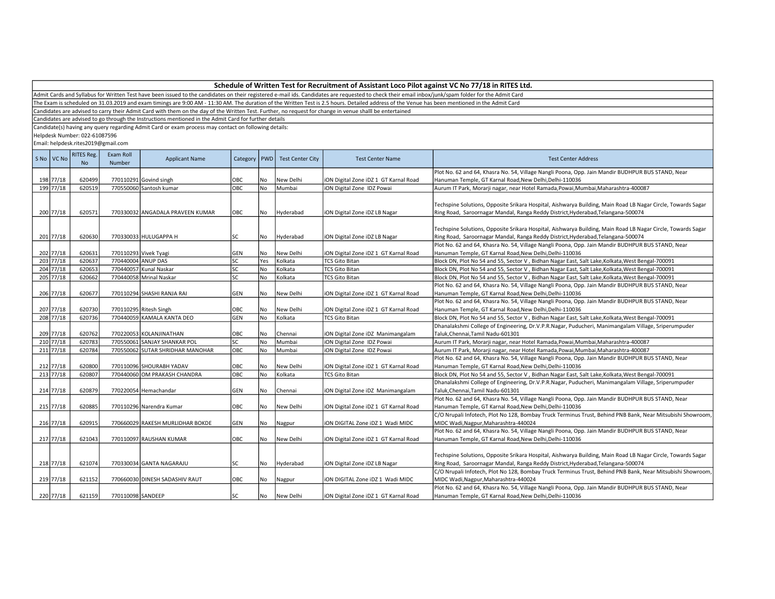| Schedule of Written Test for Recruitment of Assistant Loco Pilot against VC No 77/18 in RITES Ltd. |  |
|----------------------------------------------------------------------------------------------------|--|
|----------------------------------------------------------------------------------------------------|--|

The Exam is scheduled on 31.03.2019 and exam timings are 9:00 AM - 11:30 AM. The duration of the Written Test is 2.5 hours. Detailed address of the Venue has been mentioned in the Admit Card

Candidates are advised to carry their Admit Card with them on the day of the Written Test. Further, no request for change in venue shalll be entertained

Candidates are advised to go through the Instructions mentioned in the Admit Card for further details

Candidate(s) having any query regarding Admit Card or exam process may contact on following details:

Helpdesk Number: 022-61087596

| S No VC No | <b>RITES Reg.</b> | Exam Roll          | <b>Applicant Name</b>            |            |      | Category   PWD   Test Center City | <b>Test Center Name</b>               | <b>Test Center Address</b>                                                                                   |
|------------|-------------------|--------------------|----------------------------------|------------|------|-----------------------------------|---------------------------------------|--------------------------------------------------------------------------------------------------------------|
|            | <b>No</b>         | Number             |                                  |            |      |                                   |                                       |                                                                                                              |
|            |                   |                    |                                  |            |      |                                   |                                       | Plot No. 62 and 64, Khasra No. 54, Village Nangli Poona, Opp. Jain Mandir BUDHPUR BUS STAND, Near            |
| 198 77/18  | 620499            |                    | 770110291 Govind singh           | OBC        | l No | New Delhi                         | iON Digital Zone iDZ 1 GT Karnal Road | Hanuman Temple, GT Karnal Road, New Delhi, Delhi-110036                                                      |
| 199 77/18  | 620519            |                    | 770550060 Santosh kumar          | OBC        | No   | Mumbai                            | iON Digital Zone IDZ Powai            | Aurum IT Park, Morarji nagar, near Hotel Ramada, Powai, Mumbai, Maharashtra-400087                           |
|            |                   |                    |                                  |            |      |                                   |                                       |                                                                                                              |
|            |                   |                    |                                  |            |      |                                   |                                       | Techspine Solutions, Opposite Srikara Hospital, Aishwarya Building, Main Road LB Nagar Circle, Towards Sagar |
| 200 77/18  | 620571            |                    | 770330032 ANGADALA PRAVEEN KUMAR | OBC        | No   | Hyderabad                         | iON Digital Zone iDZ LB Nagar         | Ring Road, Saroornagar Mandal, Ranga Reddy District, Hyderabad, Telangana-500074                             |
|            |                   |                    |                                  |            |      |                                   |                                       |                                                                                                              |
|            |                   |                    |                                  |            |      |                                   |                                       | Techspine Solutions, Opposite Srikara Hospital, Aishwarya Building, Main Road LB Nagar Circle, Towards Sagar |
| 201 77/18  | 620630            |                    | 770330033 HULUGAPPA H            | SC         | l No | Hyderabad                         | iON Digital Zone iDZ LB Nagar         | Ring Road, Saroornagar Mandal, Ranga Reddy District, Hyderabad, Telangana-500074                             |
|            |                   |                    |                                  |            |      |                                   |                                       | Plot No. 62 and 64, Khasra No. 54, Village Nangli Poona, Opp. Jain Mandir BUDHPUR BUS STAND, Near            |
| 202 77/18  | 620631            |                    | 770110293 Vivek Tyagi            | GEN        | No   | New Delhi                         | iON Digital Zone iDZ 1 GT Karnal Road | Hanuman Temple, GT Karnal Road, New Delhi, Delhi-110036                                                      |
| 203 77/18  | 620637            | 770440004 ANUP DAS |                                  | SC         | Yes  | Kolkata                           | <b>TCS Gito Bitan</b>                 | Block DN, Plot No 54 and 55, Sector V, Bidhan Nagar East, Salt Lake, Kolkata, West Bengal-700091             |
| 204 77/18  | 620653            |                    | 770440057 Kunal Naskar           | SC         | No   | Kolkata                           | <b>TCS Gito Bitan</b>                 | Block DN, Plot No 54 and 55, Sector V, Bidhan Nagar East, Salt Lake, Kolkata, West Bengal-700091             |
| 205 77/18  | 620662            |                    | 770440058 Mrinal Naskar          | SC         | l No | Kolkata                           | <b>TCS Gito Bitan</b>                 | Block DN, Plot No 54 and 55, Sector V, Bidhan Nagar East, Salt Lake, Kolkata, West Bengal-700091             |
|            |                   |                    |                                  |            |      |                                   |                                       | Plot No. 62 and 64, Khasra No. 54, Village Nangli Poona, Opp. Jain Mandir BUDHPUR BUS STAND, Near            |
| 206 77/18  | 620677            |                    | 770110294 SHASHI RANJA RAI       | GEN        | No.  | New Delhi                         | iON Digital Zone iDZ 1 GT Karnal Road | Hanuman Temple, GT Karnal Road, New Delhi, Delhi-110036                                                      |
|            |                   |                    |                                  |            |      |                                   |                                       | Plot No. 62 and 64, Khasra No. 54, Village Nangli Poona, Opp. Jain Mandir BUDHPUR BUS STAND, Near            |
| 207 77/18  | 620730            |                    | 770110295 Ritesh Singh           | OBC        | No   | New Delhi                         | iON Digital Zone iDZ 1 GT Karnal Road | Hanuman Temple, GT Karnal Road, New Delhi, Delhi-110036                                                      |
| 208 77/18  | 620736            |                    | 770440059 KAMALA KANTA DEO       | GEN        | lno  | Kolkata                           | <b>TCS Gito Bitan</b>                 | Block DN, Plot No 54 and 55, Sector V, Bidhan Nagar East, Salt Lake, Kolkata, West Bengal-700091             |
|            |                   |                    |                                  |            |      |                                   |                                       | Dhanalakshmi College of Engineering, Dr.V.P.R.Nagar, Puducheri, Manimangalam Village, Sriperumpuder          |
| 209 77/18  | 620762            |                    | 770220053 KOLANJINATHAN          | OBC        | No   | Chennai                           | iON Digital Zone iDZ Manimangalam     | Taluk, Chennai, Tamil Nadu-601301                                                                            |
| 210 77/18  | 620783            |                    | 770550061 SANJAY SHANKAR POL     | SC         | No   | Mumbai                            | iON Digital Zone IDZ Powai            | Aurum IT Park, Morarji nagar, near Hotel Ramada, Powai, Mumbai, Maharashtra-400087                           |
| 211 77/18  | 620784            |                    | 770550062 SUTAR SHRIDHAR MANOHAR | OBC        | No   | Mumbai                            | iON Digital Zone IDZ Powai            | Aurum IT Park, Morarji nagar, near Hotel Ramada, Powai, Mumbai, Maharashtra-400087                           |
|            |                   |                    |                                  |            |      |                                   |                                       | Plot No. 62 and 64, Khasra No. 54, Village Nangli Poona, Opp. Jain Mandir BUDHPUR BUS STAND, Near            |
| 212 77/18  | 620800            |                    | 770110096 SHOURABH YADAV         | OBC        | No   | New Delhi                         | iON Digital Zone iDZ 1 GT Karnal Road | Hanuman Temple, GT Karnal Road, New Delhi, Delhi-110036                                                      |
| 213 77/18  | 620807            |                    | 770440060 OM PRAKASH CHANDRA     | ОВС        | No   | Kolkata                           | <b>TCS Gito Bitan</b>                 | Block DN, Plot No 54 and 55, Sector V, Bidhan Nagar East, Salt Lake, Kolkata, West Bengal-700091             |
|            |                   |                    |                                  |            |      |                                   |                                       | Dhanalakshmi College of Engineering, Dr.V.P.R.Nagar, Puducheri, Manimangalam Village, Sriperumpuder          |
| 214 77/18  | 620879            |                    | 770220054 Hemachandar            | GEN        | No   | Chennai                           | iON Digital Zone iDZ Manimangalam     | Taluk, Chennai, Tamil Nadu-601301                                                                            |
|            |                   |                    |                                  |            |      |                                   |                                       | Plot No. 62 and 64, Khasra No. 54, Village Nangli Poona, Opp. Jain Mandir BUDHPUR BUS STAND, Near            |
| 215 77/18  | 620885            |                    | 770110296 Narendra Kumar         | OBC        | No.  | New Delhi                         | iON Digital Zone iDZ 1 GT Karnal Road | Hanuman Temple, GT Karnal Road, New Delhi, Delhi-110036                                                      |
|            |                   |                    |                                  |            |      |                                   |                                       | C/O Nrupali Infotech, Plot No 128, Bombay Truck Terminus Trust, Behind PNB Bank, Near Mitsubishi Showroom,   |
| 216 77/18  | 620915            |                    | 770660029 RAKESH MURLIDHAR BOKDE | <b>GEN</b> | No   |                                   | ION DIGITAL Zone IDZ 1 Wadi MIDC      | MIDC Wadi, Nagpur, Maharashtra-440024                                                                        |
|            |                   |                    |                                  |            |      | Nagpur                            |                                       | Plot No. 62 and 64, Khasra No. 54, Village Nangli Poona, Opp. Jain Mandir BUDHPUR BUS STAND, Near            |
|            |                   |                    |                                  |            |      |                                   |                                       |                                                                                                              |
| 217 77/18  | 621043            |                    | 770110097 RAUSHAN KUMAR          | OBC        | No   | New Delhi                         | iON Digital Zone iDZ 1 GT Karnal Road | Hanuman Temple, GT Karnal Road, New Delhi, Delhi-110036                                                      |
|            |                   |                    |                                  |            |      |                                   |                                       |                                                                                                              |
|            |                   |                    |                                  |            |      |                                   |                                       | Techspine Solutions, Opposite Srikara Hospital, Aishwarya Building, Main Road LB Nagar Circle, Towards Sagar |
| 218 77/18  | 621074            |                    | 770330034 GANTA NAGARAJU         | SC         | No   | Hyderabad                         | iON Digital Zone iDZ LB Nagar         | Ring Road, Saroornagar Mandal, Ranga Reddy District, Hyderabad, Telangana-500074                             |
|            |                   |                    |                                  |            |      |                                   |                                       | C/O Nrupali Infotech, Plot No 128, Bombay Truck Terminus Trust, Behind PNB Bank, Near Mitsubishi Showroom,   |
| 219 77/18  | 621152            |                    | 770660030 DINESH SADASHIV RAUT   | OBC        | No   | Nagpur                            | ION DIGITAL Zone IDZ 1 Wadi MIDC      | MIDC Wadi, Nagpur, Maharashtra-440024                                                                        |
|            |                   |                    |                                  |            |      |                                   |                                       | Plot No. 62 and 64, Khasra No. 54, Village Nangli Poona, Opp. Jain Mandir BUDHPUR BUS STAND, Near            |
| 220 77/18  | 621159            | 770110098 SANDEEP  |                                  | lsc        | l No | New Delhi                         | iON Digital Zone iDZ 1 GT Karnal Road | Hanuman Temple, GT Karnal Road, New Delhi, Delhi-110036                                                      |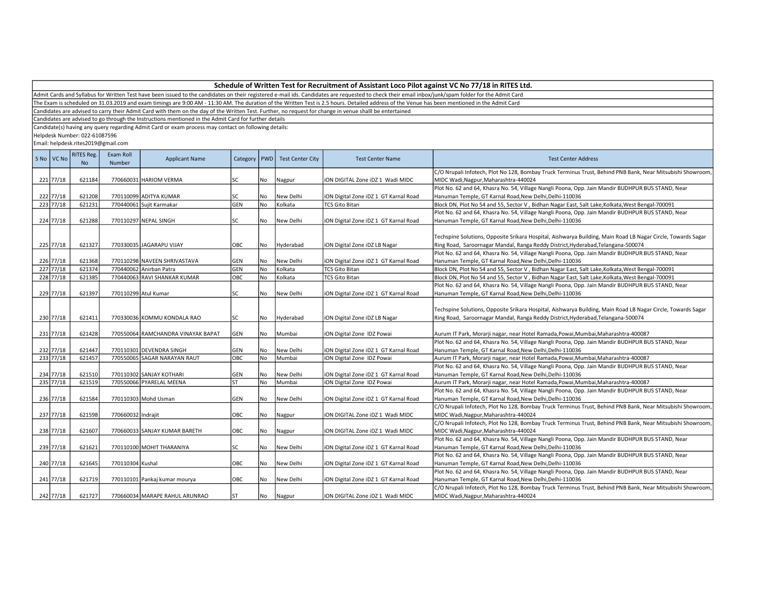Admit Cards and Syllabus for Written Test have been issued to the candidates on their registered e-mail ids. Candidates are requested to check their email inbox/junk/spam folder for the Admit Card

The Exam is scheduled on 31.03.2019 and exam timings are 9:00 AM - 11:30 AM. The duration of the Written Test is 2.5 hours. Detailed address of the Venue has been mentioned in the Admit Card

Candidates are advised to carry their Admit Card with them on the day of the Written Test. Further, no request for change in venue shalll be entertained

Candidates are advised to go through the Instructions mentioned in the Admit Card for further details

Candidate(s) having any query regarding Admit Card or exam process may contact on following details:

Helpdesk Number: 022-61087596

| S No   VC No | RITES Reg.<br>N <sub>o</sub> | Exam Roll<br>Number | <b>Applicant Name</b>              | Category   | PWD       | <b>Test Center City</b> | <b>Test Center Name</b>               | <b>Test Center Address</b>                                                                                                                                                                       |
|--------------|------------------------------|---------------------|------------------------------------|------------|-----------|-------------------------|---------------------------------------|--------------------------------------------------------------------------------------------------------------------------------------------------------------------------------------------------|
| 221 77/18    | 621184                       |                     | 770660031 HARIOM VERMA             | lsc        |           |                         |                                       | C/O Nrupali Infotech, Plot No 128, Bombay Truck Terminus Trust, Behind PNB Bank, Near Mitsubishi Showroom,<br>MIDC Wadi, Nagpur, Maharashtra-440024                                              |
|              |                              |                     |                                    |            | No        | Nagpur                  | iON DIGITAL Zone iDZ 1 Wadi MIDC      | Plot No. 62 and 64, Khasra No. 54, Village Nangli Poona, Opp. Jain Mandir BUDHPUR BUS STAND, Near                                                                                                |
| 222 77/18    | 621208                       |                     | 770110099 ADITYA KUMAR             | lsc        | No        | New Delhi               | iON Digital Zone iDZ 1 GT Karnal Road | Hanuman Temple, GT Karnal Road, New Delhi, Delhi-110036                                                                                                                                          |
| 223 77/18    | 621231                       |                     | 770440061 Sujit Karmakar           | <b>GEN</b> | <b>No</b> | Kolkata                 | <b>TCS Gito Bitan</b>                 | Block DN, Plot No 54 and 55, Sector V, Bidhan Nagar East, Salt Lake, Kolkata, West Bengal-700091                                                                                                 |
|              |                              |                     |                                    |            |           |                         |                                       | Plot No. 62 and 64, Khasra No. 54, Village Nangli Poona, Opp. Jain Mandir BUDHPUR BUS STAND, Near                                                                                                |
| 224 77/18    | 621288                       |                     | 770110297 NEPAL SINGH              | lsc        | No        | New Delhi               | iON Digital Zone iDZ 1 GT Karnal Road | Hanuman Temple, GT Karnal Road, New Delhi, Delhi-110036                                                                                                                                          |
| 225 77/18    | 621327                       |                     | 770330035 JJAGARAPU VIJAY          | OBC        | No        | Hyderabad               | iON Digital Zone iDZ LB Nagar         | Techspine Solutions, Opposite Srikara Hospital, Aishwarya Building, Main Road LB Nagar Circle, Towards Sagar<br>Ring Road, Saroornagar Mandal, Ranga Reddy District, Hyderabad, Telangana-500074 |
|              |                              |                     |                                    |            |           |                         |                                       | Plot No. 62 and 64, Khasra No. 54, Village Nangli Poona, Opp. Jain Mandir BUDHPUR BUS STAND, Near                                                                                                |
| 226 77/18    | 621368                       |                     | 770110298 NAVEEN SHRIVASTAVA       | <b>GEN</b> | No        | New Delhi               | iON Digital Zone iDZ 1 GT Karnal Road | Hanuman Temple, GT Karnal Road, New Delhi, Delhi-110036                                                                                                                                          |
| 227 77/18    | 621374                       |                     | 770440062 Anirban Patra            | <b>GEN</b> | No        | Kolkata                 | <b>TCS Gito Bitan</b>                 | Block DN, Plot No 54 and 55, Sector V, Bidhan Nagar East, Salt Lake, Kolkata, West Bengal-700091                                                                                                 |
| 228 77/18    | 621385                       |                     | 770440063 RAVI SHANKAR KUMAR       | Іовс       | No        | Kolkata                 | <b>TCS Gito Bitan</b>                 | Block DN, Plot No 54 and 55, Sector V, Bidhan Nagar East, Salt Lake, Kolkata, West Bengal-700091                                                                                                 |
|              |                              |                     |                                    |            |           |                         |                                       | Plot No. 62 and 64, Khasra No. 54, Village Nangli Poona, Opp. Jain Mandir BUDHPUR BUS STAND, Near                                                                                                |
| 229 77/18    | 621397                       |                     | 770110299 Atul Kumar               | lsc        | No        | New Delhi               | iON Digital Zone iDZ 1 GT Karnal Road | Hanuman Temple, GT Karnal Road, New Delhi, Delhi-110036                                                                                                                                          |
| 230 77/18    | 621411                       |                     | 770330036 KOMMU KONDALA RAO        | lsc        | No        | Hyderabad               | iON Digital Zone iDZ LB Nagar         | Techspine Solutions, Opposite Srikara Hospital, Aishwarya Building, Main Road LB Nagar Circle, Towards Sagar<br>Ring Road, Saroornagar Mandal, Ranga Reddy District, Hyderabad, Telangana-500074 |
| 231 77/18    | 621428                       |                     | 770550064 RAMCHANDRA VINAYAK BAPAT | GEN        | No        | Mumbai                  | iON Digital Zone IDZ Powai            | Aurum IT Park, Morarji nagar, near Hotel Ramada, Powai, Mumbai, Maharashtra-400087                                                                                                               |
|              |                              |                     |                                    |            |           |                         |                                       | Plot No. 62 and 64, Khasra No. 54, Village Nangli Poona, Opp. Jain Mandir BUDHPUR BUS STAND, Near                                                                                                |
| 232 77/18    | 621447                       |                     | 770110301 DEVENDRA SINGH           | GEN        | No        | New Delhi               | iON Digital Zone iDZ 1 GT Karnal Road | Hanuman Temple, GT Karnal Road, New Delhi, Delhi-110036                                                                                                                                          |
| 233 77/18    | 621457                       |                     | 770550065 SAGAR NARAYAN RAUT       | OBC        | <b>No</b> | Mumbai                  | iON Digital Zone IDZ Powai            | Aurum IT Park, Morarji nagar, near Hotel Ramada, Powai, Mumbai, Maharashtra-400087                                                                                                               |
|              |                              |                     |                                    |            |           |                         |                                       | Plot No. 62 and 64, Khasra No. 54, Village Nangli Poona, Opp. Jain Mandir BUDHPUR BUS STAND, Near                                                                                                |
| 234 77/18    | 621510                       |                     | 770110302 SANJAY KOTHARI           | GEN        | No        | New Delhi               | iON Digital Zone iDZ 1 GT Karnal Road | Hanuman Temple, GT Karnal Road, New Delhi, Delhi-110036                                                                                                                                          |
| 235 77/18    | 621519                       |                     | 770550066 PYARELAL MEENA           | lsт        | No        | Mumbai                  | iON Digital Zone IDZ Powai            | Aurum IT Park, Morarji nagar, near Hotel Ramada, Powai, Mumbai, Maharashtra-400087                                                                                                               |
|              |                              |                     |                                    |            |           |                         |                                       | Plot No. 62 and 64, Khasra No. 54, Village Nangli Poona, Opp. Jain Mandir BUDHPUR BUS STAND, Near                                                                                                |
| 236 77/18    | 621584                       |                     | 770110303 Mohd Usman               | <b>GEN</b> | No        | New Delhi               | iON Digital Zone iDZ 1 GT Karnal Road | Hanuman Temple, GT Karnal Road, New Delhi, Delhi-110036                                                                                                                                          |
|              |                              |                     |                                    |            |           |                         |                                       | C/O Nrupali Infotech, Plot No 128, Bombay Truck Terminus Trust, Behind PNB Bank, Near Mitsubishi Showroom,                                                                                       |
| 237 77/18    | 621598                       | 770660032 Indrajit  |                                    | OBC        | No        | Nagpur                  | ION DIGITAL Zone IDZ 1 Wadi MIDC      | MIDC Wadi, Nagpur, Maharashtra-440024                                                                                                                                                            |
|              |                              |                     |                                    |            |           |                         |                                       | C/O Nrupali Infotech, Plot No 128, Bombay Truck Terminus Trust, Behind PNB Bank, Near Mitsubishi Showroom,                                                                                       |
| 238 77/18    | 621607                       |                     | 770660033 SANJAY KUMAR BARETH      | OBC        | No        | Nagpur                  | ION DIGITAL Zone IDZ 1 Wadi MIDC      | MIDC Wadi, Nagpur, Maharashtra-440024                                                                                                                                                            |
|              |                              |                     |                                    |            |           |                         |                                       | Plot No. 62 and 64, Khasra No. 54, Village Nangli Poona, Opp. Jain Mandir BUDHPUR BUS STAND, Near                                                                                                |
| 239 77/18    | 621621                       |                     | 770110100 MOHIT THARANIYA          | lsc        | No        | New Delhi               | ION Digital Zone IDZ 1 GT Karnal Road | Hanuman Temple, GT Karnal Road, New Delhi, Delhi-110036                                                                                                                                          |
|              |                              |                     |                                    |            |           |                         |                                       | Plot No. 62 and 64, Khasra No. 54, Village Nangli Poona, Opp. Jain Mandir BUDHPUR BUS STAND, Near                                                                                                |
| 240 77/18    | 621645                       | 770110304 Kushal    |                                    | OBC        | No        | New Delhi               | iON Digital Zone iDZ 1 GT Karnal Road | Hanuman Temple, GT Karnal Road, New Delhi, Delhi-110036                                                                                                                                          |
|              |                              |                     |                                    |            |           |                         |                                       | Plot No. 62 and 64, Khasra No. 54, Village Nangli Poona, Opp. Jain Mandir BUDHPUR BUS STAND, Near                                                                                                |
| 241 77/18    | 621719                       |                     | 770110101 Pankaj kumar mourya      | OBC        | No        | New Delhi               | iON Digital Zone iDZ 1 GT Karnal Road | Hanuman Temple, GT Karnal Road, New Delhi, Delhi-110036                                                                                                                                          |
|              |                              |                     |                                    |            |           |                         |                                       | C/O Nrupali Infotech, Plot No 128, Bombay Truck Terminus Trust, Behind PNB Bank, Near Mitsubishi Showroom,                                                                                       |
| 242 77/18    | 621727                       |                     | 770660034 MARAPE RAHUL ARUNRAO     | lst        | No        | Nagpur                  | ION DIGITAL Zone IDZ 1 Wadi MIDC      | MIDC Wadi, Nagpur, Maharashtra-440024                                                                                                                                                            |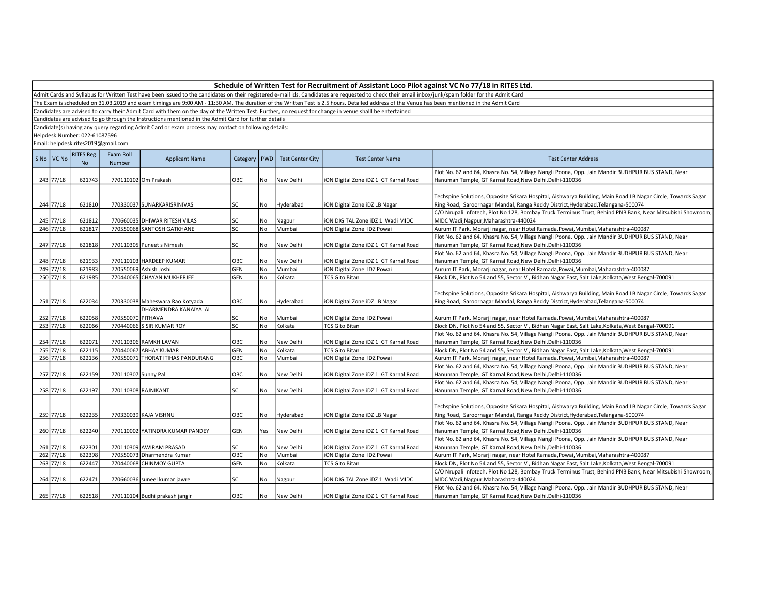| Schedule of Written Test for Recruitment of Assistant Loco Pilot against VC No 77/18 in RITES Ltd. |  |
|----------------------------------------------------------------------------------------------------|--|
|----------------------------------------------------------------------------------------------------|--|

The Exam is scheduled on 31.03.2019 and exam timings are 9:00 AM - 11:30 AM. The duration of the Written Test is 2.5 hours. Detailed address of the Venue has been mentioned in the Admit Card

Candidates are advised to carry their Admit Card with them on the day of the Written Test. Further, no request for change in venue shalll be entertained

Candidates are advised to go through the Instructions mentioned in the Admit Card for further details

Candidate(s) having any query regarding Admit Card or exam process may contact on following details:

Helpdesk Number: 022-61087596

| S No VC No | <b>RITES Reg.</b><br>N <sub>o</sub> | Exam Roll<br>Number | <b>Applicant Name</b>             | Category   PWD |           | <b>Test Center City</b> | <b>Test Center Name</b>               | <b>Test Center Address</b>                                                                                                                                                                       |
|------------|-------------------------------------|---------------------|-----------------------------------|----------------|-----------|-------------------------|---------------------------------------|--------------------------------------------------------------------------------------------------------------------------------------------------------------------------------------------------|
|            |                                     |                     |                                   |                |           |                         |                                       | Plot No. 62 and 64, Khasra No. 54, Village Nangli Poona, Opp. Jain Mandir BUDHPUR BUS STAND, Near                                                                                                |
| 243 77/18  | 621743                              |                     | 770110102 Om Prakash              | OBC            | No        | New Delhi               | iON Digital Zone iDZ 1 GT Karnal Road | Hanuman Temple, GT Karnal Road, New Delhi, Delhi-110036                                                                                                                                          |
| 244 77/18  | 621810                              |                     | 770330037 SUNARKARISRINIVAS       | SC             | No        | Hyderabad               | iON Digital Zone iDZ LB Nagar         | Techspine Solutions, Opposite Srikara Hospital, Aishwarya Building, Main Road LB Nagar Circle, Towards Sagar<br>Ring Road, Saroornagar Mandal, Ranga Reddy District, Hyderabad, Telangana-500074 |
| 245 77/18  | 621812                              |                     | 770660035 DHIWAR RITESH VILAS     | SC             | No        | Nagpur                  | iON DIGITAL Zone iDZ 1 Wadi MIDC      | C/O Nrupali Infotech, Plot No 128, Bombay Truck Terminus Trust, Behind PNB Bank, Near Mitsubishi Showroom,<br>MIDC Wadi, Nagpur, Maharashtra-440024                                              |
| 246 77/18  | 621817                              |                     | 770550068 SANTOSH GATKHANE        | SC.            | <b>No</b> | Mumbai                  | iON Digital Zone IDZ Powai            | Aurum IT Park, Morarji nagar, near Hotel Ramada, Powai, Mumbai, Maharashtra-400087                                                                                                               |
|            |                                     |                     |                                   |                |           |                         |                                       | Plot No. 62 and 64, Khasra No. 54, Village Nangli Poona, Opp. Jain Mandir BUDHPUR BUS STAND, Near                                                                                                |
| 247 77/18  | 621818                              |                     | 770110305 Puneet s Nimesh         | SC             | No        | New Delhi               | iON Digital Zone iDZ 1 GT Karnal Road | Hanuman Temple, GT Karnal Road, New Delhi, Delhi-110036                                                                                                                                          |
|            |                                     |                     |                                   |                |           |                         |                                       | Plot No. 62 and 64, Khasra No. 54, Village Nangli Poona, Opp. Jain Mandir BUDHPUR BUS STAND, Near                                                                                                |
| 248 77/18  | 621933                              |                     | 770110103 HARDEEP KUMAR           | OBC            | No        | New Delhi               | iON Digital Zone iDZ 1 GT Karnal Road | Hanuman Temple, GT Karnal Road, New Delhi, Delhi-110036                                                                                                                                          |
| 249 77/18  | 621983                              |                     | 770550069 Ashish Joshi            | GEN            | No        | Mumbai                  | iON Digital Zone IDZ Powai            | Aurum IT Park, Morarji nagar, near Hotel Ramada, Powai, Mumbai, Maharashtra-400087                                                                                                               |
| 250 77/18  | 621985                              |                     | 770440065 CHAYAN MUKHERJEE        | GEN            | No        | Kolkata                 | <b>TCS Gito Bitan</b>                 | Block DN, Plot No 54 and 55, Sector V, Bidhan Nagar East, Salt Lake, Kolkata, West Bengal-700091                                                                                                 |
| 251 77/18  | 622034                              |                     | 770330038 Maheswara Rao Kotyada   | OBC            | No        | Hyderabad               | ION Digital Zone IDZ LB Nagar         | Techspine Solutions, Opposite Srikara Hospital, Aishwarya Building, Main Road LB Nagar Circle, Towards Sagar<br>Ring Road, Saroornagar Mandal, Ranga Reddy District, Hyderabad, Telangana-500074 |
|            |                                     |                     | DHARMENDRA KANAIYALAL             |                |           |                         |                                       |                                                                                                                                                                                                  |
| 252 77/18  | 622058                              | 770550070 PITHAVA   |                                   | SC             | No        | Mumbai                  | iON Digital Zone IDZ Powai            | Aurum IT Park, Morarji nagar, near Hotel Ramada, Powai, Mumbai, Maharashtra-400087                                                                                                               |
| 253 77/18  | 622066                              |                     | 770440066 SISIR KUMAR ROY         | SC.            | No        | Kolkata                 | <b>TCS Gito Bitan</b>                 | Block DN, Plot No 54 and 55, Sector V, Bidhan Nagar East, Salt Lake, Kolkata, West Bengal-700091                                                                                                 |
|            |                                     |                     |                                   |                |           |                         |                                       | Plot No. 62 and 64, Khasra No. 54, Village Nangli Poona, Opp. Jain Mandir BUDHPUR BUS STAND, Near                                                                                                |
| 254 77/18  | 622071                              |                     | 770110306 RAMKHILAVAN             | OBC            | No        | New Delhi               | iON Digital Zone iDZ 1 GT Karnal Road | Hanuman Temple, GT Karnal Road, New Delhi, Delhi-110036                                                                                                                                          |
| 255 77/18  | 622115                              |                     | 770440067 ABHAY KUMAR             | GEN            | No        | Kolkata                 | <b>TCS Gito Bitan</b>                 | Block DN, Plot No 54 and 55, Sector V, Bidhan Nagar East, Salt Lake, Kolkata, West Bengal-700091                                                                                                 |
| 256 77/18  | 622136                              |                     | 770550071 THORAT ITIHAS PANDURANG | ОВС            | No        | Mumbai                  | iON Digital Zone IDZ Powai            | Aurum IT Park, Morarji nagar, near Hotel Ramada, Powai, Mumbai, Maharashtra-400087                                                                                                               |
|            |                                     |                     |                                   |                |           |                         |                                       | Plot No. 62 and 64, Khasra No. 54, Village Nangli Poona, Opp. Jain Mandir BUDHPUR BUS STAND, Near                                                                                                |
| 257 77/18  | 622159                              | 770110307 Sunny Pal |                                   | OBC            | No        | New Delhi               | iON Digital Zone iDZ 1 GT Karnal Road | Hanuman Temple, GT Karnal Road, New Delhi, Delhi-110036                                                                                                                                          |
|            |                                     |                     |                                   |                |           |                         |                                       | Plot No. 62 and 64, Khasra No. 54, Village Nangli Poona, Opp. Jain Mandir BUDHPUR BUS STAND, Near                                                                                                |
| 258 77/18  | 622197                              |                     | 770110308 RAJNIKANT               | SC             | l No      | New Delhi               | ION Digital Zone IDZ 1 GT Karnal Road | Hanuman Temple, GT Karnal Road, New Delhi, Delhi-110036                                                                                                                                          |
| 259 77/18  | 622235                              |                     | 770330039 KAJA VISHNU             | OBC            | No        | Hyderabad               | iON Digital Zone iDZ LB Nagar         | Techspine Solutions, Opposite Srikara Hospital, Aishwarya Building, Main Road LB Nagar Circle, Towards Sagar<br>Ring Road, Saroornagar Mandal, Ranga Reddy District, Hyderabad, Telangana-500074 |
|            |                                     |                     |                                   |                |           |                         |                                       | Plot No. 62 and 64, Khasra No. 54, Village Nangli Poona, Opp. Jain Mandir BUDHPUR BUS STAND, Near                                                                                                |
| 260 77/18  | 622240                              |                     | 770110002 YATINDRA KUMAR PANDEY   | GEN            | Yes       | New Delhi               | iON Digital Zone iDZ 1 GT Karnal Road | Hanuman Temple, GT Karnal Road, New Delhi, Delhi-110036                                                                                                                                          |
|            |                                     |                     |                                   |                |           |                         |                                       | Plot No. 62 and 64, Khasra No. 54, Village Nangli Poona, Opp. Jain Mandir BUDHPUR BUS STAND, Near                                                                                                |
| 261 77/18  | 622301                              |                     | 770110309 AWIRAM PRASAD           | SC             | No        | New Delhi               | ION Digital Zone IDZ 1 GT Karnal Road | Hanuman Temple, GT Karnal Road, New Delhi, Delhi-110036                                                                                                                                          |
| 262 77/18  | 622398                              |                     | 770550073 Dharmendra Kumar        | ОВС            | No        | Mumbai                  | iON Digital Zone IDZ Powai            | Aurum IT Park, Morarji nagar, near Hotel Ramada, Powai, Mumbai, Maharashtra-400087                                                                                                               |
| 263 77/18  | 622447                              |                     | 770440068 CHINMOY GUPTA           | GEN            | No        | Kolkata                 | <b>TCS Gito Bitan</b>                 | Block DN, Plot No 54 and 55, Sector V, Bidhan Nagar East, Salt Lake, Kolkata, West Bengal-700091                                                                                                 |
| 264 77/18  | 622471                              |                     | 770660036 suneel kumar jawre      | SC             | No        | Nagpur                  | ION DIGITAL Zone IDZ 1 Wadi MIDC      | C/O Nrupali Infotech, Plot No 128, Bombay Truck Terminus Trust, Behind PNB Bank, Near Mitsubishi Showroom,<br>MIDC Wadi, Nagpur, Maharashtra-440024                                              |
|            |                                     |                     |                                   |                |           |                         |                                       | Plot No. 62 and 64, Khasra No. 54, Village Nangli Poona, Opp. Jain Mandir BUDHPUR BUS STAND, Near                                                                                                |
| 265 77/18  | 622518                              |                     | 770110104 Budhi prakash jangir    | OBC            | No        | New Delhi               | ION Digital Zone IDZ 1 GT Karnal Road | Hanuman Temple, GT Karnal Road, New Delhi, Delhi-110036                                                                                                                                          |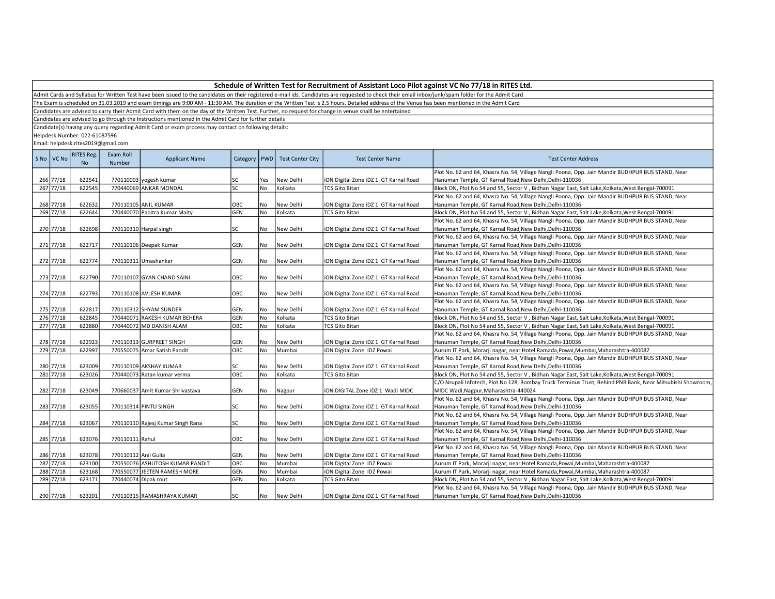Admit Cards and Syllabus for Written Test have been issued to the candidates on their registered e-mail ids. Candidates are requested to check their email inbox/junk/spam folder for the Admit Card

The Exam is scheduled on 31.03.2019 and exam timings are 9:00 AM - 11:30 AM. The duration of the Written Test is 2.5 hours. Detailed address of the Venue has been mentioned in the Admit Card

Candidates are advised to carry their Admit Card with them on the day of the Written Test. Further, no request for change in venue shalll be entertained

Candidates are advised to go through the Instructions mentioned in the Admit Card for further details

Candidate(s) having any query regarding Admit Card or exam process may contact on following details:

Helpdesk Number: 022-61087596

| S <sub>No</sub> | VC No     | <b>RITES Reg.</b><br><b>No</b> | Exam Roll<br>Number  | <b>Applicant Name</b>             | Category   PWD |           | <b>Test Center City</b> | <b>Test Center Name</b>               | <b>Test Center Address</b>                                                                                 |
|-----------------|-----------|--------------------------------|----------------------|-----------------------------------|----------------|-----------|-------------------------|---------------------------------------|------------------------------------------------------------------------------------------------------------|
|                 |           |                                |                      |                                   |                |           |                         |                                       | Plot No. 62 and 64, Khasra No. 54, Village Nangli Poona, Opp. Jain Mandir BUDHPUR BUS STAND, Near          |
|                 | 266 77/18 | 622541                         |                      | 770110003 yogesh kumar            | SC             | Yes       | New Delhi               | iON Digital Zone iDZ 1 GT Karnal Road | Hanuman Temple, GT Karnal Road, New Delhi, Delhi-110036                                                    |
|                 | 267 77/18 | 622545                         |                      | 770440069 ANKAR MONDAL            | <b>SC</b>      | <b>No</b> | Kolkata                 | <b>TCS Gito Bitan</b>                 | Block DN, Plot No 54 and 55, Sector V, Bidhan Nagar East, Salt Lake, Kolkata, West Bengal-700091           |
|                 |           |                                |                      |                                   |                |           |                         |                                       | Plot No. 62 and 64, Khasra No. 54, Village Nangli Poona, Opp. Jain Mandir BUDHPUR BUS STAND, Near          |
|                 | 268 77/18 | 622632                         |                      | 770110105 ANIL KUMAR              | OBC            | No        | New Delhi               | iON Digital Zone iDZ 1 GT Karnal Road | Hanuman Temple, GT Karnal Road, New Delhi, Delhi-110036                                                    |
|                 | 269 77/18 | 622644                         |                      | 770440070 Pabitra Kumar Maity     | GEN            | No        | Kolkata                 | <b>TCS Gito Bitan</b>                 | Block DN, Plot No 54 and 55, Sector V, Bidhan Nagar East, Salt Lake, Kolkata, West Bengal-700091           |
|                 |           |                                |                      |                                   |                |           |                         |                                       | Plot No. 62 and 64, Khasra No. 54, Village Nangli Poona, Opp. Jain Mandir BUDHPUR BUS STAND, Near          |
|                 | 270 77/18 | 622698                         |                      | 770110310 Harpal singh            | <b>SC</b>      | No        | New Delhi               | iON Digital Zone iDZ 1 GT Karnal Road | Hanuman Temple, GT Karnal Road, New Delhi, Delhi-110036                                                    |
|                 |           |                                |                      |                                   |                |           |                         |                                       | Plot No. 62 and 64, Khasra No. 54, Village Nangli Poona, Opp. Jain Mandir BUDHPUR BUS STAND, Near          |
|                 | 271 77/18 | 622717                         |                      | 770110106 Deepak Kumar            | GEN            | No        | New Delhi               | ION Digital Zone IDZ 1 GT Karnal Road | Hanuman Temple, GT Karnal Road, New Delhi, Delhi-110036                                                    |
|                 |           |                                |                      |                                   |                |           |                         |                                       | Plot No. 62 and 64, Khasra No. 54, Village Nangli Poona, Opp. Jain Mandir BUDHPUR BUS STAND, Near          |
|                 | 272 77/18 | 622774                         |                      | 770110311 Umashanker              | <b>GEN</b>     | No        | New Delhi               | iON Digital Zone iDZ 1 GT Karnal Road | Hanuman Temple, GT Karnal Road, New Delhi, Delhi-110036                                                    |
|                 |           |                                |                      |                                   |                |           |                         |                                       | Plot No. 62 and 64, Khasra No. 54, Village Nangli Poona, Opp. Jain Mandir BUDHPUR BUS STAND, Near          |
|                 | 273 77/18 | 622790                         |                      | 770110107 GYAN CHAND SAINI        | OBC            | No        | New Delhi               | ION Digital Zone IDZ 1 GT Karnal Road | Hanuman Temple, GT Karnal Road, New Delhi, Delhi-110036                                                    |
|                 |           |                                |                      |                                   |                |           |                         |                                       | Plot No. 62 and 64, Khasra No. 54, Village Nangli Poona, Opp. Jain Mandir BUDHPUR BUS STAND, Near          |
|                 | 274 77/18 | 622793                         |                      | 770110108 AVLESH KUMAR            | OBC            | No        | New Delhi               | ION Digital Zone IDZ 1 GT Karnal Road | Hanuman Temple, GT Karnal Road, New Delhi, Delhi-110036                                                    |
|                 |           |                                |                      |                                   |                |           |                         |                                       | Plot No. 62 and 64, Khasra No. 54, Village Nangli Poona, Opp. Jain Mandir BUDHPUR BUS STAND, Near          |
|                 | 275 77/18 | 622817                         |                      | 770110312 SHYAM SUNDER            | GEN            | No        | New Delhi               | iON Digital Zone iDZ 1 GT Karnal Road | Hanuman Temple, GT Karnal Road, New Delhi, Delhi-110036                                                    |
|                 | 276 77/18 | 622845                         |                      | 770440071 RAKESH KUMAR BEHERA     | GEN            | No        | Kolkata                 | <b>TCS Gito Bitan</b>                 | Block DN, Plot No 54 and 55, Sector V, Bidhan Nagar East, Salt Lake, Kolkata, West Bengal-700091           |
|                 | 277 77/18 | 622880                         |                      | 770440072 MD DANISH ALAM          | OBC            | No        | Kolkata                 | <b>TCS Gito Bitan</b>                 | Block DN, Plot No 54 and 55, Sector V, Bidhan Nagar East, Salt Lake, Kolkata, West Bengal-700091           |
|                 |           |                                |                      |                                   |                |           |                         |                                       | Plot No. 62 and 64, Khasra No. 54, Village Nangli Poona, Opp. Jain Mandir BUDHPUR BUS STAND, Near          |
|                 | 278 77/18 | 622923                         |                      | 770110313 GURPREET SINGH          | GEN            | No        | New Delhi               | iON Digital Zone iDZ 1 GT Karnal Road | Hanuman Temple, GT Karnal Road, New Delhi, Delhi-110036                                                    |
|                 | 279 77/18 | 622997                         |                      | 770550075 Amar Satish Pandit      | OBC            | No        | Mumbai                  | iON Digital Zone IDZ Powai            | Aurum IT Park, Morarji nagar, near Hotel Ramada, Powai, Mumbai, Maharashtra-400087                         |
|                 |           |                                |                      |                                   |                |           |                         |                                       | Plot No. 62 and 64, Khasra No. 54, Village Nangli Poona, Opp. Jain Mandir BUDHPUR BUS STAND, Near          |
|                 | 280 77/18 | 623009                         |                      | 770110109 AKSHAY KUMAR            | SC             | No        | New Delhi               | iON Digital Zone iDZ 1 GT Karnal Road | Hanuman Temple, GT Karnal Road, New Delhi, Delhi-110036                                                    |
|                 | 281 77/18 | 623026                         |                      | 770440073 Ratan kumar verma       | OBC            | No        | Kolkata                 | <b>TCS Gito Bitan</b>                 | Block DN, Plot No 54 and 55, Sector V, Bidhan Nagar East, Salt Lake, Kolkata, West Bengal-700091           |
|                 |           |                                |                      |                                   |                |           |                         |                                       | C/O Nrupali Infotech, Plot No 128, Bombay Truck Terminus Trust, Behind PNB Bank, Near Mitsubishi Showroom, |
|                 | 282 77/18 | 623049                         |                      | 770660037 Amit Kumar Shrivastava  | GEN            | No        | Nagpur                  | iON DIGITAL Zone iDZ 1 Wadi MIDC      | MIDC Wadi, Nagpur, Maharashtra-440024                                                                      |
|                 |           |                                |                      |                                   |                |           |                         |                                       | Plot No. 62 and 64, Khasra No. 54, Village Nangli Poona, Opp. Jain Mandir BUDHPUR BUS STAND, Near          |
|                 | 283 77/18 | 623055                         |                      | 770110314 PINTU SINGH             | SC             | No        | New Delhi               | iON Digital Zone iDZ 1 GT Karnal Road | Hanuman Temple, GT Karnal Road, New Delhi, Delhi-110036                                                    |
|                 |           |                                |                      |                                   |                |           |                         |                                       | Plot No. 62 and 64, Khasra No. 54, Village Nangli Poona, Opp. Jain Mandir BUDHPUR BUS STAND, Near          |
|                 | 284 77/18 | 623067                         |                      | 770110110 Rajesj Kumar Singh Rana | lsc            | No        | New Delhi               | iON Digital Zone iDZ 1 GT Karnal Road | Hanuman Temple, GT Karnal Road, New Delhi, Delhi-110036                                                    |
|                 |           |                                |                      |                                   |                |           |                         |                                       | Plot No. 62 and 64, Khasra No. 54, Village Nangli Poona, Opp. Jain Mandir BUDHPUR BUS STAND, Near          |
|                 | 285 77/18 | 623076                         | 770110111 Rahul      |                                   | OBC            | No        | New Delhi               | iON Digital Zone iDZ 1 GT Karnal Road | Hanuman Temple, GT Karnal Road, New Delhi, Delhi-110036                                                    |
|                 |           |                                |                      |                                   |                |           |                         |                                       | Plot No. 62 and 64, Khasra No. 54, Village Nangli Poona, Opp. Jain Mandir BUDHPUR BUS STAND, Near          |
|                 | 286 77/18 | 623078                         | 770110112 Anil Gulia |                                   | GEN            | No        | New Delhi               | iON Digital Zone iDZ 1 GT Karnal Road | Hanuman Temple, GT Karnal Road, New Delhi, Delhi-110036                                                    |
|                 | 287 77/18 | 623100                         |                      | 770550076 ASHUTOSH KUMAR PANDIT   | OBC            | No        | Mumbai                  | iON Digital Zone IDZ Powai            | Aurum IT Park, Morarji nagar, near Hotel Ramada, Powai, Mumbai, Maharashtra-400087                         |
|                 | 288 77/18 | 623168                         |                      | 770550077 JEETEN RAMESH MORE      | GEN            | No        | Mumbai                  | iON Digital Zone IDZ Powai            | Aurum IT Park, Morarji nagar, near Hotel Ramada, Powai, Mumbai, Maharashtra-400087                         |
|                 | 289 77/18 | 623171                         | 770440074 Dipak rout |                                   | GEN            | No        | Kolkata                 | <b>TCS Gito Bitan</b>                 | Block DN, Plot No 54 and 55, Sector V, Bidhan Nagar East, Salt Lake, Kolkata, West Bengal-700091           |
|                 |           |                                |                      |                                   |                |           |                         |                                       | Plot No. 62 and 64, Khasra No. 54, Village Nangli Poona, Opp. Jain Mandir BUDHPUR BUS STAND, Near          |
|                 | 290 77/18 | 623201                         |                      | 770110315 RAMASHRAYA KUMAR        | lsc            | l No      | New Delhi               | ION Digital Zone IDZ 1 GT Karnal Road | Hanuman Temple, GT Karnal Road, New Delhi, Delhi-110036                                                    |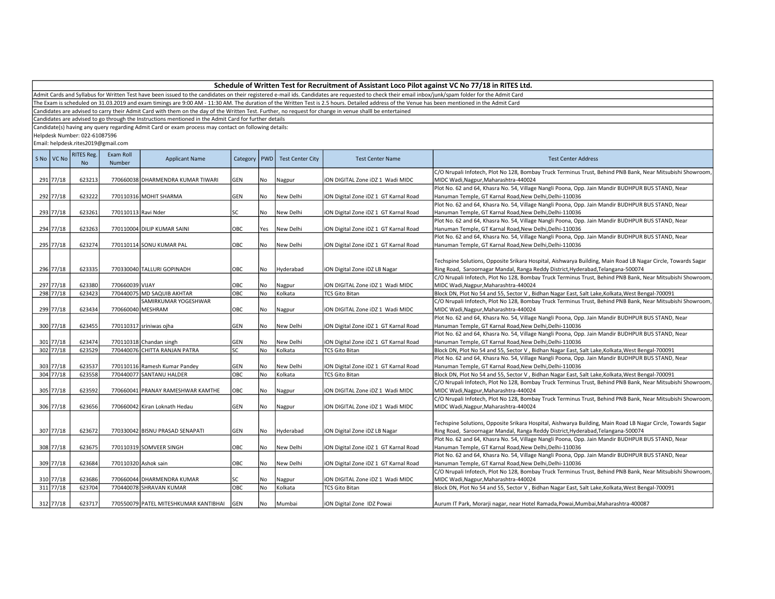Admit Cards and Syllabus for Written Test have been issued to the candidates on their registered e-mail ids. Candidates are requested to check their email inbox/junk/spam folder for the Admit Card

The Exam is scheduled on 31.03.2019 and exam timings are 9:00 AM - 11:30 AM. The duration of the Written Test is 2.5 hours. Detailed address of the Venue has been mentioned in the Admit Card

Candidates are advised to carry their Admit Card with them on the day of the Written Test. Further, no request for change in venue shalll be entertained

Candidates are advised to go through the Instructions mentioned in the Admit Card for further details

Candidate(s) having any query regarding Admit Card or exam process may contact on following details:

Helpdesk Number: 022-61087596

| S No VC No  | <b>RITES Reg.</b><br><b>No</b> | Exam Roll<br>Number | <b>Applicant Name</b>                 | Category   | <b>PWD</b> | <b>Test Center City</b> | <b>Test Center Name</b>               | <b>Test Center Address</b>                                                                                                                                                                       |
|-------------|--------------------------------|---------------------|---------------------------------------|------------|------------|-------------------------|---------------------------------------|--------------------------------------------------------------------------------------------------------------------------------------------------------------------------------------------------|
| 291 77/18   | 623213                         |                     | 770660038 DHARMENDRA KUMAR TIWARI     | GEN        | No         | Nagpur                  | ION DIGITAL Zone IDZ 1 Wadi MIDC      | C/O Nrupali Infotech, Plot No 128, Bombay Truck Terminus Trust, Behind PNB Bank, Near Mitsubishi Showroom,<br>MIDC Wadi, Nagpur, Maharashtra-440024                                              |
|             |                                |                     |                                       |            |            |                         |                                       | Plot No. 62 and 64, Khasra No. 54, Village Nangli Poona, Opp. Jain Mandir BUDHPUR BUS STAND, Near                                                                                                |
| 292 77/18   | 623222                         |                     | 770110316 MOHIT SHARMA                | GEN        | No         | New Delhi               | iON Digital Zone iDZ 1 GT Karnal Road | Hanuman Temple, GT Karnal Road, New Delhi, Delhi-110036                                                                                                                                          |
|             |                                |                     |                                       |            |            |                         |                                       | Plot No. 62 and 64, Khasra No. 54, Village Nangli Poona, Opp. Jain Mandir BUDHPUR BUS STAND, Near                                                                                                |
| 293 77/18   | 623261                         | 770110113 Ravi Nder |                                       | SC         | No         | New Delhi               | iON Digital Zone iDZ 1 GT Karnal Road | Hanuman Temple, GT Karnal Road, New Delhi, Delhi-110036                                                                                                                                          |
|             |                                |                     |                                       |            |            |                         |                                       | Plot No. 62 and 64, Khasra No. 54, Village Nangli Poona, Opp. Jain Mandir BUDHPUR BUS STAND, Near                                                                                                |
| 294 77/18   | 623263                         |                     | 770110004 DILIP KUMAR SAINI           | OBC        | Yes        | New Delhi               | iON Digital Zone iDZ 1 GT Karnal Road | Hanuman Temple, GT Karnal Road,New Delhi,Delhi-110036                                                                                                                                            |
|             |                                |                     |                                       |            |            |                         |                                       | Plot No. 62 and 64, Khasra No. 54, Village Nangli Poona, Opp. Jain Mandir BUDHPUR BUS STAND, Near                                                                                                |
| 295 77/18   | 623274                         |                     | 770110114 SONU KUMAR PAL              | OBC        | No         | New Delhi               | ION Digital Zone IDZ 1 GT Karnal Road | Hanuman Temple, GT Karnal Road, New Delhi, Delhi-110036                                                                                                                                          |
| 296 77/18   | 623335                         |                     | 770330040 TALLURI GOPINADH            | OBC        | No         | Hyderabad               | ION Digital Zone IDZ LB Nagar         | Techspine Solutions, Opposite Srikara Hospital, Aishwarya Building, Main Road LB Nagar Circle, Towards Sagar<br>Ring Road, Saroornagar Mandal, Ranga Reddy District, Hyderabad, Telangana-500074 |
|             |                                |                     |                                       |            |            |                         |                                       | C/O Nrupali Infotech, Plot No 128, Bombay Truck Terminus Trust, Behind PNB Bank, Near Mitsubishi Showroom,                                                                                       |
| 297 77/18   | 623380                         | 770660039 VIJAY     |                                       | OBC        | No         | Nagpur                  | ION DIGITAL Zone IDZ 1 Wadi MIDC      | MIDC Wadi, Nagpur, Maharashtra-440024                                                                                                                                                            |
| 298 77/18   | 623423                         |                     | 770440075 MD SAQUIB AKHTAR            | OBC        | <b>No</b>  | Kolkata                 | <b>TCS Gito Bitan</b>                 | Block DN, Plot No 54 and 55, Sector V, Bidhan Nagar East, Salt Lake, Kolkata, West Bengal-700091                                                                                                 |
|             |                                |                     | SAMIRKUMAR YOGESHWAR                  |            |            |                         |                                       | C/O Nrupali Infotech, Plot No 128, Bombay Truck Terminus Trust, Behind PNB Bank, Near Mitsubishi Showroom,                                                                                       |
| 299 77/18   | 623434                         |                     | 770660040 MESHRAM                     | OBC        | No         | Nagpur                  | ION DIGITAL Zone IDZ 1 Wadi MIDC      | MIDC Wadi, Nagpur, Maharashtra-440024                                                                                                                                                            |
|             |                                |                     |                                       |            |            |                         |                                       | Plot No. 62 and 64, Khasra No. 54, Village Nangli Poona, Opp. Jain Mandir BUDHPUR BUS STAND, Near                                                                                                |
| 300 77/18   | 623455                         |                     | 770110317 sriniwas ojha               | GEN        | No         | New Delhi               | iON Digital Zone iDZ 1 GT Karnal Road | Hanuman Temple, GT Karnal Road, New Delhi, Delhi-110036<br>Plot No. 62 and 64, Khasra No. 54, Village Nangli Poona, Opp. Jain Mandir BUDHPUR BUS STAND, Near                                     |
| 301 77/18   | 623474                         |                     | 770110318 Chandan singh               | GEN        | No         | New Delhi               | iON Digital Zone iDZ 1 GT Karnal Road | Hanuman Temple, GT Karnal Road, New Delhi, Delhi-110036                                                                                                                                          |
| 302 77/18   | 623529                         |                     | 770440076 CHITTA RANJAN PATRA         | SC         | No         | Kolkata                 | <b>TCS Gito Bitan</b>                 | Block DN, Plot No 54 and 55, Sector V, Bidhan Nagar East, Salt Lake, Kolkata, West Bengal-700091                                                                                                 |
|             |                                |                     |                                       |            |            |                         |                                       | Plot No. 62 and 64, Khasra No. 54, Village Nangli Poona, Opp. Jain Mandir BUDHPUR BUS STAND, Near                                                                                                |
| 303 77/18   | 623537                         |                     | 770110116 Ramesh Kumar Pandey         | GEN        | No         | New Delhi               | iON Digital Zone iDZ 1 GT Karnal Road | Hanuman Temple, GT Karnal Road, New Delhi, Delhi-110036                                                                                                                                          |
| 304 77/18   | 623558                         |                     | 770440077 SANTANU HALDER              | OBC        | No         | Kolkata                 | TCS Gito Bitan                        | Block DN, Plot No 54 and 55, Sector V, Bidhan Nagar East, Salt Lake, Kolkata, West Bengal-700091                                                                                                 |
|             |                                |                     |                                       |            |            |                         |                                       | C/O Nrupali Infotech, Plot No 128, Bombay Truck Terminus Trust, Behind PNB Bank, Near Mitsubishi Showroom,                                                                                       |
| 305 77/18   | 623592                         |                     | 770660041 PRANAY RAMESHWAR KAMTHE     | OBC        | No         | Nagpur                  | ION DIGITAL Zone IDZ 1 Wadi MIDC      | MIDC Wadi, Nagpur, Maharashtra-440024                                                                                                                                                            |
|             |                                |                     |                                       |            |            |                         |                                       | C/O Nrupali Infotech, Plot No 128, Bombay Truck Terminus Trust, Behind PNB Bank, Near Mitsubishi Showroom,                                                                                       |
| 306 77/18   | 623656                         |                     | 770660042 Kiran Loknath Hedau         | GEN        | No         | Nagpur                  | ION DIGITAL Zone IDZ 1 Wadi MIDC      | MIDC Wadi, Nagpur, Maharashtra-440024                                                                                                                                                            |
|             |                                |                     |                                       |            |            |                         |                                       |                                                                                                                                                                                                  |
|             |                                |                     |                                       |            |            |                         |                                       | Techspine Solutions, Opposite Srikara Hospital, Aishwarya Building, Main Road LB Nagar Circle, Towards Sagar                                                                                     |
| 307 77/18   | 623672                         |                     | 770330042 BISNU PRASAD SENAPATI       | GEN        | No         | Hyderabad               | ION Digital Zone IDZ LB Nagar         | Ring Road, Saroornagar Mandal, Ranga Reddy District, Hyderabad, Telangana-500074                                                                                                                 |
|             |                                |                     |                                       |            |            |                         |                                       | Plot No. 62 and 64, Khasra No. 54, Village Nangli Poona, Opp. Jain Mandir BUDHPUR BUS STAND, Near                                                                                                |
| 308 77/18   | 623675                         |                     | 770110319 SOMVEER SINGH               | OBC        | No         | New Delhi               | iON Digital Zone iDZ 1 GT Karnal Road | Hanuman Temple, GT Karnal Road, New Delhi, Delhi-110036                                                                                                                                          |
|             |                                |                     |                                       |            |            |                         |                                       | Plot No. 62 and 64, Khasra No. 54, Village Nangli Poona, Opp. Jain Mandir BUDHPUR BUS STAND, Near                                                                                                |
| 309 77/18   | 623684                         |                     | 770110320 Ashok sain                  | OBC        | No         | New Delhi               | iON Digital Zone iDZ 1 GT Karnal Road | Hanuman Temple, GT Karnal Road, New Delhi, Delhi-110036                                                                                                                                          |
|             |                                |                     |                                       |            |            |                         |                                       | C/O Nrupali Infotech, Plot No 128, Bombay Truck Terminus Trust, Behind PNB Bank, Near Mitsubishi Showroom,                                                                                       |
| 310 77/18   | 623686                         |                     | 770660044 DHARMENDRA KUMAR            | SC         | No         | Nagpur                  | iON DIGITAL Zone iDZ 1 Wadi MIDC      | MIDC Wadi, Nagpur, Maharashtra-440024                                                                                                                                                            |
| $311$ 77/18 | 623704                         |                     | 770440078 SHRAVAN KUMAR               | OBC        | No         | Kolkata                 | <b>TCS Gito Bitan</b>                 | Block DN, Plot No 54 and 55, Sector V, Bidhan Nagar East, Salt Lake, Kolkata, West Bengal-700091                                                                                                 |
|             |                                |                     |                                       |            |            |                         |                                       |                                                                                                                                                                                                  |
| 312 77/18   | 623717                         |                     | 770550079 PATEL MITESHKUMAR KANTIBHAI | <b>GEN</b> | No         | Mumbai                  | ION Digital Zone IDZ Powai            | Aurum IT Park, Morarji nagar, near Hotel Ramada, Powai, Mumbai, Maharashtra-400087                                                                                                               |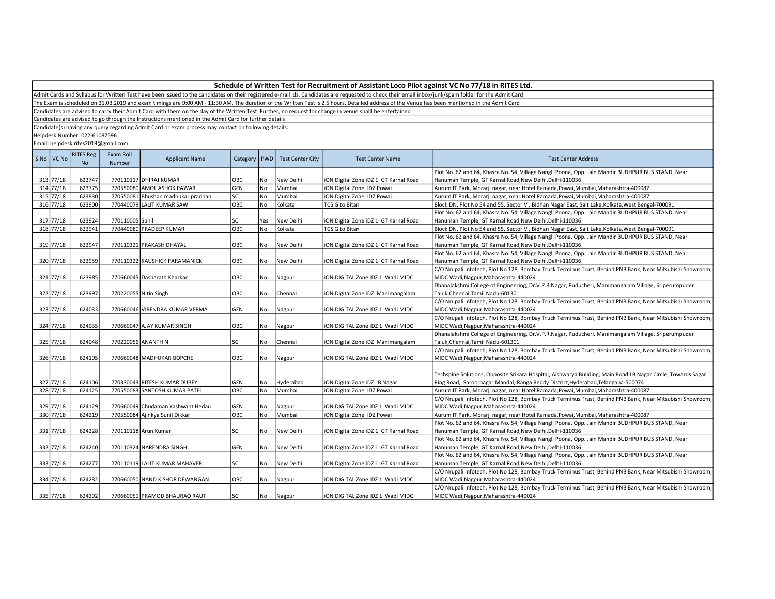Admit Cards and Syllabus for Written Test have been issued to the candidates on their registered e-mail ids. Candidates are requested to check their email inbox/junk/spam folder for the Admit Card

The Exam is scheduled on 31.03.2019 and exam timings are 9:00 AM - 11:30 AM. The duration of the Written Test is 2.5 hours. Detailed address of the Venue has been mentioned in the Admit Card

Candidates are advised to carry their Admit Card with them on the day of the Written Test. Further, no request for change in venue shalll be entertained

Candidates are advised to go through the Instructions mentioned in the Admit Card for further details

Candidate(s) having any query regarding Admit Card or exam process may contact on following details:

Helpdesk Number: 022-61087596

| S No   VC No | <b>RITES Reg.</b><br><b>No</b> | Exam Roll<br>Number   | <b>Applicant Name</b>              | Category   PWD |           | <b>Test Center City</b> | <b>Test Center Name</b>               | <b>Test Center Address</b>                                                                                   |
|--------------|--------------------------------|-----------------------|------------------------------------|----------------|-----------|-------------------------|---------------------------------------|--------------------------------------------------------------------------------------------------------------|
|              |                                |                       |                                    |                |           |                         |                                       | Plot No. 62 and 64, Khasra No. 54, Village Nangli Poona, Opp. Jain Mandir BUDHPUR BUS STAND, Near            |
| 313 77/18    | 623747                         |                       | 770110117 DHIRAJ KUMAR             | OBC            | No        | New Delhi               | iON Digital Zone iDZ 1 GT Karnal Road | Hanuman Temple, GT Karnal Road, New Delhi, Delhi-110036                                                      |
| 314 77/18    | 623775                         |                       | 770550080 AMOL ASHOK PAWAR         | GEN            | No        | Mumbai                  | iON Digital Zone IDZ Powai            | Aurum IT Park, Morarji nagar, near Hotel Ramada, Powai, Mumbai, Maharashtra-400087                           |
| 315 77/18    | 623830                         |                       | 770550081 Bhushan madhukar pradhan | SC             | No        | Mumbai                  | iON Digital Zone IDZ Powai            | Aurum IT Park, Morarji nagar, near Hotel Ramada, Powai, Mumbai, Maharashtra-400087                           |
| $316$ 77/18  | 623900                         |                       | 770440079 LALIT KUMAR SAW          | ОВС            | No        | Kolkata                 | <b>TCS Gito Bitan</b>                 | Block DN, Plot No 54 and 55, Sector V, Bidhan Nagar East, Salt Lake, Kolkata, West Bengal-700091             |
|              |                                |                       |                                    |                |           |                         |                                       | Plot No. 62 and 64, Khasra No. 54, Village Nangli Poona, Opp. Jain Mandir BUDHPUR BUS STAND, Near            |
| 317 77/18    | 623924                         | 770110005 Sunil       |                                    | SC             | Yes       | New Delhi               | ION Digital Zone IDZ 1 GT Karnal Road | Hanuman Temple, GT Karnal Road, New Delhi, Delhi-110036                                                      |
| 318 77/18    | 623941                         |                       | 770440080 PRADEEP KUMAR            | ОВС            | No        | Kolkata                 | <b>TCS Gito Bitan</b>                 | Block DN, Plot No 54 and 55, Sector V, Bidhan Nagar East, Salt Lake, Kolkata, West Bengal-700091             |
|              |                                |                       |                                    |                |           |                         |                                       | Plot No. 62 and 64, Khasra No. 54, Village Nangli Poona, Opp. Jain Mandir BUDHPUR BUS STAND, Near            |
| 319 77/18    | 623947                         |                       | 770110321 PRAKASH DHAYAL           | OBC            | No        | New Delhi               | iON Digital Zone iDZ 1 GT Karnal Road | Hanuman Temple, GT Karnal Road, New Delhi, Delhi-110036                                                      |
|              |                                |                       |                                    |                |           |                         |                                       | Plot No. 62 and 64, Khasra No. 54, Village Nangli Poona, Opp. Jain Mandir BUDHPUR BUS STAND, Near            |
| 320 77/18    | 623959                         |                       | 770110322 KAUSHICK PARAMANICK      | OBC            | No        | New Delhi               | ION Digital Zone IDZ 1 GT Karnal Road | Hanuman Temple, GT Karnal Road, New Delhi, Delhi-110036                                                      |
|              |                                |                       |                                    |                |           |                         |                                       | C/O Nrupali Infotech, Plot No 128, Bombay Truck Terminus Trust, Behind PNB Bank, Near Mitsubishi Showroom,   |
| 321 77/18    | 623985                         |                       | 770660045 Dasharath Kharkar        | OBC            | No        | Nagpur                  | iON DIGITAL Zone iDZ 1 Wadi MIDC      | MIDC Wadi, Nagpur, Maharashtra-440024                                                                        |
|              |                                |                       |                                    |                |           |                         |                                       | Dhanalakshmi College of Engineering, Dr.V.P.R.Nagar, Puducheri, Manimangalam Village, Sriperumpuder          |
| 322 77/18    | 623997                         | 770220055 Nitin Singh |                                    | OBC            | No        | Chennai                 | ION Digital Zone IDZ Manimangalam     | Taluk, Chennai, Tamil Nadu-601301                                                                            |
|              |                                |                       |                                    |                |           |                         |                                       | C/O Nrupali Infotech, Plot No 128, Bombay Truck Terminus Trust, Behind PNB Bank, Near Mitsubishi Showroom,   |
| 323 77/18    | 624033                         |                       | 770660046 VIRENDRA KUMAR VERMA     | GEN            | No        | Nagpur                  | ION DIGITAL Zone IDZ 1 Wadi MIDC      | MIDC Wadi, Nagpur, Maharashtra-440024                                                                        |
|              |                                |                       |                                    |                |           |                         |                                       | C/O Nrupali Infotech, Plot No 128, Bombay Truck Terminus Trust, Behind PNB Bank, Near Mitsubishi Showroom,   |
| 324 77/18    | 624035                         |                       | 770660047 AJAY KUMAR SINGH         | OBC            | No        | Nagpur                  | ION DIGITAL Zone IDZ 1 Wadi MIDC      | MIDC Wadi, Nagpur, Maharashtra-440024                                                                        |
|              |                                |                       |                                    |                |           |                         |                                       | Dhanalakshmi College of Engineering, Dr.V.P.R.Nagar, Puducheri, Manimangalam Village, Sriperumpuder          |
| 325 77/18    | 624048                         | 770220056 ANANTH N    |                                    | SC             | No        | Chennai                 | iON Digital Zone iDZ Manimangalam     | Taluk, Chennai, Tamil Nadu-601301                                                                            |
|              |                                |                       |                                    |                |           |                         |                                       | C/O Nrupali Infotech, Plot No 128, Bombay Truck Terminus Trust, Behind PNB Bank, Near Mitsubishi Showroom,   |
| 326 77/18    | 624105                         |                       | 770660048 MADHUKAR BOPCHE          | OBC            | No        | Nagpur                  | ION DIGITAL Zone IDZ 1 Wadi MIDC      | MIDC Wadi, Nagpur, Maharashtra-440024                                                                        |
|              |                                |                       |                                    |                |           |                         |                                       |                                                                                                              |
|              |                                |                       |                                    |                |           |                         |                                       | Techspine Solutions, Opposite Srikara Hospital, Aishwarya Building, Main Road LB Nagar Circle, Towards Sagar |
| 327 77/18    | 624106                         |                       | 770330043 RITESH KUMAR DUBEY       | GEN            | No        | Hyderabad               | iON Digital Zone iDZ LB Nagar         | Ring Road, Saroornagar Mandal, Ranga Reddy District, Hyderabad, Telangana-500074                             |
| 328 77/18    | 624125                         |                       | 770550083 SANTOSH KUMAR PATEL      | OBC            | <b>No</b> | Mumbai                  | iON Digital Zone IDZ Powai            | Aurum IT Park, Morarji nagar, near Hotel Ramada, Powai, Mumbai, Maharashtra-400087                           |
|              |                                |                       |                                    |                |           |                         |                                       | C/O Nrupali Infotech, Plot No 128, Bombay Truck Terminus Trust, Behind PNB Bank, Near Mitsubishi Showroom,   |
| 329 77/18    | 624129                         |                       | 770660049 Chudaman Yashwant Hedau  | GEN            | No        |                         | ION DIGITAL Zone IDZ 1 Wadi MIDC      | MIDC Wadi, Nagpur, Maharashtra-440024                                                                        |
| 330 77/18    | 624219                         |                       | 770550084 Ajinkya Sunil Dikkar     | OBC            | No        | Nagpur<br>Mumbai        | ION Digital Zone IDZ Powai            | Aurum IT Park, Morarji nagar, near Hotel Ramada, Powai, Mumbai, Maharashtra-400087                           |
|              |                                |                       |                                    |                |           |                         |                                       |                                                                                                              |
|              |                                |                       |                                    |                |           |                         |                                       | Plot No. 62 and 64, Khasra No. 54, Village Nangli Poona, Opp. Jain Mandir BUDHPUR BUS STAND, Near            |
| 331 77/18    | 624228                         |                       | 770110118 Arun Kumar               | SC             | No        | New Delhi               | ION Digital Zone IDZ 1 GT Karnal Road | Hanuman Temple, GT Karnal Road, New Delhi, Delhi-110036                                                      |
|              |                                |                       |                                    |                |           |                         |                                       | Plot No. 62 and 64, Khasra No. 54, Village Nangli Poona, Opp. Jain Mandir BUDHPUR BUS STAND, Near            |
| 332 77/18    | 624240                         |                       | 770110324 NARENDRA SINGH           | GEN            | l No      | New Delhi               | ION Digital Zone IDZ 1 GT Karnal Road | Hanuman Temple, GT Karnal Road, New Delhi, Delhi-110036                                                      |
|              |                                |                       |                                    |                |           |                         |                                       | Plot No. 62 and 64, Khasra No. 54, Village Nangli Poona, Opp. Jain Mandir BUDHPUR BUS STAND, Near            |
| 333 77/18    | 624277                         |                       | 770110119 LALIT KUMAR MAHAVER      | SC             | No        | New Delhi               | iON Digital Zone iDZ 1 GT Karnal Road | Hanuman Temple, GT Karnal Road, New Delhi, Delhi-110036                                                      |
|              |                                |                       |                                    |                |           |                         |                                       | C/O Nrupali Infotech, Plot No 128, Bombay Truck Terminus Trust, Behind PNB Bank, Near Mitsubishi Showroom,   |
| 334 77/18    | 624282                         |                       | 770660050 NAND KISHOR DEWANGAN     | OBC            | No        | Nagpur                  | ION DIGITAL Zone IDZ 1 Wadi MIDC      | MIDC Wadi, Nagpur, Maharashtra-440024                                                                        |
|              |                                |                       |                                    |                |           |                         |                                       | C/O Nrupali Infotech, Plot No 128, Bombay Truck Terminus Trust, Behind PNB Bank, Near Mitsubishi Showroom,   |
| 335 77/18    | 624292                         |                       | 770660051 PRAMOD BHAURAO RAUT      | SC             | No        | Nagpur                  | ION DIGITAL Zone IDZ 1 Wadi MIDC      | MIDC Wadi, Nagpur, Maharashtra-440024                                                                        |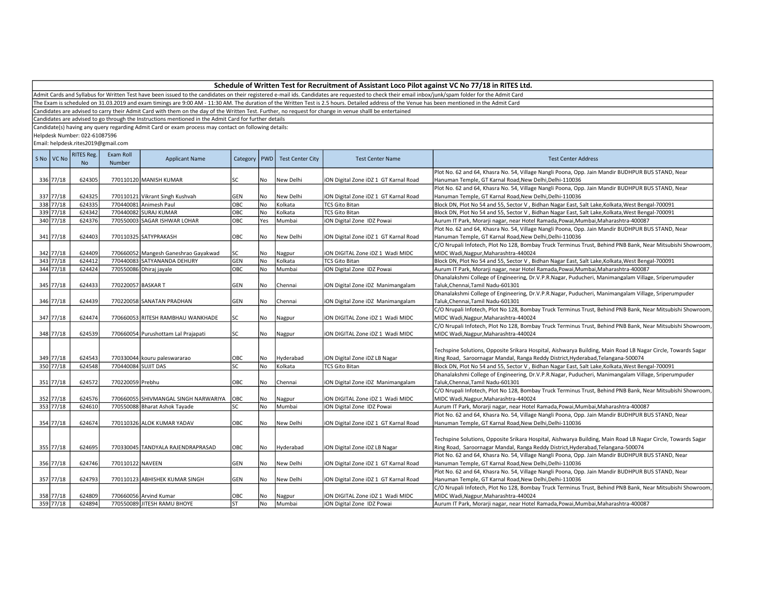Admit Cards and Syllabus for Written Test have been issued to the candidates on their registered e-mail ids. Candidates are requested to check their email inbox/junk/spam folder for the Admit Card

The Exam is scheduled on 31.03.2019 and exam timings are 9:00 AM - 11:30 AM. The duration of the Written Test is 2.5 hours. Detailed address of the Venue has been mentioned in the Admit Card

Candidates are advised to carry their Admit Card with them on the day of the Written Test. Further, no request for change in venue shalll be entertained

Candidates are advised to go through the Instructions mentioned in the Admit Card for further details

Candidate(s) having any query regarding Admit Card or exam process may contact on following details:

Helpdesk Number: 022-61087596

| S No VC No | <b>RITES Reg.</b><br><b>No</b> | Exam Roll<br>Number | <b>Applicant Name</b>                                     | Category   PWD |           | <b>Test Center City</b> | <b>Test Center Name</b>                        | <b>Test Center Address</b>                                                                                                                                                                       |
|------------|--------------------------------|---------------------|-----------------------------------------------------------|----------------|-----------|-------------------------|------------------------------------------------|--------------------------------------------------------------------------------------------------------------------------------------------------------------------------------------------------|
|            |                                |                     |                                                           |                |           |                         |                                                | Plot No. 62 and 64, Khasra No. 54, Village Nangli Poona, Opp. Jain Mandir BUDHPUR BUS STAND, Near                                                                                                |
| 336 77/18  | 624305                         |                     | 770110120 MANISH KUMAR                                    | <b>SC</b>      | No        | New Delhi               | iON Digital Zone iDZ 1 GT Karnal Road          | Hanuman Temple, GT Karnal Road, New Delhi, Delhi-110036                                                                                                                                          |
| 337 77/18  |                                |                     |                                                           |                |           |                         |                                                | Plot No. 62 and 64, Khasra No. 54, Village Nangli Poona, Opp. Jain Mandir BUDHPUR BUS STAND, Near                                                                                                |
| 338 77/18  | 624325<br>624335               |                     | 770110121 Vikrant Singh Kushvah<br>770440081 Animesh Paul | <b>GEN</b>     | No        | New Delhi               | iON Digital Zone iDZ 1 GT Karnal Road          | Hanuman Temple, GT Karnal Road, New Delhi, Delhi-110036                                                                                                                                          |
| 339 77/18  | 624342                         |                     | 770440082 SURAJ KUMAR                                     | OBC<br>ОВС     | No        | Kolkata<br>Kolkata      | <b>TCS Gito Bitan</b><br><b>TCS Gito Bitan</b> | Block DN, Plot No 54 and 55, Sector V, Bidhan Nagar East, Salt Lake, Kolkata, West Bengal-700091                                                                                                 |
| 340 77/18  | 624376                         |                     | 770550003 SAGAR ISHWAR LOHAR                              | ОВС            | No        |                         |                                                | Block DN, Plot No 54 and 55, Sector V, Bidhan Nagar East, Salt Lake, Kolkata, West Bengal-700091                                                                                                 |
|            |                                |                     |                                                           |                | Yes       | Mumbai                  | iON Digital Zone IDZ Powai                     | Aurum IT Park, Morarji nagar, near Hotel Ramada, Powai, Mumbai, Maharashtra-400087                                                                                                               |
|            |                                |                     |                                                           |                |           |                         |                                                | Plot No. 62 and 64, Khasra No. 54, Village Nangli Poona, Opp. Jain Mandir BUDHPUR BUS STAND, Near                                                                                                |
| 341 77/18  | 624403                         |                     | 770110325 SATYPRAKASH                                     | OBC            | No        | New Delhi               | iON Digital Zone iDZ 1 GT Karnal Road          | Hanuman Temple, GT Karnal Road, New Delhi, Delhi-110036                                                                                                                                          |
|            |                                |                     |                                                           |                |           |                         |                                                | C/O Nrupali Infotech, Plot No 128, Bombay Truck Terminus Trust, Behind PNB Bank, Near Mitsubishi Showroom,                                                                                       |
| 342 77/18  | 624409                         |                     | 770660052 Mangesh Ganeshrao Gayakwad                      | SC             | No        | Nagpur                  | iON DIGITAL Zone iDZ 1 Wadi MIDC               | MIDC Wadi, Nagpur, Maharashtra-440024                                                                                                                                                            |
| 343 77/18  | 624412                         |                     | 770440083 SATYANANDA DEHURY                               | GEN            | No        | Kolkata                 | <b>TCS Gito Bitan</b>                          | Block DN, Plot No 54 and 55, Sector V, Bidhan Nagar East, Salt Lake, Kolkata, West Bengal-700091                                                                                                 |
| 344 77/18  | 624424                         |                     | 770550086 Dhiraj jayale                                   | OBC            | <b>No</b> | Mumbai                  | iON Digital Zone IDZ Powai                     | Aurum IT Park, Morarji nagar, near Hotel Ramada, Powai, Mumbai, Maharashtra-400087                                                                                                               |
|            |                                |                     |                                                           |                |           |                         |                                                | Dhanalakshmi College of Engineering, Dr.V.P.R.Nagar, Puducheri, Manimangalam Village, Sriperumpuder                                                                                              |
| 345 77/18  | 624433                         | 770220057 BASKAR T  |                                                           | GEN            | No        | Chennai                 | iON Digital Zone iDZ Manimangalam              | Taluk, Chennai, Tamil Nadu-601301                                                                                                                                                                |
|            |                                |                     |                                                           |                |           |                         |                                                | Dhanalakshmi College of Engineering, Dr.V.P.R.Nagar, Puducheri, Manimangalam Village, Sriperumpuder                                                                                              |
| 346 77/18  | 624439                         |                     | 770220058 SANATAN PRADHAN                                 | GEN            | No        | Chennai                 | iON Digital Zone iDZ Manimangalam              | Taluk, Chennai, Tamil Nadu-601301                                                                                                                                                                |
|            |                                |                     |                                                           |                |           |                         |                                                | C/O Nrupali Infotech, Plot No 128, Bombay Truck Terminus Trust, Behind PNB Bank, Near Mitsubishi Showroom,                                                                                       |
| 347 77/18  | 624474                         |                     | 770660053 RITESH RAMBHAU WANKHADE                         | SC             | No        | Nagpur                  | iON DIGITAL Zone iDZ 1 Wadi MIDC               | MIDC Wadi, Nagpur, Maharashtra-440024                                                                                                                                                            |
|            |                                |                     |                                                           |                |           |                         |                                                | C/O Nrupali Infotech, Plot No 128, Bombay Truck Terminus Trust, Behind PNB Bank, Near Mitsubishi Showroom,                                                                                       |
| 348 77/18  | 624539                         |                     | 770660054 Purushottam Lal Prajapati                       | SC             | No        | Nagpur                  | iON DIGITAL Zone iDZ 1 Wadi MIDC               | MIDC Wadi, Nagpur, Maharashtra-440024                                                                                                                                                            |
| 349 77/18  | 624543                         |                     | 770330044 kouru paleswararao                              | OBC            | No        | Hyderabad               | iON Digital Zone iDZ LB Nagar                  | Techspine Solutions, Opposite Srikara Hospital, Aishwarya Building, Main Road LB Nagar Circle, Towards Sagar<br>Ring Road, Saroornagar Mandal, Ranga Reddy District, Hyderabad, Telangana-500074 |
| 350 77/18  | 624548                         | 770440084 SUJIT DAS |                                                           | SC             | No        | Kolkata                 | <b>TCS Gito Bitan</b>                          | Block DN, Plot No 54 and 55, Sector V, Bidhan Nagar East, Salt Lake, Kolkata, West Bengal-700091                                                                                                 |
|            |                                |                     |                                                           |                |           |                         |                                                | Dhanalakshmi College of Engineering, Dr.V.P.R.Nagar, Puducheri, Manimangalam Village, Sriperumpuder                                                                                              |
| 351 77/18  | 624572                         | 770220059 Prebhu    |                                                           | ОВС            | No        | Chennai                 | iON Digital Zone iDZ Manimangalam              | Taluk, Chennai, Tamil Nadu-601301                                                                                                                                                                |
|            |                                |                     |                                                           |                |           |                         |                                                | C/O Nrupali Infotech, Plot No 128, Bombay Truck Terminus Trust, Behind PNB Bank, Near Mitsubishi Showroom,                                                                                       |
| 352 77/18  | 624576                         |                     | 770660055 SHIVMANGAL SINGH NARWARIYA                      | OBC            | No        | Nagpur                  | iON DIGITAL Zone iDZ 1 Wadi MIDC               | MIDC Wadi, Nagpur, Maharashtra-440024                                                                                                                                                            |
| 353 77/18  | 624610                         |                     | 770550088 Bharat Ashok Tayade                             | SC             | <b>No</b> | Mumbai                  | iON Digital Zone IDZ Powai                     | Aurum IT Park, Morarji nagar, near Hotel Ramada, Powai, Mumbai, Maharashtra-400087                                                                                                               |
|            |                                |                     |                                                           |                |           |                         |                                                | Plot No. 62 and 64, Khasra No. 54, Village Nangli Poona, Opp. Jain Mandir BUDHPUR BUS STAND, Near                                                                                                |
| 354 77/18  | 624674                         |                     | 770110326 ALOK KUMAR YADAV                                | <b>OBC</b>     | <b>No</b> | New Delhi               | iON Digital Zone iDZ 1 GT Karnal Road          | Hanuman Temple, GT Karnal Road, New Delhi, Delhi-110036                                                                                                                                          |
| 355 77/18  | 624695                         |                     | 770330045 TANDYALA RAJENDRAPRASAD                         | OBC            | No        | Hyderabad               | iON Digital Zone iDZ LB Nagar                  | Techspine Solutions, Opposite Srikara Hospital, Aishwarya Building, Main Road LB Nagar Circle, Towards Sagar<br>Ring Road, Saroornagar Mandal, Ranga Reddy District, Hyderabad, Telangana-500074 |
|            |                                |                     |                                                           |                |           |                         |                                                | Plot No. 62 and 64, Khasra No. 54, Village Nangli Poona, Opp. Jain Mandir BUDHPUR BUS STAND, Near                                                                                                |
| 356 77/18  | 624746                         | 770110122 NAVEEN    |                                                           | <b>GEN</b>     | l No      | New Delhi               | iON Digital Zone iDZ 1 GT Karnal Road          | Hanuman Temple, GT Karnal Road, New Delhi, Delhi-110036                                                                                                                                          |
|            |                                |                     |                                                           |                |           |                         |                                                | Plot No. 62 and 64, Khasra No. 54, Village Nangli Poona, Opp. Jain Mandir BUDHPUR BUS STAND, Near                                                                                                |
| 357 77/18  | 624793                         |                     | 770110123 ABHISHEK KUMAR SINGH                            | GEN            | No        | New Delhi               | iON Digital Zone iDZ 1 GT Karnal Road          | Hanuman Temple, GT Karnal Road, New Delhi, Delhi-110036                                                                                                                                          |
|            |                                |                     |                                                           |                |           |                         |                                                | C/O Nrupali Infotech, Plot No 128, Bombay Truck Terminus Trust, Behind PNB Bank, Near Mitsubishi Showroom,                                                                                       |
| 358 77/18  | 624809                         |                     | 770660056 Arvind Kumar                                    | OBC            | No        | Nagpur                  | iON DIGITAL Zone iDZ 1 Wadi MIDC               | MIDC Wadi, Nagpur, Maharashtra-440024                                                                                                                                                            |
| 359 77/18  | 624894                         |                     | 770550089 JITESH RAMU BHOYE                               | <b>ST</b>      | No        | <b>Mumbai</b>           | iON Digital Zone IDZ Powai                     | Aurum IT Park, Morarji nagar, near Hotel Ramada, Powai, Mumbai, Maharashtra-400087                                                                                                               |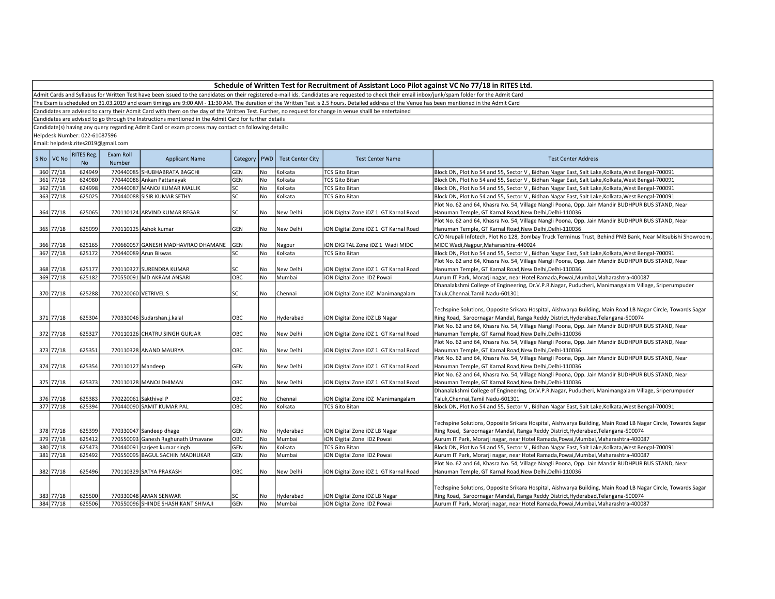Admit Cards and Syllabus for Written Test have been issued to the candidates on their registered e-mail ids. Candidates are requested to check their email inbox/junk/spam folder for the Admit Card

The Exam is scheduled on 31.03.2019 and exam timings are 9:00 AM - 11:30 AM. The duration of the Written Test is 2.5 hours. Detailed address of the Venue has been mentioned in the Admit Card

Candidates are advised to carry their Admit Card with them on the day of the Written Test. Further, no request for change in venue shalll be entertained

Candidates are advised to go through the Instructions mentioned in the Admit Card for further details

Candidate(s) having any query regarding Admit Card or exam process may contact on following details:

Helpdesk Number: 022-61087596

| S No   VC No           | <b>RITES Reg.</b><br><b>No</b> | Exam Roll<br><b>Number</b> | <b>Applicant Name</b>               | Category   PWD |           | <b>Test Center City</b> | <b>Test Center Name</b>               | <b>Test Center Address</b>                                                                                                                                                                       |
|------------------------|--------------------------------|----------------------------|-------------------------------------|----------------|-----------|-------------------------|---------------------------------------|--------------------------------------------------------------------------------------------------------------------------------------------------------------------------------------------------|
| 360 77/18              | 624949                         |                            | 770440085 SHUBHABRATA BAGCHI        | <b>GEN</b>     | No        | Kolkata                 | <b>TCS Gito Bitan</b>                 | Block DN, Plot No 54 and 55, Sector V, Bidhan Nagar East, Salt Lake, Kolkata, West Bengal-700091                                                                                                 |
| 361 77/18              | 624980                         |                            | 770440086 Ankan Pattanayak          | <b>GEN</b>     | No        | Kolkata                 | <b>TCS Gito Bitan</b>                 | Block DN, Plot No 54 and 55, Sector V, Bidhan Nagar East, Salt Lake, Kolkata, West Bengal-700091                                                                                                 |
| 362 77/18              | 624998                         |                            | 770440087 MANOJ KUMAR MALLIK        | SC             | No        | Kolkata                 | <b>TCS Gito Bitan</b>                 | Block DN, Plot No 54 and 55, Sector V, Bidhan Nagar East, Salt Lake, Kolkata, West Bengal-700091                                                                                                 |
| 363 77/18              | 625025                         |                            | 770440088 SISIR KUMAR SETHY         | <b>SC</b>      | No        | Kolkata                 | <b>TCS Gito Bitan</b>                 | Block DN, Plot No 54 and 55, Sector V, Bidhan Nagar East, Salt Lake, Kolkata, West Bengal-700091                                                                                                 |
|                        |                                |                            |                                     |                |           |                         |                                       | Plot No. 62 and 64, Khasra No. 54, Village Nangli Poona, Opp. Jain Mandir BUDHPUR BUS STAND, Near                                                                                                |
| 364 77/18              | 625065                         |                            | 770110124 ARVIND KUMAR REGAR        | SC             | No        | New Delhi               | iON Digital Zone iDZ 1 GT Karnal Road | Hanuman Temple, GT Karnal Road, New Delhi, Delhi-110036                                                                                                                                          |
|                        |                                |                            |                                     |                |           |                         |                                       | Plot No. 62 and 64, Khasra No. 54, Village Nangli Poona, Opp. Jain Mandir BUDHPUR BUS STAND, Near                                                                                                |
| 365 77/18              | 625099                         |                            | 770110125 Ashok kumar               | GEN            | No        | New Delhi               | iON Digital Zone iDZ 1 GT Karnal Road | Hanuman Temple, GT Karnal Road, New Delhi, Delhi-110036                                                                                                                                          |
|                        |                                |                            |                                     |                |           |                         |                                       | C/O Nrupali Infotech, Plot No 128, Bombay Truck Terminus Trust, Behind PNB Bank, Near Mitsubishi Showroom,                                                                                       |
| 366 77/18              | 625165                         |                            | 770660057 GANESH MADHAVRAO DHAMANE  | GEN            | No        | Nagpur                  | ION DIGITAL Zone IDZ 1 Wadi MIDC      | MIDC Wadi, Nagpur, Maharashtra-440024                                                                                                                                                            |
| 367 77/18              | 625172                         |                            | 770440089 Arun Biswas               | <b>SC</b>      | <b>No</b> | Kolkata                 | <b>TCS Gito Bitan</b>                 | Block DN, Plot No 54 and 55, Sector V, Bidhan Nagar East, Salt Lake, Kolkata, West Bengal-700091                                                                                                 |
|                        |                                |                            |                                     |                |           |                         |                                       | Plot No. 62 and 64, Khasra No. 54, Village Nangli Poona, Opp. Jain Mandir BUDHPUR BUS STAND, Near                                                                                                |
| 368 77/18              | 625177                         |                            | 770110327 SURENDRA KUMAR            | SC             | No        | New Delhi               | iON Digital Zone iDZ 1 GT Karnal Road | Hanuman Temple, GT Karnal Road, New Delhi, Delhi-110036                                                                                                                                          |
| 369 77/18              | 625182                         |                            | 770550091 MD AKRAM ANSARI           | OBC            | No        | Mumbai                  | iON Digital Zone IDZ Powai            | Aurum IT Park, Morarji nagar, near Hotel Ramada, Powai, Mumbai, Maharashtra-400087                                                                                                               |
|                        |                                |                            |                                     |                |           |                         |                                       | Dhanalakshmi College of Engineering, Dr.V.P.R.Nagar, Puducheri, Manimangalam Village, Sriperumpuder                                                                                              |
| 370 77/18              | 625288                         | 770220060 VETRIVEL S       |                                     | SC             | No        | Chennai                 | iON Digital Zone iDZ Manimangalam     | Taluk, Chennai, Tamil Nadu-601301                                                                                                                                                                |
|                        |                                |                            |                                     |                |           |                         |                                       |                                                                                                                                                                                                  |
|                        |                                |                            |                                     |                |           |                         |                                       | Techspine Solutions, Opposite Srikara Hospital, Aishwarya Building, Main Road LB Nagar Circle, Towards Sagar                                                                                     |
| 371 77/18              | 625304                         |                            | 770330046 Sudarshan.j.kalal         | OBC            | No        | Hyderabad               | iON Digital Zone iDZ LB Nagar         | Ring Road, Saroornagar Mandal, Ranga Reddy District, Hyderabad, Telangana-500074                                                                                                                 |
|                        |                                |                            |                                     |                |           |                         |                                       | Plot No. 62 and 64, Khasra No. 54, Village Nangli Poona, Opp. Jain Mandir BUDHPUR BUS STAND, Near                                                                                                |
| 372 77/18              | 625327                         |                            | 770110126 CHATRU SINGH GURJAR       | OBC            | No        | New Delhi               | iON Digital Zone iDZ 1 GT Karnal Road | Hanuman Temple, GT Karnal Road, New Delhi, Delhi-110036                                                                                                                                          |
|                        |                                |                            |                                     |                |           |                         |                                       | Plot No. 62 and 64, Khasra No. 54, Village Nangli Poona, Opp. Jain Mandir BUDHPUR BUS STAND, Near                                                                                                |
| 373 77/18              | 625351                         |                            | 770110328 ANAND MAURYA              | OBC            | No        | New Delhi               | iON Digital Zone iDZ 1 GT Karnal Road | Hanuman Temple, GT Karnal Road, New Delhi, Delhi-110036                                                                                                                                          |
|                        |                                |                            |                                     |                |           |                         |                                       | Plot No. 62 and 64, Khasra No. 54, Village Nangli Poona, Opp. Jain Mandir BUDHPUR BUS STAND, Near                                                                                                |
| 374 77/18              | 625354                         | 770110127 Mandeep          |                                     | GEN            | No        | New Delhi               | iON Digital Zone iDZ 1 GT Karnal Road | Hanuman Temple, GT Karnal Road, New Delhi, Delhi-110036                                                                                                                                          |
|                        |                                |                            |                                     |                |           |                         |                                       | Plot No. 62 and 64, Khasra No. 54, Village Nangli Poona, Opp. Jain Mandir BUDHPUR BUS STAND, Near                                                                                                |
| 375 77/18              | 625373                         |                            | 770110128 MANOJ DHIMAN              | OBC            | <b>No</b> | New Delhi               | iON Digital Zone iDZ 1 GT Karnal Road | Hanuman Temple, GT Karnal Road, New Delhi, Delhi-110036                                                                                                                                          |
|                        |                                |                            |                                     |                |           |                         |                                       | Dhanalakshmi College of Engineering, Dr.V.P.R.Nagar, Puducheri, Manimangalam Village, Sriperumpuder                                                                                              |
| 376 77/18<br>377 77/18 | 625383<br>625394               | 770220061 Sakthivel P      |                                     | OBC            | No        | Chennai                 | iON Digital Zone iDZ Manimangalam     | Taluk, Chennai, Tamil Nadu-601301                                                                                                                                                                |
|                        |                                |                            | 770440090 SAMIT KUMAR PAL           | OBC            | No        | Kolkata                 | <b>TCS Gito Bitan</b>                 | Block DN, Plot No 54 and 55, Sector V, Bidhan Nagar East, Salt Lake, Kolkata, West Bengal-700091                                                                                                 |
|                        |                                |                            |                                     |                |           |                         |                                       |                                                                                                                                                                                                  |
| 378 77/18              | 625399                         |                            | 770330047 Sandeep dhage             | GEN            | No        | Hyderabad               | iON Digital Zone iDZ LB Nagar         | Techspine Solutions, Opposite Srikara Hospital, Aishwarya Building, Main Road LB Nagar Circle, Towards Sagar<br>Ring Road, Saroornagar Mandal, Ranga Reddy District, Hyderabad, Telangana-500074 |
| 379 77/18              | 625412                         |                            | 770550093 Ganesh Raghunath Umavane  | овс            | No        | Mumbai                  | iON Digital Zone IDZ Powai            | Aurum IT Park, Morarji nagar, near Hotel Ramada, Powai, Mumbai, Maharashtra-400087                                                                                                               |
| 380 77/18              | 625473                         |                            | 770440091 sarjeet kumar singh       | GEN            | No        | Kolkata                 | <b>TCS Gito Bitan</b>                 | Block DN, Plot No 54 and 55, Sector V, Bidhan Nagar East, Salt Lake, Kolkata, West Bengal-700091                                                                                                 |
| 381 77/18              | 625492                         |                            | 770550095 BAGUL SACHIN MADHUKAR     | GEN            | No        | Mumbai                  | iON Digital Zone IDZ Powai            | Aurum IT Park, Morarji nagar, near Hotel Ramada, Powai, Mumbai, Maharashtra-400087                                                                                                               |
|                        |                                |                            |                                     |                |           |                         |                                       | Plot No. 62 and 64, Khasra No. 54, Village Nangli Poona, Opp. Jain Mandir BUDHPUR BUS STAND, Near                                                                                                |
| 382 77/18              | 625496                         |                            | 770110329 SATYA PRAKASH             | OBC            | No        | New Delhi               | iON Digital Zone iDZ 1 GT Karnal Road | Hanuman Temple, GT Karnal Road, New Delhi, Delhi-110036                                                                                                                                          |
|                        |                                |                            |                                     |                |           |                         |                                       |                                                                                                                                                                                                  |
|                        |                                |                            |                                     |                |           |                         |                                       | Techspine Solutions, Opposite Srikara Hospital, Aishwarya Building, Main Road LB Nagar Circle, Towards Sagar                                                                                     |
| 383 77/18              | 625500                         |                            | 770330048 AMAN SENWAR               | SC             | No        | Hyderabad               | iON Digital Zone iDZ LB Nagar         | Ring Road, Saroornagar Mandal, Ranga Reddy District, Hyderabad, Telangana-500074                                                                                                                 |
| 384 77/18              | 625506                         |                            | 770550096 SHINDE SHASHIKANT SHIVAJI | GEN            | No        | Mumbai                  | iON Digital Zone IDZ Powai            | Aurum IT Park, Morarji nagar, near Hotel Ramada, Powai, Mumbai, Maharashtra-400087                                                                                                               |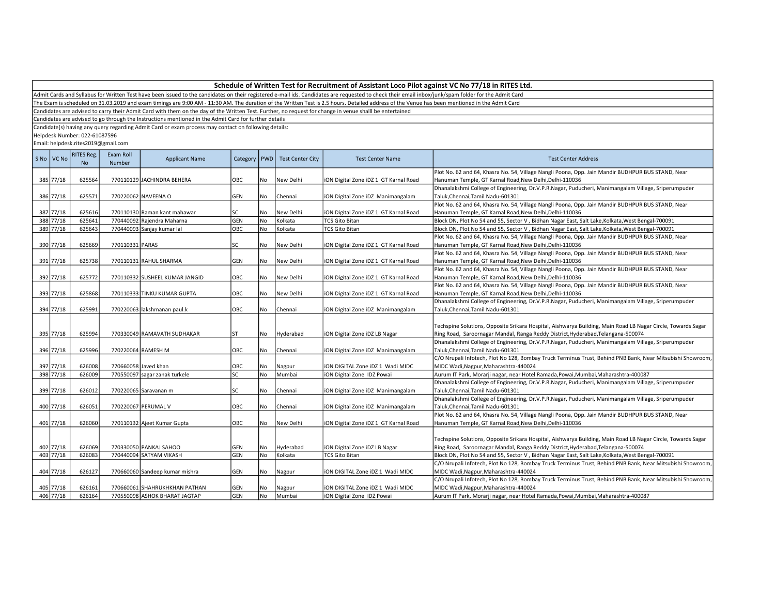Admit Cards and Syllabus for Written Test have been issued to the candidates on their registered e-mail ids. Candidates are requested to check their email inbox/junk/spam folder for the Admit Card

The Exam is scheduled on 31.03.2019 and exam timings are 9:00 AM - 11:30 AM. The duration of the Written Test is 2.5 hours. Detailed address of the Venue has been mentioned in the Admit Card

Candidates are advised to carry their Admit Card with them on the day of the Written Test. Further, no request for change in venue shalll be entertained

Candidates are advised to go through the Instructions mentioned in the Admit Card for further details

Candidate(s) having any query regarding Admit Card or exam process may contact on following details:

Helpdesk Number: 022-61087596

| S No VC No  | <b>RITES Reg.</b><br><b>No</b> | Exam Roll<br>Number | <b>Applicant Name</b>                                      | Category   PWD |           | <b>Test Center City</b> | <b>Test Center Name</b>                                        | <b>Test Center Address</b>                                                                                                                                                                       |
|-------------|--------------------------------|---------------------|------------------------------------------------------------|----------------|-----------|-------------------------|----------------------------------------------------------------|--------------------------------------------------------------------------------------------------------------------------------------------------------------------------------------------------|
| 385 77/18   |                                |                     |                                                            | OBC            |           |                         |                                                                | Plot No. 62 and 64, Khasra No. 54, Village Nangli Poona, Opp. Jain Mandir BUDHPUR BUS STAND, Near                                                                                                |
|             | 625564                         |                     | 770110129 JACHINDRA BEHERA                                 |                | No        | New Delhi               | iON Digital Zone iDZ 1 GT Karnal Road                          | Hanuman Temple, GT Karnal Road, New Delhi, Delhi-110036                                                                                                                                          |
|             |                                |                     |                                                            |                |           |                         |                                                                | Dhanalakshmi College of Engineering, Dr.V.P.R.Nagar, Puducheri, Manimangalam Village, Sriperumpuder                                                                                              |
| 386 77/18   | 625571                         |                     | 770220062 NAVEENA O                                        | GEN            | No        | Chennai                 | iON Digital Zone iDZ Manimangalam                              | Taluk, Chennai, Tamil Nadu-601301<br>Plot No. 62 and 64, Khasra No. 54, Village Nangli Poona, Opp. Jain Mandir BUDHPUR BUS STAND, Near                                                           |
| 387 77/18   | 625616                         |                     |                                                            |                |           |                         |                                                                |                                                                                                                                                                                                  |
| 388 77/18   | 625641                         |                     | 770110130 Raman kant mahawar<br>770440092 Rajendra Maharna | SC<br>GEN      | No        | New Delhi<br>Kolkata    | iON Digital Zone iDZ 1 GT Karnal Road<br><b>TCS Gito Bitan</b> | Hanuman Temple, GT Karnal Road, New Delhi, Delhi-110036                                                                                                                                          |
|             |                                |                     |                                                            |                | No        |                         |                                                                | Block DN, Plot No 54 and 55, Sector V, Bidhan Nagar East, Salt Lake, Kolkata, West Bengal-700091                                                                                                 |
| 389 77/18   | 625643                         |                     | 770440093 Sanjay kumar lal                                 | ОВС            | No        | Kolkata                 | <b>TCS Gito Bitan</b>                                          | Block DN, Plot No 54 and 55, Sector V, Bidhan Nagar East, Salt Lake, Kolkata, West Bengal-700091                                                                                                 |
|             |                                |                     |                                                            |                |           |                         |                                                                | Plot No. 62 and 64, Khasra No. 54, Village Nangli Poona, Opp. Jain Mandir BUDHPUR BUS STAND, Near                                                                                                |
| 390 77/18   | 625669                         | 770110331 PARAS     |                                                            | SC             | No        | New Delhi               | iON Digital Zone iDZ 1 GT Karnal Road                          | Hanuman Temple, GT Karnal Road, New Delhi, Delhi-110036                                                                                                                                          |
|             |                                |                     |                                                            |                |           |                         |                                                                | Plot No. 62 and 64, Khasra No. 54, Village Nangli Poona, Opp. Jain Mandir BUDHPUR BUS STAND, Near                                                                                                |
| 391 77/18   | 625738                         |                     | 770110131 RAHUL SHARMA                                     | GEN            | No        | New Delhi               | iON Digital Zone iDZ 1 GT Karnal Road                          | Hanuman Temple, GT Karnal Road, New Delhi, Delhi-110036                                                                                                                                          |
|             |                                |                     |                                                            |                |           |                         |                                                                | Plot No. 62 and 64, Khasra No. 54, Village Nangli Poona, Opp. Jain Mandir BUDHPUR BUS STAND, Near                                                                                                |
| 392 77/18   | 625772                         |                     | 770110332 SUSHEEL KUMAR JANGID                             | OBC            | No        | New Delhi               | iON Digital Zone iDZ 1 GT Karnal Road                          | Hanuman Temple, GT Karnal Road, New Delhi, Delhi-110036                                                                                                                                          |
|             |                                |                     |                                                            |                |           |                         |                                                                | Plot No. 62 and 64, Khasra No. 54, Village Nangli Poona, Opp. Jain Mandir BUDHPUR BUS STAND, Near                                                                                                |
| 393 77/18   | 625868                         |                     | 770110333 TINKU KUMAR GUPTA                                | OBC            | No        | New Delhi               | iON Digital Zone iDZ 1 GT Karnal Road                          | Hanuman Temple, GT Karnal Road, New Delhi, Delhi-110036                                                                                                                                          |
|             |                                |                     |                                                            |                |           |                         |                                                                | Dhanalakshmi College of Engineering, Dr.V.P.R.Nagar, Puducheri, Manimangalam Village, Sriperumpuder                                                                                              |
| 394 77/18   | 625991                         |                     | 770220063 lakshmanan paul.k                                | OBC            | No        | Chennai                 | iON Digital Zone iDZ Manimangalam                              | Taluk, Chennai, Tamil Nadu-601301                                                                                                                                                                |
| 395 77/18   | 625994                         |                     | 770330049 RAMAVATH SUDHAKAR                                | ST             | No        | Hyderabad               | ION Digital Zone IDZ LB Nagar                                  | Techspine Solutions, Opposite Srikara Hospital, Aishwarya Building, Main Road LB Nagar Circle, Towards Sagar<br>Ring Road, Saroornagar Mandal, Ranga Reddy District, Hyderabad, Telangana-500074 |
|             |                                |                     |                                                            |                |           |                         |                                                                | Dhanalakshmi College of Engineering, Dr.V.P.R.Nagar, Puducheri, Manimangalam Village, Sriperumpuder                                                                                              |
| 396 77/18   | 625996                         |                     | 770220064 RAMESH M                                         | ОВС            | No        | Chennai                 | iON Digital Zone iDZ Manimangalam                              | Taluk, Chennai, Tamil Nadu-601301                                                                                                                                                                |
|             |                                |                     |                                                            |                |           |                         |                                                                | C/O Nrupali Infotech, Plot No 128, Bombay Truck Terminus Trust, Behind PNB Bank, Near Mitsubishi Showroom,                                                                                       |
| 397 77/18   | 626008                         |                     | 770660058 Javed khan                                       | ОВС            | No        | Nagpur                  | iON DIGITAL Zone iDZ 1 Wadi MIDC                               | MIDC Wadi, Nagpur, Maharashtra-440024                                                                                                                                                            |
| 398 77/18   | 626009                         |                     | 770550097 sagar zanak turkele                              | SC.            | No        | Mumbai                  | iON Digital Zone IDZ Powai                                     | Aurum IT Park, Morarji nagar, near Hotel Ramada, Powai, Mumbai, Maharashtra-400087                                                                                                               |
|             |                                |                     |                                                            |                |           |                         |                                                                | Dhanalakshmi College of Engineering, Dr.V.P.R.Nagar, Puducheri, Manimangalam Village, Sriperumpuder                                                                                              |
| 399 77/18   | 626012                         |                     | 770220065 Saravanan m                                      | SC             | l No      | Chennai                 | iON Digital Zone iDZ Manimangalam                              | Taluk, Chennai, Tamil Nadu-601301                                                                                                                                                                |
|             |                                |                     |                                                            |                |           |                         |                                                                | Dhanalakshmi College of Engineering, Dr.V.P.R.Nagar, Puducheri, Manimangalam Village, Sriperumpuder                                                                                              |
| 400 77/18   | 626051                         |                     | 770220067 PERUMAL V                                        | OBC            | No        | Chennai                 | iON Digital Zone iDZ Manimangalam                              | Taluk, Chennai, Tamil Nadu-601301                                                                                                                                                                |
|             |                                |                     |                                                            |                |           |                         |                                                                | Plot No. 62 and 64, Khasra No. 54, Village Nangli Poona, Opp. Jain Mandir BUDHPUR BUS STAND, Near                                                                                                |
| 401 77/18   | 626060                         |                     | 770110132 Ajeet Kumar Gupta                                | OBC            | No        | New Delhi               | iON Digital Zone iDZ 1 GT Karnal Road                          | Hanuman Temple, GT Karnal Road, New Delhi, Delhi-110036                                                                                                                                          |
|             |                                |                     |                                                            |                |           |                         |                                                                |                                                                                                                                                                                                  |
|             |                                |                     |                                                            |                |           |                         |                                                                | Techspine Solutions, Opposite Srikara Hospital, Aishwarya Building, Main Road LB Nagar Circle, Towards Sagar                                                                                     |
| 402 77/18   | 626069                         |                     | 770330050 PANKAJ SAHOO                                     | GEN            | No        | Hyderabad               | ION Digital Zone IDZ LB Nagar                                  | Ring Road, Saroornagar Mandal, Ranga Reddy District, Hyderabad, Telangana-500074                                                                                                                 |
| 403 77/18   | 626083                         |                     | 770440094 SATYAM VIKASH                                    | GEN            | <b>No</b> | Kolkata                 | <b>TCS Gito Bitan</b>                                          | Block DN, Plot No 54 and 55, Sector V, Bidhan Nagar East, Salt Lake, Kolkata, West Bengal-700091                                                                                                 |
|             |                                |                     |                                                            |                |           |                         |                                                                | C/O Nrupali Infotech, Plot No 128, Bombay Truck Terminus Trust, Behind PNB Bank, Near Mitsubishi Showroom,                                                                                       |
| 404 77/18   | 626127                         |                     | 770660060 Sandeep kumar mishra                             | <b>GEN</b>     | No        | Nagpur                  | ION DIGITAL Zone IDZ 1 Wadi MIDC                               | MIDC Wadi, Nagpur, Maharashtra-440024                                                                                                                                                            |
|             |                                |                     |                                                            |                |           |                         |                                                                | C/O Nrupali Infotech, Plot No 128, Bombay Truck Terminus Trust, Behind PNB Bank, Near Mitsubishi Showroom,                                                                                       |
| 405 77/18   | 626161                         |                     | 770660061 SHAHRUKHKHAN PATHAN                              | GEN            | No        |                         | ION DIGITAL Zone IDZ 1 Wadi MIDC                               | MIDC Wadi, Nagpur, Maharashtra-440024                                                                                                                                                            |
| $406$ 77/18 | 626164                         |                     | 770550098 ASHOK BHARAT JAGTAP                              | GEN            | No        | Nagpur<br>Mumbai        | ION Digital Zone IDZ Powai                                     | Aurum IT Park, Morarji nagar, near Hotel Ramada, Powai, Mumbai, Maharashtra-400087                                                                                                               |
|             |                                |                     |                                                            |                |           |                         |                                                                |                                                                                                                                                                                                  |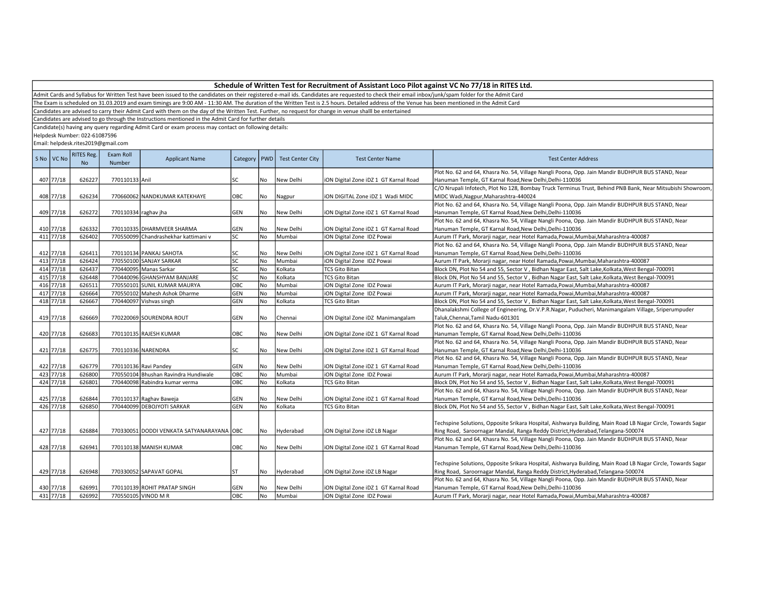Admit Cards and Syllabus for Written Test have been issued to the candidates on their registered e-mail ids. Candidates are requested to check their email inbox/junk/spam folder for the Admit Card

The Exam is scheduled on 31.03.2019 and exam timings are 9:00 AM - 11:30 AM. The duration of the Written Test is 2.5 hours. Detailed address of the Venue has been mentioned in the Admit Card

Candidates are advised to carry their Admit Card with them on the day of the Written Test. Further, no request for change in venue shalll be entertained

Candidates are advised to go through the Instructions mentioned in the Admit Card for further details

Candidate(s) having any query regarding Admit Card or exam process may contact on following details:

Helpdesk Number: 022-61087596

| S No VC No | <b>RITES Reg.</b><br>N <sub>o</sub> | Exam Roll<br>Number  | <b>Applicant Name</b>                     | Category   |           | PWD   Test Center City | <b>Test Center Name</b>               | <b>Test Center Address</b>                                                                                   |
|------------|-------------------------------------|----------------------|-------------------------------------------|------------|-----------|------------------------|---------------------------------------|--------------------------------------------------------------------------------------------------------------|
|            |                                     |                      |                                           |            |           |                        |                                       | Plot No. 62 and 64, Khasra No. 54, Village Nangli Poona, Opp. Jain Mandir BUDHPUR BUS STAND, Near            |
| 407 77/18  | 626227                              | 770110133 Anil       |                                           | SC         | No        | New Delhi              | iON Digital Zone iDZ 1 GT Karnal Road | Hanuman Temple, GT Karnal Road, New Delhi, Delhi-110036                                                      |
|            |                                     |                      |                                           |            |           |                        |                                       | C/O Nrupali Infotech, Plot No 128, Bombay Truck Terminus Trust, Behind PNB Bank, Near Mitsubishi Showroom,   |
| 408 77/18  | 626234                              |                      | 770660062 NANDKUMAR KATEKHAYE             | OBC        | No        | Nagpur                 | ION DIGITAL Zone IDZ 1 Wadi MIDC      | MIDC Wadi, Nagpur, Maharashtra-440024                                                                        |
|            |                                     |                      |                                           |            |           |                        |                                       | Plot No. 62 and 64, Khasra No. 54, Village Nangli Poona, Opp. Jain Mandir BUDHPUR BUS STAND, Near            |
| 409 77/18  | 626272                              | 770110334 raghav jha |                                           | <b>GEN</b> | No        | New Delhi              | ION Digital Zone IDZ 1 GT Karnal Road | Hanuman Temple, GT Karnal Road, New Delhi, Delhi-110036                                                      |
|            |                                     |                      |                                           |            |           |                        |                                       | Plot No. 62 and 64, Khasra No. 54, Village Nangli Poona, Opp. Jain Mandir BUDHPUR BUS STAND, Near            |
| 410 77/18  | 626332                              |                      | 770110335 DHARMVEER SHARMA                | GEN        | No        | New Delhi              | iON Digital Zone iDZ 1 GT Karnal Road | Hanuman Temple, GT Karnal Road, New Delhi, Delhi-110036                                                      |
| 411 77/18  | 626402                              |                      | 770550099 Chandrashekhar kattimani v      | lsc        | <b>No</b> | Mumbai                 | iON Digital Zone IDZ Powai            | Aurum IT Park, Morarji nagar, near Hotel Ramada, Powai, Mumbai, Maharashtra-400087                           |
|            |                                     |                      |                                           |            |           |                        |                                       | Plot No. 62 and 64, Khasra No. 54, Village Nangli Poona, Opp. Jain Mandir BUDHPUR BUS STAND, Near            |
| 412 77/18  | 626411                              |                      | 770110134 PANKAJ SAHOTA                   | SC         | No        | New Delhi              | iON Digital Zone iDZ 1 GT Karnal Road | Hanuman Temple, GT Karnal Road, New Delhi, Delhi-110036                                                      |
| 413 77/18  | 626424                              |                      | 770550100 SANJAY SARKAR                   | lsc        | No        | Mumbai                 | iON Digital Zone IDZ Powai            | Aurum IT Park, Morarji nagar, near Hotel Ramada, Powai, Mumbai, Maharashtra-400087                           |
| 414 77/18  | 626437                              |                      | 770440095 Manas Sarkar                    | lsc        | <b>No</b> | Kolkata                | <b>TCS Gito Bitan</b>                 | Block DN, Plot No 54 and 55, Sector V, Bidhan Nagar East, Salt Lake, Kolkata, West Bengal-700091             |
| 415 77/18  | 626448                              |                      | 770440096 GHANSHYAM BANJARE               | lsc        | No        | Kolkata                | <b>TCS Gito Bitan</b>                 | Block DN, Plot No 54 and 55, Sector V, Bidhan Nagar East, Salt Lake, Kolkata, West Bengal-700091             |
| 416 77/18  | 626511                              |                      | 770550101 SUNIL KUMAR MAURYA              | Овс        | No        | Mumbai                 | iON Digital Zone IDZ Powai            | Aurum IT Park, Morarji nagar, near Hotel Ramada, Powai, Mumbai, Maharashtra-400087                           |
| 417 77/18  | 626664                              |                      | 770550102 Mahesh Ashok Dharme             | GEN        | No        | Mumbai                 | iON Digital Zone IDZ Powai            | Aurum IT Park, Morarji nagar, near Hotel Ramada, Powai, Mumbai, Maharashtra-400087                           |
| 418 77/18  | 626667                              |                      | 770440097 Vishvas singh                   | GEN        | <b>No</b> | Kolkata                | <b>TCS Gito Bitan</b>                 | Block DN, Plot No 54 and 55, Sector V, Bidhan Nagar East, Salt Lake, Kolkata, West Bengal-700091             |
|            |                                     |                      |                                           |            |           |                        |                                       | Dhanalakshmi College of Engineering, Dr.V.P.R.Nagar, Puducheri, Manimangalam Village, Sriperumpuder          |
| 419 77/18  | 626669                              |                      | 770220069 SOURENDRA ROUT                  | <b>GEN</b> | No        | Chennai                | iON Digital Zone iDZ Manimangalam     | Taluk, Chennai, Tamil Nadu-601301                                                                            |
|            |                                     |                      |                                           |            |           |                        |                                       | Plot No. 62 and 64, Khasra No. 54, Village Nangli Poona, Opp. Jain Mandir BUDHPUR BUS STAND, Near            |
| 420 77/18  | 626683                              |                      | 770110135 RAJESH KUMAR                    | Іовс       | <b>No</b> | New Delhi              | iON Digital Zone iDZ 1 GT Karnal Road | Hanuman Temple, GT Karnal Road, New Delhi, Delhi-110036                                                      |
|            |                                     |                      |                                           |            |           |                        |                                       | Plot No. 62 and 64, Khasra No. 54, Village Nangli Poona, Opp. Jain Mandir BUDHPUR BUS STAND, Near            |
| 421 77/18  | 626775                              |                      | 770110336 NARENDRA                        | <b>SC</b>  | No        | New Delhi              | iON Digital Zone iDZ 1 GT Karnal Road | Hanuman Temple, GT Karnal Road, New Delhi, Delhi-110036                                                      |
|            |                                     |                      |                                           |            |           |                        |                                       | Plot No. 62 and 64, Khasra No. 54, Village Nangli Poona, Opp. Jain Mandir BUDHPUR BUS STAND, Near            |
| 422 77/18  | 626779                              |                      | 770110136 Ravi Pandey                     | <b>GEN</b> | No        | New Delhi              | ION Digital Zone IDZ 1 GT Karnal Road | Hanuman Temple, GT Karnal Road, New Delhi, Delhi-110036                                                      |
| 423 77/18  | 626800                              |                      | 770550104 Bhushan Ravindra Hundiwale      | Овс        | No        | Mumbai                 | iON Digital Zone IDZ Powai            | Aurum IT Park, Morarji nagar, near Hotel Ramada, Powai, Mumbai, Maharashtra-400087                           |
| 424 77/18  | 626801                              |                      | 770440098 Rabindra kumar verma            | ОВС        | <b>No</b> | Kolkata                | <b>TCS Gito Bitan</b>                 | Block DN, Plot No 54 and 55, Sector V, Bidhan Nagar East, Salt Lake, Kolkata, West Bengal-700091             |
|            |                                     |                      |                                           |            |           |                        |                                       | Plot No. 62 and 64, Khasra No. 54, Village Nangli Poona, Opp. Jain Mandir BUDHPUR BUS STAND, Near            |
| 425 77/18  | 626844                              |                      | 770110137 Raghav Baweja                   | <b>GEN</b> | No        | New Delhi              | iON Digital Zone iDZ 1 GT Karnal Road | Hanuman Temple, GT Karnal Road, New Delhi, Delhi-110036                                                      |
| 426 77/18  | 626850                              |                      | 770440099 DEBOJYOTI SARKAR                | <b>GEN</b> | No        | Kolkata                | <b>TCS Gito Bitan</b>                 | Block DN, Plot No 54 and 55, Sector V, Bidhan Nagar East, Salt Lake, Kolkata, West Bengal-700091             |
|            |                                     |                      |                                           |            |           |                        |                                       |                                                                                                              |
|            |                                     |                      |                                           |            |           |                        |                                       | Techspine Solutions, Opposite Srikara Hospital, Aishwarya Building, Main Road LB Nagar Circle, Towards Sagar |
| 427 77/18  | 626884                              |                      | 770330051 DODDI VENKATA SATYANARAYANA OBC |            | No        | Hyderabad              | ION Digital Zone IDZ LB Nagar         | Ring Road, Saroornagar Mandal, Ranga Reddy District, Hyderabad, Telangana-500074                             |
|            |                                     |                      |                                           |            |           |                        |                                       | Plot No. 62 and 64, Khasra No. 54, Village Nangli Poona, Opp. Jain Mandir BUDHPUR BUS STAND, Near            |
| 428 77/18  | 626941                              |                      | 770110138 MANISH KUMAR                    | ОВС        | No        | New Delhi              | ION Digital Zone IDZ 1 GT Karnal Road | Hanuman Temple, GT Karnal Road, New Delhi, Delhi-110036                                                      |
|            |                                     |                      |                                           |            |           |                        |                                       |                                                                                                              |
|            |                                     |                      |                                           |            |           |                        |                                       | Techspine Solutions, Opposite Srikara Hospital, Aishwarya Building, Main Road LB Nagar Circle, Towards Sagar |
| 429 77/18  | 626948                              |                      | 770330052 SAPAVAT GOPAL                   | IST        | No        | Hyderabad              | ION Digital Zone IDZ LB Nagar         | Ring Road, Saroornagar Mandal, Ranga Reddy District, Hyderabad, Telangana-500074                             |
|            |                                     |                      |                                           |            |           |                        |                                       | Plot No. 62 and 64, Khasra No. 54, Village Nangli Poona, Opp. Jain Mandir BUDHPUR BUS STAND, Near            |
| 430 77/18  | 626991                              |                      | 770110139 ROHIT PRATAP SINGH              | <b>GEN</b> | No        | New Delhi              | iON Digital Zone iDZ 1 GT Karnal Road | Hanuman Temple, GT Karnal Road, New Delhi, Delhi-110036                                                      |
| 431 77/18  | 626992                              |                      | 770550105 VINOD M R                       | Іовс       | <b>No</b> | Mumbai                 | iON Digital Zone IDZ Powai            | Aurum IT Park, Morarji nagar, near Hotel Ramada, Powai, Mumbai, Maharashtra-400087                           |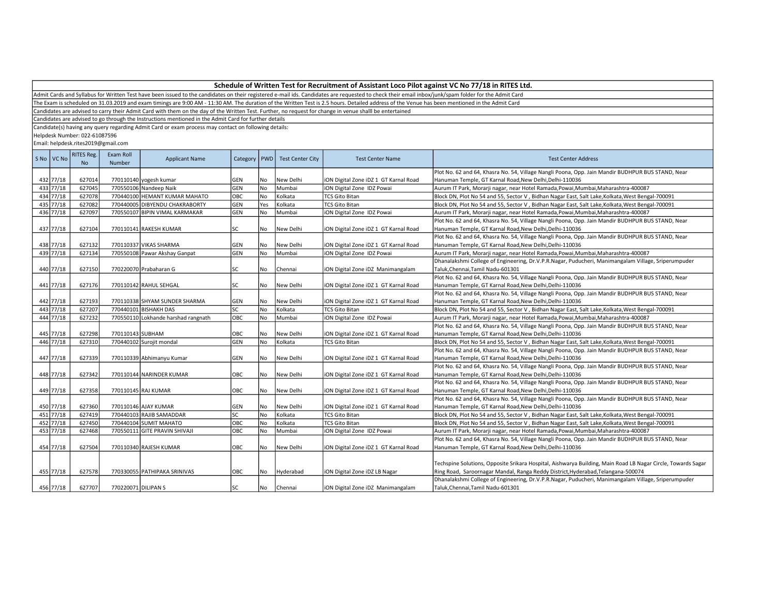Admit Cards and Syllabus for Written Test have been issued to the candidates on their registered e-mail ids. Candidates are requested to check their email inbox/junk/spam folder for the Admit Card

The Exam is scheduled on 31.03.2019 and exam timings are 9:00 AM - 11:30 AM. The duration of the Written Test is 2.5 hours. Detailed address of the Venue has been mentioned in the Admit Card

Candidates are advised to carry their Admit Card with them on the day of the Written Test. Further, no request for change in venue shalll be entertained

Candidates are advised to go through the Instructions mentioned in the Admit Card for further details

Candidate(s) having any query regarding Admit Card or exam process may contact on following details:

Helpdesk Number: 022-61087596

| S No   VC No | RITES Reg.<br><b>No</b> | Exam Roll<br>Number | <b>Applicant Name</b>               | Category   PWD |           | <b>Test Center City</b> | <b>Test Center Name</b>               | <b>Test Center Address</b>                                                                                   |
|--------------|-------------------------|---------------------|-------------------------------------|----------------|-----------|-------------------------|---------------------------------------|--------------------------------------------------------------------------------------------------------------|
|              |                         |                     |                                     |                |           |                         |                                       | Plot No. 62 and 64, Khasra No. 54, Village Nangli Poona, Opp. Jain Mandir BUDHPUR BUS STAND, Near            |
| 432 77/18    | 627014                  |                     | 770110140 yogesh kumar              | <b>GEN</b>     | No        | New Delhi               | iON Digital Zone iDZ 1 GT Karnal Road | Hanuman Temple, GT Karnal Road, New Delhi, Delhi-110036                                                      |
| 433 77/18    | 627045                  |                     | 770550106 Nandeep Naik              | GEN            | <b>No</b> | Mumbai                  | ION Digital Zone IDZ Powai            | Aurum IT Park, Morarji nagar, near Hotel Ramada, Powai, Mumbai, Maharashtra-400087                           |
| 434 77/18    | 627078                  |                     | 770440100 HEMANT KUMAR MAHATO       | OBC            | No        | Kolkata                 | <b>TCS Gito Bitan</b>                 | Block DN, Plot No 54 and 55, Sector V, Bidhan Nagar East, Salt Lake, Kolkata, West Bengal-700091             |
| 435 77/18    | 627082                  |                     | 770440005 DIBYENDU CHAKRABORTY      | GEN            | Yes       | Kolkata                 | <b>TCS Gito Bitan</b>                 | Block DN, Plot No 54 and 55, Sector V, Bidhan Nagar East, Salt Lake, Kolkata, West Bengal-700091             |
| 436 77/18    | 627097                  |                     | 770550107 BIPIN VIMAL KARMAKAR      | GEN            | <b>No</b> | Mumbai                  | ION Digital Zone IDZ Powai            | Aurum IT Park, Morarji nagar, near Hotel Ramada, Powai, Mumbai, Maharashtra-400087                           |
|              |                         |                     |                                     |                |           |                         |                                       | Plot No. 62 and 64, Khasra No. 54, Village Nangli Poona, Opp. Jain Mandir BUDHPUR BUS STAND, Near            |
| 437 77/18    | 627104                  |                     | 770110141 RAKESH KUMAR              | SC             | No        | New Delhi               | iON Digital Zone iDZ 1 GT Karnal Road | Hanuman Temple, GT Karnal Road, New Delhi, Delhi-110036                                                      |
|              |                         |                     |                                     |                |           |                         |                                       | Plot No. 62 and 64, Khasra No. 54, Village Nangli Poona, Opp. Jain Mandir BUDHPUR BUS STAND, Near            |
| 438 77/18    | 627132                  |                     | 770110337 VIKAS SHARMA              | GEN            | l No      | New Delhi               | ION Digital Zone IDZ 1 GT Karnal Road | Hanuman Temple, GT Karnal Road, New Delhi, Delhi-110036                                                      |
| 439 77/18    | 627134                  |                     | 770550108 Pawar Akshay Ganpat       | GEN            | l No      | Mumbai                  | iON Digital Zone IDZ Powai            | Aurum IT Park, Morarji nagar, near Hotel Ramada, Powai, Mumbai, Maharashtra-400087                           |
|              |                         |                     |                                     |                |           |                         |                                       | Dhanalakshmi College of Engineering, Dr.V.P.R.Nagar, Puducheri, Manimangalam Village, Sriperumpuder          |
| 440 77/18    | 627150                  |                     | 770220070 Prabaharan G              | SC             | No        | Chennai                 | ION Digital Zone IDZ Manimangalam     | Taluk, Chennai, Tamil Nadu-601301                                                                            |
|              |                         |                     |                                     |                |           |                         |                                       | Plot No. 62 and 64, Khasra No. 54, Village Nangli Poona, Opp. Jain Mandir BUDHPUR BUS STAND, Near            |
| 441 77/18    | 627176                  |                     | 770110142 RAHUL SEHGAL              | <b>SC</b>      | <b>No</b> | New Delhi               | ION Digital Zone IDZ 1 GT Karnal Road | Hanuman Temple, GT Karnal Road, New Delhi, Delhi-110036                                                      |
|              |                         |                     |                                     |                |           |                         |                                       | Plot No. 62 and 64, Khasra No. 54, Village Nangli Poona, Opp. Jain Mandir BUDHPUR BUS STAND, Near            |
| 442 77/18    | 627193                  |                     | 770110338 SHYAM SUNDER SHARMA       | <b>GEN</b>     | No        | New Delhi               | iON Digital Zone iDZ 1 GT Karnal Road | Hanuman Temple, GT Karnal Road, New Delhi, Delhi-110036                                                      |
| 443 77/18    | 627207                  |                     | 770440101 BISHAKH DAS               | lsc            | <b>No</b> | Kolkata                 | <b>TCS Gito Bitan</b>                 | Block DN, Plot No 54 and 55, Sector V, Bidhan Nagar East, Salt Lake, Kolkata, West Bengal-700091             |
| 444 77/18    | 627232                  |                     | 770550110 Lokhande harshad rangnath | Іовс           | l No      | Mumbai                  | iON Digital Zone IDZ Powai            | Aurum IT Park, Morarji nagar, near Hotel Ramada, Powai, Mumbai, Maharashtra-400087                           |
|              |                         |                     |                                     |                |           |                         |                                       | Plot No. 62 and 64, Khasra No. 54, Village Nangli Poona, Opp. Jain Mandir BUDHPUR BUS STAND, Near            |
| 445 77/18    | 627298                  | 770110143 SUBHAM    |                                     | OBC            | No        | New Delhi               | iON Digital Zone iDZ 1 GT Karnal Road | Hanuman Temple, GT Karnal Road, New Delhi, Delhi-110036                                                      |
| 446 77/18    | 627310                  |                     | 770440102 Surojit mondal            | GEN            | No        | Kolkata                 | <b>TCS Gito Bitan</b>                 | Block DN, Plot No 54 and 55, Sector V, Bidhan Nagar East, Salt Lake, Kolkata, West Bengal-700091             |
|              |                         |                     |                                     |                |           |                         |                                       | Plot No. 62 and 64, Khasra No. 54, Village Nangli Poona, Opp. Jain Mandir BUDHPUR BUS STAND, Near            |
| 447 77/18    | 627339                  |                     | 770110339 Abhimanyu Kumar           | <b>GEN</b>     | l No      | New Delhi               | ION Digital Zone IDZ 1 GT Karnal Road | Hanuman Temple, GT Karnal Road, New Delhi, Delhi-110036                                                      |
|              |                         |                     |                                     |                |           |                         |                                       | Plot No. 62 and 64, Khasra No. 54, Village Nangli Poona, Opp. Jain Mandir BUDHPUR BUS STAND, Near            |
| 448 77/18    | 627342                  |                     | 770110144 NARINDER KUMAR            | OBC            | <b>No</b> | New Delhi               | ION Digital Zone IDZ 1 GT Karnal Road | Hanuman Temple, GT Karnal Road, New Delhi, Delhi-110036                                                      |
|              |                         |                     |                                     |                |           |                         |                                       | Plot No. 62 and 64, Khasra No. 54, Village Nangli Poona, Opp. Jain Mandir BUDHPUR BUS STAND, Near            |
| 449 77/18    | 627358                  |                     | 770110145 RAJ KUMAR                 | OBC            | No        | New Delhi               | ION Digital Zone IDZ 1 GT Karnal Road | Hanuman Temple, GT Karnal Road, New Delhi, Delhi-110036                                                      |
|              |                         |                     |                                     |                |           |                         |                                       | Plot No. 62 and 64, Khasra No. 54, Village Nangli Poona, Opp. Jain Mandir BUDHPUR BUS STAND, Near            |
| 450 77/18    | 627360                  |                     | 770110146 AJAY KUMAR                | <b>GEN</b>     | l No      | New Delhi               | iON Digital Zone iDZ 1 GT Karnal Road | Hanuman Temple, GT Karnal Road, New Delhi, Delhi-110036                                                      |
| 451 77/18    | 627419                  |                     | 770440103 RAJIB SAMADDAR            | SC             | No        | Kolkata                 | <b>TCS Gito Bitan</b>                 | Block DN, Plot No 54 and 55, Sector V, Bidhan Nagar East, Salt Lake, Kolkata, West Bengal-700091             |
| 452 77/18    | 627450                  |                     | 770440104 SUMIT MAHATO              | OBC            | No        | Kolkata                 | <b>TCS Gito Bitan</b>                 | Block DN, Plot No 54 and 55, Sector V, Bidhan Nagar East, Salt Lake, Kolkata, West Bengal-700091             |
| 453 77/18    | 627468                  |                     | 770550111 GITE PRAVIN SHIVAJI       | OBC            | No        | Mumbai                  | iON Digital Zone IDZ Powai            | Aurum IT Park, Morarji nagar, near Hotel Ramada, Powai, Mumbai, Maharashtra-400087                           |
|              |                         |                     |                                     |                |           |                         |                                       | Plot No. 62 and 64, Khasra No. 54, Village Nangli Poona, Opp. Jain Mandir BUDHPUR BUS STAND, Near            |
| 454 77/18    | 627504                  |                     | 770110340 RAJESH KUMAR              | OBC            | l No      | New Delhi               | iON Digital Zone iDZ 1 GT Karnal Road | Hanuman Temple, GT Karnal Road, New Delhi, Delhi-110036                                                      |
|              |                         |                     |                                     |                |           |                         |                                       |                                                                                                              |
|              |                         |                     |                                     |                |           |                         |                                       | Techspine Solutions, Opposite Srikara Hospital, Aishwarya Building, Main Road LB Nagar Circle, Towards Sagar |
| 455 77/18    |                         |                     |                                     |                |           |                         |                                       |                                                                                                              |
|              | 627578                  |                     | 770330055 PATHIPAKA SRINIVAS        | OBC            | No        | Hyderabad               | ION Digital Zone IDZ LB Nagar         | Ring Road, Saroornagar Mandal, Ranga Reddy District, Hyderabad, Telangana-500074                             |
|              |                         |                     |                                     |                |           |                         |                                       | Dhanalakshmi College of Engineering, Dr.V.P.R.Nagar, Puducheri, Manimangalam Village, Sriperumpuder          |
| 456 77/18    | 627707                  | 770220071 DILIPAN S |                                     | lsc            | No        | Chennai                 | ION Digital Zone IDZ Manimangalam     | Taluk, Chennai, Tamil Nadu-601301                                                                            |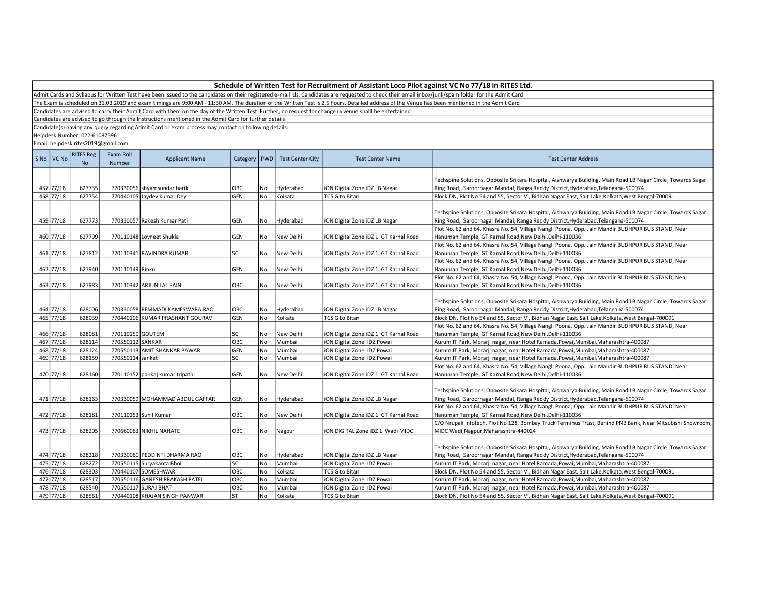Admit Cards and Syllabus for Written Test have been issued to the candidates on their registered e-mail ids. Candidates are requested to check their email inbox/junk/spam folder for the Admit Card

The Exam is scheduled on 31.03.2019 and exam timings are 9:00 AM - 11:30 AM. The duration of the Written Test is 2.5 hours. Detailed address of the Venue has been mentioned in the Admit Card

Candidates are advised to carry their Admit Card with them on the day of the Written Test. Further, no request for change in venue shalll be entertained

Candidates are advised to go through the Instructions mentioned in the Admit Card for further details

Candidate(s) having any query regarding Admit Card or exam process may contact on following details:

Helpdesk Number: 022-61087596

| Techspine Solutions, Opposite Srikara Hospital, Aishwarya Building, Main Road LB Nagar Circle, Towards Sagar<br>457 77/18<br>627735<br>770330056 shyamsundar barik<br>OBC<br>Hyderabad<br>ION Digital Zone IDZ LB Nagar<br>Ring Road, Saroornagar Mandal, Ranga Reddy District, Hyderabad, Telangana-500074<br>No<br>458 77/18<br>627754<br>770440105 Jaydev kumar Dey<br>No<br>Kolkata<br><b>GEN</b><br><b>TCS Gito Bitan</b><br>Block DN, Plot No 54 and 55, Sector V, Bidhan Nagar East, Salt Lake, Kolkata, West Bengal-700091<br>Techspine Solutions, Opposite Srikara Hospital, Aishwarya Building, Main Road LB Nagar Circle, Towards Sagar<br>459 77/18<br>627773<br>Ring Road, Saroornagar Mandal, Ranga Reddy District, Hyderabad, Telangana-500074<br>770330057 Rakesh Kumar Pati<br><b>GEN</b><br><b>No</b><br>Hyderabad<br>ION Digital Zone IDZ LB Nagar<br>Plot No. 62 and 64, Khasra No. 54, Village Nangli Poona, Opp. Jain Mandir BUDHPUR BUS STAND, Near<br>460 77/18<br>627799<br>Hanuman Temple, GT Karnal Road, New Delhi, Delhi-110036<br>770110148 Lovneet Shukla<br><b>GEN</b><br>No<br>New Delhi<br>iON Digital Zone iDZ 1 GT Karnal Road<br>Plot No. 62 and 64, Khasra No. 54, Village Nangli Poona, Opp. Jain Mandir BUDHPUR BUS STAND, Near<br>461 77/18<br>627812<br><b>No</b><br>New Delhi<br>Hanuman Temple, GT Karnal Road, New Delhi, Delhi-110036<br>770110341 RAVINDRA KUMAR<br>lsc<br>iON Digital Zone iDZ 1 GT Karnal Road |  |
|-----------------------------------------------------------------------------------------------------------------------------------------------------------------------------------------------------------------------------------------------------------------------------------------------------------------------------------------------------------------------------------------------------------------------------------------------------------------------------------------------------------------------------------------------------------------------------------------------------------------------------------------------------------------------------------------------------------------------------------------------------------------------------------------------------------------------------------------------------------------------------------------------------------------------------------------------------------------------------------------------------------------------------------------------------------------------------------------------------------------------------------------------------------------------------------------------------------------------------------------------------------------------------------------------------------------------------------------------------------------------------------------------------------------------------------------------------------------|--|
|                                                                                                                                                                                                                                                                                                                                                                                                                                                                                                                                                                                                                                                                                                                                                                                                                                                                                                                                                                                                                                                                                                                                                                                                                                                                                                                                                                                                                                                                 |  |
|                                                                                                                                                                                                                                                                                                                                                                                                                                                                                                                                                                                                                                                                                                                                                                                                                                                                                                                                                                                                                                                                                                                                                                                                                                                                                                                                                                                                                                                                 |  |
|                                                                                                                                                                                                                                                                                                                                                                                                                                                                                                                                                                                                                                                                                                                                                                                                                                                                                                                                                                                                                                                                                                                                                                                                                                                                                                                                                                                                                                                                 |  |
|                                                                                                                                                                                                                                                                                                                                                                                                                                                                                                                                                                                                                                                                                                                                                                                                                                                                                                                                                                                                                                                                                                                                                                                                                                                                                                                                                                                                                                                                 |  |
|                                                                                                                                                                                                                                                                                                                                                                                                                                                                                                                                                                                                                                                                                                                                                                                                                                                                                                                                                                                                                                                                                                                                                                                                                                                                                                                                                                                                                                                                 |  |
|                                                                                                                                                                                                                                                                                                                                                                                                                                                                                                                                                                                                                                                                                                                                                                                                                                                                                                                                                                                                                                                                                                                                                                                                                                                                                                                                                                                                                                                                 |  |
|                                                                                                                                                                                                                                                                                                                                                                                                                                                                                                                                                                                                                                                                                                                                                                                                                                                                                                                                                                                                                                                                                                                                                                                                                                                                                                                                                                                                                                                                 |  |
|                                                                                                                                                                                                                                                                                                                                                                                                                                                                                                                                                                                                                                                                                                                                                                                                                                                                                                                                                                                                                                                                                                                                                                                                                                                                                                                                                                                                                                                                 |  |
|                                                                                                                                                                                                                                                                                                                                                                                                                                                                                                                                                                                                                                                                                                                                                                                                                                                                                                                                                                                                                                                                                                                                                                                                                                                                                                                                                                                                                                                                 |  |
|                                                                                                                                                                                                                                                                                                                                                                                                                                                                                                                                                                                                                                                                                                                                                                                                                                                                                                                                                                                                                                                                                                                                                                                                                                                                                                                                                                                                                                                                 |  |
| Plot No. 62 and 64, Khasra No. 54, Village Nangli Poona, Opp. Jain Mandir BUDHPUR BUS STAND, Near                                                                                                                                                                                                                                                                                                                                                                                                                                                                                                                                                                                                                                                                                                                                                                                                                                                                                                                                                                                                                                                                                                                                                                                                                                                                                                                                                               |  |
| 462 77/18<br>627940<br>ION Digital Zone IDZ 1 GT Karnal Road<br>770110149 Rinku<br><b>GEN</b><br>No<br>New Delhi<br>Hanuman Temple, GT Karnal Road,New Delhi,Delhi-110036                                                                                                                                                                                                                                                                                                                                                                                                                                                                                                                                                                                                                                                                                                                                                                                                                                                                                                                                                                                                                                                                                                                                                                                                                                                                                       |  |
| Plot No. 62 and 64, Khasra No. 54, Village Nangli Poona, Opp. Jain Mandir BUDHPUR BUS STAND, Near                                                                                                                                                                                                                                                                                                                                                                                                                                                                                                                                                                                                                                                                                                                                                                                                                                                                                                                                                                                                                                                                                                                                                                                                                                                                                                                                                               |  |
| 463 77/18<br>627983<br>770110342 ARJUN LAL SAINI<br>OBC<br>No<br>New Delhi<br>Hanuman Temple, GT Karnal Road, New Delhi, Delhi-110036<br>iON Digital Zone iDZ 1 GT Karnal Road                                                                                                                                                                                                                                                                                                                                                                                                                                                                                                                                                                                                                                                                                                                                                                                                                                                                                                                                                                                                                                                                                                                                                                                                                                                                                  |  |
|                                                                                                                                                                                                                                                                                                                                                                                                                                                                                                                                                                                                                                                                                                                                                                                                                                                                                                                                                                                                                                                                                                                                                                                                                                                                                                                                                                                                                                                                 |  |
| Techspine Solutions, Opposite Srikara Hospital, Aishwarya Building, Main Road LB Nagar Circle, Towards Sagar                                                                                                                                                                                                                                                                                                                                                                                                                                                                                                                                                                                                                                                                                                                                                                                                                                                                                                                                                                                                                                                                                                                                                                                                                                                                                                                                                    |  |
| 464 77/18<br>628006<br>770330058 PEMMADI KAMESWARA RAO<br>OBC<br>Ring Road, Saroornagar Mandal, Ranga Reddy District, Hyderabad, Telangana-500074<br>No<br>Hyderabad<br>ION Digital Zone IDZ LB Nagar                                                                                                                                                                                                                                                                                                                                                                                                                                                                                                                                                                                                                                                                                                                                                                                                                                                                                                                                                                                                                                                                                                                                                                                                                                                           |  |
| 465 77/18<br>628039<br>GEN<br>No<br>Kolkata<br>Block DN, Plot No 54 and 55, Sector V, Bidhan Nagar East, Salt Lake, Kolkata, West Bengal-700091<br>770440106 KUMAR PRASHANT GOURAV<br><b>TCS Gito Bitan</b>                                                                                                                                                                                                                                                                                                                                                                                                                                                                                                                                                                                                                                                                                                                                                                                                                                                                                                                                                                                                                                                                                                                                                                                                                                                     |  |
| Plot No. 62 and 64, Khasra No. 54, Village Nangli Poona, Opp. Jain Mandir BUDHPUR BUS STAND, Near                                                                                                                                                                                                                                                                                                                                                                                                                                                                                                                                                                                                                                                                                                                                                                                                                                                                                                                                                                                                                                                                                                                                                                                                                                                                                                                                                               |  |
| 466 77/18<br>628081<br>770110150 GOUTEM<br>lsc<br>No<br>New Delhi<br>iON Digital Zone iDZ 1 GT Karnal Road<br>Hanuman Temple, GT Karnal Road, New Delhi, Delhi-110036                                                                                                                                                                                                                                                                                                                                                                                                                                                                                                                                                                                                                                                                                                                                                                                                                                                                                                                                                                                                                                                                                                                                                                                                                                                                                           |  |
| 467 77/18<br>628114<br>770550112 SANKAR<br>OBC<br>No<br>Mumbai<br>iON Digital Zone IDZ Powai<br>Aurum IT Park, Morarji nagar, near Hotel Ramada, Powai, Mumbai, Maharashtra-400087                                                                                                                                                                                                                                                                                                                                                                                                                                                                                                                                                                                                                                                                                                                                                                                                                                                                                                                                                                                                                                                                                                                                                                                                                                                                              |  |
| 468 77/18<br>628124<br>770550113 AMIT SHANKAR PAWAR<br>GEN<br>iON Digital Zone IDZ Powai<br><b>No</b><br>Mumbai<br>Aurum IT Park, Morarji nagar, near Hotel Ramada, Powai, Mumbai, Maharashtra-400087                                                                                                                                                                                                                                                                                                                                                                                                                                                                                                                                                                                                                                                                                                                                                                                                                                                                                                                                                                                                                                                                                                                                                                                                                                                           |  |
| 469 77/18<br>628159<br>770550114 sanket<br>lsc<br><b>No</b><br>Mumbai<br>iON Digital Zone IDZ Powai<br>Aurum IT Park, Morarji nagar, near Hotel Ramada, Powai, Mumbai, Maharashtra-400087                                                                                                                                                                                                                                                                                                                                                                                                                                                                                                                                                                                                                                                                                                                                                                                                                                                                                                                                                                                                                                                                                                                                                                                                                                                                       |  |
| Plot No. 62 and 64, Khasra No. 54, Village Nangli Poona, Opp. Jain Mandir BUDHPUR BUS STAND, Near                                                                                                                                                                                                                                                                                                                                                                                                                                                                                                                                                                                                                                                                                                                                                                                                                                                                                                                                                                                                                                                                                                                                                                                                                                                                                                                                                               |  |
| 470 77/18<br>628160<br>770110152 pankaj kumar tripathi<br><b>GEN</b><br>No<br>New Delhi<br>iON Digital Zone iDZ 1 GT Karnal Road<br>Hanuman Temple, GT Karnal Road, New Delhi, Delhi-110036                                                                                                                                                                                                                                                                                                                                                                                                                                                                                                                                                                                                                                                                                                                                                                                                                                                                                                                                                                                                                                                                                                                                                                                                                                                                     |  |
|                                                                                                                                                                                                                                                                                                                                                                                                                                                                                                                                                                                                                                                                                                                                                                                                                                                                                                                                                                                                                                                                                                                                                                                                                                                                                                                                                                                                                                                                 |  |
| Techspine Solutions, Opposite Srikara Hospital, Aishwarya Building, Main Road LB Nagar Circle, Towards Sagar                                                                                                                                                                                                                                                                                                                                                                                                                                                                                                                                                                                                                                                                                                                                                                                                                                                                                                                                                                                                                                                                                                                                                                                                                                                                                                                                                    |  |
| 471 77/18<br>628163<br>ION Digital Zone IDZ LB Nagar<br>Ring Road, Saroornagar Mandal, Ranga Reddy District, Hyderabad, Telangana-500074<br>770330059 MOHAMMAD ABDUL GAFFAR<br>GEN<br>No<br>Hyderabad                                                                                                                                                                                                                                                                                                                                                                                                                                                                                                                                                                                                                                                                                                                                                                                                                                                                                                                                                                                                                                                                                                                                                                                                                                                           |  |
| Plot No. 62 and 64, Khasra No. 54, Village Nangli Poona, Opp. Jain Mandir BUDHPUR BUS STAND, Near                                                                                                                                                                                                                                                                                                                                                                                                                                                                                                                                                                                                                                                                                                                                                                                                                                                                                                                                                                                                                                                                                                                                                                                                                                                                                                                                                               |  |
| 472 77/18<br>628181<br>OBC<br>770110153 Sunil Kumar<br>No<br>New Delhi<br>iON Digital Zone iDZ 1 GT Karnal Road<br>Hanuman Temple, GT Karnal Road, New Delhi, Delhi-110036                                                                                                                                                                                                                                                                                                                                                                                                                                                                                                                                                                                                                                                                                                                                                                                                                                                                                                                                                                                                                                                                                                                                                                                                                                                                                      |  |
| C/O Nrupali Infotech, Plot No 128, Bombay Truck Terminus Trust, Behind PNB Bank, Near Mitsubishi Showroom,                                                                                                                                                                                                                                                                                                                                                                                                                                                                                                                                                                                                                                                                                                                                                                                                                                                                                                                                                                                                                                                                                                                                                                                                                                                                                                                                                      |  |
| 473 77/18<br>628205<br>770660063 NIKHIL NAHATE<br>OBC<br>No<br>ION DIGITAL Zone IDZ 1 Wadi MIDC<br>MIDC Wadi, Nagpur, Maharashtra-440024<br>Nagpur                                                                                                                                                                                                                                                                                                                                                                                                                                                                                                                                                                                                                                                                                                                                                                                                                                                                                                                                                                                                                                                                                                                                                                                                                                                                                                              |  |
|                                                                                                                                                                                                                                                                                                                                                                                                                                                                                                                                                                                                                                                                                                                                                                                                                                                                                                                                                                                                                                                                                                                                                                                                                                                                                                                                                                                                                                                                 |  |
| Techspine Solutions, Opposite Srikara Hospital, Aishwarya Building, Main Road LB Nagar Circle, Towards Sagar<br>474 77/18<br>628218                                                                                                                                                                                                                                                                                                                                                                                                                                                                                                                                                                                                                                                                                                                                                                                                                                                                                                                                                                                                                                                                                                                                                                                                                                                                                                                             |  |
| 770330060 PEDDINTI DHARMA RAO<br>Ring Road, Saroornagar Mandal, Ranga Reddy District, Hyderabad, Telangana-500074<br>OBC<br>No<br>Hyderabad<br>ION Digital Zone IDZ LB Nagar<br>475 77/18<br>628272<br>lsc<br>No<br>770550115 Suryakanta Bhoi<br>Mumbai<br>iON Digital Zone IDZ Powai                                                                                                                                                                                                                                                                                                                                                                                                                                                                                                                                                                                                                                                                                                                                                                                                                                                                                                                                                                                                                                                                                                                                                                           |  |
| Aurum IT Park, Morarji nagar, near Hotel Ramada, Powai, Mumbai, Maharashtra-400087<br>476 77/18<br>628303<br>770440107 SOMESHWAR<br>Овс<br>No<br>Kolkata<br><b>TCS Gito Bitan</b><br>Block DN, Plot No 54 and 55, Sector V, Bidhan Nagar East, Salt Lake, Kolkata, West Bengal-700091                                                                                                                                                                                                                                                                                                                                                                                                                                                                                                                                                                                                                                                                                                                                                                                                                                                                                                                                                                                                                                                                                                                                                                           |  |
| 477 77/18<br>628517<br>770550116 GANESH PRAKASH PATEL<br>Овс<br>iON Digital Zone IDZ Powai<br>No<br>Mumbai<br>Aurum IT Park, Morarji nagar, near Hotel Ramada, Powai, Mumbai, Maharashtra-400087                                                                                                                                                                                                                                                                                                                                                                                                                                                                                                                                                                                                                                                                                                                                                                                                                                                                                                                                                                                                                                                                                                                                                                                                                                                                |  |
| 478 77/18<br>OBC<br>628540<br>770550117 SURAJ BHAT<br><b>No</b><br>Mumbai<br>iON Digital Zone IDZ Powai<br>Aurum IT Park, Morarji nagar, near Hotel Ramada, Powai, Mumbai, Maharashtra-400087                                                                                                                                                                                                                                                                                                                                                                                                                                                                                                                                                                                                                                                                                                                                                                                                                                                                                                                                                                                                                                                                                                                                                                                                                                                                   |  |
| 479 77/18<br>628561<br>lst<br><b>No</b><br>770440108 KHAJAN SINGH PANWAR<br>Kolkata<br><b>TCS Gito Bitan</b><br>Block DN, Plot No 54 and 55, Sector V, Bidhan Nagar East, Salt Lake, Kolkata, West Bengal-700091                                                                                                                                                                                                                                                                                                                                                                                                                                                                                                                                                                                                                                                                                                                                                                                                                                                                                                                                                                                                                                                                                                                                                                                                                                                |  |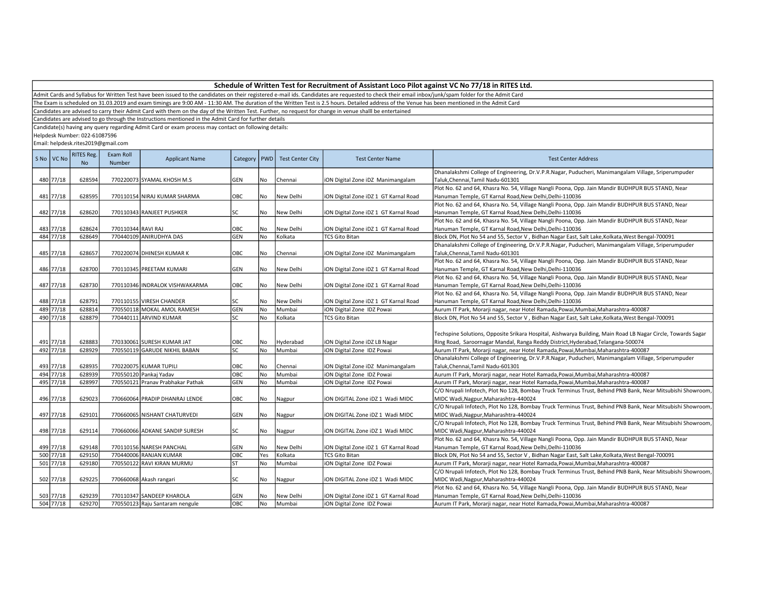Admit Cards and Syllabus for Written Test have been issued to the candidates on their registered e-mail ids. Candidates are requested to check their email inbox/junk/spam folder for the Admit Card

The Exam is scheduled on 31.03.2019 and exam timings are 9:00 AM - 11:30 AM. The duration of the Written Test is 2.5 hours. Detailed address of the Venue has been mentioned in the Admit Card

Candidates are advised to carry their Admit Card with them on the day of the Written Test. Further, no request for change in venue shalll be entertained

Candidates are advised to go through the Instructions mentioned in the Admit Card for further details

Candidate(s) having any query regarding Admit Card or exam process may contact on following details:

Helpdesk Number: 022-61087596

| S No VC No | <b>RITES Reg.</b><br><b>No</b> | Exam Roll<br>Number | <b>Applicant Name</b>             | Category   | PWD       | <b>Test Center City</b> | <b>Test Center Name</b>               | <b>Test Center Address</b>                                                                                                                                                                       |
|------------|--------------------------------|---------------------|-----------------------------------|------------|-----------|-------------------------|---------------------------------------|--------------------------------------------------------------------------------------------------------------------------------------------------------------------------------------------------|
| 480 77/18  | 628594                         |                     | 770220073 SYAMAL KHOSH M.S        | <b>GEN</b> | No        | Chennai                 | iON Digital Zone iDZ Manimangalam     | Dhanalakshmi College of Engineering, Dr.V.P.R.Nagar, Puducheri, Manimangalam Village, Sriperumpuder<br>Taluk, Chennai, Tamil Nadu-601301                                                         |
|            |                                |                     |                                   |            |           |                         |                                       | Plot No. 62 and 64, Khasra No. 54, Village Nangli Poona, Opp. Jain Mandir BUDHPUR BUS STAND, Near                                                                                                |
| 481 77/18  | 628595                         |                     | 770110154 NIRAJ KUMAR SHARMA      | OBC        | No        | New Delhi               | iON Digital Zone iDZ 1 GT Karnal Road | Hanuman Temple, GT Karnal Road, New Delhi, Delhi-110036                                                                                                                                          |
|            |                                |                     |                                   |            |           |                         |                                       | Plot No. 62 and 64, Khasra No. 54, Village Nangli Poona, Opp. Jain Mandir BUDHPUR BUS STAND, Near                                                                                                |
| 482 77/18  | 628620                         |                     | 770110343 RANJEET PUSHKER         | lsc        | No        | New Delhi               | iON Digital Zone iDZ 1 GT Karnal Road | Hanuman Temple, GT Karnal Road, New Delhi, Delhi-110036                                                                                                                                          |
|            |                                |                     |                                   |            |           |                         |                                       | Plot No. 62 and 64, Khasra No. 54, Village Nangli Poona, Opp. Jain Mandir BUDHPUR BUS STAND, Near                                                                                                |
| 483 77/18  | 628624                         | 770110344 RAVI RAJ  |                                   | OBC        | No        | New Delhi               | iON Digital Zone iDZ 1 GT Karnal Road | Hanuman Temple, GT Karnal Road, New Delhi, Delhi-110036                                                                                                                                          |
| 484 77/18  | 628649                         |                     | 770440109 ANIRUDHYA DAS           | <b>GEN</b> | <b>No</b> | Kolkata                 | <b>TCS Gito Bitan</b>                 | Block DN, Plot No 54 and 55, Sector V, Bidhan Nagar East, Salt Lake, Kolkata, West Bengal-700091                                                                                                 |
|            |                                |                     |                                   |            |           |                         |                                       | Dhanalakshmi College of Engineering, Dr.V.P.R.Nagar, Puducheri, Manimangalam Village, Sriperumpuder                                                                                              |
| 485 77/18  | 628657                         |                     | 770220074 DHINESH KUMAR K         | OBC        | No        | Chennai                 | iON Digital Zone iDZ Manimangalam     | Taluk, Chennai, Tamil Nadu-601301                                                                                                                                                                |
|            |                                |                     |                                   |            |           |                         |                                       | Plot No. 62 and 64, Khasra No. 54, Village Nangli Poona, Opp. Jain Mandir BUDHPUR BUS STAND, Near                                                                                                |
| 486 77/18  | 628700                         |                     | 770110345 PREETAM KUMARI          | <b>GEN</b> | No        | New Delhi               | ION Digital Zone IDZ 1 GT Karnal Road | Hanuman Temple, GT Karnal Road, New Delhi, Delhi-110036                                                                                                                                          |
|            |                                |                     |                                   |            |           |                         |                                       | Plot No. 62 and 64, Khasra No. 54, Village Nangli Poona, Opp. Jain Mandir BUDHPUR BUS STAND, Near                                                                                                |
| 487 77/18  | 628730                         |                     | 770110346 INDRALOK VISHWAKARMA    | <b>OBC</b> | No        | New Delhi               | iON Digital Zone iDZ 1 GT Karnal Road | Hanuman Temple, GT Karnal Road, New Delhi, Delhi-110036                                                                                                                                          |
|            |                                |                     |                                   |            |           |                         |                                       | Plot No. 62 and 64, Khasra No. 54, Village Nangli Poona, Opp. Jain Mandir BUDHPUR BUS STAND, Near                                                                                                |
| 488 77/18  | 628791                         |                     | 770110155 VIRESH CHANDER          | SC         | No        | New Delhi               | iON Digital Zone iDZ 1 GT Karnal Road | Hanuman Temple, GT Karnal Road, New Delhi, Delhi-110036                                                                                                                                          |
| 489 77/18  | 628814                         |                     | 770550118 MOKAL AMOL RAMESH       | GEN        | <b>No</b> | Mumbai                  | iON Digital Zone IDZ Powai            | Aurum IT Park, Morarji nagar, near Hotel Ramada, Powai, Mumbai, Maharashtra-400087                                                                                                               |
| 490 77/18  | 628879                         |                     | 770440111 ARVIND KUMAR            | <b>SC</b>  | No        | Kolkata                 | <b>TCS Gito Bitan</b>                 | Block DN, Plot No 54 and 55, Sector V, Bidhan Nagar East, Salt Lake, Kolkata, West Bengal-700091                                                                                                 |
| 491 77/18  | 628883                         |                     | 770330061 SURESH KUMAR JAT        | OBC        | No        | Hyderabad               | iON Digital Zone iDZ LB Nagar         | Techspine Solutions, Opposite Srikara Hospital, Aishwarya Building, Main Road LB Nagar Circle, Towards Sagar<br>Ring Road, Saroornagar Mandal, Ranga Reddy District, Hyderabad, Telangana-500074 |
| 492 77/18  | 628929                         |                     | 770550119 GARUDE NIKHIL BABAN     | lsc        | No        | Mumbai                  | iON Digital Zone IDZ Powai            | Aurum IT Park, Morarji nagar, near Hotel Ramada, Powai, Mumbai, Maharashtra-400087                                                                                                               |
|            |                                |                     |                                   |            |           |                         |                                       | Dhanalakshmi College of Engineering, Dr.V.P.R.Nagar, Puducheri, Manimangalam Village, Sriperumpuder                                                                                              |
| 493 77/18  | 628935                         |                     | 770220075 KUMAR TUPILI            | OBC        | No        | Chennai                 | iON Digital Zone iDZ Manimangalam     | Taluk, Chennai, Tamil Nadu-601301                                                                                                                                                                |
| 494 77/18  | 628939                         |                     | 770550120 Pankaj Yadav            | ОВС        | No        | Mumbai                  | iON Digital Zone IDZ Powai            | Aurum IT Park, Morarji nagar, near Hotel Ramada, Powai, Mumbai, Maharashtra-400087                                                                                                               |
| 495 77/18  | 628997                         |                     | 770550121 Pranav Prabhakar Pathak | <b>GEN</b> | <b>No</b> | Mumbai                  | iON Digital Zone IDZ Powai            | Aurum IT Park, Morarji nagar, near Hotel Ramada, Powai, Mumbai, Maharashtra-400087                                                                                                               |
|            |                                |                     |                                   |            |           |                         |                                       | C/O Nrupali Infotech, Plot No 128, Bombay Truck Terminus Trust, Behind PNB Bank, Near Mitsubishi Showroom,                                                                                       |
| 496 77/18  | 629023                         |                     | 770660064 PRADIP DHANRAJ LENDE    | OBC        | No        | Nagpur                  | iON DIGITAL Zone iDZ 1 Wadi MIDC      | MIDC Wadi, Nagpur, Maharashtra-440024                                                                                                                                                            |
|            |                                |                     |                                   |            |           |                         |                                       | C/O Nrupali Infotech, Plot No 128, Bombay Truck Terminus Trust, Behind PNB Bank, Near Mitsubishi Showroom,                                                                                       |
| 497 77/18  | 629101                         |                     | 770660065 NISHANT CHATURVEDI      | GEN        | No        | Nagpur                  | ION DIGITAL Zone IDZ 1 Wadi MIDC      | MIDC Wadi, Nagpur, Maharashtra-440024                                                                                                                                                            |
|            |                                |                     |                                   |            |           |                         |                                       | C/O Nrupali Infotech, Plot No 128, Bombay Truck Terminus Trust, Behind PNB Bank, Near Mitsubishi Showroom,                                                                                       |
| 498 77/18  | 629114                         |                     | 770660066 ADKANE SANDIP SURESH    | SC         | No        | Nagpur                  | iON DIGITAL Zone iDZ 1 Wadi MIDC      | MIDC Wadi, Nagpur, Maharashtra-440024                                                                                                                                                            |
|            |                                |                     |                                   |            |           |                         |                                       | Plot No. 62 and 64, Khasra No. 54, Village Nangli Poona, Opp. Jain Mandir BUDHPUR BUS STAND, Near                                                                                                |
| 499 77/18  | 629148                         |                     | 770110156 NARESH PANCHAL          | <b>GEN</b> | No        | New Delhi               | iON Digital Zone iDZ 1 GT Karnal Road | Hanuman Temple, GT Karnal Road, New Delhi, Delhi-110036                                                                                                                                          |
| 500 77/18  | 629150                         |                     | 770440006 RANJAN KUMAR            | OBC        | Yes       | Kolkata                 | <b>TCS Gito Bitan</b>                 | Block DN, Plot No 54 and 55, Sector V, Bidhan Nagar East, Salt Lake, Kolkata, West Bengal-700091                                                                                                 |
| 501 77/18  | 629180                         |                     | 770550122 RAVI KIRAN MURMU        | <b>ST</b>  | No        | Mumbai                  | iON Digital Zone IDZ Powai            | Aurum IT Park, Morarji nagar, near Hotel Ramada, Powai, Mumbai, Maharashtra-400087                                                                                                               |
|            |                                |                     |                                   |            |           |                         |                                       | C/O Nrupali Infotech, Plot No 128, Bombay Truck Terminus Trust, Behind PNB Bank, Near Mitsubishi Showroom,                                                                                       |
| 502 77/18  | 629225                         |                     | 770660068 Akash rangari           | SC         | No        | Nagpur                  | iON DIGITAL Zone iDZ 1 Wadi MIDC      | MIDC Wadi, Nagpur, Maharashtra-440024                                                                                                                                                            |
|            |                                |                     |                                   |            |           |                         |                                       | Plot No. 62 and 64, Khasra No. 54, Village Nangli Poona, Opp. Jain Mandir BUDHPUR BUS STAND, Near                                                                                                |
| 503 77/18  | 629239                         |                     | 770110347 SANDEEP KHAROLA         | <b>GEN</b> | No        | New Delhi               | iON Digital Zone iDZ 1 GT Karnal Road | Hanuman Temple, GT Karnal Road, New Delhi, Delhi-110036                                                                                                                                          |
| 504 77/18  | 629270                         |                     | 770550123 Raju Santaram nengule   | ОВС        | <b>No</b> | Mumbai                  | iON Digital Zone IDZ Powai            | Aurum IT Park, Morarji nagar, near Hotel Ramada, Powai, Mumbai, Maharashtra-400087                                                                                                               |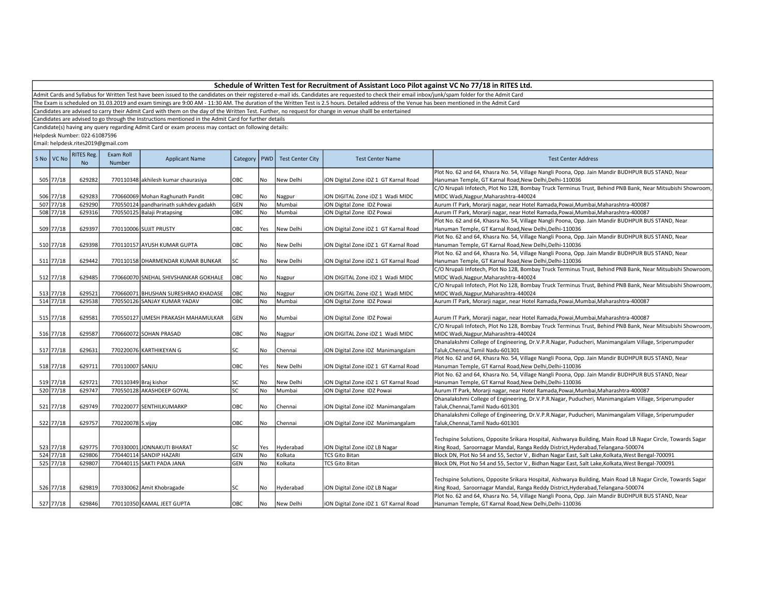Admit Cards and Syllabus for Written Test have been issued to the candidates on their registered e-mail ids. Candidates are requested to check their email inbox/junk/spam folder for the Admit Card

The Exam is scheduled on 31.03.2019 and exam timings are 9:00 AM - 11:30 AM. The duration of the Written Test is 2.5 hours. Detailed address of the Venue has been mentioned in the Admit Card

Candidates are advised to carry their Admit Card with them on the day of the Written Test. Further, no request for change in venue shalll be entertained

Candidates are advised to go through the Instructions mentioned in the Admit Card for further details

Candidate(s) having any query regarding Admit Card or exam process may contact on following details:

Helpdesk Number: 022-61087596

| S No VC No | <b>RITES Reg.</b><br><b>No</b> | Exam Roll<br>Number   | <b>Applicant Name</b>                 | Category   PWD |           | <b>Test Center City</b> | <b>Test Center Name</b>               | <b>Test Center Address</b>                                                                                   |
|------------|--------------------------------|-----------------------|---------------------------------------|----------------|-----------|-------------------------|---------------------------------------|--------------------------------------------------------------------------------------------------------------|
|            |                                |                       |                                       |                |           |                         |                                       | Plot No. 62 and 64, Khasra No. 54, Village Nangli Poona, Opp. Jain Mandir BUDHPUR BUS STAND, Near            |
| 505 77/18  | 629282                         |                       | 770110348 akhilesh kumar chaurasiya   | OBC            | No        | New Delhi               | iON Digital Zone iDZ 1 GT Karnal Road | Hanuman Temple, GT Karnal Road, New Delhi, Delhi-110036                                                      |
|            |                                |                       |                                       |                |           |                         |                                       | C/O Nrupali Infotech, Plot No 128, Bombay Truck Terminus Trust, Behind PNB Bank, Near Mitsubishi Showroom,   |
| 506 77/18  | 629283                         |                       | 770660069 Mohan Raghunath Pandit      | OBC            | No        | Nagpur                  | iON DIGITAL Zone iDZ 1 Wadi MIDC      | MIDC Wadi, Nagpur, Maharashtra-440024                                                                        |
| 507 77/18  | 629290                         |                       | 770550124 pandharinath sukhdev gadakh | GEN            | No        | Mumbai                  | iON Digital Zone IDZ Powai            | Aurum IT Park, Morarji nagar, near Hotel Ramada, Powai, Mumbai, Maharashtra-400087                           |
| 508 77/18  | 629316                         |                       | 770550125 Balaji Pratapsing           | OBC            | <b>No</b> | Mumbai                  | iON Digital Zone IDZ Powai            | Aurum IT Park, Morarji nagar, near Hotel Ramada, Powai, Mumbai, Maharashtra-400087                           |
|            |                                |                       |                                       |                |           |                         |                                       | Plot No. 62 and 64, Khasra No. 54, Village Nangli Poona, Opp. Jain Mandir BUDHPUR BUS STAND, Near            |
| 509 77/18  | 629397                         |                       | 770110006 SUJIT PRUSTY                | OBC            | Yes       | New Delhi               | iON Digital Zone iDZ 1 GT Karnal Road | Hanuman Temple, GT Karnal Road, New Delhi, Delhi-110036                                                      |
|            |                                |                       |                                       |                |           |                         |                                       | Plot No. 62 and 64, Khasra No. 54, Village Nangli Poona, Opp. Jain Mandir BUDHPUR BUS STAND, Near            |
| 510 77/18  | 629398                         |                       | 770110157 AYUSH KUMAR GUPTA           | OBC            | No        | New Delhi               | iON Digital Zone iDZ 1 GT Karnal Road | Hanuman Temple, GT Karnal Road, New Delhi, Delhi-110036                                                      |
|            |                                |                       |                                       |                |           |                         |                                       | Plot No. 62 and 64, Khasra No. 54, Village Nangli Poona, Opp. Jain Mandir BUDHPUR BUS STAND, Near            |
| 511 77/18  | 629442                         |                       | 770110158 DHARMENDAR KUMAR BUNKAR     | lsc            | No        | New Delhi               | iON Digital Zone iDZ 1 GT Karnal Road | Hanuman Temple, GT Karnal Road, New Delhi, Delhi-110036                                                      |
|            |                                |                       |                                       |                |           |                         |                                       | C/O Nrupali Infotech, Plot No 128, Bombay Truck Terminus Trust, Behind PNB Bank, Near Mitsubishi Showroom,   |
| 512 77/18  | 629485                         |                       | 770660070 SNEHAL SHIVSHANKAR GOKHALE  | Іовс           | No        | Nagpur                  | ION DIGITAL Zone IDZ 1 Wadi MIDC      | MIDC Wadi, Nagpur, Maharashtra-440024                                                                        |
|            |                                |                       |                                       |                |           |                         |                                       | C/O Nrupali Infotech, Plot No 128, Bombay Truck Terminus Trust, Behind PNB Bank, Near Mitsubishi Showroom,   |
| 513 77/18  | 629521                         |                       | 770660071 BHUSHAN SURESHRAO KHADASE   | OBC            | No        | Nagpur                  | iON DIGITAL Zone iDZ 1 Wadi MIDC      | MIDC Wadi, Nagpur, Maharashtra-440024                                                                        |
| 514 77/18  | 629538                         |                       | 770550126 SANJAY KUMAR YADAV          | Овс            | No        | Mumbai                  | iON Digital Zone IDZ Powai            | Aurum IT Park, Morarji nagar, near Hotel Ramada, Powai, Mumbai, Maharashtra-400087                           |
|            |                                |                       |                                       |                |           |                         |                                       |                                                                                                              |
| 515 77/18  | 629581                         |                       | 770550127 UMESH PRAKASH MAHAMULKAR    | GEN            | No        | Mumbai                  | iON Digital Zone IDZ Powai            | Aurum IT Park, Morarji nagar, near Hotel Ramada, Powai, Mumbai, Maharashtra-400087                           |
|            |                                |                       |                                       |                |           |                         |                                       | C/O Nrupali Infotech, Plot No 128, Bombay Truck Terminus Trust, Behind PNB Bank, Near Mitsubishi Showroom,   |
| 516 77/18  | 629587                         |                       | 770660072 SOHAN PRASAD                | OBC            | No        | Nagpur                  | iON DIGITAL Zone iDZ 1 Wadi MIDC      | MIDC Wadi, Nagpur, Maharashtra-440024                                                                        |
|            |                                |                       |                                       |                |           |                         |                                       | Dhanalakshmi College of Engineering, Dr.V.P.R.Nagar, Puducheri, Manimangalam Village, Sriperumpuder          |
| 517 77/18  | 629631                         |                       | 770220076 KARTHIKEYAN G               | SC             | No        | Chennai                 | iON Digital Zone iDZ Manimangalam     | Taluk, Chennai, Tamil Nadu-601301                                                                            |
|            |                                |                       |                                       |                |           |                         |                                       | Plot No. 62 and 64, Khasra No. 54, Village Nangli Poona, Opp. Jain Mandir BUDHPUR BUS STAND, Near            |
| 518 77/18  | 629711                         | 770110007 SANJU       |                                       | OBC            | Yes       | New Delhi               | iON Digital Zone iDZ 1 GT Karnal Road | Hanuman Temple, GT Karnal Road, New Delhi, Delhi-110036                                                      |
|            |                                |                       |                                       |                |           |                         |                                       | Plot No. 62 and 64, Khasra No. 54, Village Nangli Poona, Opp. Jain Mandir BUDHPUR BUS STAND, Near            |
| 519 77/18  | 629721                         | 770110349 Braj kishor |                                       | SC             | No        | New Delhi               | iON Digital Zone iDZ 1 GT Karnal Road | Hanuman Temple, GT Karnal Road, New Delhi, Delhi-110036                                                      |
| 520 77/18  | 629747                         |                       | 770550128 AKASHDEEP GOYAL             | SC             | <b>No</b> | Mumbai                  | iON Digital Zone IDZ Powai            | Aurum IT Park, Morarji nagar, near Hotel Ramada, Powai, Mumbai, Maharashtra-400087                           |
|            |                                |                       |                                       |                |           |                         |                                       | Dhanalakshmi College of Engineering, Dr.V.P.R.Nagar, Puducheri, Manimangalam Village, Sriperumpuder          |
| 521 77/18  | 629749                         |                       | 770220077 SENTHILKUMARKP              | OBC            | No        | Chennai                 | iON Digital Zone iDZ Manimangalam     | Taluk, Chennai, Tamil Nadu-601301                                                                            |
|            |                                |                       |                                       |                |           |                         |                                       | Dhanalakshmi College of Engineering, Dr.V.P.R.Nagar, Puducheri, Manimangalam Village, Sriperumpuder          |
| 522 77/18  | 629757                         | 770220078 S.vijay     |                                       | OBC            | No        | Chennai                 | iON Digital Zone iDZ Manimangalam     | Taluk, Chennai, Tamil Nadu-601301                                                                            |
|            |                                |                       |                                       |                |           |                         |                                       |                                                                                                              |
|            |                                |                       |                                       |                |           |                         |                                       | Techspine Solutions, Opposite Srikara Hospital, Aishwarya Building, Main Road LB Nagar Circle, Towards Sagar |
| 523 77/18  | 629775                         |                       | 770330001 JONNAKUTI BHARAT            | SC             | Yes       | Hyderabad               | iON Digital Zone iDZ LB Nagar         | Ring Road, Saroornagar Mandal, Ranga Reddy District, Hyderabad, Telangana-500074                             |
| 524 77/18  | 629806                         |                       | 770440114 SANDIP HAZARI               | GEN            | No        | Kolkata                 | <b>TCS Gito Bitan</b>                 | Block DN, Plot No 54 and 55, Sector V, Bidhan Nagar East, Salt Lake, Kolkata, West Bengal-700091             |
| 525 77/18  | 629807                         |                       | 770440115 SAKTI PADA JANA             | <b>GEN</b>     | <b>No</b> | Kolkata                 | <b>TCS Gito Bitan</b>                 | Block DN, Plot No 54 and 55, Sector V, Bidhan Nagar East, Salt Lake, Kolkata, West Bengal-700091             |
|            |                                |                       |                                       |                |           |                         |                                       |                                                                                                              |
|            |                                |                       |                                       |                |           |                         |                                       | Techspine Solutions, Opposite Srikara Hospital, Aishwarya Building, Main Road LB Nagar Circle, Towards Sagar |
| 526 77/18  | 629819                         |                       | 770330062 Amit Khobragade             | SC             | No        | Hyderabad               | iON Digital Zone iDZ LB Nagar         | Ring Road, Saroornagar Mandal, Ranga Reddy District, Hyderabad, Telangana-500074                             |
|            |                                |                       |                                       |                |           |                         |                                       | Plot No. 62 and 64, Khasra No. 54, Village Nangli Poona, Opp. Jain Mandir BUDHPUR BUS STAND, Near            |
| 527 77/18  | 629846                         |                       | 770110350 KAMAL JEET GUPTA            | OBC            | l No      | New Delhi               | iON Digital Zone iDZ 1 GT Karnal Road | Hanuman Temple, GT Karnal Road, New Delhi, Delhi-110036                                                      |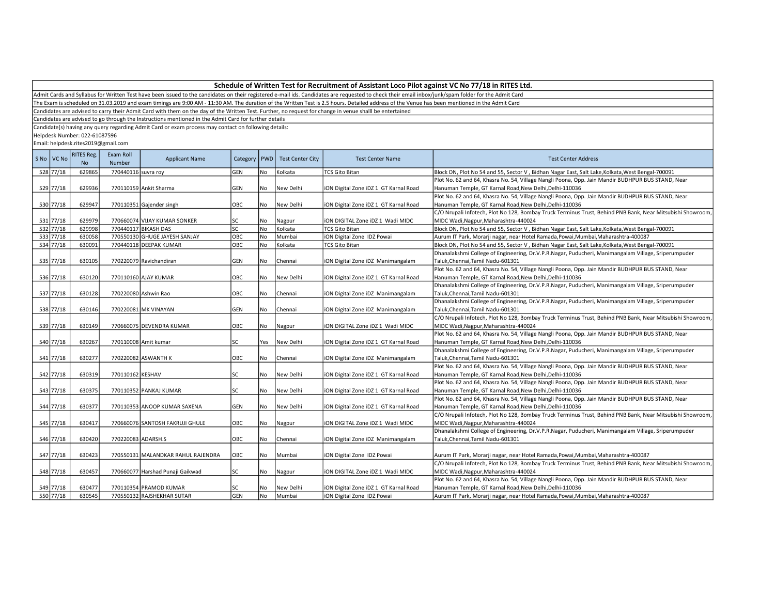Admit Cards and Syllabus for Written Test have been issued to the candidates on their registered e-mail ids. Candidates are requested to check their email inbox/junk/spam folder for the Admit Card

The Exam is scheduled on 31.03.2019 and exam timings are 9:00 AM - 11:30 AM. The duration of the Written Test is 2.5 hours. Detailed address of the Venue has been mentioned in the Admit Card

Candidates are advised to carry their Admit Card with them on the day of the Written Test. Further, no request for change in venue shalll be entertained

Candidates are advised to go through the Instructions mentioned in the Admit Card for further details

Candidate(s) having any query regarding Admit Card or exam process may contact on following details:

Helpdesk Number: 022-61087596

| S No   VC No | <b>RITES Reg.</b><br><b>No</b> | Exam Roll<br>Number | <b>Applicant Name</b>              | Category | <b>PWD</b> | <b>Test Center City</b> | <b>Test Center Name</b>               | <b>Test Center Address</b>                                                                                 |
|--------------|--------------------------------|---------------------|------------------------------------|----------|------------|-------------------------|---------------------------------------|------------------------------------------------------------------------------------------------------------|
| 528 77/18    | 629865                         | 770440116 suvra roy |                                    | GEN      | No         | Kolkata                 | <b>TCS Gito Bitan</b>                 | Block DN, Plot No 54 and 55, Sector V, Bidhan Nagar East, Salt Lake, Kolkata, West Bengal-700091           |
|              |                                |                     |                                    |          |            |                         |                                       | Plot No. 62 and 64, Khasra No. 54, Village Nangli Poona, Opp. Jain Mandir BUDHPUR BUS STAND, Near          |
| 529 77/18    | 629936                         |                     | 770110159 Ankit Sharma             | GEN      | l No       | New Delhi               | ION Digital Zone IDZ 1 GT Karnal Road | Hanuman Temple, GT Karnal Road, New Delhi, Delhi-110036                                                    |
|              |                                |                     |                                    |          |            |                         |                                       | Plot No. 62 and 64, Khasra No. 54, Village Nangli Poona, Opp. Jain Mandir BUDHPUR BUS STAND, Near          |
| 530 77/18    | 629947                         |                     | 770110351 Gajender singh           | OBC      | l No       | New Delhi               | iON Digital Zone iDZ 1 GT Karnal Road | Hanuman Temple, GT Karnal Road, New Delhi, Delhi-110036                                                    |
|              |                                |                     |                                    |          |            |                         |                                       | C/O Nrupali Infotech, Plot No 128, Bombay Truck Terminus Trust, Behind PNB Bank, Near Mitsubishi Showroom, |
| 531 77/18    | 629979                         |                     | 770660074 VIJAY KUMAR SONKER       | SC       | No         | Nagpur                  | ION DIGITAL Zone IDZ 1 Wadi MIDC      | MIDC Wadi, Nagpur, Maharashtra-440024                                                                      |
| 532 77/18    | 629998                         |                     | 770440117 BIKASH DAS               | SC.      | No         | Kolkata                 | <b>TCS Gito Bitan</b>                 | Block DN, Plot No 54 and 55, Sector V, Bidhan Nagar East, Salt Lake, Kolkata, West Bengal-700091           |
| 533 77/18    | 630058                         |                     | 770550130 GHUGE JAYESH SANJAY      | ОВС      | No         | Mumbai                  | iON Digital Zone IDZ Powai            | Aurum IT Park, Morarji nagar, near Hotel Ramada, Powai, Mumbai, Maharashtra-400087                         |
| 534 77/18    | 630091                         |                     | 770440118 DEEPAK KUMAR             | OBC      | No         | Kolkata                 | <b>TCS Gito Bitan</b>                 | Block DN, Plot No 54 and 55, Sector V, Bidhan Nagar East, Salt Lake, Kolkata, West Bengal-700091           |
|              |                                |                     |                                    |          |            |                         |                                       | Dhanalakshmi College of Engineering, Dr.V.P.R.Nagar, Puducheri, Manimangalam Village, Sriperumpuder        |
| 535 77/18    | 630105                         |                     | 770220079 Ravichandiran            | GEN      | l No       | Chennai                 | iON Digital Zone iDZ Manimangalam     | Taluk, Chennai, Tamil Nadu-601301                                                                          |
|              |                                |                     |                                    |          |            |                         |                                       | Plot No. 62 and 64, Khasra No. 54, Village Nangli Poona, Opp. Jain Mandir BUDHPUR BUS STAND, Near          |
| 536 77/18    | 630120                         |                     | 770110160 AJAY KUMAR               | OBC      | No         | New Delhi               | iON Digital Zone iDZ 1 GT Karnal Road | Hanuman Temple, GT Karnal Road, New Delhi, Delhi-110036                                                    |
|              |                                |                     |                                    |          |            |                         |                                       | Dhanalakshmi College of Engineering, Dr.V.P.R.Nagar, Puducheri, Manimangalam Village, Sriperumpuder        |
| 537 77/18    | 630128                         |                     | 770220080 Ashwin Rao               | OBC      | No         | Chennai                 | ION Digital Zone IDZ Manimangalam     | Taluk, Chennai, Tamil Nadu-601301                                                                          |
|              |                                |                     |                                    |          |            |                         |                                       | Dhanalakshmi College of Engineering, Dr.V.P.R.Nagar, Puducheri, Manimangalam Village, Sriperumpuder        |
| 538 77/18    | 630146                         |                     | 770220081 MK VINAYAN               | GEN      | No         | Chennai                 | iON Digital Zone iDZ Manimangalam     | Taluk, Chennai, Tamil Nadu-601301                                                                          |
|              |                                |                     |                                    |          |            |                         |                                       | C/O Nrupali Infotech, Plot No 128, Bombay Truck Terminus Trust, Behind PNB Bank, Near Mitsubishi Showroom, |
| 539 77/18    | 630149                         |                     | 770660075 DEVENDRA KUMAR           | OBC      | No         | Nagpur                  | ION DIGITAL Zone IDZ 1 Wadi MIDC      | MIDC Wadi, Nagpur, Maharashtra-440024                                                                      |
|              |                                |                     |                                    |          |            |                         |                                       | Plot No. 62 and 64, Khasra No. 54, Village Nangli Poona, Opp. Jain Mandir BUDHPUR BUS STAND, Near          |
| 540 77/18    | 630267                         |                     | 770110008 Amit kumar               | SC       | Yes        | New Delhi               | iON Digital Zone iDZ 1 GT Karnal Road | Hanuman Temple, GT Karnal Road, New Delhi, Delhi-110036                                                    |
|              |                                |                     |                                    |          |            |                         |                                       | Dhanalakshmi College of Engineering, Dr.V.P.R.Nagar, Puducheri, Manimangalam Village, Sriperumpuder        |
| 541 77/18    | 630277                         |                     | 770220082 ASWANTH K                | OBC      | No         | Chennai                 | ION Digital Zone IDZ Manimangalam     | Taluk, Chennai, Tamil Nadu-601301                                                                          |
|              |                                |                     |                                    |          |            |                         |                                       | Plot No. 62 and 64, Khasra No. 54, Village Nangli Poona, Opp. Jain Mandir BUDHPUR BUS STAND, Near          |
| 542 77/18    | 630319                         | 770110162 KESHAV    |                                    | SC       | No         | New Delhi               | iON Digital Zone iDZ 1 GT Karnal Road | Hanuman Temple, GT Karnal Road, New Delhi, Delhi-110036                                                    |
|              |                                |                     |                                    |          |            |                         |                                       | Plot No. 62 and 64, Khasra No. 54, Village Nangli Poona, Opp. Jain Mandir BUDHPUR BUS STAND, Near          |
| 543 77/18    | 630375                         |                     | 770110352 PANKAJ KUMAR             | SC       | l No       | New Delhi               | iON Digital Zone iDZ 1 GT Karnal Road | Hanuman Temple, GT Karnal Road, New Delhi, Delhi-110036                                                    |
|              |                                |                     |                                    |          |            |                         |                                       | Plot No. 62 and 64, Khasra No. 54, Village Nangli Poona, Opp. Jain Mandir BUDHPUR BUS STAND, Near          |
| 544 77/18    | 630377                         |                     | 770110353 ANOOP KUMAR SAXENA       | GEN      | No         | New Delhi               | iON Digital Zone iDZ 1 GT Karnal Road | Hanuman Temple, GT Karnal Road, New Delhi, Delhi-110036                                                    |
|              |                                |                     |                                    |          |            |                         |                                       | C/O Nrupali Infotech, Plot No 128, Bombay Truck Terminus Trust, Behind PNB Bank, Near Mitsubishi Showroom, |
| 545 77/18    | 630417                         |                     | 770660076 SANTOSH FAKRUJI GHULE    | OBC      | No         | Nagpur                  | ION DIGITAL Zone IDZ 1 Wadi MIDC      | MIDC Wadi, Nagpur, Maharashtra-440024                                                                      |
|              |                                |                     |                                    |          |            |                         |                                       | Dhanalakshmi College of Engineering, Dr.V.P.R.Nagar, Puducheri, Manimangalam Village, Sriperumpuder        |
| 546 77/18    | 630420                         | 770220083 ADARSH.S  |                                    | OBC      | No         | Chennai                 | iON Digital Zone iDZ Manimangalam     | Taluk, Chennai, Tamil Nadu-601301                                                                          |
|              |                                |                     |                                    |          |            |                         |                                       |                                                                                                            |
| 547 77/18    | 630423                         |                     | 770550131 MALANDKAR RAHUL RAJENDRA | ОВС      | No         | Mumbai                  | iON Digital Zone IDZ Powai            | Aurum IT Park, Morarji nagar, near Hotel Ramada, Powai, Mumbai, Maharashtra-400087                         |
|              |                                |                     |                                    |          |            |                         |                                       | C/O Nrupali Infotech, Plot No 128, Bombay Truck Terminus Trust, Behind PNB Bank, Near Mitsubishi Showroom, |
| 548 77/18    | 630457                         |                     | 770660077 Harshad Punaji Gaikwad   | SC       | No         | Nagpur                  | ION DIGITAL Zone IDZ 1 Wadi MIDC      | MIDC Wadi, Nagpur, Maharashtra-440024                                                                      |
|              |                                |                     |                                    |          |            |                         |                                       | Plot No. 62 and 64, Khasra No. 54, Village Nangli Poona, Opp. Jain Mandir BUDHPUR BUS STAND, Near          |
| 549 77/18    | 630477                         |                     | 770110354 PRAMOD KUMAR             | SC       | No         | New Delhi               | iON Digital Zone iDZ 1 GT Karnal Road | Hanuman Temple, GT Karnal Road, New Delhi, Delhi-110036                                                    |
| 550 77/18    | 630545                         |                     | 770550132 RAJSHEKHAR SUTAR         | GEN      | No         | Mumbai                  | ION Digital Zone IDZ Powai            | Aurum IT Park, Morarji nagar, near Hotel Ramada, Powai, Mumbai, Maharashtra-400087                         |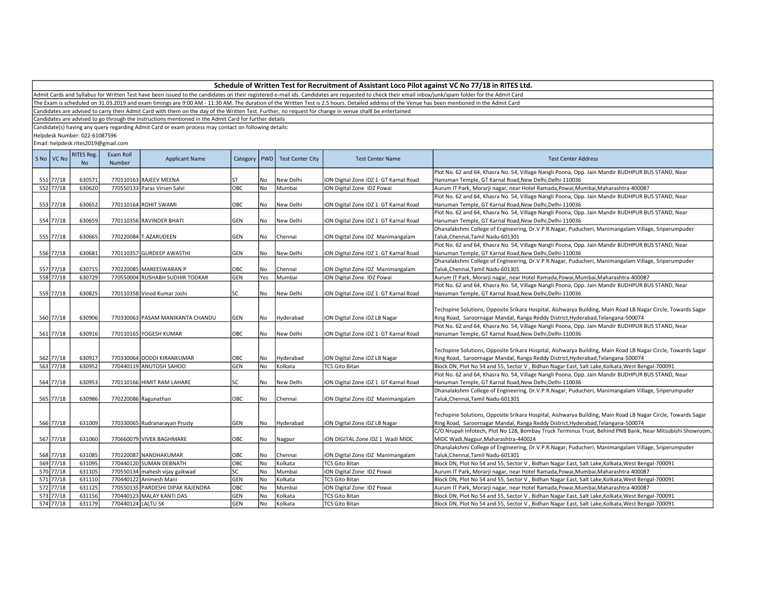Admit Cards and Syllabus for Written Test have been issued to the candidates on their registered e-mail ids. Candidates are requested to check their email inbox/junk/spam folder for the Admit Card

The Exam is scheduled on 31.03.2019 and exam timings are 9:00 AM - 11:30 AM. The duration of the Written Test is 2.5 hours. Detailed address of the Venue has been mentioned in the Admit Card

Candidates are advised to carry their Admit Card with them on the day of the Written Test. Further, no request for change in venue shalll be entertained

Candidates are advised to go through the Instructions mentioned in the Admit Card for further details

Candidate(s) having any query regarding Admit Card or exam process may contact on following details:

Helpdesk Number: 022-61087596

|     | S No VC No | <b>RITES Reg.</b><br><b>No</b> | Exam Roll<br>Number | <b>Applicant Name</b>                            | Category   PWD |           | <b>Test Center City</b> | <b>Test Center Name</b>                                    | <b>Test Center Address</b>                                                                                                                                                                                                                                                                                     |
|-----|------------|--------------------------------|---------------------|--------------------------------------------------|----------------|-----------|-------------------------|------------------------------------------------------------|----------------------------------------------------------------------------------------------------------------------------------------------------------------------------------------------------------------------------------------------------------------------------------------------------------------|
|     |            |                                |                     |                                                  |                |           |                         |                                                            | Plot No. 62 and 64, Khasra No. 54, Village Nangli Poona, Opp. Jain Mandir BUDHPUR BUS STAND, Near                                                                                                                                                                                                              |
|     | 551 77/18  | 630571                         |                     | 770110163 RAJEEV MEENA                           | ST             | No        | New Delhi               | iON Digital Zone iDZ 1 GT Karnal Road                      | Hanuman Temple, GT Karnal Road, New Delhi, Delhi-110036                                                                                                                                                                                                                                                        |
|     | 552 77/18  | 630620                         |                     | 770550133 Paras Virsen Salvi                     | OBC            | No        | Mumbai                  | iON Digital Zone IDZ Powai                                 | Aurum IT Park, Morarji nagar, near Hotel Ramada, Powai, Mumbai, Maharashtra-400087                                                                                                                                                                                                                             |
|     |            |                                |                     |                                                  |                |           |                         |                                                            | Plot No. 62 and 64, Khasra No. 54, Village Nangli Poona, Opp. Jain Mandir BUDHPUR BUS STAND, Near                                                                                                                                                                                                              |
|     | 553 77/18  | 630652                         |                     | 770110164 ROHIT SWAMI                            | OBC            | No        | New Delhi               | iON Digital Zone iDZ 1 GT Karnal Road                      | Hanuman Temple, GT Karnal Road, New Delhi, Delhi-110036                                                                                                                                                                                                                                                        |
|     |            |                                |                     |                                                  |                |           |                         |                                                            | Plot No. 62 and 64, Khasra No. 54, Village Nangli Poona, Opp. Jain Mandir BUDHPUR BUS STAND, Near                                                                                                                                                                                                              |
|     | 554 77/18  | 630659                         |                     | 770110356 RAVINDER BHATI                         | GEN            | No        | New Delhi               | iON Digital Zone iDZ 1 GT Karnal Road                      | Hanuman Temple, GT Karnal Road, New Delhi, Delhi-110036                                                                                                                                                                                                                                                        |
|     |            |                                |                     |                                                  |                |           |                         |                                                            | Dhanalakshmi College of Engineering, Dr.V.P.R.Nagar, Puducheri, Manimangalam Village, Sriperumpuder                                                                                                                                                                                                            |
|     | 555 77/18  | 630665                         |                     | 770220084 T.AZARUDEEN                            | GEN            | No        | Chennai                 | iON Digital Zone iDZ Manimangalam                          | Taluk, Chennai, Tamil Nadu-601301                                                                                                                                                                                                                                                                              |
|     |            |                                |                     |                                                  |                |           |                         |                                                            | Plot No. 62 and 64, Khasra No. 54, Village Nangli Poona, Opp. Jain Mandir BUDHPUR BUS STAND, Near                                                                                                                                                                                                              |
|     | 556 77/18  | 630681                         |                     | 770110357 GURDEEP AWASTHI                        | GEN            | No        | New Delhi               | iON Digital Zone iDZ 1 GT Karnal Road                      | Hanuman Temple, GT Karnal Road, New Delhi, Delhi-110036                                                                                                                                                                                                                                                        |
|     |            |                                |                     |                                                  |                |           |                         |                                                            | Dhanalakshmi College of Engineering, Dr.V.P.R.Nagar, Puducheri, Manimangalam Village, Sriperumpuder                                                                                                                                                                                                            |
|     | 557 77/18  | 630715                         |                     | 770220085 MAREESWARAN P                          | OBC            | No        | Chennai                 | iON Digital Zone iDZ Manimangalam                          | Taluk, Chennai, Tamil Nadu-601301                                                                                                                                                                                                                                                                              |
|     | 558 77/18  | 630729                         |                     | 770550004 RUSHABH SUDHIR TODKAR                  | GEN            | Yes       | Mumbai                  | iON Digital Zone IDZ Powai                                 | Aurum IT Park, Morarji nagar, near Hotel Ramada, Powai, Mumbai, Maharashtra-400087                                                                                                                                                                                                                             |
|     |            |                                |                     |                                                  |                |           |                         |                                                            | Plot No. 62 and 64, Khasra No. 54, Village Nangli Poona, Opp. Jain Mandir BUDHPUR BUS STAND, Near                                                                                                                                                                                                              |
|     | 559 77/18  | 630825                         |                     | 770110358 Vinod Kumar Joshi                      | SC             | No        | New Delhi               | iON Digital Zone iDZ 1 GT Karnal Road                      | Hanuman Temple, GT Karnal Road, New Delhi, Delhi-110036                                                                                                                                                                                                                                                        |
|     | 560 77/18  | 630906                         |                     | 770330063 PASAM MANIKANTA CHANDU                 | GEN            | No.       | Hyderabad               | iON Digital Zone iDZ LB Nagar                              | Techspine Solutions, Opposite Srikara Hospital, Aishwarya Building, Main Road LB Nagar Circle, Towards Sagar<br>Ring Road, Saroornagar Mandal, Ranga Reddy District, Hyderabad, Telangana-500074                                                                                                               |
|     |            |                                |                     |                                                  |                |           |                         |                                                            | Plot No. 62 and 64, Khasra No. 54, Village Nangli Poona, Opp. Jain Mandir BUDHPUR BUS STAND, Near                                                                                                                                                                                                              |
|     | 561 77/18  | 630916                         |                     | 770110165 YOGESH KUMAR                           | OBC            | <b>No</b> | New Delhi               | iON Digital Zone iDZ 1 GT Karnal Road                      | Hanuman Temple, GT Karnal Road, New Delhi, Delhi-110036                                                                                                                                                                                                                                                        |
|     | 562 77/18  | 630917                         |                     | 770330064 DODDI KIRANKUMAR                       | OBC            | No        | Hyderabad               | iON Digital Zone iDZ LB Nagar                              | Techspine Solutions, Opposite Srikara Hospital, Aishwarya Building, Main Road LB Nagar Circle, Towards Sagar<br>Ring Road, Saroornagar Mandal, Ranga Reddy District, Hyderabad, Telangana-500074                                                                                                               |
|     | 563 77/18  | 630952                         |                     | 770440119 ANUTOSH SAHOO                          | <b>GEN</b>     | No        | Kolkata                 | <b>TCS Gito Bitan</b>                                      | Block DN, Plot No 54 and 55, Sector V, Bidhan Nagar East, Salt Lake, Kolkata, West Bengal-700091                                                                                                                                                                                                               |
|     |            |                                |                     |                                                  |                |           |                         |                                                            | Plot No. 62 and 64, Khasra No. 54, Village Nangli Poona, Opp. Jain Mandir BUDHPUR BUS STAND, Near                                                                                                                                                                                                              |
|     | 564 77/18  | 630953                         |                     | 770110166 HIMIT RAM LAHARE                       | SC             | No        | New Delhi               | iON Digital Zone iDZ 1 GT Karnal Road                      | Hanuman Temple, GT Karnal Road, New Delhi, Delhi-110036                                                                                                                                                                                                                                                        |
|     |            |                                |                     |                                                  |                |           |                         |                                                            | Dhanalakshmi College of Engineering, Dr.V.P.R.Nagar, Puducheri, Manimangalam Village, Sriperumpuder                                                                                                                                                                                                            |
|     | 565 77/18  | 630986                         |                     | 770220086 Ragunathan                             | OBC            | No        | Chennai                 | iON Digital Zone iDZ Manimangalam                          | Taluk, Chennai, Tamil Nadu-601301                                                                                                                                                                                                                                                                              |
|     | 566 77/18  | 631009                         |                     | 770330065 Rudranarayan Prusty                    | GEN            | No        | Hyderabad               | iON Digital Zone iDZ LB Nagar                              | Techspine Solutions, Opposite Srikara Hospital, Aishwarya Building, Main Road LB Nagar Circle, Towards Sagar<br>Ring Road, Saroornagar Mandal, Ranga Reddy District, Hyderabad, Telangana-500074<br>C/O Nrupali Infotech, Plot No 128, Bombay Truck Terminus Trust, Behind PNB Bank, Near Mitsubishi Showroom, |
|     | 567 77/18  | 631060                         |                     | 770660079 VIVEK BAGHMARE                         | OBC            | No        | Nagpur                  | ION DIGITAL Zone IDZ 1 Wadi MIDC                           | MIDC Wadi, Nagpur, Maharashtra-440024                                                                                                                                                                                                                                                                          |
|     |            |                                |                     |                                                  |                |           |                         |                                                            | Dhanalakshmi College of Engineering, Dr.V.P.R.Nagar, Puducheri, Manimangalam Village, Sriperumpuder                                                                                                                                                                                                            |
|     | 568 77/18  |                                |                     |                                                  |                |           |                         |                                                            |                                                                                                                                                                                                                                                                                                                |
|     | 569 77/18  | 631085<br>631095               |                     | 770220087 NANDHAKUMAR<br>770440120 SUMAN DEBNATH | OBC<br>OBC     | No<br>No  | Chennai<br>Kolkata      | iON Digital Zone iDZ Manimangalam<br><b>TCS Gito Bitan</b> | Taluk, Chennai, Tamil Nadu-601301<br>Block DN, Plot No 54 and 55, Sector V, Bidhan Nagar East, Salt Lake, Kolkata, West Bengal-700091                                                                                                                                                                          |
|     | 570 77/18  |                                |                     |                                                  |                |           |                         |                                                            |                                                                                                                                                                                                                                                                                                                |
|     | 571 77/18  | 631105                         |                     | 770550134 mahesh vijay gaikwad                   | SC             | No        | Mumbai                  | iON Digital Zone IDZ Powai                                 | Aurum IT Park, Morarji nagar, near Hotel Ramada, Powai, Mumbai, Maharashtra-400087                                                                                                                                                                                                                             |
|     | 572 77/18  | 631110                         |                     | 770440122 Animesh Mani                           | <b>GEN</b>     | No        | Kolkata                 | <b>TCS Gito Bitan</b>                                      | Block DN, Plot No 54 and 55, Sector V, Bidhan Nagar East, Salt Lake, Kolkata, West Bengal-700091                                                                                                                                                                                                               |
|     |            | 631125                         |                     | 770550135 PARDESHI DIPAK RAJENDRA                | OBC            | No        | Mumbai                  | iON Digital Zone IDZ Powai                                 | Aurum IT Park, Morarji nagar, near Hotel Ramada, Powai, Mumbai, Maharashtra-400087                                                                                                                                                                                                                             |
| 573 | 77/18      | 631156                         |                     | 770440123 MALAY KANTI DAS                        | GEN            | No        | Kolkata                 | <b>TCS Gito Bitan</b>                                      | Block DN, Plot No 54 and 55, Sector V, Bidhan Nagar East, Salt Lake, Kolkata, West Bengal-700091                                                                                                                                                                                                               |
|     | 574 77/18  | 631179                         | 770440124 LALTU SK  |                                                  | <b>GEN</b>     | No        | Kolkata                 | <b>TCS Gito Bitan</b>                                      | Block DN, Plot No 54 and 55, Sector V, Bidhan Nagar East, Salt Lake, Kolkata, West Bengal-700091                                                                                                                                                                                                               |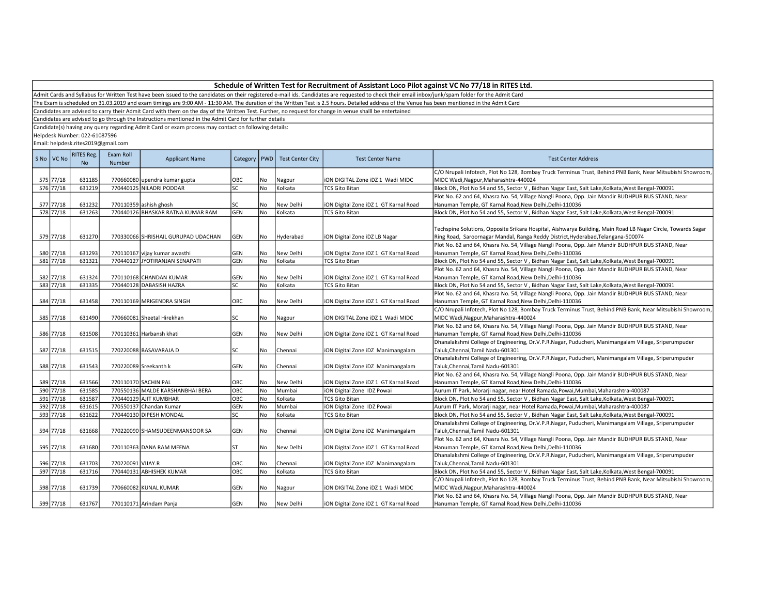| Schedule of Written Test for Recruitment of Assistant Loco Pilot against VC No 77/18 in RITES Ltd. |  |
|----------------------------------------------------------------------------------------------------|--|
|----------------------------------------------------------------------------------------------------|--|

The Exam is scheduled on 31.03.2019 and exam timings are 9:00 AM - 11:30 AM. The duration of the Written Test is 2.5 hours. Detailed address of the Venue has been mentioned in the Admit Card

Candidates are advised to carry their Admit Card with them on the day of the Written Test. Further, no request for change in venue shalll be entertained

Candidates are advised to go through the Instructions mentioned in the Admit Card for further details

Candidate(s) having any query regarding Admit Card or exam process may contact on following details:

Helpdesk Number: 022-61087596

| S No | VC No     | RITES Reg.<br><b>No</b> | Exam Roll<br><b>Number</b> | <b>Applicant Name</b>               | Category   PWD |           | <b>Test Center City</b> | <b>Test Center Name</b>               | <b>Test Center Address</b>                                                                                                                                                                       |
|------|-----------|-------------------------|----------------------------|-------------------------------------|----------------|-----------|-------------------------|---------------------------------------|--------------------------------------------------------------------------------------------------------------------------------------------------------------------------------------------------|
|      |           |                         |                            |                                     |                |           |                         |                                       | C/O Nrupali Infotech, Plot No 128, Bombay Truck Terminus Trust, Behind PNB Bank, Near Mitsubishi Showroom,                                                                                       |
|      | 575 77/18 | 631185                  |                            | 770660080 upendra kumar gupta       | OBC            | No        | Nagpur                  | iON DIGITAL Zone iDZ 1 Wadi MIDC      | MIDC Wadi, Nagpur, Maharashtra-440024                                                                                                                                                            |
|      | 576 77/18 | 631219                  |                            | 770440125 NILADRI PODDAR            | SC             | <b>No</b> | Kolkata                 | <b>TCS Gito Bitan</b>                 | Block DN, Plot No 54 and 55, Sector V, Bidhan Nagar East, Salt Lake, Kolkata, West Bengal-700091                                                                                                 |
|      |           |                         |                            |                                     |                |           |                         |                                       | Plot No. 62 and 64, Khasra No. 54, Village Nangli Poona, Opp. Jain Mandir BUDHPUR BUS STAND, Near                                                                                                |
|      | 577 77/18 | 631232                  |                            | 770110359 ashish ghosh              | SC             | No        | New Delhi               | iON Digital Zone iDZ 1 GT Karnal Road | Hanuman Temple, GT Karnal Road, New Delhi, Delhi-110036                                                                                                                                          |
|      | 578 77/18 | 631263                  |                            | 770440126 BHASKAR RATNA KUMAR RAM   | GEN            | <b>No</b> | Kolkata                 | <b>TCS Gito Bitan</b>                 | Block DN, Plot No 54 and 55, Sector V, Bidhan Nagar East, Salt Lake, Kolkata, West Bengal-700091                                                                                                 |
|      | 579 77/18 | 631270                  |                            | 770330066 SHRISHAIL GURUPAD UDACHAN | <b>GEN</b>     | No        | Hyderabad               | iON Digital Zone iDZ LB Nagar         | Techspine Solutions, Opposite Srikara Hospital, Aishwarya Building, Main Road LB Nagar Circle, Towards Sagar<br>Ring Road, Saroornagar Mandal, Ranga Reddy District, Hyderabad, Telangana-500074 |
|      |           |                         |                            |                                     |                |           |                         |                                       | Plot No. 62 and 64, Khasra No. 54, Village Nangli Poona, Opp. Jain Mandir BUDHPUR BUS STAND, Near                                                                                                |
|      | 580 77/18 | 631293                  |                            | 770110167 vijay kumar awasthi       | GEN            | No        | New Delhi               | iON Digital Zone iDZ 1 GT Karnal Road | Hanuman Temple, GT Karnal Road, New Delhi, Delhi-110036                                                                                                                                          |
|      | 581 77/18 | 631321                  |                            | 770440127 JYOTIRANJAN SENAPATI      | GEN            | No        | Kolkata                 | <b>TCS Gito Bitan</b>                 | Block DN, Plot No 54 and 55, Sector V, Bidhan Nagar East, Salt Lake, Kolkata, West Bengal-700091                                                                                                 |
|      |           |                         |                            |                                     |                |           |                         |                                       | Plot No. 62 and 64, Khasra No. 54, Village Nangli Poona, Opp. Jain Mandir BUDHPUR BUS STAND, Near                                                                                                |
|      | 582 77/18 | 631324                  |                            | 770110168 CHANDAN KUMAR             | GEN            | No.       | New Delhi               | iON Digital Zone iDZ 1 GT Karnal Road | Hanuman Temple, GT Karnal Road, New Delhi, Delhi-110036                                                                                                                                          |
|      | 583 77/18 | 631335                  |                            | 770440128 DABASISH HAZRA            | SC             | <b>No</b> | Kolkata                 | <b>TCS Gito Bitan</b>                 | Block DN, Plot No 54 and 55, Sector V, Bidhan Nagar East, Salt Lake, Kolkata, West Bengal-700091                                                                                                 |
|      |           |                         |                            |                                     |                |           |                         |                                       | Plot No. 62 and 64, Khasra No. 54, Village Nangli Poona, Opp. Jain Mandir BUDHPUR BUS STAND, Near                                                                                                |
|      | 584 77/18 | 631458                  |                            | 770110169 MRIGENDRA SINGH           | OBC            | No        | New Delhi               | iON Digital Zone iDZ 1 GT Karnal Road | Hanuman Temple, GT Karnal Road, New Delhi, Delhi-110036                                                                                                                                          |
|      |           |                         |                            |                                     |                |           |                         |                                       | C/O Nrupali Infotech, Plot No 128, Bombay Truck Terminus Trust, Behind PNB Bank, Near Mitsubishi Showroom,                                                                                       |
|      | 585 77/18 | 631490                  |                            | 770660081 Sheetal Hirekhan          | SC             | No        | Nagpur                  | iON DIGITAL Zone iDZ 1 Wadi MIDC      | MIDC Wadi, Nagpur, Maharashtra-440024                                                                                                                                                            |
|      |           |                         |                            |                                     |                |           |                         |                                       | Plot No. 62 and 64, Khasra No. 54, Village Nangli Poona, Opp. Jain Mandir BUDHPUR BUS STAND, Near                                                                                                |
|      | 586 77/18 | 631508                  |                            | 770110361 Harbansh khati            | <b>GEN</b>     | No        | New Delhi               | iON Digital Zone iDZ 1 GT Karnal Road | Hanuman Temple, GT Karnal Road, New Delhi, Delhi-110036                                                                                                                                          |
|      |           |                         |                            |                                     |                |           |                         |                                       | Dhanalakshmi College of Engineering, Dr.V.P.R.Nagar, Puducheri, Manimangalam Village, Sriperumpuder                                                                                              |
|      | 587 77/18 | 631515                  |                            | 770220088 BASAVARAJA D              | SC             | No        | Chennai                 | iON Digital Zone iDZ Manimangalam     | Taluk, Chennai, Tamil Nadu-601301                                                                                                                                                                |
|      |           |                         |                            |                                     |                |           |                         |                                       | Dhanalakshmi College of Engineering, Dr.V.P.R.Nagar, Puducheri, Manimangalam Village, Sriperumpuder                                                                                              |
|      | 588 77/18 | 631543                  |                            | 770220089 Sreekanth k               | GEN            | No        | Chennai                 | iON Digital Zone iDZ Manimangalam     | Taluk, Chennai, Tamil Nadu-601301                                                                                                                                                                |
|      |           |                         |                            |                                     |                |           |                         |                                       | Plot No. 62 and 64, Khasra No. 54, Village Nangli Poona, Opp. Jain Mandir BUDHPUR BUS STAND, Near                                                                                                |
|      | 589 77/18 | 631566                  |                            | 770110170 SACHIN PAL                | OBC            | No        | New Delhi               | iON Digital Zone iDZ 1 GT Karnal Road | Hanuman Temple, GT Karnal Road, New Delhi, Delhi-110036                                                                                                                                          |
|      | 590 77/18 | 631585                  |                            | 770550136 MALDE KARSHANBHAI BERA    | OBC            | No        | Mumbai                  | iON Digital Zone IDZ Powai            | Aurum IT Park, Morarji nagar, near Hotel Ramada, Powai, Mumbai, Maharashtra-400087                                                                                                               |
|      | 591 77/18 | 631587                  |                            | 770440129 AJIT KUMBHAR              | OBC            | No        | Kolkata                 | <b>TCS Gito Bitan</b>                 | Block DN, Plot No 54 and 55, Sector V, Bidhan Nagar East, Salt Lake, Kolkata, West Bengal-700091                                                                                                 |
|      | 592 77/18 | 631615                  |                            | 770550137 Chandan Kumar             | GEN            | No        | Mumbai                  | iON Digital Zone IDZ Powai            | Aurum IT Park, Morarji nagar, near Hotel Ramada, Powai, Mumbai, Maharashtra-400087                                                                                                               |
|      | 593 77/18 | 631622                  |                            | 770440130 DIPESH MONDAL             | <b>SC</b>      | <b>No</b> | Kolkata                 | <b>TCS Gito Bitan</b>                 | Block DN, Plot No 54 and 55, Sector V, Bidhan Nagar East, Salt Lake, Kolkata, West Bengal-700091                                                                                                 |
|      |           |                         |                            |                                     |                |           |                         |                                       | Dhanalakshmi College of Engineering, Dr.V.P.R.Nagar, Puducheri, Manimangalam Village, Sriperumpuder                                                                                              |
|      | 594 77/18 | 631668                  |                            | 770220090 SHAMSUDEENMANSOOR SA      | GEN            | No        | Chennai                 | iON Digital Zone iDZ Manimangalam     | Taluk, Chennai, Tamil Nadu-601301                                                                                                                                                                |
|      |           |                         |                            |                                     |                |           |                         |                                       | Plot No. 62 and 64, Khasra No. 54, Village Nangli Poona, Opp. Jain Mandir BUDHPUR BUS STAND, Near                                                                                                |
|      | 595 77/18 | 631680                  |                            | 770110363 DANA RAM MEENA            | lst            | No        | New Delhi               | iON Digital Zone iDZ 1 GT Karnal Road | Hanuman Temple, GT Karnal Road, New Delhi, Delhi-110036                                                                                                                                          |
|      |           |                         |                            |                                     |                |           |                         |                                       | Dhanalakshmi College of Engineering, Dr.V.P.R.Nagar, Puducheri, Manimangalam Village, Sriperumpuder                                                                                              |
|      | 596 77/18 | 631703                  | 770220091 VIJAY.R          |                                     | OBC            | No        | Chennai                 | iON Digital Zone iDZ Manimangalam     | Taluk, Chennai, Tamil Nadu-601301                                                                                                                                                                |
|      | 597 77/18 | 631716                  |                            | 770440131 ABHISHEK KUMAR            | ОВС            | No        | Kolkata                 | <b>TCS Gito Bitan</b>                 | Block DN, Plot No 54 and 55, Sector V, Bidhan Nagar East, Salt Lake, Kolkata, West Bengal-700091                                                                                                 |
|      |           |                         |                            |                                     |                |           |                         |                                       | C/O Nrupali Infotech, Plot No 128, Bombay Truck Terminus Trust, Behind PNB Bank, Near Mitsubishi Showroom,                                                                                       |
|      | 598 77/18 | 631739                  |                            | 770660082 KUNAL KUMAR               | GEN            | No        | Nagpur                  | ION DIGITAL Zone IDZ 1 Wadi MIDC      | MIDC Wadi, Nagpur, Maharashtra-440024                                                                                                                                                            |
|      |           |                         |                            |                                     |                |           |                         |                                       | Plot No. 62 and 64, Khasra No. 54, Village Nangli Poona, Opp. Jain Mandir BUDHPUR BUS STAND, Near                                                                                                |
|      | 599 77/18 | 631767                  |                            | 770110171 Arindam Panja             | <b>GEN</b>     | No        | New Delhi               | iON Digital Zone iDZ 1 GT Karnal Road | Hanuman Temple, GT Karnal Road, New Delhi, Delhi-110036                                                                                                                                          |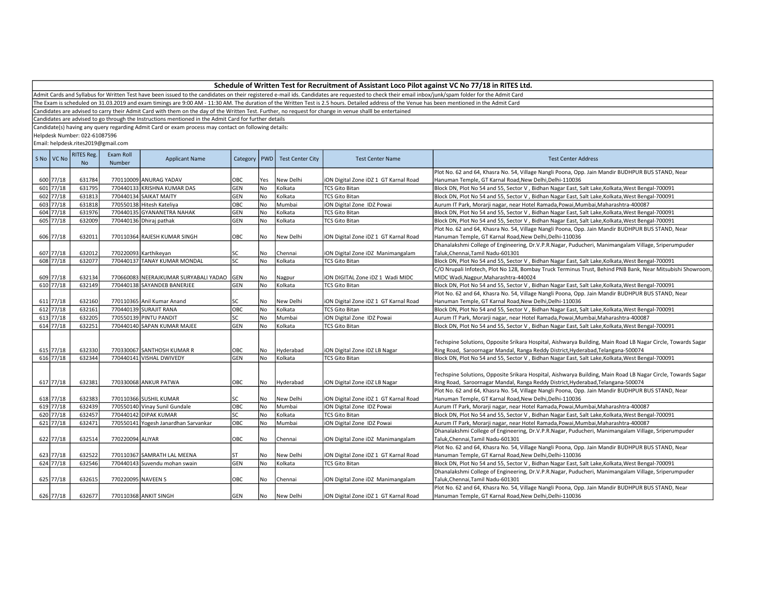Admit Cards and Syllabus for Written Test have been issued to the candidates on their registered e-mail ids. Candidates are requested to check their email inbox/junk/spam folder for the Admit Card

The Exam is scheduled on 31.03.2019 and exam timings are 9:00 AM - 11:30 AM. The duration of the Written Test is 2.5 hours. Detailed address of the Venue has been mentioned in the Admit Card

Candidates are advised to carry their Admit Card with them on the day of the Written Test. Further, no request for change in venue shalll be entertained

Candidates are advised to go through the Instructions mentioned in the Admit Card for further details

Candidate(s) having any query regarding Admit Card or exam process may contact on following details:

Helpdesk Number: 022-61087596

| S No VC No | <b>RITES Reg.</b><br>N <sub>o</sub> | Exam Roll<br>Number | <b>Applicant Name</b>                     | Category   PWD |           | <b>Test Center City</b> | <b>Test Center Name</b>               | <b>Test Center Address</b>                                                                                   |
|------------|-------------------------------------|---------------------|-------------------------------------------|----------------|-----------|-------------------------|---------------------------------------|--------------------------------------------------------------------------------------------------------------|
|            |                                     |                     |                                           |                |           |                         |                                       | Plot No. 62 and 64, Khasra No. 54, Village Nangli Poona, Opp. Jain Mandir BUDHPUR BUS STAND, Near            |
| 600 77/18  | 631784                              |                     | 770110009 ANURAG YADAV                    | OBC            | Yes       | New Delhi               | iON Digital Zone iDZ 1 GT Karnal Road | Hanuman Temple, GT Karnal Road, New Delhi, Delhi-110036                                                      |
| 601 77/18  | 631795                              |                     | 770440133 KRISHNA KUMAR DAS               | GEN            | No        | Kolkata                 | <b>TCS Gito Bitan</b>                 | Block DN, Plot No 54 and 55, Sector V, Bidhan Nagar East, Salt Lake, Kolkata, West Bengal-700091             |
| 602 77/18  | 631813                              |                     | 770440134 SAIKAT MAITY                    | GEN            | No        | Kolkata                 | <b>TCS Gito Bitan</b>                 | Block DN, Plot No 54 and 55, Sector V, Bidhan Nagar East, Salt Lake, Kolkata, West Bengal-700091             |
| 603 77/18  | 631818                              |                     | 770550138 Hitesh Kateliya                 | овс            | No        | Mumbai                  | iON Digital Zone IDZ Powai            | Aurum IT Park, Morarji nagar, near Hotel Ramada, Powai, Mumbai, Maharashtra-400087                           |
| 604 77/18  | 631976                              |                     | 770440135 GYANANETRA NAHAK                | GEN            | No        | Kolkata                 | <b>TCS Gito Bitan</b>                 | Block DN, Plot No 54 and 55, Sector V, Bidhan Nagar East, Salt Lake, Kolkata, West Bengal-700091             |
| 605 77/18  | 632009                              |                     | 770440136 Dhiraj pathak                   | GEN            | <b>No</b> | Kolkata                 | <b>TCS Gito Bitan</b>                 | Block DN, Plot No 54 and 55, Sector V, Bidhan Nagar East, Salt Lake, Kolkata, West Bengal-700091             |
|            |                                     |                     |                                           |                |           |                         |                                       | Plot No. 62 and 64, Khasra No. 54, Village Nangli Poona, Opp. Jain Mandir BUDHPUR BUS STAND, Near            |
| 606 77/18  | 632011                              |                     | 770110364 RAJESH KUMAR SINGH              | OBC            | No        | New Delhi               | iON Digital Zone iDZ 1 GT Karnal Road | Hanuman Temple, GT Karnal Road, New Delhi, Delhi-110036                                                      |
|            |                                     |                     |                                           |                |           |                         |                                       | Dhanalakshmi College of Engineering, Dr.V.P.R.Nagar, Puducheri, Manimangalam Village, Sriperumpuder          |
| 607 77/18  | 632012                              |                     | 770220093 Karthikeyan                     | <b>SC</b>      | No        | Chennai                 | iON Digital Zone iDZ Manimangalam     | Taluk, Chennai, Tamil Nadu-601301                                                                            |
| 608 77/18  | 632077                              |                     | 770440137 TANAY KUMAR MONDAL              | lsc            | No        | Kolkata                 | <b>TCS Gito Bitan</b>                 | Block DN, Plot No 54 and 55, Sector V, Bidhan Nagar East, Salt Lake, Kolkata, West Bengal-700091             |
|            |                                     |                     |                                           |                |           |                         |                                       | C/O Nrupali Infotech, Plot No 128, Bombay Truck Terminus Trust, Behind PNB Bank, Near Mitsubishi Showroom,   |
| 609 77/18  | 632134                              |                     | 770660083 NEERAJKUMAR SURYABALI YADAO GEN |                | No        | Nagpur                  | iON DIGITAL Zone iDZ 1 Wadi MIDC      | MIDC Wadi, Nagpur, Maharashtra-440024                                                                        |
| 610 77/18  | 632149                              |                     | 770440138 SAYANDEB BANERJEE               | <b>GEN</b>     | No        | Kolkata                 | <b>TCS Gito Bitan</b>                 | Block DN, Plot No 54 and 55, Sector V, Bidhan Nagar East, Salt Lake, Kolkata, West Bengal-700091             |
|            |                                     |                     |                                           |                |           |                         |                                       | Plot No. 62 and 64, Khasra No. 54, Village Nangli Poona, Opp. Jain Mandir BUDHPUR BUS STAND, Near            |
| 611 77/18  | 632160                              |                     | 770110365 Anil Kumar Anand                | lsc            | No        | New Delhi               | iON Digital Zone iDZ 1 GT Karnal Road | Hanuman Temple, GT Karnal Road, New Delhi, Delhi-110036                                                      |
| 612 77/18  | 632161                              |                     | 770440139 SURAJIT RANA                    | овс            | No        | Kolkata                 | <b>TCS Gito Bitan</b>                 | Block DN, Plot No 54 and 55, Sector V, Bidhan Nagar East, Salt Lake, Kolkata, West Bengal-700091             |
| 613 77/18  | 632205                              |                     | 770550139 PINTU PANDIT                    | <b>SC</b>      | <b>No</b> | Mumbai                  | iON Digital Zone IDZ Powai            | Aurum IT Park, Morarji nagar, near Hotel Ramada, Powai, Mumbai, Maharashtra-400087                           |
| 614 77/18  | 632251                              |                     | 770440140 SAPAN KUMAR MAJEE               | GEN            | <b>No</b> | Kolkata                 | <b>TCS Gito Bitan</b>                 | Block DN, Plot No 54 and 55, Sector V, Bidhan Nagar East, Salt Lake, Kolkata, West Bengal-700091             |
|            |                                     |                     |                                           |                |           |                         |                                       |                                                                                                              |
|            |                                     |                     |                                           |                |           |                         |                                       | Techspine Solutions, Opposite Srikara Hospital, Aishwarya Building, Main Road LB Nagar Circle, Towards Sagar |
| 615 77/18  | 632330                              |                     | 770330067 SANTHOSH KUMAR R                | OBC            | No        | Hyderabad               | iON Digital Zone iDZ LB Nagar         | Ring Road, Saroornagar Mandal, Ranga Reddy District, Hyderabad, Telangana-500074                             |
| 616 77/18  | 632344                              |                     | 770440141 VISHAL DWIVEDY                  | GEN            | <b>No</b> | Kolkata                 | <b>TCS Gito Bitan</b>                 | Block DN, Plot No 54 and 55, Sector V, Bidhan Nagar East, Salt Lake, Kolkata, West Bengal-700091             |
|            |                                     |                     |                                           |                |           |                         |                                       |                                                                                                              |
|            |                                     |                     |                                           |                |           |                         |                                       | Techspine Solutions, Opposite Srikara Hospital, Aishwarya Building, Main Road LB Nagar Circle, Towards Sagar |
| 617 77/18  | 632381                              |                     | 770330068 ANKUR PATWA                     | ОВС            | No        | Hyderabad               | iON Digital Zone iDZ LB Nagar         | Ring Road, Saroornagar Mandal, Ranga Reddy District, Hyderabad, Telangana-500074                             |
|            |                                     |                     |                                           |                |           |                         |                                       | Plot No. 62 and 64, Khasra No. 54, Village Nangli Poona, Opp. Jain Mandir BUDHPUR BUS STAND, Near            |
| 618 77/18  | 632383                              |                     | 770110366 SUSHIL KUMAR                    | lsc            | No        | New Delhi               | iON Digital Zone iDZ 1 GT Karnal Road | Hanuman Temple, GT Karnal Road, New Delhi, Delhi-110036                                                      |
| 619 77/18  | 632439                              |                     | 770550140 Vinay Sunil Gundale             | Овс            | No        | Mumbai                  | iON Digital Zone IDZ Powai            | Aurum IT Park, Morarji nagar, near Hotel Ramada, Powai, Mumbai, Maharashtra-400087                           |
| 620 77/18  | 632457                              |                     | 770440142 DIPAK KUMAR                     | <b>SC</b>      | <b>No</b> | Kolkata                 | <b>TCS Gito Bitan</b>                 | Block DN, Plot No 54 and 55, Sector V, Bidhan Nagar East, Salt Lake, Kolkata, West Bengal-700091             |
| 621 77/18  | 632471                              |                     | 770550141 Yogesh Janardhan Sarvankar      | Овс            | No        | Mumbai                  | iON Digital Zone IDZ Powai            | Aurum IT Park, Morarji nagar, near Hotel Ramada, Powai, Mumbai, Maharashtra-400087                           |
|            |                                     |                     |                                           |                |           |                         |                                       | Dhanalakshmi College of Engineering, Dr.V.P.R.Nagar, Puducheri, Manimangalam Village, Sriperumpuder          |
| 622 77/18  | 632514                              | 770220094 ALIYAR    |                                           | OBC            | No        | Chennai                 | iON Digital Zone iDZ Manimangalam     | Taluk, Chennai, Tamil Nadu-601301                                                                            |
|            |                                     |                     |                                           |                |           |                         |                                       | Plot No. 62 and 64, Khasra No. 54, Village Nangli Poona, Opp. Jain Mandir BUDHPUR BUS STAND, Near            |
| 623 77/18  | 632522                              |                     | 770110367 SAMRATH LAL MEENA               | lst            | No        | New Delhi               | iON Digital Zone iDZ 1 GT Karnal Road | Hanuman Temple, GT Karnal Road, New Delhi, Delhi-110036                                                      |
| 624 77/18  | 632546                              |                     | 770440143 Suvendu mohan swain             | GEN            | No        | Kolkata                 | <b>TCS Gito Bitan</b>                 | Block DN, Plot No 54 and 55, Sector V, Bidhan Nagar East, Salt Lake, Kolkata, West Bengal-700091             |
|            |                                     |                     |                                           |                |           |                         |                                       | Dhanalakshmi College of Engineering, Dr.V.P.R.Nagar, Puducheri, Manimangalam Village, Sriperumpuder          |
| 625 77/18  | 632615                              | 770220095 NAVEEN S  |                                           | OBC            | No        | Chennai                 | iON Digital Zone iDZ Manimangalam     | Taluk, Chennai, Tamil Nadu-601301                                                                            |
|            |                                     |                     |                                           |                |           |                         |                                       | Plot No. 62 and 64, Khasra No. 54, Village Nangli Poona, Opp. Jain Mandir BUDHPUR BUS STAND, Near            |
| 626 77/18  | 632677                              |                     | 770110368 ANKIT SINGH                     | GEN            | No        | New Delhi               | iON Digital Zone iDZ 1 GT Karnal Road | Hanuman Temple, GT Karnal Road, New Delhi, Delhi-110036                                                      |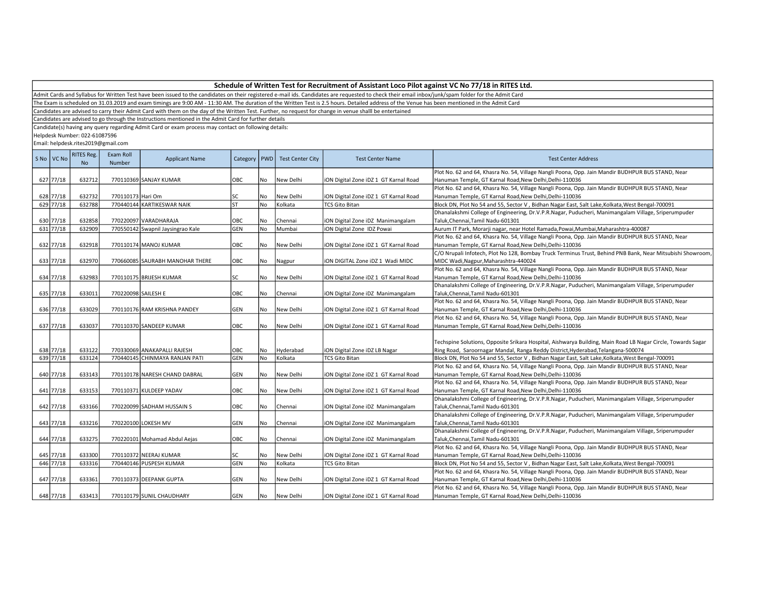Admit Cards and Syllabus for Written Test have been issued to the candidates on their registered e-mail ids. Candidates are requested to check their email inbox/junk/spam folder for the Admit Card

The Exam is scheduled on 31.03.2019 and exam timings are 9:00 AM - 11:30 AM. The duration of the Written Test is 2.5 hours. Detailed address of the Venue has been mentioned in the Admit Card

Candidates are advised to carry their Admit Card with them on the day of the Written Test. Further, no request for change in venue shalll be entertained

Candidates are advised to go through the Instructions mentioned in the Admit Card for further details

Candidate(s) having any query regarding Admit Card or exam process may contact on following details:

Helpdesk Number: 022-61087596

| S No VC No | <b>RITES Reg.</b><br>N <sub>o</sub> | Exam Roll<br>Number | <b>Applicant Name</b>             | Category   PWD |           | <b>Test Center City</b> | <b>Test Center Name</b>               | <b>Test Center Address</b>                                                                                   |
|------------|-------------------------------------|---------------------|-----------------------------------|----------------|-----------|-------------------------|---------------------------------------|--------------------------------------------------------------------------------------------------------------|
|            |                                     |                     |                                   |                |           |                         |                                       | Plot No. 62 and 64, Khasra No. 54, Village Nangli Poona, Opp. Jain Mandir BUDHPUR BUS STAND, Near            |
| 627 77/18  | 632712                              |                     | 770110369 SANJAY KUMAR            | OBC            | No        | New Delhi               | iON Digital Zone iDZ 1 GT Karnal Road | Hanuman Temple, GT Karnal Road, New Delhi, Delhi-110036                                                      |
|            |                                     |                     |                                   |                |           |                         |                                       | Plot No. 62 and 64, Khasra No. 54, Village Nangli Poona, Opp. Jain Mandir BUDHPUR BUS STAND, Near            |
| 628 77/18  | 632732                              | 770110173 Hari Om   |                                   | SC             | No        | New Delhi               | iON Digital Zone iDZ 1 GT Karnal Road | Hanuman Temple, GT Karnal Road, New Delhi, Delhi-110036                                                      |
| 629 77/18  | 632788                              |                     | 770440144 KARTIKESWAR NAIK        | lsт            | No        | Kolkata                 | <b>TCS Gito Bitan</b>                 | Block DN, Plot No 54 and 55, Sector V, Bidhan Nagar East, Salt Lake, Kolkata, West Bengal-700091             |
|            |                                     |                     |                                   |                |           |                         |                                       | Dhanalakshmi College of Engineering, Dr.V.P.R.Nagar, Puducheri, Manimangalam Village, Sriperumpuder          |
| 630 77/18  | 632858                              |                     | 770220097 VARADHARAJA             | OBC            | No        | Chennai                 | iON Digital Zone iDZ Manimangalam     | Taluk, Chennai, Tamil Nadu-601301                                                                            |
| 631 77/18  | 632909                              |                     | 770550142 Swapnil Jaysingrao Kale | GEN            | <b>No</b> | Mumbai                  | iON Digital Zone IDZ Powai            | Aurum IT Park, Morarji nagar, near Hotel Ramada, Powai, Mumbai, Maharashtra-400087                           |
|            |                                     |                     |                                   |                |           |                         |                                       | Plot No. 62 and 64, Khasra No. 54, Village Nangli Poona, Opp. Jain Mandir BUDHPUR BUS STAND, Near            |
| 632 77/18  | 632918                              |                     | 770110174 MANOJ KUMAR             | OBC            | No        | New Delhi               | iON Digital Zone iDZ 1 GT Karnal Road | Hanuman Temple, GT Karnal Road, New Delhi, Delhi-110036                                                      |
|            |                                     |                     |                                   |                |           |                         |                                       | C/O Nrupali Infotech, Plot No 128, Bombay Truck Terminus Trust, Behind PNB Bank, Near Mitsubishi Showroom,   |
| 633 77/18  | 632970                              |                     | 770660085 SAURABH MANOHAR THERE   | OBC            | No        | Nagpur                  | ION DIGITAL Zone IDZ 1 Wadi MIDC      | MIDC Wadi, Nagpur, Maharashtra-440024                                                                        |
|            |                                     |                     |                                   |                |           |                         |                                       | Plot No. 62 and 64, Khasra No. 54, Village Nangli Poona, Opp. Jain Mandir BUDHPUR BUS STAND, Near            |
| 634 77/18  | 632983                              |                     | 770110175 BRIJESH KUMAR           | lsc            | No        | New Delhi               | iON Digital Zone iDZ 1 GT Karnal Road | Hanuman Temple, GT Karnal Road, New Delhi, Delhi-110036                                                      |
|            |                                     |                     |                                   |                |           |                         |                                       | Dhanalakshmi College of Engineering, Dr.V.P.R.Nagar, Puducheri, Manimangalam Village, Sriperumpuder          |
| 635 77/18  | 633011                              | 770220098 SAILESH E |                                   | ОВС            | No        | Chennai                 | iON Digital Zone iDZ Manimangalam     | Taluk, Chennai, Tamil Nadu-601301                                                                            |
|            |                                     |                     |                                   |                |           |                         |                                       | Plot No. 62 and 64, Khasra No. 54, Village Nangli Poona, Opp. Jain Mandir BUDHPUR BUS STAND, Near            |
| 636 77/18  | 633029                              |                     | 770110176 RAM KRISHNA PANDEY      | <b>GEN</b>     | No        | New Delhi               | iON Digital Zone iDZ 1 GT Karnal Road | Hanuman Temple, GT Karnal Road, New Delhi, Delhi-110036                                                      |
|            |                                     |                     |                                   |                |           |                         |                                       | Plot No. 62 and 64, Khasra No. 54, Village Nangli Poona, Opp. Jain Mandir BUDHPUR BUS STAND, Near            |
| 637 77/18  | 633037                              |                     | 770110370 SANDEEP KUMAR           | OBC            | No        | New Delhi               | iON Digital Zone iDZ 1 GT Karnal Road | Hanuman Temple, GT Karnal Road, New Delhi, Delhi-110036                                                      |
|            |                                     |                     |                                   |                |           |                         |                                       |                                                                                                              |
|            |                                     |                     |                                   |                |           |                         |                                       | Techspine Solutions, Opposite Srikara Hospital, Aishwarya Building, Main Road LB Nagar Circle, Towards Sagar |
| 638 77/18  | 633122                              |                     | 770330069 ANAKAPALLI RAJESH       | OBC            | No        | Hyderabad               | iON Digital Zone iDZ LB Nagar         | Ring Road, Saroornagar Mandal, Ranga Reddy District, Hyderabad, Telangana-500074                             |
| 639 77/18  | 633124                              |                     | 770440145 CHINMAYA RANJAN PATI    | GEN            | No        | Kolkata                 | <b>TCS Gito Bitan</b>                 | Block DN, Plot No 54 and 55, Sector V, Bidhan Nagar East, Salt Lake, Kolkata, West Bengal-700091             |
|            |                                     |                     |                                   |                |           |                         |                                       | Plot No. 62 and 64, Khasra No. 54, Village Nangli Poona, Opp. Jain Mandir BUDHPUR BUS STAND, Near            |
| 640 77/18  | 633143                              |                     | 770110178 NARESH CHAND DABRAL     | <b>GEN</b>     | No        | New Delhi               | iON Digital Zone iDZ 1 GT Karnal Road | Hanuman Temple, GT Karnal Road, New Delhi, Delhi-110036                                                      |
|            |                                     |                     |                                   |                |           |                         |                                       | Plot No. 62 and 64, Khasra No. 54, Village Nangli Poona, Opp. Jain Mandir BUDHPUR BUS STAND, Near            |
| 641 77/18  | 633153                              |                     | 770110371 KULDEEP YADAV           | OBC            | No        | New Delhi               | iON Digital Zone iDZ 1 GT Karnal Road | Hanuman Temple, GT Karnal Road, New Delhi, Delhi-110036                                                      |
|            |                                     |                     |                                   |                |           |                         |                                       | Dhanalakshmi College of Engineering, Dr.V.P.R.Nagar, Puducheri, Manimangalam Village, Sriperumpuder          |
| 642 77/18  | 633166                              |                     | 770220099 SADHAM HUSSAIN S        | OBC            | No        | Chennai                 | iON Digital Zone iDZ Manimangalam     | Taluk, Chennai, Tamil Nadu-601301                                                                            |
|            |                                     |                     |                                   |                |           |                         |                                       | Dhanalakshmi College of Engineering, Dr.V.P.R.Nagar, Puducheri, Manimangalam Village, Sriperumpuder          |
| 643 77/18  | 633216                              |                     | 770220100 LOKESH MV               | GEN            | No        | Chennai                 | iON Digital Zone iDZ Manimangalam     | Taluk, Chennai, Tamil Nadu-601301                                                                            |
|            |                                     |                     |                                   |                |           |                         |                                       | Dhanalakshmi College of Engineering, Dr.V.P.R.Nagar, Puducheri, Manimangalam Village, Sriperumpuder          |
| 644 77/18  | 633275                              |                     | 770220101 Mohamad Abdul Aejas     | OBC            | No        | Chennai                 | iON Digital Zone iDZ Manimangalam     | Taluk, Chennai, Tamil Nadu-601301                                                                            |
|            |                                     |                     |                                   |                |           |                         |                                       | Plot No. 62 and 64, Khasra No. 54, Village Nangli Poona, Opp. Jain Mandir BUDHPUR BUS STAND, Near            |
| 645 77/18  | 633300                              |                     | 770110372 NEERAJ KUMAR            | lsc            | No        | New Delhi               | iON Digital Zone iDZ 1 GT Karnal Road | Hanuman Temple, GT Karnal Road, New Delhi, Delhi-110036                                                      |
| 646 77/18  | 633316                              |                     | 770440146 PUSPESH KUMAR           | GEN            | No        | Kolkata                 | <b>TCS Gito Bitan</b>                 | Block DN, Plot No 54 and 55, Sector V, Bidhan Nagar East, Salt Lake, Kolkata, West Bengal-700091             |
|            |                                     |                     |                                   |                |           |                         |                                       |                                                                                                              |
|            |                                     |                     |                                   |                |           |                         |                                       | Plot No. 62 and 64, Khasra No. 54, Village Nangli Poona, Opp. Jain Mandir BUDHPUR BUS STAND, Near            |
| 647 77/18  | 633361                              |                     | 770110373 DEEPANK GUPTA           | <b>GEN</b>     | No        | New Delhi               | iON Digital Zone iDZ 1 GT Karnal Road | Hanuman Temple, GT Karnal Road, New Delhi, Delhi-110036                                                      |
|            |                                     |                     |                                   |                |           |                         |                                       | Plot No. 62 and 64, Khasra No. 54, Village Nangli Poona, Opp. Jain Mandir BUDHPUR BUS STAND, Near            |
| 648 77/18  | 633413                              |                     | 770110179 SUNIL CHAUDHARY         | GEN            | No        | New Delhi               | iON Digital Zone iDZ 1 GT Karnal Road | Hanuman Temple, GT Karnal Road, New Delhi, Delhi-110036                                                      |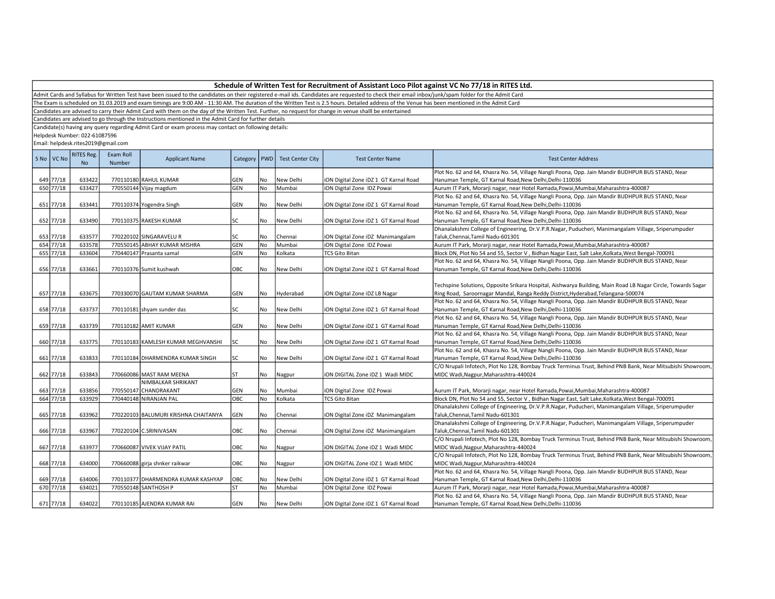Admit Cards and Syllabus for Written Test have been issued to the candidates on their registered e-mail ids. Candidates are requested to check their email inbox/junk/spam folder for the Admit Card

The Exam is scheduled on 31.03.2019 and exam timings are 9:00 AM - 11:30 AM. The duration of the Written Test is 2.5 hours. Detailed address of the Venue has been mentioned in the Admit Card

Candidates are advised to carry their Admit Card with them on the day of the Written Test. Further, no request for change in venue shalll be entertained

Candidates are advised to go through the Instructions mentioned in the Admit Card for further details

Candidate(s) having any query regarding Admit Card or exam process may contact on following details:

Helpdesk Number: 022-61087596

| Plot No. 62 and 64, Khasra No. 54, Village Nangli Poona, Opp. Jain Mandir BUDHPUR BUS STAND, Near<br>649 77/18<br>633422<br>770110180 RAHUL KUMAR<br>GEN<br>New Delhi<br>iON Digital Zone iDZ 1 GT Karnal Road<br>Hanuman Temple, GT Karnal Road, New Delhi, Delhi-110036<br>No<br>650 77/18<br>633427<br>GEN<br><b>No</b><br>770550144 Vijay magdum<br>Mumbai<br>iON Digital Zone IDZ Powai<br>Aurum IT Park, Morarji nagar, near Hotel Ramada, Powai, Mumbai, Maharashtra-400087<br>Plot No. 62 and 64, Khasra No. 54, Village Nangli Poona, Opp. Jain Mandir BUDHPUR BUS STAND, Near<br>651 77/18<br>633441<br>770110374 Yogendra Singh<br>GEN<br>ION Digital Zone IDZ 1 GT Karnal Road<br>No<br>New Delhi<br>Hanuman Temple, GT Karnal Road, New Delhi, Delhi-110036<br>Plot No. 62 and 64, Khasra No. 54, Village Nangli Poona, Opp. Jain Mandir BUDHPUR BUS STAND, Near<br>652 77/18<br>SC<br>633490<br>Hanuman Temple, GT Karnal Road, New Delhi, Delhi-110036<br>770110375 RAKESH KUMAR<br>No<br>New Delhi<br>iON Digital Zone iDZ 1 GT Karnal Road<br>Dhanalakshmi College of Engineering, Dr.V.P.R.Nagar, Puducheri, Manimangalam Village, Sriperumpuder<br>653 77/18<br>SC<br>Taluk, Chennai, Tamil Nadu-601301<br>633577<br>770220102 SINGARAVELUR<br>No<br>iON Digital Zone iDZ Manimangalam<br>Chennai<br>654 77/18<br>GEN<br><b>No</b><br>633578<br>770550145 ABHAY KUMAR MISHRA<br>Mumbai<br>iON Digital Zone IDZ Powai<br>Aurum IT Park, Morarji nagar, near Hotel Ramada, Powai, Mumbai, Maharashtra-400087<br>655 77/18<br>GEN<br>633604<br>770440147 Prasanta samal<br>No<br>Kolkata<br><b>TCS Gito Bitan</b><br>Block DN, Plot No 54 and 55, Sector V, Bidhan Nagar East, Salt Lake, Kolkata, West Bengal-700091<br>Plot No. 62 and 64, Khasra No. 54, Village Nangli Poona, Opp. Jain Mandir BUDHPUR BUS STAND, Near<br>656 77/18<br>OBC<br>633661<br>770110376 Sumit kushwah<br>No<br>iON Digital Zone iDZ 1 GT Karnal Road<br>Hanuman Temple, GT Karnal Road, New Delhi, Delhi-110036<br>New Delhi<br>Techspine Solutions, Opposite Srikara Hospital, Aishwarya Building, Main Road LB Nagar Circle, Towards Sagar<br>657 77/18<br>633675<br>770330070 GAUTAM KUMAR SHARMA<br>GEN<br>No<br>iON Digital Zone iDZ LB Nagar<br>Ring Road, Saroornagar Mandal, Ranga Reddy District, Hyderabad, Telangana-500074<br>Hyderabad<br>Plot No. 62 and 64, Khasra No. 54, Village Nangli Poona, Opp. Jain Mandir BUDHPUR BUS STAND, Near<br>658 77/18<br>633737<br>770110181 shyam sunder das<br>SC<br>No<br>New Delhi<br>ION Digital Zone IDZ 1 GT Karnal Road<br>Hanuman Temple, GT Karnal Road, New Delhi, Delhi-110036<br>Plot No. 62 and 64, Khasra No. 54, Village Nangli Poona, Opp. Jain Mandir BUDHPUR BUS STAND, Near<br>659 77/18<br>633739<br>770110182 AMIT KUMAR<br>GEN<br>iON Digital Zone iDZ 1 GT Karnal Road<br>Hanuman Temple, GT Karnal Road, New Delhi, Delhi-110036<br>No<br>New Delhi<br>Plot No. 62 and 64, Khasra No. 54, Village Nangli Poona, Opp. Jain Mandir BUDHPUR BUS STAND, Near<br>660 77/18<br>633775<br>SC<br>770110183 KAMLESH KUMAR MEGHVANSHI<br>No<br>New Delhi<br>iON Digital Zone iDZ 1 GT Karnal Road<br>Hanuman Temple, GT Karnal Road, New Delhi, Delhi-110036<br>Plot No. 62 and 64, Khasra No. 54, Village Nangli Poona, Opp. Jain Mandir BUDHPUR BUS STAND, Near<br>661 77/18<br>633833<br>SC<br>ION Digital Zone IDZ 1 GT Karnal Road<br>770110184 DHARMENDRA KUMAR SINGH<br>No<br>New Delhi<br>Hanuman Temple, GT Karnal Road, New Delhi, Delhi-110036<br>C/O Nrupali Infotech, Plot No 128, Bombay Truck Terminus Trust, Behind PNB Bank, Near Mitsubishi Showroom,<br>662 77/18<br>633843<br>770660086 MAST RAM MEENA<br>ST<br>No<br>iON DIGITAL Zone iDZ 1 Wadi MIDC<br>MIDC Wadi, Nagpur, Maharashtra-440024<br>Nagpur<br>NIMBALKAR SHRIKANT<br>663 77/18<br>770550147 CHANDRAKANT<br>633856<br>GEN<br>No<br>Mumbai<br>iON Digital Zone IDZ Powai<br>Aurum IT Park, Morarji nagar, near Hotel Ramada, Powai, Mumbai, Maharashtra-400087<br>664 77/18<br><b>OBC</b><br><b>No</b><br>633929<br>770440148 NIRANJAN PAL<br>Kolkata<br><b>TCS Gito Bitan</b><br>Block DN, Plot No 54 and 55, Sector V, Bidhan Nagar East, Salt Lake, Kolkata, West Bengal-700091<br>Dhanalakshmi College of Engineering, Dr.V.P.R.Nagar, Puducheri, Manimangalam Village, Sriperumpuder<br>665 77/18<br>633962<br>770220103 BALUMURI KRISHNA CHAITANYA<br>GEN<br>iON Digital Zone iDZ Manimangalam<br>Taluk, Chennai, Tamil Nadu-601301<br>No<br>Chennai<br>Dhanalakshmi College of Engineering, Dr.V.P.R.Nagar, Puducheri, Manimangalam Village, Sriperumpuder<br>666 77/18<br>633967<br>770220104 C.SRINIVASAN<br>OBC<br>No<br>Chennai<br>iON Digital Zone iDZ Manimangalam<br>Taluk,Chennai,Tamil Nadu-601301<br>667 77/18<br>633977<br>OBC<br>770660087 VIVEK VIJAY PATIL<br>No<br>ION DIGITAL Zone IDZ 1 Wadi MIDC<br>MIDC Wadi, Nagpur, Maharashtra-440024<br>Nagpur<br>668 77/18<br>634000<br>770660088 girja shnker raikwar<br>OBC<br>ION DIGITAL Zone IDZ 1 Wadi MIDC<br>MIDC Wadi, Nagpur, Maharashtra-440024<br>No<br>Nagpur<br>Plot No. 62 and 64, Khasra No. 54, Village Nangli Poona, Opp. Jain Mandir BUDHPUR BUS STAND, Near<br>669 77/18<br>634006<br>770110377 DHARMENDRA KUMAR KASHYAP<br>OBC<br>iON Digital Zone iDZ 1 GT Karnal Road<br>Hanuman Temple, GT Karnal Road, New Delhi, Delhi-110036<br>No<br>New Delhi<br>670 77/18<br>634021<br>770550148 SANTHOSH P<br><b>ST</b><br>No<br>Mumbai<br>iON Digital Zone IDZ Powai<br>Aurum IT Park, Morarji nagar, near Hotel Ramada, Powai, Mumbai, Maharashtra-400087 | S <sub>No</sub> | VC No | <b>RITES Reg.</b><br><b>No</b> | Exam Roll<br>Number | <b>Applicant Name</b> | Category | <b>PWD</b> | <b>Test Center City</b> | <b>Test Center Name</b> | <b>Test Center Address</b>                                                                                 |
|----------------------------------------------------------------------------------------------------------------------------------------------------------------------------------------------------------------------------------------------------------------------------------------------------------------------------------------------------------------------------------------------------------------------------------------------------------------------------------------------------------------------------------------------------------------------------------------------------------------------------------------------------------------------------------------------------------------------------------------------------------------------------------------------------------------------------------------------------------------------------------------------------------------------------------------------------------------------------------------------------------------------------------------------------------------------------------------------------------------------------------------------------------------------------------------------------------------------------------------------------------------------------------------------------------------------------------------------------------------------------------------------------------------------------------------------------------------------------------------------------------------------------------------------------------------------------------------------------------------------------------------------------------------------------------------------------------------------------------------------------------------------------------------------------------------------------------------------------------------------------------------------------------------------------------------------------------------------------------------------------------------------------------------------------------------------------------------------------------------------------------------------------------------------------------------------------------------------------------------------------------------------------------------------------------------------------------------------------------------------------------------------------------------------------------------------------------------------------------------------------------------------------------------------------------------------------------------------------------------------------------------------------------------------------------------------------------------------------------------------------------------------------------------------------------------------------------------------------------------------------------------------------------------------------------------------------------------------------------------------------------------------------------------------------------------------------------------------------------------------------------------------------------------------------------------------------------------------------------------------------------------------------------------------------------------------------------------------------------------------------------------------------------------------------------------------------------------------------------------------------------------------------------------------------------------------------------------------------------------------------------------------------------------------------------------------------------------------------------------------------------------------------------------------------------------------------------------------------------------------------------------------------------------------------------------------------------------------------------------------------------------------------------------------------------------------------------------------------------------------------------------------------------------------------------------------------------------------------------------------------------------------------------------------------------------------------------------------------------------------------------------------------------------------------------------------------------------------------------------------------------------------------------------------------------------------------------------------------------------------------------------------------------------------------------------------------------------------------------------------------------------------------------------------------------------------------------------------------------------------------------------------------------------------------------------------------------------------------------------------------------------------------------------------------------------------------------------------------------------------------------------------------------------------------------------------------------------------------------------------------------------------------------------------------------------------------------------------------------------------------------------------------------------------------------------------------------------------------------------------------------------------------------------------------------------------------------------|-----------------|-------|--------------------------------|---------------------|-----------------------|----------|------------|-------------------------|-------------------------|------------------------------------------------------------------------------------------------------------|
|                                                                                                                                                                                                                                                                                                                                                                                                                                                                                                                                                                                                                                                                                                                                                                                                                                                                                                                                                                                                                                                                                                                                                                                                                                                                                                                                                                                                                                                                                                                                                                                                                                                                                                                                                                                                                                                                                                                                                                                                                                                                                                                                                                                                                                                                                                                                                                                                                                                                                                                                                                                                                                                                                                                                                                                                                                                                                                                                                                                                                                                                                                                                                                                                                                                                                                                                                                                                                                                                                                                                                                                                                                                                                                                                                                                                                                                                                                                                                                                                                                                                                                                                                                                                                                                                                                                                                                                                                                                                                                                                                                                                                                                                                                                                                                                                                                                                                                                                                                                                                                                                                                                                                                                                                                                                                                                                                                                                                                                                                                                                                                                        |                 |       |                                |                     |                       |          |            |                         |                         |                                                                                                            |
|                                                                                                                                                                                                                                                                                                                                                                                                                                                                                                                                                                                                                                                                                                                                                                                                                                                                                                                                                                                                                                                                                                                                                                                                                                                                                                                                                                                                                                                                                                                                                                                                                                                                                                                                                                                                                                                                                                                                                                                                                                                                                                                                                                                                                                                                                                                                                                                                                                                                                                                                                                                                                                                                                                                                                                                                                                                                                                                                                                                                                                                                                                                                                                                                                                                                                                                                                                                                                                                                                                                                                                                                                                                                                                                                                                                                                                                                                                                                                                                                                                                                                                                                                                                                                                                                                                                                                                                                                                                                                                                                                                                                                                                                                                                                                                                                                                                                                                                                                                                                                                                                                                                                                                                                                                                                                                                                                                                                                                                                                                                                                                                        |                 |       |                                |                     |                       |          |            |                         |                         |                                                                                                            |
|                                                                                                                                                                                                                                                                                                                                                                                                                                                                                                                                                                                                                                                                                                                                                                                                                                                                                                                                                                                                                                                                                                                                                                                                                                                                                                                                                                                                                                                                                                                                                                                                                                                                                                                                                                                                                                                                                                                                                                                                                                                                                                                                                                                                                                                                                                                                                                                                                                                                                                                                                                                                                                                                                                                                                                                                                                                                                                                                                                                                                                                                                                                                                                                                                                                                                                                                                                                                                                                                                                                                                                                                                                                                                                                                                                                                                                                                                                                                                                                                                                                                                                                                                                                                                                                                                                                                                                                                                                                                                                                                                                                                                                                                                                                                                                                                                                                                                                                                                                                                                                                                                                                                                                                                                                                                                                                                                                                                                                                                                                                                                                                        |                 |       |                                |                     |                       |          |            |                         |                         |                                                                                                            |
|                                                                                                                                                                                                                                                                                                                                                                                                                                                                                                                                                                                                                                                                                                                                                                                                                                                                                                                                                                                                                                                                                                                                                                                                                                                                                                                                                                                                                                                                                                                                                                                                                                                                                                                                                                                                                                                                                                                                                                                                                                                                                                                                                                                                                                                                                                                                                                                                                                                                                                                                                                                                                                                                                                                                                                                                                                                                                                                                                                                                                                                                                                                                                                                                                                                                                                                                                                                                                                                                                                                                                                                                                                                                                                                                                                                                                                                                                                                                                                                                                                                                                                                                                                                                                                                                                                                                                                                                                                                                                                                                                                                                                                                                                                                                                                                                                                                                                                                                                                                                                                                                                                                                                                                                                                                                                                                                                                                                                                                                                                                                                                                        |                 |       |                                |                     |                       |          |            |                         |                         |                                                                                                            |
|                                                                                                                                                                                                                                                                                                                                                                                                                                                                                                                                                                                                                                                                                                                                                                                                                                                                                                                                                                                                                                                                                                                                                                                                                                                                                                                                                                                                                                                                                                                                                                                                                                                                                                                                                                                                                                                                                                                                                                                                                                                                                                                                                                                                                                                                                                                                                                                                                                                                                                                                                                                                                                                                                                                                                                                                                                                                                                                                                                                                                                                                                                                                                                                                                                                                                                                                                                                                                                                                                                                                                                                                                                                                                                                                                                                                                                                                                                                                                                                                                                                                                                                                                                                                                                                                                                                                                                                                                                                                                                                                                                                                                                                                                                                                                                                                                                                                                                                                                                                                                                                                                                                                                                                                                                                                                                                                                                                                                                                                                                                                                                                        |                 |       |                                |                     |                       |          |            |                         |                         |                                                                                                            |
|                                                                                                                                                                                                                                                                                                                                                                                                                                                                                                                                                                                                                                                                                                                                                                                                                                                                                                                                                                                                                                                                                                                                                                                                                                                                                                                                                                                                                                                                                                                                                                                                                                                                                                                                                                                                                                                                                                                                                                                                                                                                                                                                                                                                                                                                                                                                                                                                                                                                                                                                                                                                                                                                                                                                                                                                                                                                                                                                                                                                                                                                                                                                                                                                                                                                                                                                                                                                                                                                                                                                                                                                                                                                                                                                                                                                                                                                                                                                                                                                                                                                                                                                                                                                                                                                                                                                                                                                                                                                                                                                                                                                                                                                                                                                                                                                                                                                                                                                                                                                                                                                                                                                                                                                                                                                                                                                                                                                                                                                                                                                                                                        |                 |       |                                |                     |                       |          |            |                         |                         |                                                                                                            |
|                                                                                                                                                                                                                                                                                                                                                                                                                                                                                                                                                                                                                                                                                                                                                                                                                                                                                                                                                                                                                                                                                                                                                                                                                                                                                                                                                                                                                                                                                                                                                                                                                                                                                                                                                                                                                                                                                                                                                                                                                                                                                                                                                                                                                                                                                                                                                                                                                                                                                                                                                                                                                                                                                                                                                                                                                                                                                                                                                                                                                                                                                                                                                                                                                                                                                                                                                                                                                                                                                                                                                                                                                                                                                                                                                                                                                                                                                                                                                                                                                                                                                                                                                                                                                                                                                                                                                                                                                                                                                                                                                                                                                                                                                                                                                                                                                                                                                                                                                                                                                                                                                                                                                                                                                                                                                                                                                                                                                                                                                                                                                                                        |                 |       |                                |                     |                       |          |            |                         |                         |                                                                                                            |
|                                                                                                                                                                                                                                                                                                                                                                                                                                                                                                                                                                                                                                                                                                                                                                                                                                                                                                                                                                                                                                                                                                                                                                                                                                                                                                                                                                                                                                                                                                                                                                                                                                                                                                                                                                                                                                                                                                                                                                                                                                                                                                                                                                                                                                                                                                                                                                                                                                                                                                                                                                                                                                                                                                                                                                                                                                                                                                                                                                                                                                                                                                                                                                                                                                                                                                                                                                                                                                                                                                                                                                                                                                                                                                                                                                                                                                                                                                                                                                                                                                                                                                                                                                                                                                                                                                                                                                                                                                                                                                                                                                                                                                                                                                                                                                                                                                                                                                                                                                                                                                                                                                                                                                                                                                                                                                                                                                                                                                                                                                                                                                                        |                 |       |                                |                     |                       |          |            |                         |                         |                                                                                                            |
|                                                                                                                                                                                                                                                                                                                                                                                                                                                                                                                                                                                                                                                                                                                                                                                                                                                                                                                                                                                                                                                                                                                                                                                                                                                                                                                                                                                                                                                                                                                                                                                                                                                                                                                                                                                                                                                                                                                                                                                                                                                                                                                                                                                                                                                                                                                                                                                                                                                                                                                                                                                                                                                                                                                                                                                                                                                                                                                                                                                                                                                                                                                                                                                                                                                                                                                                                                                                                                                                                                                                                                                                                                                                                                                                                                                                                                                                                                                                                                                                                                                                                                                                                                                                                                                                                                                                                                                                                                                                                                                                                                                                                                                                                                                                                                                                                                                                                                                                                                                                                                                                                                                                                                                                                                                                                                                                                                                                                                                                                                                                                                                        |                 |       |                                |                     |                       |          |            |                         |                         |                                                                                                            |
|                                                                                                                                                                                                                                                                                                                                                                                                                                                                                                                                                                                                                                                                                                                                                                                                                                                                                                                                                                                                                                                                                                                                                                                                                                                                                                                                                                                                                                                                                                                                                                                                                                                                                                                                                                                                                                                                                                                                                                                                                                                                                                                                                                                                                                                                                                                                                                                                                                                                                                                                                                                                                                                                                                                                                                                                                                                                                                                                                                                                                                                                                                                                                                                                                                                                                                                                                                                                                                                                                                                                                                                                                                                                                                                                                                                                                                                                                                                                                                                                                                                                                                                                                                                                                                                                                                                                                                                                                                                                                                                                                                                                                                                                                                                                                                                                                                                                                                                                                                                                                                                                                                                                                                                                                                                                                                                                                                                                                                                                                                                                                                                        |                 |       |                                |                     |                       |          |            |                         |                         |                                                                                                            |
|                                                                                                                                                                                                                                                                                                                                                                                                                                                                                                                                                                                                                                                                                                                                                                                                                                                                                                                                                                                                                                                                                                                                                                                                                                                                                                                                                                                                                                                                                                                                                                                                                                                                                                                                                                                                                                                                                                                                                                                                                                                                                                                                                                                                                                                                                                                                                                                                                                                                                                                                                                                                                                                                                                                                                                                                                                                                                                                                                                                                                                                                                                                                                                                                                                                                                                                                                                                                                                                                                                                                                                                                                                                                                                                                                                                                                                                                                                                                                                                                                                                                                                                                                                                                                                                                                                                                                                                                                                                                                                                                                                                                                                                                                                                                                                                                                                                                                                                                                                                                                                                                                                                                                                                                                                                                                                                                                                                                                                                                                                                                                                                        |                 |       |                                |                     |                       |          |            |                         |                         |                                                                                                            |
|                                                                                                                                                                                                                                                                                                                                                                                                                                                                                                                                                                                                                                                                                                                                                                                                                                                                                                                                                                                                                                                                                                                                                                                                                                                                                                                                                                                                                                                                                                                                                                                                                                                                                                                                                                                                                                                                                                                                                                                                                                                                                                                                                                                                                                                                                                                                                                                                                                                                                                                                                                                                                                                                                                                                                                                                                                                                                                                                                                                                                                                                                                                                                                                                                                                                                                                                                                                                                                                                                                                                                                                                                                                                                                                                                                                                                                                                                                                                                                                                                                                                                                                                                                                                                                                                                                                                                                                                                                                                                                                                                                                                                                                                                                                                                                                                                                                                                                                                                                                                                                                                                                                                                                                                                                                                                                                                                                                                                                                                                                                                                                                        |                 |       |                                |                     |                       |          |            |                         |                         |                                                                                                            |
|                                                                                                                                                                                                                                                                                                                                                                                                                                                                                                                                                                                                                                                                                                                                                                                                                                                                                                                                                                                                                                                                                                                                                                                                                                                                                                                                                                                                                                                                                                                                                                                                                                                                                                                                                                                                                                                                                                                                                                                                                                                                                                                                                                                                                                                                                                                                                                                                                                                                                                                                                                                                                                                                                                                                                                                                                                                                                                                                                                                                                                                                                                                                                                                                                                                                                                                                                                                                                                                                                                                                                                                                                                                                                                                                                                                                                                                                                                                                                                                                                                                                                                                                                                                                                                                                                                                                                                                                                                                                                                                                                                                                                                                                                                                                                                                                                                                                                                                                                                                                                                                                                                                                                                                                                                                                                                                                                                                                                                                                                                                                                                                        |                 |       |                                |                     |                       |          |            |                         |                         |                                                                                                            |
|                                                                                                                                                                                                                                                                                                                                                                                                                                                                                                                                                                                                                                                                                                                                                                                                                                                                                                                                                                                                                                                                                                                                                                                                                                                                                                                                                                                                                                                                                                                                                                                                                                                                                                                                                                                                                                                                                                                                                                                                                                                                                                                                                                                                                                                                                                                                                                                                                                                                                                                                                                                                                                                                                                                                                                                                                                                                                                                                                                                                                                                                                                                                                                                                                                                                                                                                                                                                                                                                                                                                                                                                                                                                                                                                                                                                                                                                                                                                                                                                                                                                                                                                                                                                                                                                                                                                                                                                                                                                                                                                                                                                                                                                                                                                                                                                                                                                                                                                                                                                                                                                                                                                                                                                                                                                                                                                                                                                                                                                                                                                                                                        |                 |       |                                |                     |                       |          |            |                         |                         |                                                                                                            |
|                                                                                                                                                                                                                                                                                                                                                                                                                                                                                                                                                                                                                                                                                                                                                                                                                                                                                                                                                                                                                                                                                                                                                                                                                                                                                                                                                                                                                                                                                                                                                                                                                                                                                                                                                                                                                                                                                                                                                                                                                                                                                                                                                                                                                                                                                                                                                                                                                                                                                                                                                                                                                                                                                                                                                                                                                                                                                                                                                                                                                                                                                                                                                                                                                                                                                                                                                                                                                                                                                                                                                                                                                                                                                                                                                                                                                                                                                                                                                                                                                                                                                                                                                                                                                                                                                                                                                                                                                                                                                                                                                                                                                                                                                                                                                                                                                                                                                                                                                                                                                                                                                                                                                                                                                                                                                                                                                                                                                                                                                                                                                                                        |                 |       |                                |                     |                       |          |            |                         |                         |                                                                                                            |
|                                                                                                                                                                                                                                                                                                                                                                                                                                                                                                                                                                                                                                                                                                                                                                                                                                                                                                                                                                                                                                                                                                                                                                                                                                                                                                                                                                                                                                                                                                                                                                                                                                                                                                                                                                                                                                                                                                                                                                                                                                                                                                                                                                                                                                                                                                                                                                                                                                                                                                                                                                                                                                                                                                                                                                                                                                                                                                                                                                                                                                                                                                                                                                                                                                                                                                                                                                                                                                                                                                                                                                                                                                                                                                                                                                                                                                                                                                                                                                                                                                                                                                                                                                                                                                                                                                                                                                                                                                                                                                                                                                                                                                                                                                                                                                                                                                                                                                                                                                                                                                                                                                                                                                                                                                                                                                                                                                                                                                                                                                                                                                                        |                 |       |                                |                     |                       |          |            |                         |                         |                                                                                                            |
|                                                                                                                                                                                                                                                                                                                                                                                                                                                                                                                                                                                                                                                                                                                                                                                                                                                                                                                                                                                                                                                                                                                                                                                                                                                                                                                                                                                                                                                                                                                                                                                                                                                                                                                                                                                                                                                                                                                                                                                                                                                                                                                                                                                                                                                                                                                                                                                                                                                                                                                                                                                                                                                                                                                                                                                                                                                                                                                                                                                                                                                                                                                                                                                                                                                                                                                                                                                                                                                                                                                                                                                                                                                                                                                                                                                                                                                                                                                                                                                                                                                                                                                                                                                                                                                                                                                                                                                                                                                                                                                                                                                                                                                                                                                                                                                                                                                                                                                                                                                                                                                                                                                                                                                                                                                                                                                                                                                                                                                                                                                                                                                        |                 |       |                                |                     |                       |          |            |                         |                         |                                                                                                            |
|                                                                                                                                                                                                                                                                                                                                                                                                                                                                                                                                                                                                                                                                                                                                                                                                                                                                                                                                                                                                                                                                                                                                                                                                                                                                                                                                                                                                                                                                                                                                                                                                                                                                                                                                                                                                                                                                                                                                                                                                                                                                                                                                                                                                                                                                                                                                                                                                                                                                                                                                                                                                                                                                                                                                                                                                                                                                                                                                                                                                                                                                                                                                                                                                                                                                                                                                                                                                                                                                                                                                                                                                                                                                                                                                                                                                                                                                                                                                                                                                                                                                                                                                                                                                                                                                                                                                                                                                                                                                                                                                                                                                                                                                                                                                                                                                                                                                                                                                                                                                                                                                                                                                                                                                                                                                                                                                                                                                                                                                                                                                                                                        |                 |       |                                |                     |                       |          |            |                         |                         |                                                                                                            |
|                                                                                                                                                                                                                                                                                                                                                                                                                                                                                                                                                                                                                                                                                                                                                                                                                                                                                                                                                                                                                                                                                                                                                                                                                                                                                                                                                                                                                                                                                                                                                                                                                                                                                                                                                                                                                                                                                                                                                                                                                                                                                                                                                                                                                                                                                                                                                                                                                                                                                                                                                                                                                                                                                                                                                                                                                                                                                                                                                                                                                                                                                                                                                                                                                                                                                                                                                                                                                                                                                                                                                                                                                                                                                                                                                                                                                                                                                                                                                                                                                                                                                                                                                                                                                                                                                                                                                                                                                                                                                                                                                                                                                                                                                                                                                                                                                                                                                                                                                                                                                                                                                                                                                                                                                                                                                                                                                                                                                                                                                                                                                                                        |                 |       |                                |                     |                       |          |            |                         |                         |                                                                                                            |
|                                                                                                                                                                                                                                                                                                                                                                                                                                                                                                                                                                                                                                                                                                                                                                                                                                                                                                                                                                                                                                                                                                                                                                                                                                                                                                                                                                                                                                                                                                                                                                                                                                                                                                                                                                                                                                                                                                                                                                                                                                                                                                                                                                                                                                                                                                                                                                                                                                                                                                                                                                                                                                                                                                                                                                                                                                                                                                                                                                                                                                                                                                                                                                                                                                                                                                                                                                                                                                                                                                                                                                                                                                                                                                                                                                                                                                                                                                                                                                                                                                                                                                                                                                                                                                                                                                                                                                                                                                                                                                                                                                                                                                                                                                                                                                                                                                                                                                                                                                                                                                                                                                                                                                                                                                                                                                                                                                                                                                                                                                                                                                                        |                 |       |                                |                     |                       |          |            |                         |                         |                                                                                                            |
|                                                                                                                                                                                                                                                                                                                                                                                                                                                                                                                                                                                                                                                                                                                                                                                                                                                                                                                                                                                                                                                                                                                                                                                                                                                                                                                                                                                                                                                                                                                                                                                                                                                                                                                                                                                                                                                                                                                                                                                                                                                                                                                                                                                                                                                                                                                                                                                                                                                                                                                                                                                                                                                                                                                                                                                                                                                                                                                                                                                                                                                                                                                                                                                                                                                                                                                                                                                                                                                                                                                                                                                                                                                                                                                                                                                                                                                                                                                                                                                                                                                                                                                                                                                                                                                                                                                                                                                                                                                                                                                                                                                                                                                                                                                                                                                                                                                                                                                                                                                                                                                                                                                                                                                                                                                                                                                                                                                                                                                                                                                                                                                        |                 |       |                                |                     |                       |          |            |                         |                         |                                                                                                            |
|                                                                                                                                                                                                                                                                                                                                                                                                                                                                                                                                                                                                                                                                                                                                                                                                                                                                                                                                                                                                                                                                                                                                                                                                                                                                                                                                                                                                                                                                                                                                                                                                                                                                                                                                                                                                                                                                                                                                                                                                                                                                                                                                                                                                                                                                                                                                                                                                                                                                                                                                                                                                                                                                                                                                                                                                                                                                                                                                                                                                                                                                                                                                                                                                                                                                                                                                                                                                                                                                                                                                                                                                                                                                                                                                                                                                                                                                                                                                                                                                                                                                                                                                                                                                                                                                                                                                                                                                                                                                                                                                                                                                                                                                                                                                                                                                                                                                                                                                                                                                                                                                                                                                                                                                                                                                                                                                                                                                                                                                                                                                                                                        |                 |       |                                |                     |                       |          |            |                         |                         |                                                                                                            |
|                                                                                                                                                                                                                                                                                                                                                                                                                                                                                                                                                                                                                                                                                                                                                                                                                                                                                                                                                                                                                                                                                                                                                                                                                                                                                                                                                                                                                                                                                                                                                                                                                                                                                                                                                                                                                                                                                                                                                                                                                                                                                                                                                                                                                                                                                                                                                                                                                                                                                                                                                                                                                                                                                                                                                                                                                                                                                                                                                                                                                                                                                                                                                                                                                                                                                                                                                                                                                                                                                                                                                                                                                                                                                                                                                                                                                                                                                                                                                                                                                                                                                                                                                                                                                                                                                                                                                                                                                                                                                                                                                                                                                                                                                                                                                                                                                                                                                                                                                                                                                                                                                                                                                                                                                                                                                                                                                                                                                                                                                                                                                                                        |                 |       |                                |                     |                       |          |            |                         |                         |                                                                                                            |
|                                                                                                                                                                                                                                                                                                                                                                                                                                                                                                                                                                                                                                                                                                                                                                                                                                                                                                                                                                                                                                                                                                                                                                                                                                                                                                                                                                                                                                                                                                                                                                                                                                                                                                                                                                                                                                                                                                                                                                                                                                                                                                                                                                                                                                                                                                                                                                                                                                                                                                                                                                                                                                                                                                                                                                                                                                                                                                                                                                                                                                                                                                                                                                                                                                                                                                                                                                                                                                                                                                                                                                                                                                                                                                                                                                                                                                                                                                                                                                                                                                                                                                                                                                                                                                                                                                                                                                                                                                                                                                                                                                                                                                                                                                                                                                                                                                                                                                                                                                                                                                                                                                                                                                                                                                                                                                                                                                                                                                                                                                                                                                                        |                 |       |                                |                     |                       |          |            |                         |                         |                                                                                                            |
|                                                                                                                                                                                                                                                                                                                                                                                                                                                                                                                                                                                                                                                                                                                                                                                                                                                                                                                                                                                                                                                                                                                                                                                                                                                                                                                                                                                                                                                                                                                                                                                                                                                                                                                                                                                                                                                                                                                                                                                                                                                                                                                                                                                                                                                                                                                                                                                                                                                                                                                                                                                                                                                                                                                                                                                                                                                                                                                                                                                                                                                                                                                                                                                                                                                                                                                                                                                                                                                                                                                                                                                                                                                                                                                                                                                                                                                                                                                                                                                                                                                                                                                                                                                                                                                                                                                                                                                                                                                                                                                                                                                                                                                                                                                                                                                                                                                                                                                                                                                                                                                                                                                                                                                                                                                                                                                                                                                                                                                                                                                                                                                        |                 |       |                                |                     |                       |          |            |                         |                         |                                                                                                            |
|                                                                                                                                                                                                                                                                                                                                                                                                                                                                                                                                                                                                                                                                                                                                                                                                                                                                                                                                                                                                                                                                                                                                                                                                                                                                                                                                                                                                                                                                                                                                                                                                                                                                                                                                                                                                                                                                                                                                                                                                                                                                                                                                                                                                                                                                                                                                                                                                                                                                                                                                                                                                                                                                                                                                                                                                                                                                                                                                                                                                                                                                                                                                                                                                                                                                                                                                                                                                                                                                                                                                                                                                                                                                                                                                                                                                                                                                                                                                                                                                                                                                                                                                                                                                                                                                                                                                                                                                                                                                                                                                                                                                                                                                                                                                                                                                                                                                                                                                                                                                                                                                                                                                                                                                                                                                                                                                                                                                                                                                                                                                                                                        |                 |       |                                |                     |                       |          |            |                         |                         |                                                                                                            |
|                                                                                                                                                                                                                                                                                                                                                                                                                                                                                                                                                                                                                                                                                                                                                                                                                                                                                                                                                                                                                                                                                                                                                                                                                                                                                                                                                                                                                                                                                                                                                                                                                                                                                                                                                                                                                                                                                                                                                                                                                                                                                                                                                                                                                                                                                                                                                                                                                                                                                                                                                                                                                                                                                                                                                                                                                                                                                                                                                                                                                                                                                                                                                                                                                                                                                                                                                                                                                                                                                                                                                                                                                                                                                                                                                                                                                                                                                                                                                                                                                                                                                                                                                                                                                                                                                                                                                                                                                                                                                                                                                                                                                                                                                                                                                                                                                                                                                                                                                                                                                                                                                                                                                                                                                                                                                                                                                                                                                                                                                                                                                                                        |                 |       |                                |                     |                       |          |            |                         |                         |                                                                                                            |
|                                                                                                                                                                                                                                                                                                                                                                                                                                                                                                                                                                                                                                                                                                                                                                                                                                                                                                                                                                                                                                                                                                                                                                                                                                                                                                                                                                                                                                                                                                                                                                                                                                                                                                                                                                                                                                                                                                                                                                                                                                                                                                                                                                                                                                                                                                                                                                                                                                                                                                                                                                                                                                                                                                                                                                                                                                                                                                                                                                                                                                                                                                                                                                                                                                                                                                                                                                                                                                                                                                                                                                                                                                                                                                                                                                                                                                                                                                                                                                                                                                                                                                                                                                                                                                                                                                                                                                                                                                                                                                                                                                                                                                                                                                                                                                                                                                                                                                                                                                                                                                                                                                                                                                                                                                                                                                                                                                                                                                                                                                                                                                                        |                 |       |                                |                     |                       |          |            |                         |                         |                                                                                                            |
|                                                                                                                                                                                                                                                                                                                                                                                                                                                                                                                                                                                                                                                                                                                                                                                                                                                                                                                                                                                                                                                                                                                                                                                                                                                                                                                                                                                                                                                                                                                                                                                                                                                                                                                                                                                                                                                                                                                                                                                                                                                                                                                                                                                                                                                                                                                                                                                                                                                                                                                                                                                                                                                                                                                                                                                                                                                                                                                                                                                                                                                                                                                                                                                                                                                                                                                                                                                                                                                                                                                                                                                                                                                                                                                                                                                                                                                                                                                                                                                                                                                                                                                                                                                                                                                                                                                                                                                                                                                                                                                                                                                                                                                                                                                                                                                                                                                                                                                                                                                                                                                                                                                                                                                                                                                                                                                                                                                                                                                                                                                                                                                        |                 |       |                                |                     |                       |          |            |                         |                         |                                                                                                            |
|                                                                                                                                                                                                                                                                                                                                                                                                                                                                                                                                                                                                                                                                                                                                                                                                                                                                                                                                                                                                                                                                                                                                                                                                                                                                                                                                                                                                                                                                                                                                                                                                                                                                                                                                                                                                                                                                                                                                                                                                                                                                                                                                                                                                                                                                                                                                                                                                                                                                                                                                                                                                                                                                                                                                                                                                                                                                                                                                                                                                                                                                                                                                                                                                                                                                                                                                                                                                                                                                                                                                                                                                                                                                                                                                                                                                                                                                                                                                                                                                                                                                                                                                                                                                                                                                                                                                                                                                                                                                                                                                                                                                                                                                                                                                                                                                                                                                                                                                                                                                                                                                                                                                                                                                                                                                                                                                                                                                                                                                                                                                                                                        |                 |       |                                |                     |                       |          |            |                         |                         |                                                                                                            |
|                                                                                                                                                                                                                                                                                                                                                                                                                                                                                                                                                                                                                                                                                                                                                                                                                                                                                                                                                                                                                                                                                                                                                                                                                                                                                                                                                                                                                                                                                                                                                                                                                                                                                                                                                                                                                                                                                                                                                                                                                                                                                                                                                                                                                                                                                                                                                                                                                                                                                                                                                                                                                                                                                                                                                                                                                                                                                                                                                                                                                                                                                                                                                                                                                                                                                                                                                                                                                                                                                                                                                                                                                                                                                                                                                                                                                                                                                                                                                                                                                                                                                                                                                                                                                                                                                                                                                                                                                                                                                                                                                                                                                                                                                                                                                                                                                                                                                                                                                                                                                                                                                                                                                                                                                                                                                                                                                                                                                                                                                                                                                                                        |                 |       |                                |                     |                       |          |            |                         |                         |                                                                                                            |
|                                                                                                                                                                                                                                                                                                                                                                                                                                                                                                                                                                                                                                                                                                                                                                                                                                                                                                                                                                                                                                                                                                                                                                                                                                                                                                                                                                                                                                                                                                                                                                                                                                                                                                                                                                                                                                                                                                                                                                                                                                                                                                                                                                                                                                                                                                                                                                                                                                                                                                                                                                                                                                                                                                                                                                                                                                                                                                                                                                                                                                                                                                                                                                                                                                                                                                                                                                                                                                                                                                                                                                                                                                                                                                                                                                                                                                                                                                                                                                                                                                                                                                                                                                                                                                                                                                                                                                                                                                                                                                                                                                                                                                                                                                                                                                                                                                                                                                                                                                                                                                                                                                                                                                                                                                                                                                                                                                                                                                                                                                                                                                                        |                 |       |                                |                     |                       |          |            |                         |                         |                                                                                                            |
|                                                                                                                                                                                                                                                                                                                                                                                                                                                                                                                                                                                                                                                                                                                                                                                                                                                                                                                                                                                                                                                                                                                                                                                                                                                                                                                                                                                                                                                                                                                                                                                                                                                                                                                                                                                                                                                                                                                                                                                                                                                                                                                                                                                                                                                                                                                                                                                                                                                                                                                                                                                                                                                                                                                                                                                                                                                                                                                                                                                                                                                                                                                                                                                                                                                                                                                                                                                                                                                                                                                                                                                                                                                                                                                                                                                                                                                                                                                                                                                                                                                                                                                                                                                                                                                                                                                                                                                                                                                                                                                                                                                                                                                                                                                                                                                                                                                                                                                                                                                                                                                                                                                                                                                                                                                                                                                                                                                                                                                                                                                                                                                        |                 |       |                                |                     |                       |          |            |                         |                         |                                                                                                            |
|                                                                                                                                                                                                                                                                                                                                                                                                                                                                                                                                                                                                                                                                                                                                                                                                                                                                                                                                                                                                                                                                                                                                                                                                                                                                                                                                                                                                                                                                                                                                                                                                                                                                                                                                                                                                                                                                                                                                                                                                                                                                                                                                                                                                                                                                                                                                                                                                                                                                                                                                                                                                                                                                                                                                                                                                                                                                                                                                                                                                                                                                                                                                                                                                                                                                                                                                                                                                                                                                                                                                                                                                                                                                                                                                                                                                                                                                                                                                                                                                                                                                                                                                                                                                                                                                                                                                                                                                                                                                                                                                                                                                                                                                                                                                                                                                                                                                                                                                                                                                                                                                                                                                                                                                                                                                                                                                                                                                                                                                                                                                                                                        |                 |       |                                |                     |                       |          |            |                         |                         |                                                                                                            |
|                                                                                                                                                                                                                                                                                                                                                                                                                                                                                                                                                                                                                                                                                                                                                                                                                                                                                                                                                                                                                                                                                                                                                                                                                                                                                                                                                                                                                                                                                                                                                                                                                                                                                                                                                                                                                                                                                                                                                                                                                                                                                                                                                                                                                                                                                                                                                                                                                                                                                                                                                                                                                                                                                                                                                                                                                                                                                                                                                                                                                                                                                                                                                                                                                                                                                                                                                                                                                                                                                                                                                                                                                                                                                                                                                                                                                                                                                                                                                                                                                                                                                                                                                                                                                                                                                                                                                                                                                                                                                                                                                                                                                                                                                                                                                                                                                                                                                                                                                                                                                                                                                                                                                                                                                                                                                                                                                                                                                                                                                                                                                                                        |                 |       |                                |                     |                       |          |            |                         |                         | C/O Nrupali Infotech, Plot No 128, Bombay Truck Terminus Trust, Behind PNB Bank, Near Mitsubishi Showroom, |
|                                                                                                                                                                                                                                                                                                                                                                                                                                                                                                                                                                                                                                                                                                                                                                                                                                                                                                                                                                                                                                                                                                                                                                                                                                                                                                                                                                                                                                                                                                                                                                                                                                                                                                                                                                                                                                                                                                                                                                                                                                                                                                                                                                                                                                                                                                                                                                                                                                                                                                                                                                                                                                                                                                                                                                                                                                                                                                                                                                                                                                                                                                                                                                                                                                                                                                                                                                                                                                                                                                                                                                                                                                                                                                                                                                                                                                                                                                                                                                                                                                                                                                                                                                                                                                                                                                                                                                                                                                                                                                                                                                                                                                                                                                                                                                                                                                                                                                                                                                                                                                                                                                                                                                                                                                                                                                                                                                                                                                                                                                                                                                                        |                 |       |                                |                     |                       |          |            |                         |                         |                                                                                                            |
|                                                                                                                                                                                                                                                                                                                                                                                                                                                                                                                                                                                                                                                                                                                                                                                                                                                                                                                                                                                                                                                                                                                                                                                                                                                                                                                                                                                                                                                                                                                                                                                                                                                                                                                                                                                                                                                                                                                                                                                                                                                                                                                                                                                                                                                                                                                                                                                                                                                                                                                                                                                                                                                                                                                                                                                                                                                                                                                                                                                                                                                                                                                                                                                                                                                                                                                                                                                                                                                                                                                                                                                                                                                                                                                                                                                                                                                                                                                                                                                                                                                                                                                                                                                                                                                                                                                                                                                                                                                                                                                                                                                                                                                                                                                                                                                                                                                                                                                                                                                                                                                                                                                                                                                                                                                                                                                                                                                                                                                                                                                                                                                        |                 |       |                                |                     |                       |          |            |                         |                         | C/O Nrupali Infotech, Plot No 128, Bombay Truck Terminus Trust, Behind PNB Bank, Near Mitsubishi Showroom, |
|                                                                                                                                                                                                                                                                                                                                                                                                                                                                                                                                                                                                                                                                                                                                                                                                                                                                                                                                                                                                                                                                                                                                                                                                                                                                                                                                                                                                                                                                                                                                                                                                                                                                                                                                                                                                                                                                                                                                                                                                                                                                                                                                                                                                                                                                                                                                                                                                                                                                                                                                                                                                                                                                                                                                                                                                                                                                                                                                                                                                                                                                                                                                                                                                                                                                                                                                                                                                                                                                                                                                                                                                                                                                                                                                                                                                                                                                                                                                                                                                                                                                                                                                                                                                                                                                                                                                                                                                                                                                                                                                                                                                                                                                                                                                                                                                                                                                                                                                                                                                                                                                                                                                                                                                                                                                                                                                                                                                                                                                                                                                                                                        |                 |       |                                |                     |                       |          |            |                         |                         |                                                                                                            |
|                                                                                                                                                                                                                                                                                                                                                                                                                                                                                                                                                                                                                                                                                                                                                                                                                                                                                                                                                                                                                                                                                                                                                                                                                                                                                                                                                                                                                                                                                                                                                                                                                                                                                                                                                                                                                                                                                                                                                                                                                                                                                                                                                                                                                                                                                                                                                                                                                                                                                                                                                                                                                                                                                                                                                                                                                                                                                                                                                                                                                                                                                                                                                                                                                                                                                                                                                                                                                                                                                                                                                                                                                                                                                                                                                                                                                                                                                                                                                                                                                                                                                                                                                                                                                                                                                                                                                                                                                                                                                                                                                                                                                                                                                                                                                                                                                                                                                                                                                                                                                                                                                                                                                                                                                                                                                                                                                                                                                                                                                                                                                                                        |                 |       |                                |                     |                       |          |            |                         |                         |                                                                                                            |
|                                                                                                                                                                                                                                                                                                                                                                                                                                                                                                                                                                                                                                                                                                                                                                                                                                                                                                                                                                                                                                                                                                                                                                                                                                                                                                                                                                                                                                                                                                                                                                                                                                                                                                                                                                                                                                                                                                                                                                                                                                                                                                                                                                                                                                                                                                                                                                                                                                                                                                                                                                                                                                                                                                                                                                                                                                                                                                                                                                                                                                                                                                                                                                                                                                                                                                                                                                                                                                                                                                                                                                                                                                                                                                                                                                                                                                                                                                                                                                                                                                                                                                                                                                                                                                                                                                                                                                                                                                                                                                                                                                                                                                                                                                                                                                                                                                                                                                                                                                                                                                                                                                                                                                                                                                                                                                                                                                                                                                                                                                                                                                                        |                 |       |                                |                     |                       |          |            |                         |                         |                                                                                                            |
|                                                                                                                                                                                                                                                                                                                                                                                                                                                                                                                                                                                                                                                                                                                                                                                                                                                                                                                                                                                                                                                                                                                                                                                                                                                                                                                                                                                                                                                                                                                                                                                                                                                                                                                                                                                                                                                                                                                                                                                                                                                                                                                                                                                                                                                                                                                                                                                                                                                                                                                                                                                                                                                                                                                                                                                                                                                                                                                                                                                                                                                                                                                                                                                                                                                                                                                                                                                                                                                                                                                                                                                                                                                                                                                                                                                                                                                                                                                                                                                                                                                                                                                                                                                                                                                                                                                                                                                                                                                                                                                                                                                                                                                                                                                                                                                                                                                                                                                                                                                                                                                                                                                                                                                                                                                                                                                                                                                                                                                                                                                                                                                        |                 |       |                                |                     |                       |          |            |                         |                         |                                                                                                            |
|                                                                                                                                                                                                                                                                                                                                                                                                                                                                                                                                                                                                                                                                                                                                                                                                                                                                                                                                                                                                                                                                                                                                                                                                                                                                                                                                                                                                                                                                                                                                                                                                                                                                                                                                                                                                                                                                                                                                                                                                                                                                                                                                                                                                                                                                                                                                                                                                                                                                                                                                                                                                                                                                                                                                                                                                                                                                                                                                                                                                                                                                                                                                                                                                                                                                                                                                                                                                                                                                                                                                                                                                                                                                                                                                                                                                                                                                                                                                                                                                                                                                                                                                                                                                                                                                                                                                                                                                                                                                                                                                                                                                                                                                                                                                                                                                                                                                                                                                                                                                                                                                                                                                                                                                                                                                                                                                                                                                                                                                                                                                                                                        |                 |       |                                |                     |                       |          |            |                         |                         | Plot No. 62 and 64, Khasra No. 54, Village Nangli Poona, Opp. Jain Mandir BUDHPUR BUS STAND, Near          |
| 671 77/18<br>634022<br>GEN<br>Hanuman Temple, GT Karnal Road, New Delhi, Delhi-110036<br>770110185 AJENDRA KUMAR RAI<br>No<br>New Delhi<br>ION Digital Zone IDZ 1 GT Karnal Road                                                                                                                                                                                                                                                                                                                                                                                                                                                                                                                                                                                                                                                                                                                                                                                                                                                                                                                                                                                                                                                                                                                                                                                                                                                                                                                                                                                                                                                                                                                                                                                                                                                                                                                                                                                                                                                                                                                                                                                                                                                                                                                                                                                                                                                                                                                                                                                                                                                                                                                                                                                                                                                                                                                                                                                                                                                                                                                                                                                                                                                                                                                                                                                                                                                                                                                                                                                                                                                                                                                                                                                                                                                                                                                                                                                                                                                                                                                                                                                                                                                                                                                                                                                                                                                                                                                                                                                                                                                                                                                                                                                                                                                                                                                                                                                                                                                                                                                                                                                                                                                                                                                                                                                                                                                                                                                                                                                                       |                 |       |                                |                     |                       |          |            |                         |                         |                                                                                                            |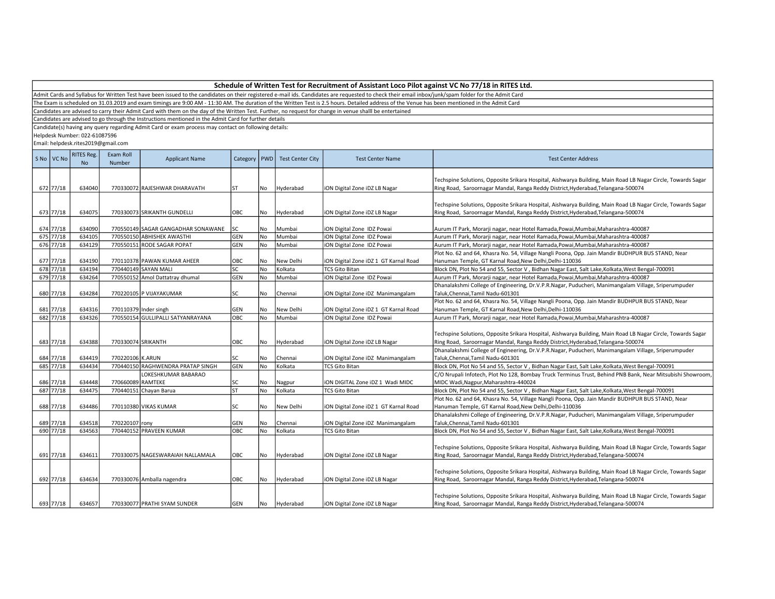| Schedule of Written Test for Recruitment of Assistant Loco Pilot against VC No 77/18 in RITES Ltd. |  |
|----------------------------------------------------------------------------------------------------|--|
|----------------------------------------------------------------------------------------------------|--|

The Exam is scheduled on 31.03.2019 and exam timings are 9:00 AM - 11:30 AM. The duration of the Written Test is 2.5 hours. Detailed address of the Venue has been mentioned in the Admit Card

Candidates are advised to carry their Admit Card with them on the day of the Written Test. Further, no request for change in venue shalll be entertained

Candidates are advised to go through the Instructions mentioned in the Admit Card for further details

Candidate(s) having any query regarding Admit Card or exam process may contact on following details:

Helpdesk Number: 022-61087596

| S No VC No | <b>RITES Reg.</b><br><b>No</b> | Exam Roll<br>Number | <b>Applicant Name</b>              | Category   | PWD       | <b>Test Center City</b> | <b>Test Center Name</b>               | <b>Test Center Address</b>                                                                                                                                                                       |
|------------|--------------------------------|---------------------|------------------------------------|------------|-----------|-------------------------|---------------------------------------|--------------------------------------------------------------------------------------------------------------------------------------------------------------------------------------------------|
| 672 77/18  | 634040                         |                     | 770330072 RAJESHWAR DHARAVATH      | ST         | No        | Hyderabad               | iON Digital Zone iDZ LB Nagar         | Techspine Solutions, Opposite Srikara Hospital, Aishwarya Building, Main Road LB Nagar Circle, Towards Sagar<br>Ring Road, Saroornagar Mandal, Ranga Reddy District, Hyderabad, Telangana-500074 |
|            |                                |                     |                                    |            |           |                         |                                       | Techspine Solutions, Opposite Srikara Hospital, Aishwarya Building, Main Road LB Nagar Circle, Towards Sagar                                                                                     |
| 673 77/18  | 634075                         |                     | 770330073 SRIKANTH GUNDELLI        | OBC        | No        | Hyderabad               | iON Digital Zone iDZ LB Nagar         | Ring Road, Saroornagar Mandal, Ranga Reddy District, Hyderabad, Telangana-500074                                                                                                                 |
| 674 77/18  | 634090                         |                     | 770550149 SAGAR GANGADHAR SONAWANE | lsc        | No        | Mumbai                  | iON Digital Zone IDZ Powai            | Aurum IT Park, Morarji nagar, near Hotel Ramada,Powai,Mumbai,Maharashtra-400087                                                                                                                  |
| 675 77/18  | 634105                         |                     | 770550150 ABHISHEK AWASTHI         | GEN        | No        | Mumbai                  | iON Digital Zone IDZ Powai            | Aurum IT Park, Morarji nagar, near Hotel Ramada, Powai, Mumbai, Maharashtra-400087                                                                                                               |
| 676 77/18  | 634129                         |                     | 770550151 RODE SAGAR POPAT         | GEN        | <b>No</b> | Mumbai                  | iON Digital Zone IDZ Powai            | Aurum IT Park, Morarji nagar, near Hotel Ramada, Powai, Mumbai, Maharashtra-400087                                                                                                               |
| 677 77/18  | 634190                         |                     | 770110378 PAWAN KUMAR AHEER        | OBC        | No        | New Delhi               | iON Digital Zone iDZ 1 GT Karnal Road | Plot No. 62 and 64, Khasra No. 54, Village Nangli Poona, Opp. Jain Mandir BUDHPUR BUS STAND, Near<br>Hanuman Temple, GT Karnal Road, New Delhi, Delhi-110036                                     |
| 678 77/18  | 634194                         |                     | 770440149 SAYAN MALI               | SC.        | No        | Kolkata                 | <b>TCS Gito Bitan</b>                 | Block DN, Plot No 54 and 55, Sector V, Bidhan Nagar East, Salt Lake, Kolkata, West Bengal-700091                                                                                                 |
| 679 77/18  | 634264                         |                     | 770550152 Amol Dattatray dhumal    | GEN        | No        | Mumbai                  | iON Digital Zone IDZ Powai            | Aurum IT Park, Morarji nagar, near Hotel Ramada, Powai, Mumbai, Maharashtra-400087                                                                                                               |
|            |                                |                     |                                    |            |           |                         |                                       | Dhanalakshmi College of Engineering, Dr.V.P.R.Nagar, Puducheri, Manimangalam Village, Sriperumpuder                                                                                              |
| 680 77/18  | 634284                         |                     | 770220105 P VIJAYAKUMAR            | SC         | No        | Chennai                 | iON Digital Zone iDZ Manimangalam     | Taluk, Chennai, Tamil Nadu-601301                                                                                                                                                                |
|            |                                |                     |                                    |            |           |                         |                                       | Plot No. 62 and 64, Khasra No. 54, Village Nangli Poona, Opp. Jain Mandir BUDHPUR BUS STAND, Near                                                                                                |
| 681 77/18  | 634316                         |                     | 770110379 Inder singh              | GEN        | No        | New Delhi               | iON Digital Zone iDZ 1 GT Karnal Road | Hanuman Temple, GT Karnal Road, New Delhi, Delhi-110036                                                                                                                                          |
| 682 77/18  | 634326                         |                     | 770550154 GULLIPALLI SATYANRAYANA  | ОВС        | No        | Mumbai                  | iON Digital Zone IDZ Powai            | Aurum IT Park, Morarji nagar, near Hotel Ramada, Powai, Mumbai, Maharashtra-400087                                                                                                               |
| 683 77/18  | 634388                         | 770330074 SRIKANTH  |                                    | OBC        | No        | Hyderabad               | iON Digital Zone iDZ LB Nagar         | Techspine Solutions, Opposite Srikara Hospital, Aishwarya Building, Main Road LB Nagar Circle, Towards Sagar<br>Ring Road, Saroornagar Mandal, Ranga Reddy District, Hyderabad, Telangana-500074 |
| 684 77/18  | 634419                         | 770220106 K.ARUN    |                                    | SC         | No        | Chennai                 | iON Digital Zone iDZ Manimangalam     | Dhanalakshmi College of Engineering, Dr.V.P.R.Nagar, Puducheri, Manimangalam Village, Sriperumpuder<br>Taluk, Chennai, Tamil Nadu-601301                                                         |
| 685 77/18  | 634434                         |                     | 770440150 RAGHWENDRA PRATAP SINGH  | GEN        | No        | Kolkata                 | <b>TCS Gito Bitan</b>                 | Block DN, Plot No 54 and 55, Sector V, Bidhan Nagar East, Salt Lake, Kolkata, West Bengal-700091                                                                                                 |
|            |                                |                     | LOKESHKUMAR BABARAO                |            |           |                         |                                       | C/O Nrupali Infotech, Plot No 128, Bombay Truck Terminus Trust, Behind PNB Bank, Near Mitsubishi Showroom,                                                                                       |
| 686 77/18  | 634448                         | 770660089 RAMTEKE   |                                    | SC         | No        | Nagpur                  | iON DIGITAL Zone iDZ 1 Wadi MIDC      | MIDC Wadi, Nagpur, Maharashtra-440024                                                                                                                                                            |
| 687 77/18  | 634475                         |                     | 770440151 Chayan Barua             | <b>ST</b>  | <b>No</b> | Kolkata                 | <b>TCS Gito Bitan</b>                 | Block DN, Plot No 54 and 55, Sector V, Bidhan Nagar East, Salt Lake, Kolkata, West Bengal-700091                                                                                                 |
|            |                                |                     |                                    |            |           |                         |                                       | Plot No. 62 and 64, Khasra No. 54, Village Nangli Poona, Opp. Jain Mandir BUDHPUR BUS STAND, Near                                                                                                |
| 688 77/18  | 634486                         |                     | 770110380 VIKAS KUMAR              | SC         | No        | New Delhi               | iON Digital Zone iDZ 1 GT Karnal Road | Hanuman Temple, GT Karnal Road, New Delhi, Delhi-110036                                                                                                                                          |
|            |                                |                     |                                    |            |           |                         |                                       | Dhanalakshmi College of Engineering, Dr.V.P.R.Nagar, Puducheri, Manimangalam Village, Sriperumpuder                                                                                              |
| 689 77/18  | 634518                         | 770220107 rony      |                                    | GEN        | No        | Chennai                 | iON Digital Zone iDZ Manimangalam     | Taluk, Chennai, Tamil Nadu-601301                                                                                                                                                                |
| 690 77/18  | 634563                         |                     | 770440152 PRAVEEN KUMAR            | ОВС        | No        | Kolkata                 | <b>TCS Gito Bitan</b>                 | Block DN, Plot No 54 and 55, Sector V, Bidhan Nagar East, Salt Lake, Kolkata, West Bengal-700091                                                                                                 |
| 691 77/18  | 634611                         |                     | 770330075 NAGESWARAIAH NALLAMALA   | OBC        | No        | Hyderabad               | iON Digital Zone iDZ LB Nagar         | Techspine Solutions, Opposite Srikara Hospital, Aishwarya Building, Main Road LB Nagar Circle, Towards Sagar<br>Ring Road, Saroornagar Mandal, Ranga Reddy District, Hyderabad, Telangana-500074 |
| 692 77/18  | 634634                         |                     | 770330076 Amballa nagendra         | OBC        | No        | Hyderabad               | iON Digital Zone iDZ LB Nagar         | Techspine Solutions, Opposite Srikara Hospital, Aishwarya Building, Main Road LB Nagar Circle, Towards Sagar<br>Ring Road, Saroornagar Mandal, Ranga Reddy District, Hyderabad, Telangana-500074 |
| 693 77/18  | 634657                         |                     | 770330077 PRATHI SYAM SUNDER       | <b>GEN</b> | No        | Hyderabad               | ION Digital Zone IDZ LB Nagar         | Techspine Solutions, Opposite Srikara Hospital, Aishwarya Building, Main Road LB Nagar Circle, Towards Sagar<br>Ring Road, Saroornagar Mandal, Ranga Reddy District, Hyderabad, Telangana-500074 |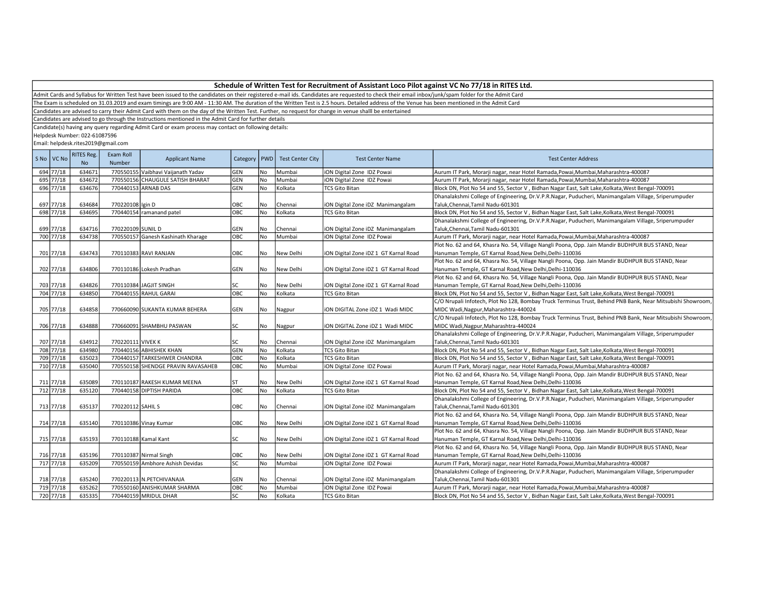| Schedule of Written Test for Recruitment of Assistant Loco Pilot against VC No 77/18 in RITES Ltd. |  |  |
|----------------------------------------------------------------------------------------------------|--|--|
|----------------------------------------------------------------------------------------------------|--|--|

The Exam is scheduled on 31.03.2019 and exam timings are 9:00 AM - 11:30 AM. The duration of the Written Test is 2.5 hours. Detailed address of the Venue has been mentioned in the Admit Card

Candidates are advised to carry their Admit Card with them on the day of the Written Test. Further, no request for change in venue shalll be entertained

Candidates are advised to go through the Instructions mentioned in the Admit Card for further details

Candidate(s) having any query regarding Admit Card or exam process may contact on following details:

Helpdesk Number: 022-61087596

| S No VC No | <b>RITES Reg.</b><br><b>No</b> | Exam Roll<br>Number | <b>Applicant Name</b>              | Category | PWD       | <b>Test Center City</b> | <b>Test Center Name</b>               | <b>Test Center Address</b>                                                                                 |
|------------|--------------------------------|---------------------|------------------------------------|----------|-----------|-------------------------|---------------------------------------|------------------------------------------------------------------------------------------------------------|
| 694 77/18  | 634671                         |                     | 770550155 Vaibhavi Vaijanath Yadav | GEN      | No        | Mumbai                  | ION Digital Zone IDZ Powai            | Aurum IT Park, Morarji nagar, near Hotel Ramada, Powai, Mumbai, Maharashtra-400087                         |
| 695 77/18  | 634672                         |                     | 770550156 CHAUGULE SATISH BHARAT   | GEN      | No        | Mumbai                  | iON Digital Zone IDZ Powai            | Aurum IT Park, Morarji nagar, near Hotel Ramada, Powai, Mumbai, Maharashtra-400087                         |
| 696 77/18  | 634676                         |                     | 770440153 ARNAB DAS                | GEN      | No        | Kolkata                 | <b>TCS Gito Bitan</b>                 | Block DN, Plot No 54 and 55, Sector V, Bidhan Nagar East, Salt Lake, Kolkata, West Bengal-700091           |
|            |                                |                     |                                    |          |           |                         |                                       | Dhanalakshmi College of Engineering, Dr.V.P.R.Nagar, Puducheri, Manimangalam Village, Sriperumpuder        |
| 697 77/18  | 634684                         | 770220108 Igin D    |                                    | OBC      | No        | Chennai                 | iON Digital Zone iDZ Manimangalam     | Taluk, Chennai, Tamil Nadu-601301                                                                          |
| 698 77/18  | 634695                         |                     | 770440154 ramanand patel           | ОВС      | No        | Kolkata                 | <b>TCS Gito Bitan</b>                 | Block DN, Plot No 54 and 55, Sector V, Bidhan Nagar East, Salt Lake, Kolkata, West Bengal-700091           |
|            |                                |                     |                                    |          |           |                         |                                       | Dhanalakshmi College of Engineering, Dr.V.P.R.Nagar, Puducheri, Manimangalam Village, Sriperumpuder        |
| 699 77/18  | 634716                         | 770220109 SUNIL D   |                                    | GEN      | No        | Chennai                 | iON Digital Zone iDZ Manimangalam     | Taluk, Chennai, Tamil Nadu-601301                                                                          |
| 700 77/18  | 634738                         |                     | 770550157 Ganesh Kashinath Kharage | OBC      | <b>No</b> | Mumbai                  | iON Digital Zone IDZ Powai            | Aurum IT Park, Morarji nagar, near Hotel Ramada, Powai, Mumbai, Maharashtra-400087                         |
|            |                                |                     |                                    |          |           |                         |                                       | Plot No. 62 and 64, Khasra No. 54, Village Nangli Poona, Opp. Jain Mandir BUDHPUR BUS STAND, Near          |
| 701 77/18  | 634743                         |                     | 770110383 RAVI RANJAN              | OBC      | No        | New Delhi               | iON Digital Zone iDZ 1 GT Karnal Road | Hanuman Temple, GT Karnal Road, New Delhi, Delhi-110036                                                    |
|            |                                |                     |                                    |          |           |                         |                                       | Plot No. 62 and 64, Khasra No. 54, Village Nangli Poona, Opp. Jain Mandir BUDHPUR BUS STAND, Near          |
| 702 77/18  | 634806                         |                     | 770110186 Lokesh Pradhan           | GEN      | No        | New Delhi               | ION Digital Zone IDZ 1 GT Karnal Road | Hanuman Temple, GT Karnal Road, New Delhi, Delhi-110036                                                    |
|            |                                |                     |                                    |          |           |                         |                                       | Plot No. 62 and 64, Khasra No. 54, Village Nangli Poona, Opp. Jain Mandir BUDHPUR BUS STAND, Near          |
| 703 77/18  | 634826                         |                     | 770110384 JAGJIT SINGH             | SC       | No        | New Delhi               | ION Digital Zone IDZ 1 GT Karnal Road | Hanuman Temple, GT Karnal Road, New Delhi, Delhi-110036                                                    |
| 704 77/18  | 634850                         |                     | 770440155 RAHUL GARAI              | ОВС      | No        | Kolkata                 | <b>TCS Gito Bitan</b>                 | Block DN, Plot No 54 and 55, Sector V, Bidhan Nagar East, Salt Lake, Kolkata, West Bengal-700091           |
|            |                                |                     |                                    |          |           |                         |                                       | C/O Nrupali Infotech, Plot No 128, Bombay Truck Terminus Trust, Behind PNB Bank, Near Mitsubishi Showroom, |
| 705 77/18  | 634858                         |                     | 770660090 SUKANTA KUMAR BEHERA     | GEN      | No        | Nagpur                  | ION DIGITAL Zone IDZ 1 Wadi MIDC      | MIDC Wadi, Nagpur, Maharashtra-440024                                                                      |
|            |                                |                     |                                    |          |           |                         |                                       | C/O Nrupali Infotech, Plot No 128, Bombay Truck Terminus Trust, Behind PNB Bank, Near Mitsubishi Showroom, |
| 706 77/18  | 634888                         |                     | 770660091 SHAMBHU PASWAN           | SC       | No        | Nagpur                  | ION DIGITAL Zone IDZ 1 Wadi MIDC      | MIDC Wadi, Nagpur, Maharashtra-440024                                                                      |
|            |                                |                     |                                    |          |           |                         |                                       | Dhanalakshmi College of Engineering, Dr.V.P.R.Nagar, Puducheri, Manimangalam Village, Sriperumpuder        |
| 707 77/18  | 634912                         | 770220111 VIVEK K   |                                    | SC       | No        | Chennai                 | iON Digital Zone iDZ Manimangalam     | Taluk, Chennai, Tamil Nadu-601301                                                                          |
| 708 77/18  | 634980                         |                     | 770440156 ABHISHEK KHAN            | GEN      | No        | Kolkata                 | <b>TCS Gito Bitan</b>                 | Block DN, Plot No 54 and 55, Sector V, Bidhan Nagar East, Salt Lake, Kolkata, West Bengal-700091           |
| 709 77/18  | 635023                         |                     | 770440157 TARKESHWER CHANDRA       | ОВС      | No        | Kolkata                 | <b>TCS Gito Bitan</b>                 | Block DN, Plot No 54 and 55, Sector V, Bidhan Nagar East, Salt Lake, Kolkata, West Bengal-700091           |
| 710 77/18  | 635040                         |                     | 770550158 SHENDGE PRAVIN RAVASAHEB | ОВС      | No        | Mumbai                  | iON Digital Zone IDZ Powai            | Aurum IT Park, Morarji nagar, near Hotel Ramada, Powai, Mumbai, Maharashtra-400087                         |
|            |                                |                     |                                    |          |           |                         |                                       | Plot No. 62 and 64, Khasra No. 54, Village Nangli Poona, Opp. Jain Mandir BUDHPUR BUS STAND, Near          |
| 711 77/18  | 635089                         |                     | 770110187 RAKESH KUMAR MEENA       | ST       | No        | New Delhi               | iON Digital Zone iDZ 1 GT Karnal Road | Hanuman Temple, GT Karnal Road, New Delhi, Delhi-110036                                                    |
| 712 77/18  | 635120                         |                     | 770440158 DIPTISH PARIDA           | OBC      | No        | Kolkata                 | <b>TCS Gito Bitan</b>                 | Block DN, Plot No 54 and 55, Sector V, Bidhan Nagar East, Salt Lake, Kolkata, West Bengal-700091           |
|            |                                |                     |                                    |          |           |                         |                                       | Dhanalakshmi College of Engineering, Dr.V.P.R.Nagar, Puducheri, Manimangalam Village, Sriperumpuder        |
| 713 77/18  | 635137                         | 770220112 SAHIL S   |                                    | OBC      | No        | Chennai                 | iON Digital Zone iDZ Manimangalam     | Taluk, Chennai, Tamil Nadu-601301                                                                          |
|            |                                |                     |                                    |          |           |                         |                                       | Plot No. 62 and 64, Khasra No. 54, Village Nangli Poona, Opp. Jain Mandir BUDHPUR BUS STAND, Near          |
| 714 77/18  | 635140                         |                     | 770110386 Vinay Kumar              | OBC      | No        | New Delhi               | iON Digital Zone iDZ 1 GT Karnal Road | Hanuman Temple, GT Karnal Road, New Delhi, Delhi-110036                                                    |
|            |                                |                     |                                    |          |           |                         |                                       | Plot No. 62 and 64, Khasra No. 54, Village Nangli Poona, Opp. Jain Mandir BUDHPUR BUS STAND, Near          |
| 715 77/18  | 635193                         |                     | 770110188 Kamal Kant               | SC       | No        | New Delhi               | iON Digital Zone iDZ 1 GT Karnal Road | Hanuman Temple, GT Karnal Road, New Delhi, Delhi-110036                                                    |
|            |                                |                     |                                    |          |           |                         |                                       | Plot No. 62 and 64, Khasra No. 54, Village Nangli Poona, Opp. Jain Mandir BUDHPUR BUS STAND, Near          |
| 716 77/18  | 635196                         |                     | 770110387 Nirmal Singh             | OBC      | No        | New Delhi               | iON Digital Zone iDZ 1 GT Karnal Road | Hanuman Temple, GT Karnal Road, New Delhi, Delhi-110036                                                    |
| 717 77/18  | 635209                         |                     | 770550159 Ambhore Ashish Devidas   | SC       | No        | Mumbai                  | ION Digital Zone IDZ Powai            | Aurum IT Park, Morarji nagar, near Hotel Ramada, Powai, Mumbai, Maharashtra-400087                         |
|            |                                |                     |                                    |          |           |                         |                                       | Dhanalakshmi College of Engineering, Dr.V.P.R.Nagar, Puducheri, Manimangalam Village, Sriperumpuder        |
| 718 77/18  | 635240                         |                     | 770220113 N.PETCHIVANAJA           | GEN      | No        | Chennai                 | ION Digital Zone IDZ Manimangalam     | Taluk, Chennai, Tamil Nadu-601301                                                                          |
| 719 77/18  | 635262                         |                     | 770550160 ANISHKUMAR SHARMA        | ОВС      | No        | Mumbai                  | iON Digital Zone IDZ Powai            | Aurum IT Park, Morarji nagar, near Hotel Ramada, Powai, Mumbai, Maharashtra-400087                         |
| 720 77/18  | 635335                         |                     | 770440159 MRIDUL DHAR              | SC       | <b>No</b> | Kolkata                 | <b>TCS Gito Bitan</b>                 | Block DN, Plot No 54 and 55, Sector V, Bidhan Nagar East, Salt Lake, Kolkata, West Bengal-700091           |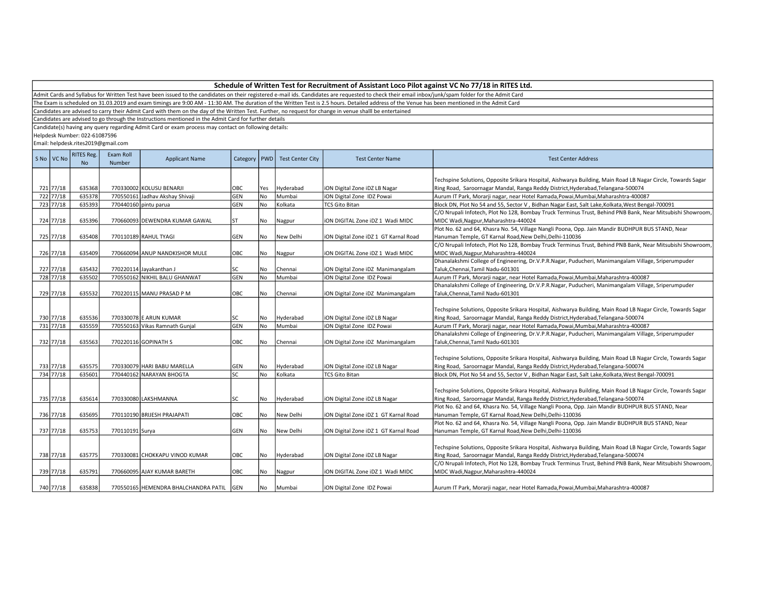Admit Cards and Syllabus for Written Test have been issued to the candidates on their registered e-mail ids. Candidates are requested to check their email inbox/junk/spam folder for the Admit Card

The Exam is scheduled on 31.03.2019 and exam timings are 9:00 AM - 11:30 AM. The duration of the Written Test is 2.5 hours. Detailed address of the Venue has been mentioned in the Admit Card

Candidates are advised to carry their Admit Card with them on the day of the Written Test. Further, no request for change in venue shalll be entertained

Candidates are advised to go through the Instructions mentioned in the Admit Card for further details

Candidate(s) having any query regarding Admit Card or exam process may contact on following details:

Helpdesk Number: 022-61087596

| S No   VC No           | <b>RITES Reg.</b><br>N <sub>o</sub> | Exam Roll<br>Number | <b>Applicant Name</b>                | Category   PWD    |           | <b>Test Center City</b> | <b>Test Center Name</b>               | <b>Test Center Address</b>                                                                                                                                                                                     |
|------------------------|-------------------------------------|---------------------|--------------------------------------|-------------------|-----------|-------------------------|---------------------------------------|----------------------------------------------------------------------------------------------------------------------------------------------------------------------------------------------------------------|
|                        |                                     |                     |                                      |                   |           |                         |                                       |                                                                                                                                                                                                                |
|                        |                                     |                     |                                      |                   |           |                         |                                       | Techspine Solutions, Opposite Srikara Hospital, Aishwarya Building, Main Road LB Nagar Circle, Towards Sagar                                                                                                   |
| 721 77/18<br>722 77/18 | 635368<br>635378                    |                     | 770330002 KOLUSU BENARJI             | OBC               | Yes       | Hyderabad               | ION Digital Zone IDZ LB Nagar         | Ring Road, Saroornagar Mandal, Ranga Reddy District, Hyderabad, Telangana-500074                                                                                                                               |
| 723 77/18              | 635393                              |                     | 770550161 Jadhav Akshay Shivaji      | GEN<br><b>GEN</b> | No<br>No  | Mumbai                  | iON Digital Zone IDZ Powai            | Aurum IT Park, Morarji nagar, near Hotel Ramada, Powai, Mumbai, Maharashtra-400087                                                                                                                             |
|                        |                                     |                     | 770440160 pintu parua                |                   |           | Kolkata                 | <b>TCS Gito Bitan</b>                 | Block DN, Plot No 54 and 55, Sector V, Bidhan Nagar East, Salt Lake, Kolkata, West Bengal-700091<br>C/O Nrupali Infotech, Plot No 128, Bombay Truck Terminus Trust, Behind PNB Bank, Near Mitsubishi Showroom, |
| 724 77/18              | 635396                              |                     | 770660093 DEWENDRA KUMAR GAWAL       | IST               | No        | Nagpur                  | ION DIGITAL Zone IDZ 1 Wadi MIDC      | MIDC Wadi, Nagpur, Maharashtra-440024                                                                                                                                                                          |
|                        |                                     |                     |                                      |                   |           |                         |                                       | Plot No. 62 and 64, Khasra No. 54, Village Nangli Poona, Opp. Jain Mandir BUDHPUR BUS STAND, Near                                                                                                              |
| 725 77/18              | 635408                              |                     | 770110189 RAHUL TYAGI                | <b>GEN</b>        | No        | New Delhi               | ION Digital Zone IDZ 1 GT Karnal Road | Hanuman Temple, GT Karnal Road, New Delhi, Delhi-110036                                                                                                                                                        |
|                        |                                     |                     |                                      |                   |           |                         |                                       | C/O Nrupali Infotech, Plot No 128, Bombay Truck Terminus Trust, Behind PNB Bank, Near Mitsubishi Showroom,                                                                                                     |
| 726 77/18              | 635409                              |                     | 770660094 ANUP NANDKISHOR MULE       | OBC               | No        | Nagpur                  | ION DIGITAL Zone IDZ 1 Wadi MIDC      | MIDC Wadi, Nagpur, Maharashtra-440024                                                                                                                                                                          |
|                        |                                     |                     |                                      |                   |           |                         |                                       | Dhanalakshmi College of Engineering, Dr.V.P.R.Nagar, Puducheri, Manimangalam Village, Sriperumpuder                                                                                                            |
| 727 77/18              | 635432                              |                     | 770220114 Jayakanthan J              | SC                | No        | Chennai                 | iON Digital Zone iDZ Manimangalam     | Taluk, Chennai, Tamil Nadu-601301                                                                                                                                                                              |
| 728 77/18              | 635502                              |                     | 770550162 NIKHIL BALU GHANWAT        | <b>GEN</b>        | No        | Mumbai                  | iON Digital Zone IDZ Powai            | Aurum IT Park, Morarji nagar, near Hotel Ramada, Powai, Mumbai, Maharashtra-400087                                                                                                                             |
|                        |                                     |                     |                                      |                   |           |                         |                                       | Dhanalakshmi College of Engineering, Dr.V.P.R.Nagar, Puducheri, Manimangalam Village, Sriperumpuder                                                                                                            |
| 729 77/18              | 635532                              |                     | 770220115 MANU PRASAD P M            | OBC               | No        | Chennai                 | iON Digital Zone iDZ Manimangalam     | Taluk, Chennai, Tamil Nadu-601301                                                                                                                                                                              |
|                        |                                     |                     |                                      |                   |           |                         |                                       |                                                                                                                                                                                                                |
|                        |                                     |                     |                                      |                   |           |                         |                                       | Techspine Solutions, Opposite Srikara Hospital, Aishwarya Building, Main Road LB Nagar Circle, Towards Sagar                                                                                                   |
| 730 77/18              | 635536                              |                     | 770330078 E ARUN KUMAR               | lsc               | No        | Hyderabad               | iON Digital Zone iDZ LB Nagar         | Ring Road, Saroornagar Mandal, Ranga Reddy District, Hyderabad, Telangana-500074                                                                                                                               |
| 731 77/18              | 635559                              |                     | 770550163 Vikas Ramnath Gunjal       | GEN               | <b>No</b> | Mumbai                  | iON Digital Zone IDZ Powai            | Aurum IT Park, Morarji nagar, near Hotel Ramada, Powai, Mumbai, Maharashtra-400087                                                                                                                             |
|                        |                                     |                     |                                      |                   |           |                         |                                       | Dhanalakshmi College of Engineering, Dr.V.P.R.Nagar, Puducheri, Manimangalam Village, Sriperumpuder                                                                                                            |
| 732 77/18              | 635563                              |                     | 770220116 GOPINATH S                 | OBC               | No        | Chennai                 | ION Digital Zone IDZ Manimangalam     | Taluk, Chennai, Tamil Nadu-601301                                                                                                                                                                              |
|                        |                                     |                     |                                      |                   |           |                         |                                       |                                                                                                                                                                                                                |
|                        |                                     |                     |                                      |                   |           |                         |                                       | Techspine Solutions, Opposite Srikara Hospital, Aishwarya Building, Main Road LB Nagar Circle, Towards Sagar                                                                                                   |
| 733 77/18              | 635575                              |                     | 770330079 HARI BABU MARELLA          | <b>GEN</b>        | No        | Hyderabad               | ION Digital Zone IDZ LB Nagar         | Ring Road, Saroornagar Mandal, Ranga Reddy District, Hyderabad, Telangana-500074                                                                                                                               |
| 734 77/18              | 635601                              |                     | 770440162 NARAYAN BHOGTA             | SC                | No        | Kolkata                 | <b>TCS Gito Bitan</b>                 | Block DN, Plot No 54 and 55, Sector V, Bidhan Nagar East, Salt Lake, Kolkata, West Bengal-700091                                                                                                               |
|                        |                                     |                     |                                      |                   |           |                         |                                       |                                                                                                                                                                                                                |
|                        |                                     |                     |                                      |                   |           |                         |                                       | Techspine Solutions, Opposite Srikara Hospital, Aishwarya Building, Main Road LB Nagar Circle, Towards Sagar                                                                                                   |
| 735 77/18              | 635614                              |                     | 770330080 LAKSHMANNA                 | Isc               | No        | Hyderabad               | ION Digital Zone IDZ LB Nagar         | Ring Road, Saroornagar Mandal, Ranga Reddy District, Hyderabad, Telangana-500074                                                                                                                               |
|                        |                                     |                     |                                      |                   |           |                         |                                       | Plot No. 62 and 64, Khasra No. 54, Village Nangli Poona, Opp. Jain Mandir BUDHPUR BUS STAND, Near                                                                                                              |
| 736 77/18              | 635695                              |                     | 770110190 BRIJESH PRAJAPATI          | OBC               | No        | New Delhi               | iON Digital Zone iDZ 1 GT Karnal Road | Hanuman Temple, GT Karnal Road, New Delhi, Delhi-110036                                                                                                                                                        |
|                        |                                     |                     |                                      |                   |           |                         |                                       | Plot No. 62 and 64, Khasra No. 54, Village Nangli Poona, Opp. Jain Mandir BUDHPUR BUS STAND, Near                                                                                                              |
| 737 77/18              | 635753                              | 770110191 Surya     |                                      | <b>GEN</b>        | <b>No</b> | New Delhi               | iON Digital Zone iDZ 1 GT Karnal Road | Hanuman Temple, GT Karnal Road, New Delhi, Delhi-110036                                                                                                                                                        |
|                        |                                     |                     |                                      |                   |           |                         |                                       |                                                                                                                                                                                                                |
|                        |                                     |                     |                                      |                   |           |                         |                                       | Techspine Solutions, Opposite Srikara Hospital, Aishwarya Building, Main Road LB Nagar Circle, Towards Sagar                                                                                                   |
| 738 77/18              | 635775                              |                     | 770330081 CHOKKAPU VINOD KUMAR       | <b>OBC</b>        | No        | Hyderabad               | ION Digital Zone IDZ LB Nagar         | Ring Road, Saroornagar Mandal, Ranga Reddy District, Hyderabad, Telangana-500074                                                                                                                               |
|                        |                                     |                     |                                      |                   |           |                         |                                       | C/O Nrupali Infotech, Plot No 128, Bombay Truck Terminus Trust, Behind PNB Bank, Near Mitsubishi Showroom,                                                                                                     |
| 739 77/18              | 635791                              |                     | 770660095 AJAY KUMAR BARETH          | OBC               | No        | Nagpur                  | iON DIGITAL Zone iDZ 1 Wadi MIDC      | MIDC Wadi, Nagpur, Maharashtra-440024                                                                                                                                                                          |
|                        |                                     |                     |                                      |                   |           |                         |                                       |                                                                                                                                                                                                                |
| 740 77/18              | 635838                              |                     | 770550165 HEMENDRA BHALCHANDRA PATIL | <b>GEN</b>        | No        | Mumbai                  | ION Digital Zone IDZ Powai            | Aurum IT Park, Morarji nagar, near Hotel Ramada, Powai, Mumbai, Maharashtra-400087                                                                                                                             |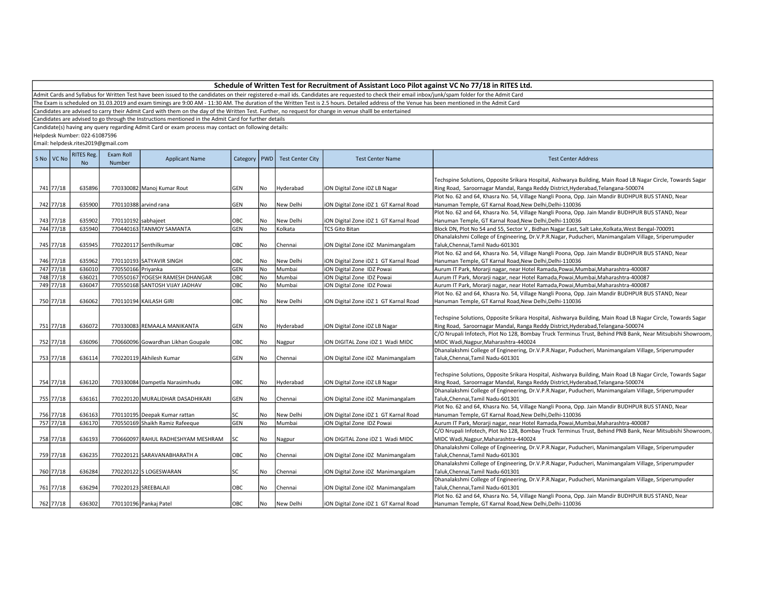Admit Cards and Syllabus for Written Test have been issued to the candidates on their registered e-mail ids. Candidates are requested to check their email inbox/junk/spam folder for the Admit Card

The Exam is scheduled on 31.03.2019 and exam timings are 9:00 AM - 11:30 AM. The duration of the Written Test is 2.5 hours. Detailed address of the Venue has been mentioned in the Admit Card

Candidates are advised to carry their Admit Card with them on the day of the Written Test. Further, no request for change in venue shalll be entertained

Candidates are advised to go through the Instructions mentioned in the Admit Card for further details

Candidate(s) having any query regarding Admit Card or exam process may contact on following details:

Helpdesk Number: 022-61087596

| S No VC No | <b>RITES Reg.</b><br>N <sub>o</sub> | Exam Roll<br>Number | <b>Applicant Name</b>              | Category   | <b>PWD</b> | <b>Test Center City</b> | <b>Test Center Name</b>               | <b>Test Center Address</b>                                                                                   |
|------------|-------------------------------------|---------------------|------------------------------------|------------|------------|-------------------------|---------------------------------------|--------------------------------------------------------------------------------------------------------------|
|            |                                     |                     |                                    |            |            |                         |                                       | Techspine Solutions, Opposite Srikara Hospital, Aishwarya Building, Main Road LB Nagar Circle, Towards Sagar |
| 741 77/18  | 635896                              |                     | 770330082 Manoj Kumar Rout         | GEN        | No         | Hyderabad               | ION Digital Zone IDZ LB Nagar         | Ring Road, Saroornagar Mandal, Ranga Reddy District, Hyderabad, Telangana-500074                             |
|            |                                     |                     |                                    |            |            |                         |                                       | Plot No. 62 and 64, Khasra No. 54, Village Nangli Poona, Opp. Jain Mandir BUDHPUR BUS STAND, Near            |
| 742 77/18  | 635900                              |                     | 770110388 arvind rana              | GEN        | No         | New Delhi               | iON Digital Zone iDZ 1 GT Karnal Road | Hanuman Temple, GT Karnal Road, New Delhi, Delhi-110036                                                      |
|            |                                     |                     |                                    |            |            |                         |                                       | Plot No. 62 and 64, Khasra No. 54, Village Nangli Poona, Opp. Jain Mandir BUDHPUR BUS STAND, Near            |
| 743 77/18  | 635902                              | 770110192 sabhajeet |                                    | OBC        | No         | New Delhi               | iON Digital Zone iDZ 1 GT Karnal Road | Hanuman Temple, GT Karnal Road, New Delhi, Delhi-110036                                                      |
| 744 77/18  | 635940                              |                     | 770440163 TANMOY SAMANTA           | GEN        | No         | Kolkata                 | <b>TCS Gito Bitan</b>                 | Block DN, Plot No 54 and 55, Sector V, Bidhan Nagar East, Salt Lake, Kolkata, West Bengal-700091             |
|            |                                     |                     |                                    |            |            |                         |                                       | Dhanalakshmi College of Engineering, Dr.V.P.R.Nagar, Puducheri, Manimangalam Village, Sriperumpuder          |
| 745 77/18  | 635945                              |                     | 770220117 Senthilkumar             | OBC        | No         | Chennai                 | iON Digital Zone iDZ Manimangalam     | Taluk, Chennai, Tamil Nadu-601301                                                                            |
|            |                                     |                     |                                    |            |            |                         |                                       | Plot No. 62 and 64, Khasra No. 54, Village Nangli Poona, Opp. Jain Mandir BUDHPUR BUS STAND, Near            |
| 746 77/18  | 635962                              |                     | 770110193 SATYAVIR SINGH           | OBC        | No         | New Delhi               | iON Digital Zone iDZ 1 GT Karnal Road | Hanuman Temple, GT Karnal Road, New Delhi, Delhi-110036                                                      |
| 747 77/18  | 636010                              | 770550166 Privanka  |                                    | GEN        | No         | Mumbai                  | iON Digital Zone IDZ Powai            | Aurum IT Park, Morarji nagar, near Hotel Ramada, Powai, Mumbai, Maharashtra-400087                           |
| 748 77/18  | 636021                              |                     | 770550167 YOGESH RAMESH DHANGAR    | OBC        | No         | Mumbai                  | ION Digital Zone IDZ Powai            | Aurum IT Park, Morarji nagar, near Hotel Ramada,Powai,Mumbai,Maharashtra-400087                              |
| 749 77/18  | 636047                              |                     | 770550168 SANTOSH VIJAY JADHAV     | OBC        | No         | Mumbai                  | ION Digital Zone IDZ Powai            | Aurum IT Park, Morarji nagar, near Hotel Ramada, Powai, Mumbai, Maharashtra-400087                           |
| 750 77/18  |                                     |                     |                                    |            |            |                         |                                       | Plot No. 62 and 64, Khasra No. 54, Village Nangli Poona, Opp. Jain Mandir BUDHPUR BUS STAND, Near            |
|            | 636062                              |                     | 770110194 KAILASH GIRI             | OBC        | No         | New Delhi               | iON Digital Zone iDZ 1 GT Karnal Road | Hanuman Temple, GT Karnal Road, New Delhi, Delhi-110036                                                      |
|            |                                     |                     |                                    |            |            |                         |                                       | Techspine Solutions, Opposite Srikara Hospital, Aishwarya Building, Main Road LB Nagar Circle, Towards Sagar |
| 751 77/18  | 636072                              |                     | 770330083 REMAALA MANIKANTA        | GEN        | l No       | Hyderabad               | iON Digital Zone iDZ LB Nagar         | Ring Road, Saroornagar Mandal, Ranga Reddy District, Hyderabad, Telangana-500074                             |
|            |                                     |                     |                                    |            |            |                         |                                       | C/O Nrupali Infotech, Plot No 128, Bombay Truck Terminus Trust, Behind PNB Bank, Near Mitsubishi Showroom,   |
| 752 77/18  | 636096                              |                     | 770660096 Gowardhan Likhan Goupale | OBC        | No         | Nagpur                  | ION DIGITAL Zone IDZ 1 Wadi MIDC      | MIDC Wadi, Nagpur, Maharashtra-440024                                                                        |
|            |                                     |                     |                                    |            |            |                         |                                       | Dhanalakshmi College of Engineering, Dr.V.P.R.Nagar, Puducheri, Manimangalam Village, Sriperumpuder          |
| 753 77/18  | 636114                              |                     | 770220119 Akhilesh Kumar           | GEN        | No         | Chennai                 | iON Digital Zone iDZ Manimangalam     | Taluk,Chennai,Tamil Nadu-601301                                                                              |
|            |                                     |                     |                                    |            |            |                         |                                       |                                                                                                              |
|            |                                     |                     |                                    |            |            |                         |                                       | Techspine Solutions, Opposite Srikara Hospital, Aishwarya Building, Main Road LB Nagar Circle, Towards Sagar |
| 754 77/18  | 636120                              |                     | 770330084 Dampetla Narasimhudu     | OBC        | No         | Hyderabad               | iON Digital Zone iDZ LB Nagar         | Ring Road, Saroornagar Mandal, Ranga Reddy District, Hyderabad, Telangana-500074                             |
|            |                                     |                     |                                    |            |            |                         |                                       | Dhanalakshmi College of Engineering, Dr.V.P.R.Nagar, Puducheri, Manimangalam Village, Sriperumpuder          |
| 755 77/18  | 636161                              |                     | 770220120 MURALIDHAR DASADHIKARI   | GEN        | No         | Chennai                 | iON Digital Zone iDZ Manimangalam     | Taluk, Chennai, Tamil Nadu-601301                                                                            |
|            |                                     |                     |                                    |            |            |                         |                                       | Plot No. 62 and 64, Khasra No. 54, Village Nangli Poona, Opp. Jain Mandir BUDHPUR BUS STAND, Near            |
| 756 77/18  | 636163                              |                     | 770110195 Deepak Kumar rattan      | SC         | No         | New Delhi               | iON Digital Zone iDZ 1 GT Karnal Road | Hanuman Temple, GT Karnal Road, New Delhi, Delhi-110036                                                      |
| 757 77/18  | 636170                              |                     | 770550169 Shaikh Ramiz Rafeeque    | GEN        | No         | Mumbai                  | ION Digital Zone IDZ Powai            | Aurum IT Park, Morarji nagar, near Hotel Ramada, Powai, Mumbai, Maharashtra-400087                           |
|            |                                     |                     |                                    |            |            |                         |                                       | C/O Nrupali Infotech, Plot No 128, Bombay Truck Terminus Trust, Behind PNB Bank, Near Mitsubishi Showroom,   |
| 758 77/18  | 636193                              |                     | 770660097 RAHUL RADHESHYAM MESHRAM | SC         | No         | Nagpur                  | ION DIGITAL Zone IDZ 1 Wadi MIDC      | MIDC Wadi, Nagpur, Maharashtra-440024                                                                        |
|            |                                     |                     |                                    |            |            |                         |                                       | Dhanalakshmi College of Engineering, Dr.V.P.R.Nagar, Puducheri, Manimangalam Village, Sriperumpuder          |
| 759 77/18  | 636235                              |                     | 770220121 SARAVANABHARATH A        | OBC        | No         | Chennai                 | iON Digital Zone iDZ Manimangalam     | Taluk, Chennai, Tamil Nadu-601301                                                                            |
|            |                                     |                     |                                    |            |            |                         |                                       | Dhanalakshmi College of Engineering, Dr.V.P.R.Nagar, Puducheri, Manimangalam Village, Sriperumpuder          |
| 760 77/18  | 636284                              |                     | 770220122 S LOGESWARAN             | SC         | No         | Chennai                 | iON Digital Zone iDZ Manimangalam     | Taluk, Chennai, Tamil Nadu-601301                                                                            |
|            |                                     |                     |                                    |            |            |                         |                                       | Dhanalakshmi College of Engineering, Dr.V.P.R.Nagar, Puducheri, Manimangalam Village, Sriperumpuder          |
| 761 77/18  | 636294                              |                     | 770220123 SREEBALAJI               | OBC        | No         | Chennai                 | iON Digital Zone iDZ Manimangalam     | Taluk, Chennai, Tamil Nadu-601301                                                                            |
|            |                                     |                     |                                    |            |            |                         |                                       | Plot No. 62 and 64, Khasra No. 54, Village Nangli Poona, Opp. Jain Mandir BUDHPUR BUS STAND, Near            |
| 762 77/18  | 636302                              |                     | 770110196 Pankaj Patel             | <b>OBC</b> | No         | New Delhi               | ION Digital Zone IDZ 1 GT Karnal Road | Hanuman Temple, GT Karnal Road, New Delhi, Delhi-110036                                                      |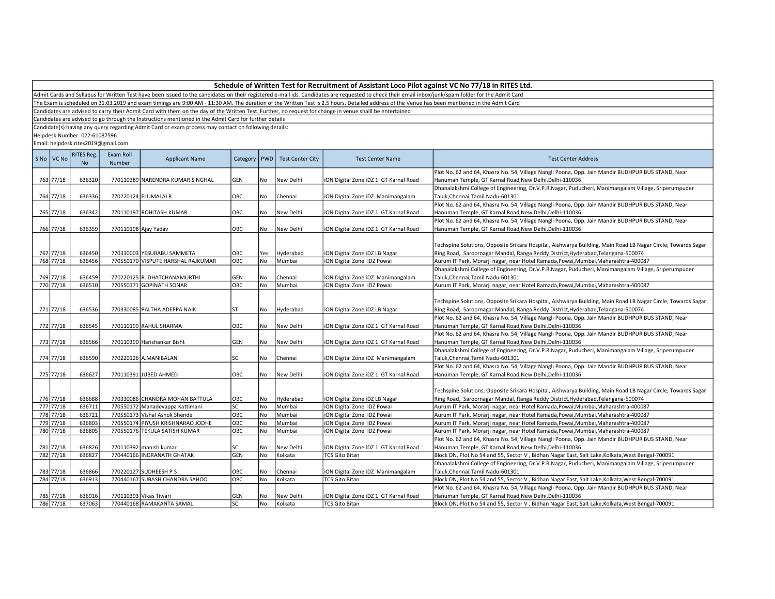The Exam is scheduled on 31.03.2019 and exam timings are 9:00 AM - 11:30 AM. The duration of the Written Test is 2.5 hours. Detailed address of the Venue has been mentioned in the Admit Card

Candidates are advised to carry their Admit Card with them on the day of the Written Test. Further, no request for change in venue shalll be entertained

Candidates are advised to go through the Instructions mentioned in the Admit Card for further details

Candidate(s) having any query regarding Admit Card or exam process may contact on following details:

Helpdesk Number: 022-61087596

| S No VC No | <b>RITES Reg.</b><br><b>No</b> | Exam Roll<br>Number | <b>Applicant Name</b>              | Category   PWD |     | <b>Test Center City</b> | <b>Test Center Name</b>               | <b>Test Center Address</b>                                                                                   |
|------------|--------------------------------|---------------------|------------------------------------|----------------|-----|-------------------------|---------------------------------------|--------------------------------------------------------------------------------------------------------------|
|            |                                |                     |                                    |                |     |                         |                                       | Plot No. 62 and 64, Khasra No. 54, Village Nangli Poona, Opp. Jain Mandir BUDHPUR BUS STAND, Near            |
| 763 77/18  | 636320                         |                     | 770110389 NARENDRA KUMAR SINGHAL   | GEN            | No  | New Delhi               | iON Digital Zone iDZ 1 GT Karnal Road | Hanuman Temple, GT Karnal Road, New Delhi, Delhi-110036                                                      |
|            |                                |                     |                                    |                |     |                         |                                       | Dhanalakshmi College of Engineering, Dr.V.P.R.Nagar, Puducheri, Manimangalam Village, Sriperumpuder          |
| 764 77/18  | 636336                         |                     | 770220124 ELUMALAI R               | OBC            | No  | Chennai                 | iON Digital Zone iDZ Manimangalam     | Taluk, Chennai, Tamil Nadu-601301                                                                            |
|            |                                |                     |                                    |                |     |                         |                                       | Plot No. 62 and 64, Khasra No. 54, Village Nangli Poona, Opp. Jain Mandir BUDHPUR BUS STAND, Near            |
| 765 77/18  | 636342                         |                     | 770110197 ROHITASH KUMAR           | OBC            | No  | New Delhi               | iON Digital Zone iDZ 1 GT Karnal Road | Hanuman Temple, GT Karnal Road, New Delhi, Delhi-110036                                                      |
|            |                                |                     |                                    |                |     |                         |                                       | Plot No. 62 and 64, Khasra No. 54, Village Nangli Poona, Opp. Jain Mandir BUDHPUR BUS STAND, Near            |
| 766 77/18  | 636359                         |                     | 770110198 Ajay Yadav               | OBC            | No  | New Delhi               | iON Digital Zone iDZ 1 GT Karnal Road | Hanuman Temple, GT Karnal Road, New Delhi, Delhi-110036                                                      |
|            |                                |                     |                                    |                |     |                         |                                       |                                                                                                              |
|            |                                |                     |                                    |                |     |                         |                                       | Techspine Solutions, Opposite Srikara Hospital, Aishwarya Building, Main Road LB Nagar Circle, Towards Sagar |
| 767 77/18  | 636450                         |                     | 770330003 YESUBABU SAMMETA         | OBC            | Yes | Hyderabad               | iON Digital Zone iDZ LB Nagar         | Ring Road, Saroornagar Mandal, Ranga Reddy District, Hyderabad, Telangana-500074                             |
| 768 77/18  | 636456                         |                     | 770550170 VISPUTE HARSHAL RAJKUMAR | ОВС            | No  | Mumbai                  | iON Digital Zone IDZ Powai            | Aurum IT Park, Morarji nagar, near Hotel Ramada, Powai, Mumbai, Maharashtra-400087                           |
|            |                                |                     |                                    |                |     |                         |                                       | Dhanalakshmi College of Engineering, Dr.V.P.R.Nagar, Puducheri, Manimangalam Village, Sriperumpuder          |
| 769 77/18  | 636459                         |                     | 770220125 R. DHATCHANAMURTHI       | GEN            | No  | Chennai                 | iON Digital Zone iDZ Manimangalam     | Taluk, Chennai, Tamil Nadu-601301                                                                            |
| 770 77/18  | 636510                         |                     | 770550171 GOPINATH SONAR           | ОВС            | No  | Mumbai                  | iON Digital Zone IDZ Powai            | Aurum IT Park, Morarji nagar, near Hotel Ramada, Powai, Mumbai, Maharashtra-400087                           |
|            |                                |                     |                                    |                |     |                         |                                       |                                                                                                              |
|            |                                |                     |                                    |                |     |                         |                                       | Techspine Solutions, Opposite Srikara Hospital, Aishwarya Building, Main Road LB Nagar Circle, Towards Sagar |
| 771 77/18  | 636536                         |                     | 770330085 PALTHA ADEPPA NAIK       | <b>ST</b>      | No  | Hyderabad               | iON Digital Zone iDZ LB Nagar         | Ring Road, Saroornagar Mandal, Ranga Reddy District, Hyderabad, Telangana-500074                             |
|            |                                |                     |                                    |                |     |                         |                                       | Plot No. 62 and 64, Khasra No. 54, Village Nangli Poona, Opp. Jain Mandir BUDHPUR BUS STAND, Near            |
| 772 77/18  | 636545                         |                     | 770110199 RAHUL SHARMA             | OBC            | No  | New Delhi               | iON Digital Zone iDZ 1 GT Karnal Road | Hanuman Temple, GT Karnal Road, New Delhi, Delhi-110036                                                      |
|            |                                |                     |                                    |                |     |                         |                                       | Plot No. 62 and 64, Khasra No. 54, Village Nangli Poona, Opp. Jain Mandir BUDHPUR BUS STAND, Near            |
| 773 77/18  | 636566                         |                     | 770110390 Harishankar Bisht        | <b>GEN</b>     | No  | New Delhi               | iON Digital Zone iDZ 1 GT Karnal Road | Hanuman Temple, GT Karnal Road, New Delhi, Delhi-110036                                                      |
|            |                                |                     |                                    |                |     |                         |                                       | Dhanalakshmi College of Engineering, Dr.V.P.R.Nagar, Puducheri, Manimangalam Village, Sriperumpuder          |
| 774 77/18  | 636590                         |                     | 770220126 A.MANIBALAN              | SC             | No  | Chennai                 | iON Digital Zone iDZ Manimangalam     | Taluk, Chennai, Tamil Nadu-601301                                                                            |
|            |                                |                     |                                    |                |     |                         |                                       | Plot No. 62 and 64, Khasra No. 54, Village Nangli Poona, Opp. Jain Mandir BUDHPUR BUS STAND, Near            |
| 775 77/18  | 636627                         |                     | 770110391 JUBED AHMED              | OBC            | No  | New Delhi               | iON Digital Zone iDZ 1 GT Karnal Road | Hanuman Temple, GT Karnal Road, New Delhi, Delhi-110036                                                      |
|            |                                |                     |                                    |                |     |                         |                                       |                                                                                                              |
|            |                                |                     |                                    |                |     |                         |                                       | Techspine Solutions, Opposite Srikara Hospital, Aishwarya Building, Main Road LB Nagar Circle, Towards Sagar |
| 776 77/18  | 636688                         |                     | 770330086 CHANDRA MOHAN BATTULA    | OBC            | No  | Hyderabad               | iON Digital Zone iDZ LB Nagar         | Ring Road, Saroornagar Mandal, Ranga Reddy District, Hyderabad, Telangana-500074                             |
| 777 77/18  | 636711                         |                     | 770550172 Mahadevappa Kattimani    | <b>SC</b>      | No  | Mumbai                  | iON Digital Zone IDZ Powai            | Aurum IT Park, Morarji nagar, near Hotel Ramada, Powai, Mumbai, Maharashtra-400087                           |
| 778 77/18  | 636721                         |                     | 770550173 Vishal Ashok Shende      | OBC            | No  | Mumbai                  | iON Digital Zone IDZ Powai            | Aurum IT Park, Morarji nagar, near Hotel Ramada, Powai, Mumbai, Maharashtra-400087                           |
| 779 77/18  | 636803                         |                     | 770550174 PIYUSH KRISHNARAO JODHE  | OBC            | No  | Mumbai                  | iON Digital Zone IDZ Powai            | Aurum IT Park, Morarji nagar, near Hotel Ramada, Powai, Mumbai, Maharashtra-400087                           |
| 780 77/18  | 636805                         |                     | 770550176 TEKULA SATISH KUMAR      | OBC            | No  | Mumbai                  | iON Digital Zone IDZ Powai            | Aurum IT Park, Morarji nagar, near Hotel Ramada,Powai,Mumbai,Maharashtra-400087                              |
|            |                                |                     |                                    |                |     |                         |                                       | Plot No. 62 and 64, Khasra No. 54, Village Nangli Poona, Opp. Jain Mandir BUDHPUR BUS STAND, Near            |
| 781 77/18  | 636826                         |                     | 770110392 manish kumar             | SC             | No  | New Delhi               | iON Digital Zone iDZ 1 GT Karnal Road | Hanuman Temple, GT Karnal Road, New Delhi, Delhi-110036                                                      |
| 782 77/18  | 636827                         |                     | 770440166 INDRANATH GHATAK         | GEN            | No  | Kolkata                 | <b>TCS Gito Bitan</b>                 | Block DN, Plot No 54 and 55, Sector V, Bidhan Nagar East, Salt Lake, Kolkata, West Bengal-700091             |
|            |                                |                     |                                    |                |     |                         |                                       | Dhanalakshmi College of Engineering, Dr.V.P.R.Nagar, Puducheri, Manimangalam Village, Sriperumpuder          |
| 783 77/18  | 636866                         |                     | 770220127 SUDHEESH P S             | OBC            | No  | Chennai                 | iON Digital Zone iDZ Manimangalam     | Taluk, Chennai, Tamil Nadu-601301                                                                            |
| 784 77/18  | 636913                         |                     | 770440167 SUBASH CHANDRA SAHOO     | OBC            | No  | Kolkata                 | <b>TCS Gito Bitan</b>                 | Block DN, Plot No 54 and 55, Sector V, Bidhan Nagar East, Salt Lake, Kolkata, West Bengal-700091             |
|            |                                |                     |                                    |                |     |                         |                                       | Plot No. 62 and 64, Khasra No. 54, Village Nangli Poona, Opp. Jain Mandir BUDHPUR BUS STAND, Near            |
| 785 77/18  | 636916                         |                     | 770110393 Vikas Tiwari             | GEN            | No  | New Delhi               | iON Digital Zone iDZ 1 GT Karnal Road | Hanuman Temple, GT Karnal Road, New Delhi, Delhi-110036                                                      |
| 786 77/18  | 637063                         |                     | 770440168 RAMAKANTA SAMAL          | lsc            | No  | Kolkata                 | <b>TCS Gito Bitan</b>                 | Block DN, Plot No 54 and 55, Sector V, Bidhan Nagar East, Salt Lake, Kolkata, West Bengal-700091             |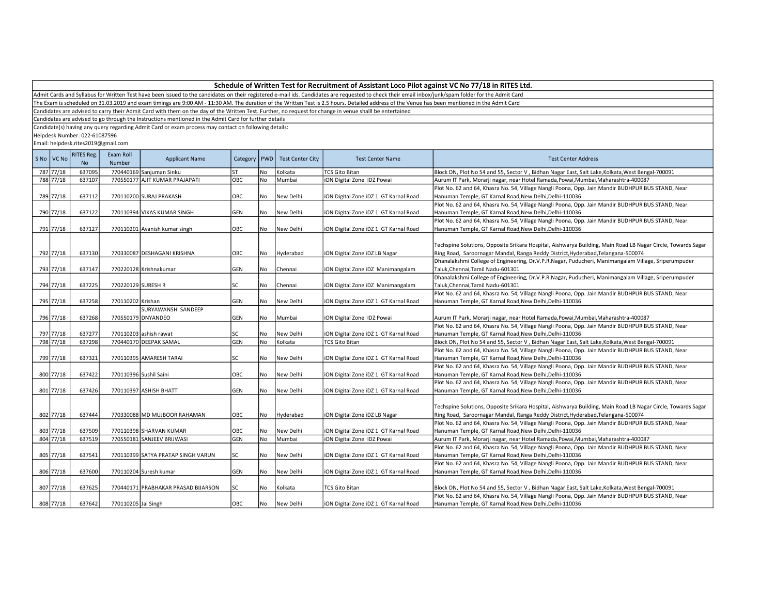Admit Cards and Syllabus for Written Test have been issued to the candidates on their registered e-mail ids. Candidates are requested to check their email inbox/junk/spam folder for the Admit Card

The Exam is scheduled on 31.03.2019 and exam timings are 9:00 AM - 11:30 AM. The duration of the Written Test is 2.5 hours. Detailed address of the Venue has been mentioned in the Admit Card

Candidates are advised to carry their Admit Card with them on the day of the Written Test. Further, no request for change in venue shalll be entertained

Candidates are advised to go through the Instructions mentioned in the Admit Card for further details

Candidate(s) having any query regarding Admit Card or exam process may contact on following details:

Helpdesk Number: 022-61087596

| S No   VC No | <b>RITES Reg.</b><br><b>No</b> | Exam Roll<br><b>Number</b> | <b>Applicant Name</b>               | Category   PWD |           | <b>Test Center City</b> | <b>Test Center Name</b>               | <b>Test Center Address</b>                                                                                                                                                                       |
|--------------|--------------------------------|----------------------------|-------------------------------------|----------------|-----------|-------------------------|---------------------------------------|--------------------------------------------------------------------------------------------------------------------------------------------------------------------------------------------------|
| 787 77/18    | 637095                         |                            | 770440169 Sanjuman Sinku            | <b>ST</b>      | No        | Kolkata                 | <b>TCS Gito Bitan</b>                 | Block DN, Plot No 54 and 55, Sector V, Bidhan Nagar East, Salt Lake, Kolkata, West Bengal-700091                                                                                                 |
| 788 77/18    | 637107                         |                            | 770550177 AJIT KUMAR PRAJAPATI      | OBC            | No        | Mumbai                  | iON Digital Zone IDZ Powai            | Aurum IT Park, Morarji nagar, near Hotel Ramada, Powai, Mumbai, Maharashtra-400087                                                                                                               |
|              |                                |                            |                                     |                |           |                         |                                       | Plot No. 62 and 64, Khasra No. 54, Village Nangli Poona, Opp. Jain Mandir BUDHPUR BUS STAND, Near                                                                                                |
| 789 77/18    | 637112                         |                            | 770110200 SURAJ PRAKASH             | OBC            | No        | New Delhi               | iON Digital Zone iDZ 1 GT Karnal Road | Hanuman Temple, GT Karnal Road, New Delhi, Delhi-110036                                                                                                                                          |
|              |                                |                            |                                     |                |           |                         |                                       | Plot No. 62 and 64, Khasra No. 54, Village Nangli Poona, Opp. Jain Mandir BUDHPUR BUS STAND, Near                                                                                                |
| 790 77/18    | 637122                         |                            | 770110394 VIKAS KUMAR SINGH         | GEN            | No        | New Delhi               | iON Digital Zone iDZ 1 GT Karnal Road | Hanuman Temple, GT Karnal Road, New Delhi, Delhi-110036                                                                                                                                          |
|              |                                |                            |                                     |                |           |                         |                                       | Plot No. 62 and 64, Khasra No. 54, Village Nangli Poona, Opp. Jain Mandir BUDHPUR BUS STAND, Near                                                                                                |
| 791 77/18    | 637127                         |                            | 770110201 Avanish kumar singh       | OBC            | No        | New Delhi               | iON Digital Zone iDZ 1 GT Karnal Road | Hanuman Temple, GT Karnal Road, New Delhi, Delhi-110036                                                                                                                                          |
| 792 77/18    | 637130                         |                            | 770330087 DESHAGANI KRISHNA         | OBC            | No.       | Hyderabad               | iON Digital Zone iDZ LB Nagar         | Techspine Solutions, Opposite Srikara Hospital, Aishwarya Building, Main Road LB Nagar Circle, Towards Sagar<br>Ring Road, Saroornagar Mandal, Ranga Reddy District, Hyderabad, Telangana-500074 |
| 793 77/18    | 637147                         |                            | 770220128 Krishnakumar              | GEN            | No        | Chennai                 | iON Digital Zone iDZ Manimangalam     | Dhanalakshmi College of Engineering, Dr.V.P.R.Nagar, Puducheri, Manimangalam Village, Sriperumpuder<br>Taluk, Chennai, Tamil Nadu-601301                                                         |
|              |                                |                            |                                     |                |           |                         |                                       | Dhanalakshmi College of Engineering, Dr.V.P.R.Nagar, Puducheri, Manimangalam Village, Sriperumpuder                                                                                              |
| 794 77/18    | 637225                         | 770220129 SURESH R         |                                     | SC             | No        | Chennai                 | iON Digital Zone iDZ Manimangalam     | Taluk, Chennai, Tamil Nadu-601301                                                                                                                                                                |
|              |                                |                            |                                     |                |           |                         |                                       | Plot No. 62 and 64, Khasra No. 54, Village Nangli Poona, Opp. Jain Mandir BUDHPUR BUS STAND, Near                                                                                                |
| 795 77/18    | 637258                         | 770110202 Krishan          |                                     | <b>GEN</b>     | No        | New Delhi               | iON Digital Zone iDZ 1 GT Karnal Road | Hanuman Temple, GT Karnal Road, New Delhi, Delhi-110036                                                                                                                                          |
|              |                                |                            | <b>SURYAWANSHI SANDEEP</b>          |                |           |                         |                                       |                                                                                                                                                                                                  |
| 796 77/18    | 637268                         |                            | 770550179 DNYANDEO                  | GEN            | No        | Mumbai                  | iON Digital Zone IDZ Powai            | Aurum IT Park, Morarji nagar, near Hotel Ramada, Powai, Mumbai, Maharashtra-400087                                                                                                               |
|              |                                |                            |                                     |                |           |                         |                                       | Plot No. 62 and 64, Khasra No. 54, Village Nangli Poona, Opp. Jain Mandir BUDHPUR BUS STAND, Near                                                                                                |
| 797 77/18    | 637277                         |                            | 770110203 ashish rawat              | SC             | No        | New Delhi               | iON Digital Zone iDZ 1 GT Karnal Road | Hanuman Temple, GT Karnal Road, New Delhi, Delhi-110036                                                                                                                                          |
| 798 77/18    | 637298                         |                            | 770440170 DEEPAK SAMAL              | GEN            | No        | Kolkata                 | <b>TCS Gito Bitan</b>                 | Block DN, Plot No 54 and 55, Sector V, Bidhan Nagar East, Salt Lake, Kolkata, West Bengal-700091                                                                                                 |
|              |                                |                            |                                     |                |           |                         |                                       | Plot No. 62 and 64, Khasra No. 54, Village Nangli Poona, Opp. Jain Mandir BUDHPUR BUS STAND, Near                                                                                                |
| 799 77/18    | 637321                         |                            | 770110395 AMARESH TARAI             | SC             | <b>No</b> | New Delhi               | iON Digital Zone iDZ 1 GT Karnal Road | Hanuman Temple, GT Karnal Road, New Delhi, Delhi-110036                                                                                                                                          |
|              |                                |                            |                                     |                |           |                         |                                       | Plot No. 62 and 64, Khasra No. 54, Village Nangli Poona, Opp. Jain Mandir BUDHPUR BUS STAND, Near                                                                                                |
| 800 77/18    | 637422                         |                            | 770110396 Sushil Saini              | OBC            | No        | New Delhi               | iON Digital Zone iDZ 1 GT Karnal Road | Hanuman Temple, GT Karnal Road, New Delhi, Delhi-110036                                                                                                                                          |
|              |                                |                            |                                     |                |           |                         |                                       | Plot No. 62 and 64, Khasra No. 54, Village Nangli Poona, Opp. Jain Mandir BUDHPUR BUS STAND, Near                                                                                                |
| 801 77/18    | 637426                         |                            | 770110397 ASHISH BHATT              | GEN            | No        | New Delhi               | iON Digital Zone iDZ 1 GT Karnal Road | Hanuman Temple, GT Karnal Road, New Delhi, Delhi-110036                                                                                                                                          |
| 802 77/18    | 637444                         |                            | 770330088 MD MUJBOOR RAHAMAN        | OBC            | No        | Hyderabad               | iON Digital Zone iDZ LB Nagar         | Techspine Solutions, Opposite Srikara Hospital, Aishwarya Building, Main Road LB Nagar Circle, Towards Sagar<br>Ring Road, Saroornagar Mandal, Ranga Reddy District, Hyderabad, Telangana-500074 |
|              |                                |                            |                                     |                |           |                         |                                       | Plot No. 62 and 64, Khasra No. 54, Village Nangli Poona, Opp. Jain Mandir BUDHPUR BUS STAND, Near                                                                                                |
| 803 77/18    | 637509                         |                            | 770110398 SHARVAN KUMAR             | OBC            | No        | New Delhi               | iON Digital Zone iDZ 1 GT Karnal Road | Hanuman Temple, GT Karnal Road, New Delhi, Delhi-110036                                                                                                                                          |
| 804 77/18    | 637519                         |                            | 770550181 SANJEEV BRIJWASI          | <b>GEN</b>     | No        | Mumbai                  | iON Digital Zone IDZ Powai            | Aurum IT Park, Morarji nagar, near Hotel Ramada, Powai, Mumbai, Maharashtra-400087                                                                                                               |
|              |                                |                            |                                     |                |           |                         |                                       | Plot No. 62 and 64, Khasra No. 54, Village Nangli Poona, Opp. Jain Mandir BUDHPUR BUS STAND, Near                                                                                                |
| 805 77/18    | 637541                         |                            | 770110399 SATYA PRATAP SINGH VARUN  | lsc            | No        | New Delhi               | iON Digital Zone iDZ 1 GT Karnal Road | Hanuman Temple, GT Karnal Road, New Delhi, Delhi-110036                                                                                                                                          |
|              |                                |                            |                                     |                |           |                         |                                       | Plot No. 62 and 64, Khasra No. 54, Village Nangli Poona, Opp. Jain Mandir BUDHPUR BUS STAND, Near                                                                                                |
| 806 77/18    | 637600                         |                            | 770110204 Suresh kumar              | <b>GEN</b>     | No        | New Delhi               | iON Digital Zone iDZ 1 GT Karnal Road | Hanuman Temple, GT Karnal Road, New Delhi, Delhi-110036                                                                                                                                          |
|              |                                |                            |                                     |                |           |                         |                                       |                                                                                                                                                                                                  |
| 807 77/18    | 637625                         |                            | 770440171 PRABHAKAR PRASAD BIJARSON | SC             | No        | Kolkata                 | <b>TCS Gito Bitan</b>                 | Block DN, Plot No 54 and 55, Sector V, Bidhan Nagar East, Salt Lake, Kolkata, West Bengal-700091                                                                                                 |
|              |                                |                            |                                     |                |           |                         |                                       | Plot No. 62 and 64, Khasra No. 54, Village Nangli Poona, Opp. Jain Mandir BUDHPUR BUS STAND, Near                                                                                                |
| 808 77/18    | 637642                         | 770110205 Jai Singh        |                                     | <b>OBC</b>     | No        | New Delhi               | ION Digital Zone IDZ 1 GT Karnal Road | Hanuman Temple, GT Karnal Road, New Delhi, Delhi-110036                                                                                                                                          |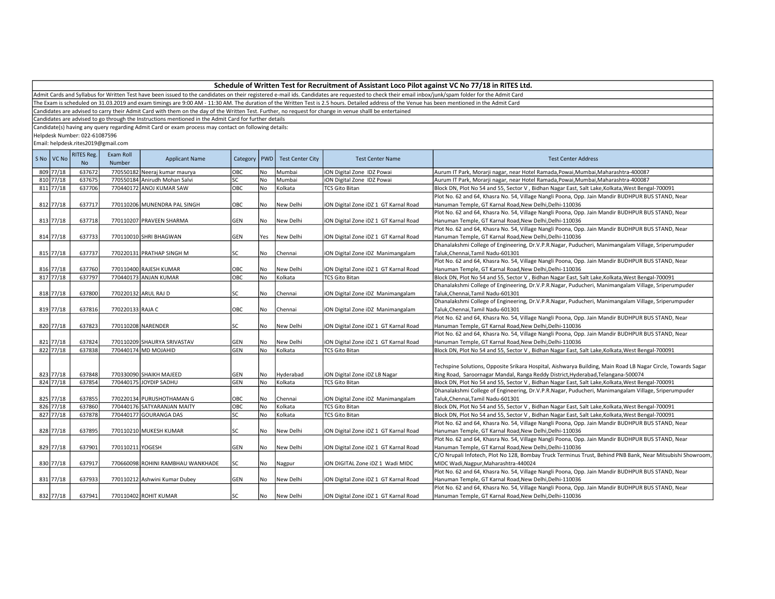Admit Cards and Syllabus for Written Test have been issued to the candidates on their registered e-mail ids. Candidates are requested to check their email inbox/junk/spam folder for the Admit Card

The Exam is scheduled on 31.03.2019 and exam timings are 9:00 AM - 11:30 AM. The duration of the Written Test is 2.5 hours. Detailed address of the Venue has been mentioned in the Admit Card

Candidates are advised to carry their Admit Card with them on the day of the Written Test. Further, no request for change in venue shalll be entertained

Candidates are advised to go through the Instructions mentioned in the Admit Card for further details

Candidate(s) having any query regarding Admit Card or exam process may contact on following details:

Helpdesk Number: 022-61087596

| S No VC No | <b>RITES Reg.</b><br><b>No</b> | Exam Roll<br>Number | <b>Applicant Name</b>             | Category   PWD |           | <b>Test Center City</b> | <b>Test Center Name</b>               | <b>Test Center Address</b>                                                                                   |
|------------|--------------------------------|---------------------|-----------------------------------|----------------|-----------|-------------------------|---------------------------------------|--------------------------------------------------------------------------------------------------------------|
| 809 77/18  | 637672                         |                     | 770550182 Neeraj kumar maurya     | OBC            | No        | Mumbai                  | iON Digital Zone IDZ Powai            | Aurum IT Park, Morarji nagar, near Hotel Ramada, Powai, Mumbai, Maharashtra-400087                           |
| 810 77/18  | 637675                         |                     | 770550184 Anirudh Mohan Salvi     | SC             | No        | Mumbai                  | ION Digital Zone IDZ Powai            | Aurum IT Park, Morarji nagar, near Hotel Ramada, Powai, Mumbai, Maharashtra-400087                           |
| 811 77/18  | 637706                         |                     | 770440172 ANOJ KUMAR SAW          | ОВС            | No        | Kolkata                 | <b>TCS Gito Bitan</b>                 | Block DN, Plot No 54 and 55, Sector V, Bidhan Nagar East, Salt Lake, Kolkata, West Bengal-700091             |
|            |                                |                     |                                   |                |           |                         |                                       | Plot No. 62 and 64, Khasra No. 54, Village Nangli Poona, Opp. Jain Mandir BUDHPUR BUS STAND, Near            |
| 812 77/18  | 637717                         |                     | 770110206 MUNENDRA PAL SINGH      | OBC            | No        | New Delhi               | ION Digital Zone IDZ 1 GT Karnal Road | Hanuman Temple, GT Karnal Road, New Delhi, Delhi-110036                                                      |
|            |                                |                     |                                   |                |           |                         |                                       | Plot No. 62 and 64, Khasra No. 54, Village Nangli Poona, Opp. Jain Mandir BUDHPUR BUS STAND, Near            |
| 813 77/18  | 637718                         |                     | 770110207 PRAVEEN SHARMA          | GEN            | No        | New Delhi               | iON Digital Zone iDZ 1 GT Karnal Road | Hanuman Temple, GT Karnal Road, New Delhi, Delhi-110036                                                      |
|            |                                |                     |                                   |                |           |                         |                                       | Plot No. 62 and 64, Khasra No. 54, Village Nangli Poona, Opp. Jain Mandir BUDHPUR BUS STAND, Near            |
| 814 77/18  | 637733                         |                     | 770110010 SHRI BHAGWAN            | GEN            | Yes       | New Delhi               | ION Digital Zone IDZ 1 GT Karnal Road | Hanuman Temple, GT Karnal Road, New Delhi, Delhi-110036                                                      |
|            |                                |                     |                                   |                |           |                         |                                       | Dhanalakshmi College of Engineering, Dr.V.P.R.Nagar, Puducheri, Manimangalam Village, Sriperumpuder          |
| 815 77/18  | 637737                         |                     | 770220131 PRATHAP SINGH M         | SC             | No        | Chennai                 | ION Digital Zone IDZ Manimangalam     | Taluk, Chennai, Tamil Nadu-601301                                                                            |
|            |                                |                     |                                   |                |           |                         |                                       | Plot No. 62 and 64, Khasra No. 54, Village Nangli Poona, Opp. Jain Mandir BUDHPUR BUS STAND, Near            |
| 816 77/18  | 637760                         |                     | 770110400 RAJESH KUMAR            | OBC            | No        | New Delhi               | ION Digital Zone IDZ 1 GT Karnal Road | Hanuman Temple, GT Karnal Road, New Delhi, Delhi-110036                                                      |
| 817 77/18  | 637797                         |                     | 770440173 ANJAN KUMAR             | ОВС            | <b>No</b> | Kolkata                 | <b>TCS Gito Bitan</b>                 | Block DN, Plot No 54 and 55, Sector V, Bidhan Nagar East, Salt Lake, Kolkata, West Bengal-700091             |
|            |                                |                     |                                   |                |           |                         |                                       | Dhanalakshmi College of Engineering, Dr.V.P.R.Nagar, Puducheri, Manimangalam Village, Sriperumpuder          |
| 818 77/18  | 637800                         |                     | 770220132 ARUL RAJ D              | SC             | No        | Chennai                 | iON Digital Zone iDZ Manimangalam     | Taluk, Chennai, Tamil Nadu-601301                                                                            |
|            |                                |                     |                                   |                |           |                         |                                       | Dhanalakshmi College of Engineering, Dr.V.P.R.Nagar, Puducheri, Manimangalam Village, Sriperumpuder          |
| 819 77/18  | 637816                         | 770220133 RAJA C    |                                   | OBC            | No        | Chennai                 | iON Digital Zone iDZ Manimangalam     | Taluk, Chennai, Tamil Nadu-601301                                                                            |
|            |                                |                     |                                   |                |           |                         |                                       | Plot No. 62 and 64, Khasra No. 54, Village Nangli Poona, Opp. Jain Mandir BUDHPUR BUS STAND, Near            |
| 820 77/18  | 637823                         |                     | 770110208 NARENDER                | SC             | l No      | New Delhi               | ION Digital Zone IDZ 1 GT Karnal Road | Hanuman Temple, GT Karnal Road, New Delhi, Delhi-110036                                                      |
|            |                                |                     |                                   |                |           |                         |                                       | Plot No. 62 and 64, Khasra No. 54, Village Nangli Poona, Opp. Jain Mandir BUDHPUR BUS STAND, Near            |
| 821 77/18  | 637824                         |                     | 770110209 SHAURYA SRIVASTAV       | GEN            | No        | New Delhi               | iON Digital Zone iDZ 1 GT Karnal Road | Hanuman Temple, GT Karnal Road, New Delhi, Delhi-110036                                                      |
| 822 77/18  | 637838                         |                     | 770440174 MD MOJAHID              | GEN            | <b>No</b> | Kolkata                 | <b>TCS Gito Bitan</b>                 | Block DN, Plot No 54 and 55, Sector V, Bidhan Nagar East, Salt Lake, Kolkata, West Bengal-700091             |
|            |                                |                     |                                   |                |           |                         |                                       |                                                                                                              |
|            |                                |                     |                                   |                |           |                         |                                       | Techspine Solutions, Opposite Srikara Hospital, Aishwarya Building, Main Road LB Nagar Circle, Towards Sagar |
| 823 77/18  | 637848                         |                     | 770330090 SHAIKH MAJEED           | GEN            | No        | Hyderabad               | ION Digital Zone IDZ LB Nagar         | Ring Road, Saroornagar Mandal, Ranga Reddy District, Hyderabad, Telangana-500074                             |
| 824 77/18  | 637854                         |                     | 770440175 JOYDIP SADHU            | GEN            | No        | Kolkata                 | <b>TCS Gito Bitan</b>                 | Block DN, Plot No 54 and 55, Sector V, Bidhan Nagar East, Salt Lake, Kolkata, West Bengal-700091             |
|            |                                |                     |                                   |                |           |                         |                                       | Dhanalakshmi College of Engineering, Dr.V.P.R.Nagar, Puducheri, Manimangalam Village, Sriperumpuder          |
| 825 77/18  | 637855                         |                     | 770220134 PURUSHOTHAMAN G         | OBC            | No        | Chennai                 | ION Digital Zone IDZ Manimangalam     | Taluk, Chennai, Tamil Nadu-601301                                                                            |
| 826 77/18  | 637860                         |                     | 770440176 SATYARANJAN MAITY       | OBC            | No        | Kolkata                 | <b>TCS Gito Bitan</b>                 | Block DN, Plot No 54 and 55, Sector V, Bidhan Nagar East, Salt Lake, Kolkata, West Bengal-700091             |
| 827 77/18  | 637878                         |                     | 770440177 GOURANGA DAS            | SC             | No        | Kolkata                 | <b>TCS Gito Bitan</b>                 | Block DN, Plot No 54 and 55, Sector V, Bidhan Nagar East, Salt Lake, Kolkata, West Bengal-700091             |
|            |                                |                     |                                   |                |           |                         |                                       | Plot No. 62 and 64, Khasra No. 54, Village Nangli Poona, Opp. Jain Mandir BUDHPUR BUS STAND, Near            |
| 828 77/18  | 637895                         |                     | 770110210 MUKESH KUMAR            | SC             | No        | New Delhi               | iON Digital Zone iDZ 1 GT Karnal Road | Hanuman Temple, GT Karnal Road, New Delhi, Delhi-110036                                                      |
|            |                                |                     |                                   |                |           |                         |                                       | Plot No. 62 and 64, Khasra No. 54, Village Nangli Poona, Opp. Jain Mandir BUDHPUR BUS STAND, Near            |
| 829 77/18  | 637901                         | 770110211 YOGESH    |                                   | GEN            | l No      | New Delhi               | ION Digital Zone IDZ 1 GT Karnal Road | Hanuman Temple, GT Karnal Road, New Delhi, Delhi-110036                                                      |
|            |                                |                     |                                   |                |           |                         |                                       | C/O Nrupali Infotech, Plot No 128, Bombay Truck Terminus Trust, Behind PNB Bank, Near Mitsubishi Showroom,   |
| 830 77/18  | 637917                         |                     | 770660098 ROHINI RAMBHAU WANKHADE | SC             | No        | Nagpur                  | ION DIGITAL Zone IDZ 1 Wadi MIDC      | MIDC Wadi, Nagpur, Maharashtra-440024                                                                        |
|            |                                |                     |                                   |                |           |                         |                                       | Plot No. 62 and 64, Khasra No. 54, Village Nangli Poona, Opp. Jain Mandir BUDHPUR BUS STAND, Near            |
| 831 77/18  | 637933                         |                     | 770110212 Ashwini Kumar Dubey     | GEN            | No        | New Delhi               | iON Digital Zone iDZ 1 GT Karnal Road | Hanuman Temple, GT Karnal Road, New Delhi, Delhi-110036                                                      |
|            |                                |                     |                                   |                |           |                         |                                       | Plot No. 62 and 64, Khasra No. 54, Village Nangli Poona, Opp. Jain Mandir BUDHPUR BUS STAND, Near            |
|            |                                |                     |                                   | SC             |           |                         |                                       |                                                                                                              |
| 832 77/18  | 637941                         |                     | 770110402 ROHIT KUMAR             |                | No        | New Delhi               | ION Digital Zone IDZ 1 GT Karnal Road | Hanuman Temple, GT Karnal Road, New Delhi, Delhi-110036                                                      |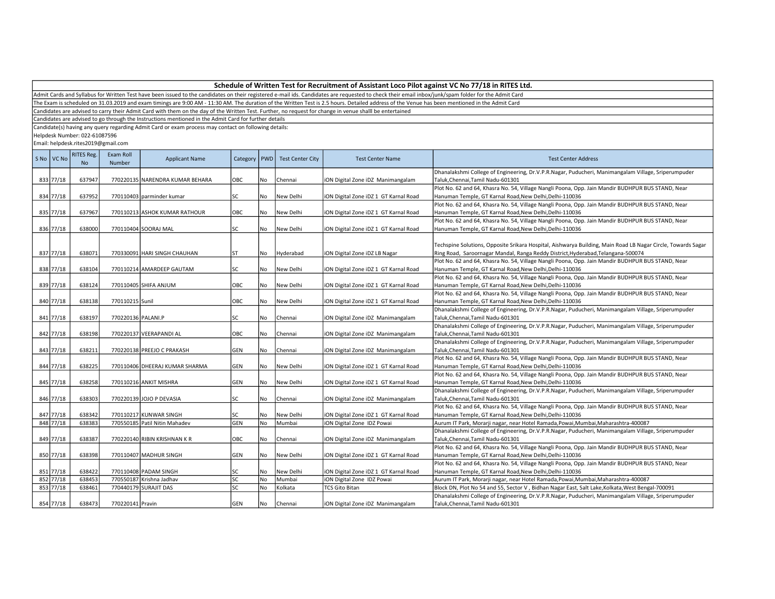Admit Cards and Syllabus for Written Test have been issued to the candidates on their registered e-mail ids. Candidates are requested to check their email inbox/junk/spam folder for the Admit Card

The Exam is scheduled on 31.03.2019 and exam timings are 9:00 AM - 11:30 AM. The duration of the Written Test is 2.5 hours. Detailed address of the Venue has been mentioned in the Admit Card

Candidates are advised to carry their Admit Card with them on the day of the Written Test. Further, no request for change in venue shalll be entertained

Candidates are advised to go through the Instructions mentioned in the Admit Card for further details

Candidate(s) having any query regarding Admit Card or exam process may contact on following details:

Helpdesk Number: 022-61087596

| S No VC No | <b>RITES Reg.</b><br>No | Exam Roll<br>Number | <b>Applicant Name</b>           |            |     | Category   PWD   Test Center City | <b>Test Center Name</b>               | <b>Test Center Address</b>                                                                                                                                                                       |
|------------|-------------------------|---------------------|---------------------------------|------------|-----|-----------------------------------|---------------------------------------|--------------------------------------------------------------------------------------------------------------------------------------------------------------------------------------------------|
| 833 77/18  | 637947                  |                     | 770220135 NARENDRA KUMAR BEHARA | <b>OBC</b> | No. | Chennai                           | iON Digital Zone iDZ Manimangalam     | Dhanalakshmi College of Engineering, Dr.V.P.R.Nagar, Puducheri, Manimangalam Village, Sriperumpuder<br>Taluk, Chennai, Tamil Nadu-601301                                                         |
|            |                         |                     |                                 |            |     |                                   |                                       | Plot No. 62 and 64, Khasra No. 54, Village Nangli Poona, Opp. Jain Mandir BUDHPUR BUS STAND, Near                                                                                                |
| 834 77/18  | 637952                  |                     | 770110403 parminder kumar       | lsc        | No  | New Delhi                         | iON Digital Zone iDZ 1 GT Karnal Road | Hanuman Temple, GT Karnal Road, New Delhi, Delhi-110036                                                                                                                                          |
|            |                         |                     |                                 |            |     |                                   |                                       | Plot No. 62 and 64, Khasra No. 54, Village Nangli Poona, Opp. Jain Mandir BUDHPUR BUS STAND, Near                                                                                                |
| 835 77/18  | 637967                  |                     | 770110213 ASHOK KUMAR RATHOUR   | OBC        | No  | New Delhi                         | iON Digital Zone iDZ 1 GT Karnal Road | Hanuman Temple, GT Karnal Road, New Delhi, Delhi-110036                                                                                                                                          |
|            |                         |                     |                                 |            |     |                                   |                                       | Plot No. 62 and 64, Khasra No. 54, Village Nangli Poona, Opp. Jain Mandir BUDHPUR BUS STAND, Near                                                                                                |
| 836 77/18  | 638000                  |                     | 770110404 SOORAJ MAL            | <b>SC</b>  | No  | New Delhi                         | iON Digital Zone iDZ 1 GT Karnal Road | Hanuman Temple, GT Karnal Road, New Delhi, Delhi-110036                                                                                                                                          |
| 837 77/18  | 638071                  |                     | 770330091 HARI SINGH CHAUHAN    | lst        | No  | Hyderabad                         | iON Digital Zone iDZ LB Nagar         | Techspine Solutions, Opposite Srikara Hospital, Aishwarya Building, Main Road LB Nagar Circle, Towards Sagar<br>Ring Road, Saroornagar Mandal, Ranga Reddy District, Hyderabad, Telangana-500074 |
|            |                         |                     |                                 |            |     |                                   |                                       | Plot No. 62 and 64, Khasra No. 54, Village Nangli Poona, Opp. Jain Mandir BUDHPUR BUS STAND, Near                                                                                                |
| 838 77/18  | 638104                  |                     | 770110214 AMARDEEP GAUTAM       | lsc        | No  | New Delhi                         | iON Digital Zone iDZ 1 GT Karnal Road | Hanuman Temple, GT Karnal Road, New Delhi, Delhi-110036                                                                                                                                          |
|            |                         |                     |                                 |            |     |                                   |                                       | Plot No. 62 and 64, Khasra No. 54, Village Nangli Poona, Opp. Jain Mandir BUDHPUR BUS STAND, Near                                                                                                |
| 839 77/18  | 638124                  |                     | 770110405 SHIFA ANJUM           | OBC        | No. | New Delhi                         | ON Digital Zone iDZ 1 GT Karnal Road  | Hanuman Temple, GT Karnal Road, New Delhi, Delhi-110036                                                                                                                                          |
| 840 77/18  | 638138                  |                     |                                 | OBC        | No  | New Delhi                         |                                       | Plot No. 62 and 64, Khasra No. 54, Village Nangli Poona, Opp. Jain Mandir BUDHPUR BUS STAND, Near                                                                                                |
|            |                         | 770110215 Sunil     |                                 |            |     |                                   | iON Digital Zone iDZ 1 GT Karnal Road | Hanuman Temple, GT Karnal Road, New Delhi, Delhi-110036<br>Dhanalakshmi College of Engineering, Dr.V.P.R.Nagar, Puducheri, Manimangalam Village, Sriperumpuder                                   |
| 841 77/18  | 638197                  | 770220136 PALANI.P  |                                 | SC         | No  | Chennai                           | iON Digital Zone iDZ Manimangalam     | Taluk, Chennai, Tamil Nadu-601301                                                                                                                                                                |
|            |                         |                     |                                 |            |     |                                   |                                       | Dhanalakshmi College of Engineering, Dr.V.P.R.Nagar, Puducheri, Manimangalam Village, Sriperumpuder                                                                                              |
| 842 77/18  | 638198                  |                     | 770220137 VEERAPANDI AL         | OBC        | No  | Chennai                           | iON Digital Zone iDZ Manimangalam     | Taluk, Chennai, Tamil Nadu-601301                                                                                                                                                                |
|            |                         |                     |                                 |            |     |                                   |                                       | Dhanalakshmi College of Engineering, Dr.V.P.R.Nagar, Puducheri, Manimangalam Village, Sriperumpuder                                                                                              |
| 843 77/18  | 638211                  |                     | 770220138 PREEJO C PRAKASH      | GEN        | No. | Chennai                           | iON Digital Zone iDZ Manimangalam     | Taluk, Chennai, Tamil Nadu-601301                                                                                                                                                                |
|            |                         |                     |                                 |            |     |                                   |                                       | Plot No. 62 and 64, Khasra No. 54, Village Nangli Poona, Opp. Jain Mandir BUDHPUR BUS STAND, Near                                                                                                |
| 844 77/18  | 638225                  |                     | 770110406 DHEERAJ KUMAR SHARMA  | GEN        | No  | New Delhi                         | iON Digital Zone iDZ 1 GT Karnal Road | Hanuman Temple, GT Karnal Road, New Delhi, Delhi-110036                                                                                                                                          |
|            |                         |                     |                                 |            |     |                                   |                                       | Plot No. 62 and 64, Khasra No. 54, Village Nangli Poona, Opp. Jain Mandir BUDHPUR BUS STAND, Near                                                                                                |
| 845 77/18  | 638258                  |                     | 770110216 ANKIT MISHRA          | GEN        | No. | New Delhi                         | iON Digital Zone iDZ 1 GT Karnal Road | Hanuman Temple, GT Karnal Road, New Delhi, Delhi-110036                                                                                                                                          |
|            |                         |                     |                                 |            |     |                                   |                                       | Dhanalakshmi College of Engineering, Dr.V.P.R.Nagar, Puducheri, Manimangalam Village, Sriperumpuder                                                                                              |
| 846 77/18  | 638303                  |                     | 770220139 JOJO P DEVASIA        | SC         | No  | Chennai                           | iON Digital Zone iDZ Manimangalam     | Taluk, Chennai, Tamil Nadu-601301                                                                                                                                                                |
|            |                         |                     |                                 |            |     |                                   |                                       | Plot No. 62 and 64, Khasra No. 54, Village Nangli Poona, Opp. Jain Mandir BUDHPUR BUS STAND, Near                                                                                                |
| 847 77/18  | 638342                  |                     | 770110217 KUNWAR SINGH          | SC         | No. | New Delhi                         | iON Digital Zone iDZ 1 GT Karnal Road | Hanuman Temple, GT Karnal Road, New Delhi, Delhi-110036                                                                                                                                          |
| 848 77/18  | 638383                  |                     | 770550185 Patil Nitin Mahadev   | GEN        | No  | Mumbai                            | iON Digital Zone IDZ Powai            | Aurum IT Park, Morarji nagar, near Hotel Ramada, Powai, Mumbai, Maharashtra-400087                                                                                                               |
|            |                         |                     |                                 |            |     |                                   |                                       | Dhanalakshmi College of Engineering, Dr.V.P.R.Nagar, Puducheri, Manimangalam Village, Sriperumpuder                                                                                              |
| 849 77/18  | 638387                  |                     | 770220140 RIBIN KRISHNAN K R    | OBC        | No  | Chennai                           | ON Digital Zone iDZ Manimangalam      | Taluk, Chennai, Tamil Nadu-601301                                                                                                                                                                |
|            |                         |                     |                                 |            |     |                                   |                                       | Plot No. 62 and 64, Khasra No. 54, Village Nangli Poona, Opp. Jain Mandir BUDHPUR BUS STAND, Near                                                                                                |
| 850 77/18  | 638398                  |                     | 770110407 MADHUR SINGH          | GEN        | No  | New Delhi                         | iON Digital Zone iDZ 1 GT Karnal Road | Hanuman Temple, GT Karnal Road, New Delhi, Delhi-110036                                                                                                                                          |
|            |                         |                     |                                 |            |     |                                   |                                       | Plot No. 62 and 64, Khasra No. 54, Village Nangli Poona, Opp. Jain Mandir BUDHPUR BUS STAND, Near                                                                                                |
| 851 77/18  | 638422                  |                     | 770110408 PADAM SINGH           | SC         | No  | New Delhi                         | ON Digital Zone iDZ 1 GT Karnal Road  | Hanuman Temple, GT Karnal Road, New Delhi, Delhi-110036                                                                                                                                          |
| 852 77/18  | 638453                  |                     | 770550187 Krishna Jadhav        | SC         | No  | Mumbai                            | iON Digital Zone IDZ Powai            | Aurum IT Park, Morarji nagar, near Hotel Ramada, Powai, Mumbai, Maharashtra-400087                                                                                                               |
| 853 77/18  | 638461                  |                     | 770440179 SURAJIT DAS           | SC         | No  | Kolkata                           | <b>TCS Gito Bitan</b>                 | Block DN, Plot No 54 and 55, Sector V, Bidhan Nagar East, Salt Lake, Kolkata, West Bengal-700091                                                                                                 |
|            |                         |                     |                                 |            |     |                                   |                                       | Dhanalakshmi College of Engineering, Dr.V.P.R.Nagar, Puducheri, Manimangalam Village, Sriperumpuder                                                                                              |
| 854 77/18  | 638473                  | 770220141 Pravin    |                                 | GEN        | No  | lChennai                          | iON Digital Zone iDZ Manimangalam     | Taluk.Chennai.Tamil Nadu-601301                                                                                                                                                                  |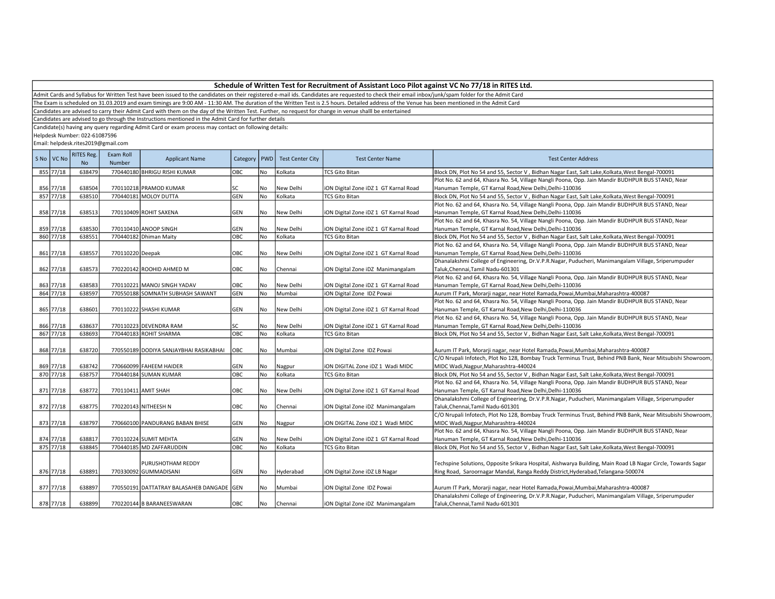| Schedule of Written Test for Recruitment of Assistant Loco Pilot against VC No 77/18 in RITES Ltd. |  |
|----------------------------------------------------------------------------------------------------|--|
|----------------------------------------------------------------------------------------------------|--|

The Exam is scheduled on 31.03.2019 and exam timings are 9:00 AM - 11:30 AM. The duration of the Written Test is 2.5 hours. Detailed address of the Venue has been mentioned in the Admit Card

Candidates are advised to carry their Admit Card with them on the day of the Written Test. Further, no request for change in venue shalll be entertained

Candidates are advised to go through the Instructions mentioned in the Admit Card for further details

Candidate(s) having any query regarding Admit Card or exam process may contact on following details:

Helpdesk Number: 022-61087596

|     | S No VC No | <b>RITES Reg.</b><br><b>No</b> | Exam Roll<br>Number | <b>Applicant Name</b>                     | Category   PWD |           | <b>Test Center City</b> | <b>Test Center Name</b>               | <b>Test Center Address</b>                                                                                   |
|-----|------------|--------------------------------|---------------------|-------------------------------------------|----------------|-----------|-------------------------|---------------------------------------|--------------------------------------------------------------------------------------------------------------|
|     | 855 77/18  | 638479                         |                     | 770440180 BHRIGU RISHI KUMAR              | OBC            | No        | Kolkata                 | <b>TCS Gito Bitan</b>                 | Block DN, Plot No 54 and 55, Sector V, Bidhan Nagar East, Salt Lake, Kolkata, West Bengal-700091             |
|     |            |                                |                     |                                           |                |           |                         |                                       | Plot No. 62 and 64, Khasra No. 54, Village Nangli Poona, Opp. Jain Mandir BUDHPUR BUS STAND, Near            |
|     | 856 77/18  | 638504                         |                     | 770110218 PRAMOD KUMAR                    | SC             | No        | New Delhi               | iON Digital Zone iDZ 1 GT Karnal Road | Hanuman Temple, GT Karnal Road, New Delhi, Delhi-110036                                                      |
|     | 857 77/18  | 638510                         |                     | 770440181 MOLOY DUTTA                     | GEN            | No        | Kolkata                 | <b>TCS Gito Bitan</b>                 | Block DN, Plot No 54 and 55, Sector V, Bidhan Nagar East, Salt Lake, Kolkata, West Bengal-700091             |
|     |            |                                |                     |                                           |                |           |                         |                                       | Plot No. 62 and 64, Khasra No. 54, Village Nangli Poona, Opp. Jain Mandir BUDHPUR BUS STAND, Near            |
|     | 858 77/18  | 638513                         |                     | 770110409 ROHIT SAXENA                    | GEN            | No        | New Delhi               | iON Digital Zone iDZ 1 GT Karnal Road | Hanuman Temple, GT Karnal Road, New Delhi, Delhi-110036                                                      |
|     |            |                                |                     |                                           |                |           |                         |                                       | Plot No. 62 and 64, Khasra No. 54, Village Nangli Poona, Opp. Jain Mandir BUDHPUR BUS STAND, Near            |
|     | 859 77/18  | 638530                         |                     | 770110410 ANOOP SINGH                     | GEN            | No        | New Delhi               | iON Digital Zone iDZ 1 GT Karnal Road | Hanuman Temple, GT Karnal Road, New Delhi, Delhi-110036                                                      |
|     | 860 77/18  | 638551                         |                     | 770440182 Dhiman Maity                    | OBC            | <b>No</b> | Kolkata                 | <b>TCS Gito Bitan</b>                 | Block DN, Plot No 54 and 55, Sector V, Bidhan Nagar East, Salt Lake, Kolkata, West Bengal-700091             |
|     |            |                                |                     |                                           |                |           |                         |                                       | Plot No. 62 and 64, Khasra No. 54, Village Nangli Poona, Opp. Jain Mandir BUDHPUR BUS STAND, Near            |
|     | 861 77/18  | 638557                         | 770110220 Deepak    |                                           | OBC            | No        | New Delhi               | iON Digital Zone iDZ 1 GT Karnal Road | Hanuman Temple, GT Karnal Road, New Delhi, Delhi-110036                                                      |
|     |            |                                |                     |                                           |                |           |                         |                                       | Dhanalakshmi College of Engineering, Dr.V.P.R.Nagar, Puducheri, Manimangalam Village, Sriperumpuder          |
|     | 862 77/18  | 638573                         |                     | 770220142 ROOHID AHMED M                  | OBC            | No        | Chennai                 | iON Digital Zone iDZ Manimangalam     | Taluk, Chennai, Tamil Nadu-601301                                                                            |
|     |            |                                |                     |                                           |                |           |                         |                                       | Plot No. 62 and 64, Khasra No. 54, Village Nangli Poona, Opp. Jain Mandir BUDHPUR BUS STAND, Near            |
|     | 863 77/18  | 638583                         |                     | 770110221 MANOJ SINGH YADAV               | OBC            | No        | New Delhi               | iON Digital Zone iDZ 1 GT Karnal Road | Hanuman Temple, GT Karnal Road, New Delhi, Delhi-110036                                                      |
|     | 864 77/18  | 638597                         |                     | 770550188 SOMNATH SUBHASH SAWANT          | GEN            | No        | Mumbai                  | iON Digital Zone IDZ Powai            | Aurum IT Park, Morarji nagar, near Hotel Ramada, Powai, Mumbai, Maharashtra-400087                           |
|     |            |                                |                     |                                           |                |           |                         |                                       | Plot No. 62 and 64, Khasra No. 54, Village Nangli Poona, Opp. Jain Mandir BUDHPUR BUS STAND, Near            |
|     | 865 77/18  | 638601                         |                     | 770110222 SHASHI KUMAR                    | GEN            | No        | New Delhi               | iON Digital Zone iDZ 1 GT Karnal Road | Hanuman Temple, GT Karnal Road, New Delhi, Delhi-110036                                                      |
|     |            |                                |                     |                                           |                |           |                         |                                       | Plot No. 62 and 64, Khasra No. 54, Village Nangli Poona, Opp. Jain Mandir BUDHPUR BUS STAND, Near            |
|     | 866 77/18  | 638637                         |                     | 770110223 DEVENDRA RAM                    | SC             | No        | New Delhi               | iON Digital Zone iDZ 1 GT Karnal Road | Hanuman Temple, GT Karnal Road, New Delhi, Delhi-110036                                                      |
|     | 867 77/18  | 638693                         |                     | 770440183 ROHIT SHARMA                    | OBC            | No        | Kolkata                 | <b>TCS Gito Bitan</b>                 | Block DN, Plot No 54 and 55, Sector V, Bidhan Nagar East, Salt Lake, Kolkata, West Bengal-700091             |
|     |            |                                |                     |                                           |                |           |                         |                                       |                                                                                                              |
|     | 868 77/18  | 638720                         |                     | 770550189 DODIYA SANJAYBHAI RASIKABHAI    | OBC            | No        | Mumbai                  | iON Digital Zone IDZ Powai            | Aurum IT Park, Morarji nagar, near Hotel Ramada, Powai, Mumbai, Maharashtra-400087                           |
|     |            |                                |                     |                                           |                |           |                         |                                       | C/O Nrupali Infotech, Plot No 128, Bombay Truck Terminus Trust, Behind PNB Bank, Near Mitsubishi Showroom,   |
|     | 869 77/18  | 638742                         |                     | 770660099 FAHEEM HAIDER                   | <b>GEN</b>     | No        | Nagpur                  | ION DIGITAL Zone IDZ 1 Wadi MIDC      | MIDC Wadi, Nagpur, Maharashtra-440024                                                                        |
| 870 | 77/18      | 638757                         |                     | 770440184 SUMAN KUMAR                     | OBC            | No        | Kolkata                 | <b>TCS Gito Bitan</b>                 | Block DN, Plot No 54 and 55, Sector V, Bidhan Nagar East, Salt Lake, Kolkata, West Bengal-700091             |
|     |            |                                |                     |                                           |                |           |                         |                                       | Plot No. 62 and 64, Khasra No. 54, Village Nangli Poona, Opp. Jain Mandir BUDHPUR BUS STAND, Near            |
|     | 871 77/18  | 638772                         | 770110411 AMIT SHAH |                                           | OBC            | No        | New Delhi               | iON Digital Zone iDZ 1 GT Karnal Road | Hanuman Temple, GT Karnal Road, New Delhi, Delhi-110036                                                      |
|     |            |                                |                     |                                           |                |           |                         |                                       | Dhanalakshmi College of Engineering, Dr.V.P.R.Nagar, Puducheri, Manimangalam Village, Sriperumpuder          |
|     | 872 77/18  | 638775                         |                     | 770220143 NITHEESH N                      | OBC            | No        | Chennai                 | iON Digital Zone iDZ Manimangalam     | Taluk, Chennai, Tamil Nadu-601301                                                                            |
|     |            |                                |                     |                                           |                |           |                         |                                       | C/O Nrupali Infotech, Plot No 128, Bombay Truck Terminus Trust, Behind PNB Bank, Near Mitsubishi Showroom,   |
|     | 873 77/18  | 638797                         |                     | 770660100 PANDURANG BABAN BHISE           | GEN            | No        | Nagpur                  | iON DIGITAL Zone iDZ 1 Wadi MIDC      | MIDC Wadi, Nagpur, Maharashtra-440024                                                                        |
|     |            |                                |                     |                                           |                |           |                         |                                       | Plot No. 62 and 64, Khasra No. 54, Village Nangli Poona, Opp. Jain Mandir BUDHPUR BUS STAND, Near            |
|     | 874 77/18  | 638817                         |                     | 770110224 SUMIT MEHTA                     | <b>GEN</b>     | <b>No</b> | New Delhi               | iON Digital Zone iDZ 1 GT Karnal Road | Hanuman Temple, GT Karnal Road, New Delhi, Delhi-110036                                                      |
|     | 875 77/18  | 638845                         |                     | 770440185 MD ZAFFARUDDIN                  | OBC            | No        | Kolkata                 | <b>TCS Gito Bitan</b>                 | Block DN, Plot No 54 and 55, Sector V, Bidhan Nagar East, Salt Lake, Kolkata, West Bengal-700091             |
|     |            |                                |                     |                                           |                |           |                         |                                       |                                                                                                              |
|     |            |                                |                     | <b>PURUSHOTHAM REDDY</b>                  |                |           |                         |                                       | Techspine Solutions, Opposite Srikara Hospital, Aishwarya Building, Main Road LB Nagar Circle, Towards Sagar |
|     | 876 77/18  | 638891                         |                     | 770330092 GUMMADISANI                     | GEN            | No        | Hyderabad               | iON Digital Zone iDZ LB Nagar         | Ring Road, Saroornagar Mandal, Ranga Reddy District, Hyderabad, Telangana-500074                             |
|     |            |                                |                     |                                           |                |           |                         |                                       |                                                                                                              |
|     | 877 77/18  | 638897                         |                     | 770550191 DATTATRAY BALASAHEB DANGADE GEN |                | No        | Mumbai                  | iON Digital Zone IDZ Powai            | Aurum IT Park, Morarji nagar, near Hotel Ramada, Powai, Mumbai, Maharashtra-400087                           |
|     |            |                                |                     |                                           |                |           |                         |                                       | Dhanalakshmi College of Engineering, Dr.V.P.R.Nagar, Puducheri, Manimangalam Village, Sriperumpuder          |
|     | 878 77/18  | 638899                         |                     | 770220144 B BARANEESWARAN                 | OBC            | No        | Chennai                 | iON Digital Zone iDZ Manimangalam     | Taluk.Chennai.Tamil Nadu-601301                                                                              |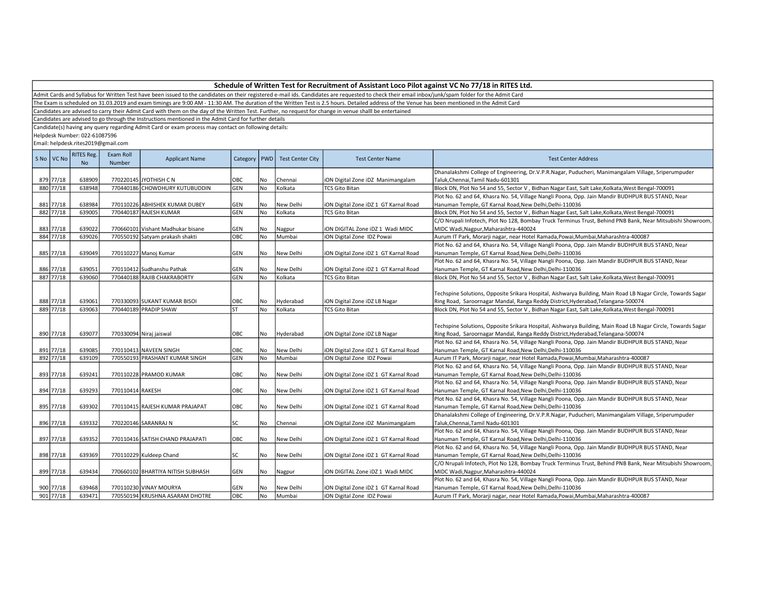The Exam is scheduled on 31.03.2019 and exam timings are 9:00 AM - 11:30 AM. The duration of the Written Test is 2.5 hours. Detailed address of the Venue has been mentioned in the Admit Card

Candidates are advised to carry their Admit Card with them on the day of the Written Test. Further, no request for change in venue shalll be entertained

Candidates are advised to go through the Instructions mentioned in the Admit Card for further details

Candidate(s) having any query regarding Admit Card or exam process may contact on following details:

Helpdesk Number: 022-61087596

| S No   VC No | <b>RITES Reg.</b><br>N <sub>o</sub> | Exam Roll<br>Number | <b>Applicant Name</b>             | Category  | PWD       | <b>Test Center City</b> | <b>Test Center Name</b>               | <b>Test Center Address</b>                                                                                                                                                                       |
|--------------|-------------------------------------|---------------------|-----------------------------------|-----------|-----------|-------------------------|---------------------------------------|--------------------------------------------------------------------------------------------------------------------------------------------------------------------------------------------------|
|              |                                     |                     |                                   |           |           |                         |                                       | Dhanalakshmi College of Engineering, Dr.V.P.R.Nagar, Puducheri, Manimangalam Village, Sriperumpuder                                                                                              |
| 879 77/18    | 638909                              |                     | 770220145 JYOTHISH C N            | OBC       | No        | Chennai                 | iON Digital Zone iDZ Manimangalam     | Taluk, Chennai, Tamil Nadu-601301                                                                                                                                                                |
| 880 77/18    | 638948                              |                     | 770440186 CHOWDHURY KUTUBUDDIN    | GEN       | <b>No</b> | Kolkata                 | <b>TCS Gito Bitan</b>                 | Block DN, Plot No 54 and 55, Sector V, Bidhan Nagar East, Salt Lake, Kolkata, West Bengal-700091                                                                                                 |
|              |                                     |                     |                                   |           |           |                         |                                       | Plot No. 62 and 64, Khasra No. 54, Village Nangli Poona, Opp. Jain Mandir BUDHPUR BUS STAND, Near                                                                                                |
| 881 77/18    | 638984                              |                     | 770110226 ABHISHEK KUMAR DUBEY    | GEN       | No        | New Delhi               | iON Digital Zone iDZ 1 GT Karnal Road | Hanuman Temple, GT Karnal Road, New Delhi, Delhi-110036                                                                                                                                          |
| 882 77/18    | 639005                              |                     | 770440187 RAJESH KUMAR            | GEN       | No        | Kolkata                 | <b>TCS Gito Bitan</b>                 | Block DN, Plot No 54 and 55, Sector V, Bidhan Nagar East, Salt Lake, Kolkata, West Bengal-700091                                                                                                 |
|              |                                     |                     |                                   |           |           |                         |                                       | C/O Nrupali Infotech, Plot No 128, Bombay Truck Terminus Trust, Behind PNB Bank, Near Mitsubishi Showroom,                                                                                       |
| 883 77/18    | 639022                              |                     | 770660101 Vishant Madhukar bisane | GEN       | No        | Nagpur                  | iON DIGITAL Zone iDZ 1 Wadi MIDC      | MIDC Wadi, Nagpur, Maharashtra-440024                                                                                                                                                            |
| 884 77/18    | 639026                              |                     | 770550192 Satyam prakash shakti   | ОВС       | No        | Mumbai                  | iON Digital Zone IDZ Powai            | Aurum IT Park, Morarji nagar, near Hotel Ramada, Powai, Mumbai, Maharashtra-400087                                                                                                               |
|              |                                     |                     |                                   |           |           |                         |                                       | Plot No. 62 and 64, Khasra No. 54, Village Nangli Poona, Opp. Jain Mandir BUDHPUR BUS STAND, Near                                                                                                |
| 885 77/18    | 639049                              |                     | 770110227 Manoj Kumar             | GEN       | No        | New Delhi               | iON Digital Zone iDZ 1 GT Karnal Road | Hanuman Temple, GT Karnal Road, New Delhi, Delhi-110036                                                                                                                                          |
|              |                                     |                     |                                   |           |           |                         |                                       | Plot No. 62 and 64, Khasra No. 54, Village Nangli Poona, Opp. Jain Mandir BUDHPUR BUS STAND, Near                                                                                                |
| 886 77/18    | 639051                              |                     | 770110412 Sudhanshu Pathak        | GEN       | No        | New Delhi               | iON Digital Zone iDZ 1 GT Karnal Road | Hanuman Temple, GT Karnal Road, New Delhi, Delhi-110036                                                                                                                                          |
| 887 77/18    | 639060                              |                     | 770440188 RAJIB CHAKRABORTY       | GEN       | <b>No</b> | Kolkata                 | <b>TCS Gito Bitan</b>                 | Block DN, Plot No 54 and 55, Sector V, Bidhan Nagar East, Salt Lake, Kolkata, West Bengal-700091                                                                                                 |
| 888 77/18    | 639061                              |                     | 770330093 SUKANT KUMAR BISOI      | OBC       | No        | Hyderabad               | ION Digital Zone IDZ LB Nagar         | Techspine Solutions, Opposite Srikara Hospital, Aishwarya Building, Main Road LB Nagar Circle, Towards Sagar<br>Ring Road, Saroornagar Mandal, Ranga Reddy District, Hyderabad, Telangana-500074 |
| 889 77/18    | 639063                              |                     | 770440189 PRADIP SHAW             | <b>ST</b> | <b>No</b> | Kolkata                 | <b>TCS Gito Bitan</b>                 | Block DN, Plot No 54 and 55, Sector V, Bidhan Nagar East, Salt Lake, Kolkata, West Bengal-700091                                                                                                 |
| 890 77/18    | 639077                              |                     | 770330094 Niraj jaiswal           | OBC       | No        | Hyderabad               | ION Digital Zone IDZ LB Nagar         | Techspine Solutions, Opposite Srikara Hospital, Aishwarya Building, Main Road LB Nagar Circle, Towards Sagar<br>Ring Road, Saroornagar Mandal, Ranga Reddy District, Hyderabad, Telangana-500074 |
|              |                                     |                     |                                   |           |           |                         |                                       | Plot No. 62 and 64, Khasra No. 54, Village Nangli Poona, Opp. Jain Mandir BUDHPUR BUS STAND, Near                                                                                                |
| 891 77/18    | 639085                              |                     | 770110413 NAVEEN SINGH            | OBC       | No        | New Delhi               | iON Digital Zone iDZ 1 GT Karnal Road | Hanuman Temple, GT Karnal Road, New Delhi, Delhi-110036                                                                                                                                          |
| 892 77/18    | 639109                              |                     | 770550193 PRASHANT KUMAR SINGH    | GEN       | No        | Mumbai                  | ION Digital Zone IDZ Powai            | Aurum IT Park, Morarji nagar, near Hotel Ramada, Powai, Mumbai, Maharashtra-400087                                                                                                               |
|              |                                     |                     |                                   |           |           |                         |                                       | Plot No. 62 and 64, Khasra No. 54, Village Nangli Poona, Opp. Jain Mandir BUDHPUR BUS STAND, Near                                                                                                |
| 893 77/18    | 639241                              |                     | 770110228 PRAMOD KUMAR            | OBC       | No        | New Delhi               | ION Digital Zone IDZ 1 GT Karnal Road | Hanuman Temple, GT Karnal Road, New Delhi, Delhi-110036                                                                                                                                          |
|              |                                     |                     |                                   |           |           |                         |                                       | Plot No. 62 and 64, Khasra No. 54, Village Nangli Poona, Opp. Jain Mandir BUDHPUR BUS STAND, Near                                                                                                |
| 894 77/18    | 639293                              | 770110414 RAKESH    |                                   | OBC       | l No      | New Delhi               | ION Digital Zone IDZ 1 GT Karnal Road | Hanuman Temple, GT Karnal Road, New Delhi, Delhi-110036                                                                                                                                          |
|              |                                     |                     |                                   |           |           |                         |                                       | Plot No. 62 and 64, Khasra No. 54, Village Nangli Poona, Opp. Jain Mandir BUDHPUR BUS STAND, Near                                                                                                |
| 895 77/18    | 639302                              |                     | 770110415 RAJESH KUMAR PRAJAPAT   | OBC       | No        | New Delhi               | iON Digital Zone iDZ 1 GT Karnal Road | Hanuman Temple, GT Karnal Road, New Delhi, Delhi-110036                                                                                                                                          |
|              |                                     |                     |                                   |           |           |                         |                                       | Dhanalakshmi College of Engineering, Dr.V.P.R.Nagar, Puducheri, Manimangalam Village, Sriperumpuder                                                                                              |
| 896 77/18    | 639332                              |                     | 770220146 SARANRAJ N              | SC        | No        | Chennai                 | iON Digital Zone iDZ Manimangalam     | Taluk, Chennai, Tamil Nadu-601301                                                                                                                                                                |
|              |                                     |                     |                                   |           |           |                         |                                       | Plot No. 62 and 64, Khasra No. 54, Village Nangli Poona, Opp. Jain Mandir BUDHPUR BUS STAND, Near                                                                                                |
| 897 77/18    | 639352                              |                     | 770110416 SATISH CHAND PRAJAPATI  | OBC       | No        | New Delhi               | iON Digital Zone iDZ 1 GT Karnal Road | Hanuman Temple, GT Karnal Road, New Delhi, Delhi-110036                                                                                                                                          |
|              |                                     |                     |                                   |           |           |                         |                                       | Plot No. 62 and 64, Khasra No. 54, Village Nangli Poona, Opp. Jain Mandir BUDHPUR BUS STAND, Near                                                                                                |
| 898 77/18    | 639369                              |                     | 770110229 Kuldeep Chand           | SC        | No        | New Delhi               | iON Digital Zone iDZ 1 GT Karnal Road | Hanuman Temple, GT Karnal Road, New Delhi, Delhi-110036                                                                                                                                          |
|              |                                     |                     |                                   |           |           |                         |                                       | C/O Nrupali Infotech, Plot No 128, Bombay Truck Terminus Trust, Behind PNB Bank, Near Mitsubishi Showroom,                                                                                       |
| 899 77/18    | 639434                              |                     | 770660102 BHARTIYA NITISH SUBHASH | GEN       | No        | Nagpur                  | iON DIGITAL Zone iDZ 1 Wadi MIDC      | MIDC Wadi, Nagpur, Maharashtra-440024                                                                                                                                                            |
|              |                                     |                     |                                   |           |           |                         |                                       | Plot No. 62 and 64, Khasra No. 54, Village Nangli Poona, Opp. Jain Mandir BUDHPUR BUS STAND, Near                                                                                                |
| 900 77/18    | 639468                              |                     | 770110230 VINAY MOURYA            | GEN       | No        | New Delhi               | iON Digital Zone iDZ 1 GT Karnal Road | Hanuman Temple, GT Karnal Road, New Delhi, Delhi-110036                                                                                                                                          |
| 901 77/18    | 639471                              |                     | 770550194 KRUSHNA ASARAM DHOTRE   | OBC       | No        | Mumbai                  | ION Digital Zone IDZ Powai            | Aurum IT Park, Morarji nagar, near Hotel Ramada, Powai, Mumbai, Maharashtra-400087                                                                                                               |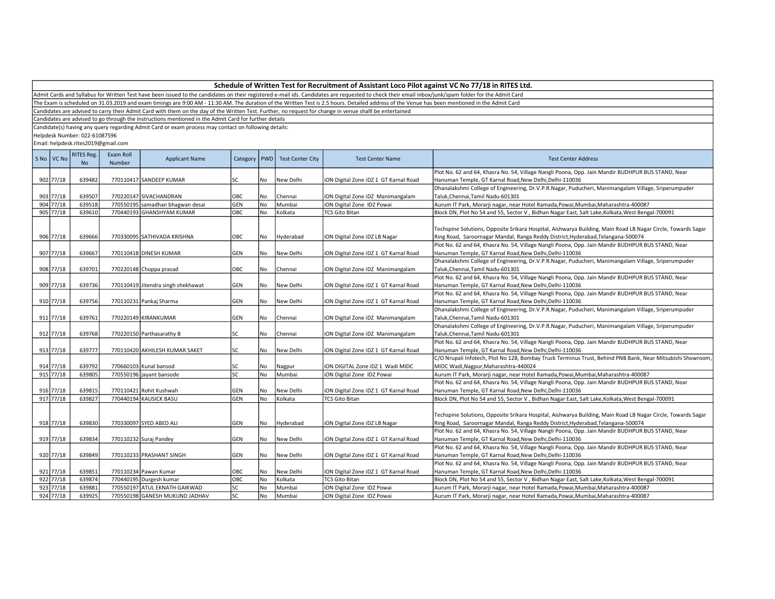Admit Cards and Syllabus for Written Test have been issued to the candidates on their registered e-mail ids. Candidates are requested to check their email inbox/junk/spam folder for the Admit Card

The Exam is scheduled on 31.03.2019 and exam timings are 9:00 AM - 11:30 AM. The duration of the Written Test is 2.5 hours. Detailed address of the Venue has been mentioned in the Admit Card

Candidates are advised to carry their Admit Card with them on the day of the Written Test. Further, no request for change in venue shalll be entertained

Candidates are advised to go through the Instructions mentioned in the Admit Card for further details

Candidate(s) having any query regarding Admit Card or exam process may contact on following details:

Helpdesk Number: 022-61087596

| S No   VC No | RITES Reg.<br>No. | Exam Roll<br>Number | <b>Applicant Name</b>              | Category   | PWD       | <b>Test Center City</b> | <b>Test Center Name</b>               | <b>Test Center Address</b>                                                                                                                                                                       |
|--------------|-------------------|---------------------|------------------------------------|------------|-----------|-------------------------|---------------------------------------|--------------------------------------------------------------------------------------------------------------------------------------------------------------------------------------------------|
|              |                   |                     |                                    |            |           |                         |                                       | Plot No. 62 and 64, Khasra No. 54, Village Nangli Poona, Opp. Jain Mandir BUDHPUR BUS STAND, Near                                                                                                |
| 902 77/18    | 639482            |                     | 770110417 SANDEEP KUMAR            | lsc        | No        | New Delhi               | iON Digital Zone iDZ 1 GT Karnal Road | Hanuman Temple, GT Karnal Road, New Delhi, Delhi-110036                                                                                                                                          |
|              |                   |                     |                                    |            |           |                         |                                       | Dhanalakshmi College of Engineering, Dr.V.P.R.Nagar, Puducheri, Manimangalam Village, Sriperumpuder                                                                                              |
| 903 77/18    | 639507            |                     | 770220147 SIVACHANDRAN             | OBC        | No        | Chennai                 | iON Digital Zone iDZ Manimangalam     | Taluk, Chennai, Tamil Nadu-601301                                                                                                                                                                |
| 904 77/18    | 639518            |                     | 770550195 samadhan bhagwan desai   | GEN        | <b>No</b> | Mumbai                  | iON Digital Zone IDZ Powai            | Aurum IT Park, Morarji nagar, near Hotel Ramada, Powai, Mumbai, Maharashtra-400087                                                                                                               |
| 905 77/18    | 639610            |                     | 770440193 GHANSHYAM KUMAR          | ОВС        | No        | Kolkata                 | <b>TCS Gito Bitan</b>                 | Block DN, Plot No 54 and 55, Sector V, Bidhan Nagar East, Salt Lake, Kolkata, West Bengal-700091                                                                                                 |
| 906 77/18    | 639666            |                     | 770330095 SATHIVADA KRISHNA        | OBC        | No        | Hyderabad               | iON Digital Zone iDZ LB Nagar         | Techspine Solutions, Opposite Srikara Hospital, Aishwarya Building, Main Road LB Nagar Circle, Towards Sagar<br>Ring Road, Saroornagar Mandal, Ranga Reddy District, Hyderabad, Telangana-500074 |
|              |                   |                     |                                    |            |           |                         |                                       | Plot No. 62 and 64, Khasra No. 54, Village Nangli Poona, Opp. Jain Mandir BUDHPUR BUS STAND, Near                                                                                                |
| 907 77/18    | 639667            |                     | 770110418 DINESH KUMAR             | GEN        | No        | New Delhi               | iON Digital Zone iDZ 1 GT Karnal Road | Hanuman Temple, GT Karnal Road, New Delhi, Delhi-110036                                                                                                                                          |
|              |                   |                     |                                    |            |           |                         |                                       | Dhanalakshmi College of Engineering, Dr.V.P.R.Nagar, Puducheri, Manimangalam Village, Sriperumpuder                                                                                              |
| 908 77/18    | 639701            |                     | 770220148 Choppa prasad            | OBC        | No        | Chennai                 | iON Digital Zone iDZ Manimangalam     | Taluk, Chennai, Tamil Nadu-601301                                                                                                                                                                |
|              |                   |                     |                                    |            |           |                         |                                       | Plot No. 62 and 64, Khasra No. 54, Village Nangli Poona, Opp. Jain Mandir BUDHPUR BUS STAND, Near                                                                                                |
| 909 77/18    | 639736            |                     | 770110419 Jitendra singh shekhawat | <b>GEN</b> | No        | New Delhi               | iON Digital Zone iDZ 1 GT Karnal Road | Hanuman Temple, GT Karnal Road, New Delhi, Delhi-110036                                                                                                                                          |
|              |                   |                     |                                    |            |           |                         |                                       | Plot No. 62 and 64, Khasra No. 54, Village Nangli Poona, Opp. Jain Mandir BUDHPUR BUS STAND, Near                                                                                                |
| 910 77/18    | 639756            |                     | 770110231 Pankaj Sharma            | GEN        | No        | New Delhi               | iON Digital Zone iDZ 1 GT Karnal Road | Hanuman Temple, GT Karnal Road, New Delhi, Delhi-110036                                                                                                                                          |
|              |                   |                     |                                    |            |           |                         |                                       | Dhanalakshmi College of Engineering, Dr.V.P.R.Nagar, Puducheri, Manimangalam Village, Sriperumpuder                                                                                              |
| 911 77/18    | 639761            |                     | 770220149 KIRANKUMAR               | <b>GEN</b> | No        | Chennai                 | iON Digital Zone iDZ Manimangalam     | Taluk, Chennai, Tamil Nadu-601301                                                                                                                                                                |
|              |                   |                     |                                    |            |           |                         |                                       | Dhanalakshmi College of Engineering, Dr.V.P.R.Nagar, Puducheri, Manimangalam Village, Sriperumpuder                                                                                              |
| 912 77/18    | 639768            |                     | 770220150 Parthasarathy B          | <b>SC</b>  | No        | Chennai                 | iON Digital Zone iDZ Manimangalam     | Taluk, Chennai, Tamil Nadu-601301                                                                                                                                                                |
|              |                   |                     |                                    |            |           |                         |                                       | Plot No. 62 and 64, Khasra No. 54, Village Nangli Poona, Opp. Jain Mandir BUDHPUR BUS STAND, Near                                                                                                |
| 913 77/18    | 639777            |                     | 770110420 AKHILESH KUMAR SAKET     | lsc        | No        | New Delhi               | iON Digital Zone iDZ 1 GT Karnal Road | Hanuman Temple, GT Karnal Road, New Delhi, Delhi-110036                                                                                                                                          |
|              |                   |                     |                                    |            |           |                         |                                       | C/O Nrupali Infotech, Plot No 128, Bombay Truck Terminus Trust, Behind PNB Bank, Near Mitsubishi Showroom,                                                                                       |
| 914 77/18    | 639792            |                     | 770660103 Kunal bansod             | <b>SC</b>  | No        | Nagpur                  | ION DIGITAL Zone IDZ 1 Wadi MIDC      | MIDC Wadi, Nagpur, Maharashtra-440024                                                                                                                                                            |
| 915 77/18    | 639805            |                     | 770550196 jayant bansode           | lsc        | <b>No</b> | Mumbai                  | iON Digital Zone IDZ Powai            | Aurum IT Park, Morarji nagar, near Hotel Ramada, Powai, Mumbai, Maharashtra-400087                                                                                                               |
|              |                   |                     |                                    |            |           |                         |                                       | Plot No. 62 and 64, Khasra No. 54, Village Nangli Poona, Opp. Jain Mandir BUDHPUR BUS STAND, Near                                                                                                |
| 916 77/18    | 639815            |                     | 770110421 Rohit Kushwah            | <b>GEN</b> | No        | New Delhi               | iON Digital Zone iDZ 1 GT Karnal Road | Hanuman Temple, GT Karnal Road, New Delhi, Delhi-110036                                                                                                                                          |
| 917 77/18    | 639827            |                     | 770440194 KAUSICK BASU             | GEN        | No        | Kolkata                 | <b>TCS Gito Bitan</b>                 | Block DN, Plot No 54 and 55, Sector V, Bidhan Nagar East, Salt Lake, Kolkata, West Bengal-700091                                                                                                 |
| 918 77/18    | 639830            |                     | 770330097 SYED ABED ALI            | <b>GEN</b> | No        | Hyderabad               | iON Digital Zone iDZ LB Nagar         | Techspine Solutions, Opposite Srikara Hospital, Aishwarya Building, Main Road LB Nagar Circle, Towards Sagar<br>Ring Road, Saroornagar Mandal, Ranga Reddy District, Hyderabad, Telangana-500074 |
|              |                   |                     |                                    |            |           |                         |                                       | Plot No. 62 and 64, Khasra No. 54, Village Nangli Poona, Opp. Jain Mandir BUDHPUR BUS STAND, Near                                                                                                |
| 919 77/18    | 639834            |                     | 770110232 Suraj Pandey             | GEN        | No        | New Delhi               | iON Digital Zone iDZ 1 GT Karnal Road | Hanuman Temple, GT Karnal Road, New Delhi, Delhi-110036                                                                                                                                          |
|              |                   |                     |                                    |            |           |                         |                                       | Plot No. 62 and 64, Khasra No. 54, Village Nangli Poona, Opp. Jain Mandir BUDHPUR BUS STAND, Near                                                                                                |
| 920 77/18    | 639849            |                     | 770110233 PRASHANT SINGH           | <b>GEN</b> | No        | New Delhi               | iON Digital Zone iDZ 1 GT Karnal Road | Hanuman Temple, GT Karnal Road, New Delhi, Delhi-110036                                                                                                                                          |
|              |                   |                     |                                    |            |           |                         |                                       | Plot No. 62 and 64, Khasra No. 54, Village Nangli Poona, Opp. Jain Mandir BUDHPUR BUS STAND, Near                                                                                                |
| 921 77/18    | 639851            |                     | 770110234 Pawan Kumar              | OBC        | No        | New Delhi               | iON Digital Zone iDZ 1 GT Karnal Road | Hanuman Temple, GT Karnal Road, New Delhi, Delhi-110036                                                                                                                                          |
| 922 77/18    | 639874            |                     | 770440195 Durgesh kumar            | OBC        | No        | Kolkata                 | <b>TCS Gito Bitan</b>                 | Block DN, Plot No 54 and 55, Sector V, Bidhan Nagar East, Salt Lake, Kolkata, West Bengal-700091                                                                                                 |
| 923 77/18    | 639881            |                     | 770550197 ATUL EKNATH GAIKWAD      | <b>SC</b>  | No        | Mumbai                  | iON Digital Zone IDZ Powai            | Aurum IT Park, Morarji nagar, near Hotel Ramada, Powai, Mumbai, Maharashtra-400087                                                                                                               |
| 924 77/18    | 639925            |                     | 770550198 GANESH MUKUND JADHAV     | lsc        | <b>No</b> | Mumbai                  | iON Digital Zone IDZ Powai            | Aurum IT Park, Morarji nagar, near Hotel Ramada, Powai, Mumbai, Maharashtra-400087                                                                                                               |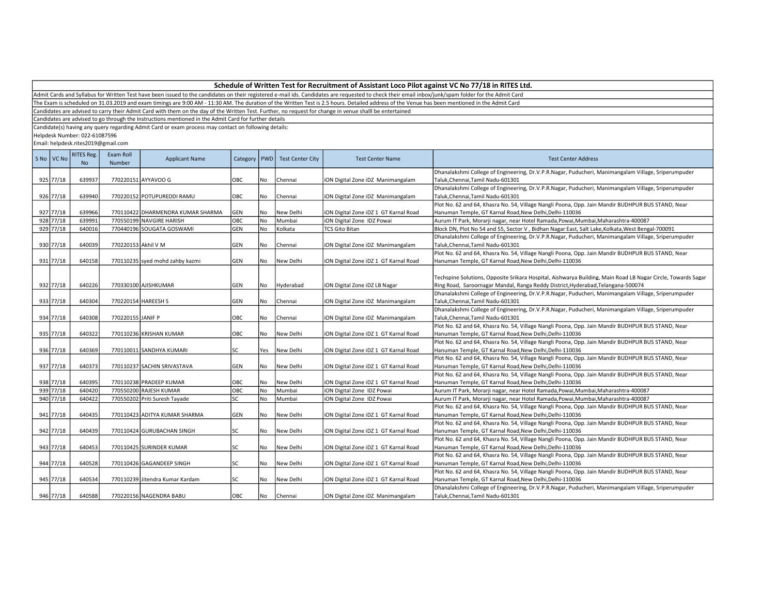The Exam is scheduled on 31.03.2019 and exam timings are 9:00 AM - 11:30 AM. The duration of the Written Test is 2.5 hours. Detailed address of the Venue has been mentioned in the Admit Card

Candidates are advised to carry their Admit Card with them on the day of the Written Test. Further, no request for change in venue shalll be entertained

Candidates are advised to go through the Instructions mentioned in the Admit Card for further details

Candidate(s) having any query regarding Admit Card or exam process may contact on following details:

Helpdesk Number: 022-61087596

| S No VC No | RITES Reg.<br>No | Exam Roll<br>Number | <b>Applicant Name</b>             | Category   PWD |           | <b>Test Center City</b> | <b>Test Center Name</b>               | <b>Test Center Address</b>                                                                                                                                                              |
|------------|------------------|---------------------|-----------------------------------|----------------|-----------|-------------------------|---------------------------------------|-----------------------------------------------------------------------------------------------------------------------------------------------------------------------------------------|
|            |                  |                     |                                   |                |           |                         |                                       | Dhanalakshmi College of Engineering, Dr.V.P.R.Nagar, Puducheri, Manimangalam Village, Sriperumpuder                                                                                     |
| 925 77/18  | 639937           |                     | 770220151 AYYAVOO G               | OBC            | No        | Chennai                 | iON Digital Zone iDZ Manimangalam     | Taluk, Chennai, Tamil Nadu-601301                                                                                                                                                       |
|            |                  |                     |                                   |                |           |                         |                                       | Dhanalakshmi College of Engineering, Dr.V.P.R.Nagar, Puducheri, Manimangalam Village, Sriperumpuder                                                                                     |
| 926 77/18  | 639940           |                     | 770220152 POTUPUREDDI RAMU        | OBC            | No        | Chennai                 | iON Digital Zone iDZ Manimangalam     | Taluk, Chennai, Tamil Nadu-601301                                                                                                                                                       |
|            |                  |                     |                                   |                |           |                         |                                       | Plot No. 62 and 64, Khasra No. 54, Village Nangli Poona, Opp. Jain Mandir BUDHPUR BUS STAND, Near                                                                                       |
| 927 77/18  | 639966           |                     | 770110422 DHARMENDRA KUMAR SHARMA | GEN            | No        | New Delhi               | iON Digital Zone iDZ 1 GT Karnal Road | Hanuman Temple, GT Karnal Road, New Delhi, Delhi-110036                                                                                                                                 |
| 928 77/18  | 639991           |                     | 770550199 NAVGIRE HARISH          | OBC            | <b>No</b> | Mumbai                  | iON Digital Zone IDZ Powai            | Aurum IT Park, Morarji nagar, near Hotel Ramada, Powai, Mumbai, Maharashtra-400087                                                                                                      |
| 929 77/18  | 640016           |                     | 770440196 SOUGATA GOSWAMI         | GEN            | No        | Kolkata                 | <b>TCS Gito Bitan</b>                 | Block DN, Plot No 54 and 55, Sector V, Bidhan Nagar East, Salt Lake, Kolkata, West Bengal-700091                                                                                        |
|            |                  |                     |                                   |                |           |                         |                                       | Dhanalakshmi College of Engineering, Dr.V.P.R.Nagar, Puducheri, Manimangalam Village, Sriperumpuder                                                                                     |
| 930 77/18  | 640039           | 770220153 Akhil V M |                                   | GEN            | No        | Chennai                 | iON Digital Zone iDZ Manimangalam     | Taluk, Chennai, Tamil Nadu-601301                                                                                                                                                       |
|            |                  |                     |                                   |                |           |                         |                                       | Plot No. 62 and 64, Khasra No. 54, Village Nangli Poona, Opp. Jain Mandir BUDHPUR BUS STAND, Near                                                                                       |
| 931 77/18  | 640158           |                     | 770110235 syed mohd zahby kazmi   | GEN            | No        | New Delhi               | iON Digital Zone iDZ 1 GT Karnal Road | Hanuman Temple, GT Karnal Road, New Delhi, Delhi-110036                                                                                                                                 |
|            |                  |                     |                                   |                |           |                         |                                       |                                                                                                                                                                                         |
|            |                  |                     |                                   |                |           |                         |                                       | Techspine Solutions, Opposite Srikara Hospital, Aishwarya Building, Main Road LB Nagar Circle, Towards Sagar                                                                            |
| 932 77/18  | 640226           |                     | 770330100 AJISHKUMAR              | GEN            | No        | Hyderabad               | iON Digital Zone iDZ LB Nagar         | Ring Road, Saroornagar Mandal, Ranga Reddy District, Hyderabad, Telangana-500074<br>Dhanalakshmi College of Engineering, Dr.V.P.R.Nagar, Puducheri, Manimangalam Village, Sriperumpuder |
| 933 77/18  | 640304           |                     | 770220154 HAREESH S               | GEN            | No        | Chennai                 |                                       | Taluk, Chennai, Tamil Nadu-601301                                                                                                                                                       |
|            |                  |                     |                                   |                |           |                         | iON Digital Zone iDZ Manimangalam     | Dhanalakshmi College of Engineering, Dr.V.P.R.Nagar, Puducheri, Manimangalam Village, Sriperumpuder                                                                                     |
| 934 77/18  | 640308           | 770220155 JANIF P   |                                   | OBC            | No        | Chennai                 | iON Digital Zone iDZ Manimangalam     | Taluk, Chennai, Tamil Nadu-601301                                                                                                                                                       |
|            |                  |                     |                                   |                |           |                         |                                       | Plot No. 62 and 64, Khasra No. 54, Village Nangli Poona, Opp. Jain Mandir BUDHPUR BUS STAND, Near                                                                                       |
| 935 77/18  | 640322           |                     | 770110236 KRISHAN KUMAR           | OBC            | l No      | New Delhi               | iON Digital Zone iDZ 1 GT Karnal Road | Hanuman Temple, GT Karnal Road, New Delhi, Delhi-110036                                                                                                                                 |
|            |                  |                     |                                   |                |           |                         |                                       | Plot No. 62 and 64, Khasra No. 54, Village Nangli Poona, Opp. Jain Mandir BUDHPUR BUS STAND, Near                                                                                       |
| 936 77/18  | 640369           |                     | 770110011 SANDHYA KUMARI          | SC             | Yes       | New Delhi               | iON Digital Zone iDZ 1 GT Karnal Road | Hanuman Temple, GT Karnal Road, New Delhi, Delhi-110036                                                                                                                                 |
|            |                  |                     |                                   |                |           |                         |                                       | Plot No. 62 and 64, Khasra No. 54, Village Nangli Poona, Opp. Jain Mandir BUDHPUR BUS STAND, Near                                                                                       |
| 937 77/18  | 640373           |                     | 770110237 SACHIN SRIVASTAVA       | GEN            | No        | New Delhi               | ION Digital Zone IDZ 1 GT Karnal Road | Hanuman Temple, GT Karnal Road, New Delhi, Delhi-110036                                                                                                                                 |
|            |                  |                     |                                   |                |           |                         |                                       | Plot No. 62 and 64, Khasra No. 54, Village Nangli Poona, Opp. Jain Mandir BUDHPUR BUS STAND, Near                                                                                       |
| 938 77/18  | 640395           |                     | 770110238 PRADEEP KUMAR           | OBC            | No        | New Delhi               | iON Digital Zone iDZ 1 GT Karnal Road | Hanuman Temple, GT Karnal Road, New Delhi, Delhi-110036                                                                                                                                 |
| 939 77/18  | 640420           |                     | 770550200 RAJESH KUMAR            | ОВС            | No        | Mumbai                  | iON Digital Zone IDZ Powai            | Aurum IT Park, Morarji nagar, near Hotel Ramada, Powai, Mumbai, Maharashtra-400087                                                                                                      |
| 940 77/18  | 640422           |                     | 770550202 Priti Suresh Tayade     | SC             | No        | Mumbai                  | iON Digital Zone IDZ Powai            | Aurum IT Park, Morarji nagar, near Hotel Ramada, Powai, Mumbai, Maharashtra-400087                                                                                                      |
|            |                  |                     |                                   |                |           |                         |                                       | Plot No. 62 and 64, Khasra No. 54, Village Nangli Poona, Opp. Jain Mandir BUDHPUR BUS STAND, Near                                                                                       |
| 941 77/18  | 640435           |                     | 770110423 ADITYA KUMAR SHARMA     | GEN            | No        | New Delhi               | iON Digital Zone iDZ 1 GT Karnal Road | Hanuman Temple, GT Karnal Road, New Delhi, Delhi-110036                                                                                                                                 |
|            |                  |                     |                                   |                |           |                         |                                       | Plot No. 62 and 64, Khasra No. 54, Village Nangli Poona, Opp. Jain Mandir BUDHPUR BUS STAND, Near                                                                                       |
| 942 77/18  | 640439           |                     | 770110424 GURUBACHAN SINGH        | SC             | No        | New Delhi               | ION Digital Zone IDZ 1 GT Karnal Road | Hanuman Temple, GT Karnal Road, New Delhi, Delhi-110036                                                                                                                                 |
|            |                  |                     |                                   |                |           |                         |                                       | Plot No. 62 and 64, Khasra No. 54, Village Nangli Poona, Opp. Jain Mandir BUDHPUR BUS STAND, Near                                                                                       |
| 943 77/18  | 640453           |                     | 770110425 SURINDER KUMAR          | SC             | l No      | New Delhi               | iON Digital Zone iDZ 1 GT Karnal Road | Hanuman Temple, GT Karnal Road,New Delhi,Delhi-110036                                                                                                                                   |
|            |                  |                     |                                   |                |           |                         |                                       | Plot No. 62 and 64, Khasra No. 54, Village Nangli Poona, Opp. Jain Mandir BUDHPUR BUS STAND, Near                                                                                       |
| 944 77/18  | 640528           |                     | 770110426 GAGANDEEP SINGH         | SC             | No        | New Delhi               | iON Digital Zone iDZ 1 GT Karnal Road | Hanuman Temple, GT Karnal Road,New Delhi,Delhi-110036                                                                                                                                   |
|            |                  |                     |                                   |                |           |                         |                                       | Plot No. 62 and 64, Khasra No. 54, Village Nangli Poona, Opp. Jain Mandir BUDHPUR BUS STAND, Near                                                                                       |
| 945 77/18  | 640534           |                     | 770110239 Jitendra Kumar Kardam   | SC             | No        | New Delhi               | iON Digital Zone iDZ 1 GT Karnal Road | Hanuman Temple, GT Karnal Road, New Delhi, Delhi-110036                                                                                                                                 |
|            |                  |                     |                                   |                |           |                         |                                       | Dhanalakshmi College of Engineering, Dr.V.P.R.Nagar, Puducheri, Manimangalam Village, Sriperumpuder                                                                                     |
| 946 77/18  | 640588           |                     | 770220156 NAGENDRA BABU           | OBC            | No.       | Chennai                 | iON Digital Zone iDZ Manimangalam     | Taluk, Chennai, Tamil Nadu-601301                                                                                                                                                       |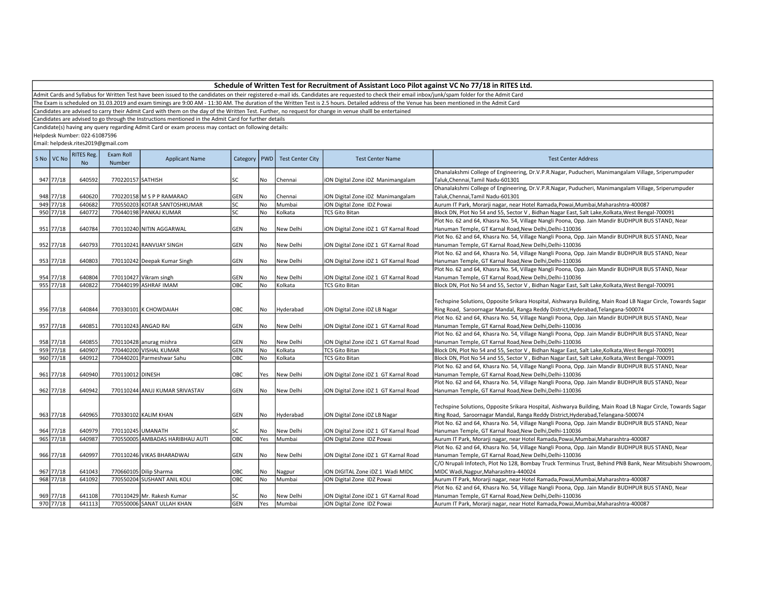Admit Cards and Syllabus for Written Test have been issued to the candidates on their registered e-mail ids. Candidates are requested to check their email inbox/junk/spam folder for the Admit Card

The Exam is scheduled on 31.03.2019 and exam timings are 9:00 AM - 11:30 AM. The duration of the Written Test is 2.5 hours. Detailed address of the Venue has been mentioned in the Admit Card

Candidates are advised to carry their Admit Card with them on the day of the Written Test. Further, no request for change in venue shalll be entertained

Candidates are advised to go through the Instructions mentioned in the Admit Card for further details

Candidate(s) having any query regarding Admit Card or exam process may contact on following details:

Helpdesk Number: 022-61087596

| S No VC No | RITES Reg.<br><b>No</b> | Exam Roll<br>Number | <b>Applicant Name</b>           | Category   PWD |           | <b>Test Center City</b> | <b>Test Center Name</b>               | <b>Test Center Address</b>                                                                                   |
|------------|-------------------------|---------------------|---------------------------------|----------------|-----------|-------------------------|---------------------------------------|--------------------------------------------------------------------------------------------------------------|
|            |                         |                     |                                 |                |           |                         |                                       | Dhanalakshmi College of Engineering, Dr.V.P.R.Nagar, Puducheri, Manimangalam Village, Sriperumpuder          |
| 947 77/18  | 640592                  | 770220157 SATHISH   |                                 | lsc            | No        | Chennai                 | iON Digital Zone iDZ Manimangalam     | Taluk, Chennai, Tamil Nadu-601301                                                                            |
|            |                         |                     |                                 |                |           |                         |                                       | Dhanalakshmi College of Engineering, Dr.V.P.R.Nagar, Puducheri, Manimangalam Village, Sriperumpuder          |
| 948 77/18  | 640620                  |                     | 770220158 M S P P RAMARAO       | <b>GEN</b>     | No        | Chennai                 | iON Digital Zone iDZ Manimangalam     | Taluk, Chennai, Tamil Nadu-601301                                                                            |
| 949 77/18  | 640682                  |                     | 770550203 KOTAR SANTOSHKUMAR    | lsc            | No        | Mumbai                  | iON Digital Zone IDZ Powai            | Aurum IT Park, Morarji nagar, near Hotel Ramada, Powai, Mumbai, Maharashtra-400087                           |
| 950 77/18  | 640772                  |                     | 770440198 PANKAJ KUMAR          | lsc            | <b>No</b> | Kolkata                 | <b>TCS Gito Bitan</b>                 | Block DN, Plot No 54 and 55, Sector V, Bidhan Nagar East, Salt Lake, Kolkata, West Bengal-700091             |
|            |                         |                     |                                 |                |           |                         |                                       | Plot No. 62 and 64, Khasra No. 54, Village Nangli Poona, Opp. Jain Mandir BUDHPUR BUS STAND, Near            |
| 951 77/18  | 640784                  |                     | 770110240 NITIN AGGARWAL        | GEN            | No        | New Delhi               | iON Digital Zone iDZ 1 GT Karnal Road | Hanuman Temple, GT Karnal Road, New Delhi, Delhi-110036                                                      |
|            |                         |                     |                                 |                |           |                         |                                       | Plot No. 62 and 64, Khasra No. 54, Village Nangli Poona, Opp. Jain Mandir BUDHPUR BUS STAND, Near            |
| 952 77/18  | 640793                  |                     | 770110241 RANVIJAY SINGH        | <b>GEN</b>     | No        | New Delhi               | iON Digital Zone iDZ 1 GT Karnal Road | Hanuman Temple, GT Karnal Road, New Delhi, Delhi-110036                                                      |
|            |                         |                     |                                 |                |           |                         |                                       | Plot No. 62 and 64, Khasra No. 54, Village Nangli Poona, Opp. Jain Mandir BUDHPUR BUS STAND, Near            |
| 953 77/18  | 640803                  |                     | 770110242 Deepak Kumar Singh    | GEN            | No        | New Delhi               | iON Digital Zone iDZ 1 GT Karnal Road | Hanuman Temple, GT Karnal Road, New Delhi, Delhi-110036                                                      |
|            |                         |                     |                                 |                |           |                         |                                       | Plot No. 62 and 64, Khasra No. 54, Village Nangli Poona, Opp. Jain Mandir BUDHPUR BUS STAND, Near            |
| 954 77/18  | 640804                  |                     | 770110427 Vikram singh          | GEN            | No        | New Delhi               | iON Digital Zone iDZ 1 GT Karnal Road | Hanuman Temple, GT Karnal Road, New Delhi, Delhi-110036                                                      |
| 955 77/18  | 640822                  |                     | 770440199 ASHRAF IMAM           | OBC            | No        | Kolkata                 | <b>TCS Gito Bitan</b>                 | Block DN, Plot No 54 and 55, Sector V, Bidhan Nagar East, Salt Lake, Kolkata, West Bengal-700091             |
|            |                         |                     |                                 |                |           |                         |                                       |                                                                                                              |
|            |                         |                     |                                 |                |           |                         |                                       | Techspine Solutions, Opposite Srikara Hospital, Aishwarya Building, Main Road LB Nagar Circle, Towards Sagar |
| 956 77/18  | 640844                  |                     | 770330101 K CHOWDAIAH           | OBC            | No        | Hyderabad               | iON Digital Zone iDZ LB Nagar         | Ring Road, Saroornagar Mandal, Ranga Reddy District, Hyderabad, Telangana-500074                             |
|            |                         |                     |                                 |                |           |                         |                                       | Plot No. 62 and 64, Khasra No. 54, Village Nangli Poona, Opp. Jain Mandir BUDHPUR BUS STAND, Near            |
| 957 77/18  | 640851                  |                     | 770110243 ANGAD RAI             | <b>GEN</b>     | No        | New Delhi               | iON Digital Zone iDZ 1 GT Karnal Road | Hanuman Temple, GT Karnal Road, New Delhi, Delhi-110036                                                      |
|            |                         |                     |                                 |                |           |                         |                                       | Plot No. 62 and 64, Khasra No. 54, Village Nangli Poona, Opp. Jain Mandir BUDHPUR BUS STAND, Near            |
| 958 77/18  | 640855                  |                     | 770110428 anurag mishra         | <b>GEN</b>     | No        | New Delhi               | iON Digital Zone iDZ 1 GT Karnal Road | Hanuman Temple, GT Karnal Road, New Delhi, Delhi-110036                                                      |
| 959 77/18  | 640907                  |                     | 770440200 VISHAL KUMAR          | GEN            | No        | Kolkata                 | <b>TCS Gito Bitan</b>                 | Block DN, Plot No 54 and 55, Sector V, Bidhan Nagar East, Salt Lake, Kolkata, West Bengal-700091             |
| 960 77/18  | 640912                  |                     | 770440201 Parmeshwar Sahu       | ОВС            | <b>No</b> | Kolkata                 | <b>TCS Gito Bitan</b>                 | Block DN, Plot No 54 and 55, Sector V, Bidhan Nagar East, Salt Lake, Kolkata, West Bengal-700091             |
|            |                         |                     |                                 |                |           |                         |                                       | Plot No. 62 and 64, Khasra No. 54, Village Nangli Poona, Opp. Jain Mandir BUDHPUR BUS STAND, Near            |
| 961 77/18  | 640940                  | 770110012 DINESH    |                                 | OBC            | Yes       | New Delhi               | iON Digital Zone iDZ 1 GT Karnal Road | Hanuman Temple, GT Karnal Road, New Delhi, Delhi-110036                                                      |
|            |                         |                     |                                 |                |           |                         |                                       | Plot No. 62 and 64, Khasra No. 54, Village Nangli Poona, Opp. Jain Mandir BUDHPUR BUS STAND, Near            |
| 962 77/18  | 640942                  |                     | 770110244 ANUJ KUMAR SRIVASTAV  | GEN            | No        | New Delhi               | iON Digital Zone iDZ 1 GT Karnal Road | Hanuman Temple, GT Karnal Road, New Delhi, Delhi-110036                                                      |
|            |                         |                     |                                 |                |           |                         |                                       |                                                                                                              |
|            |                         |                     |                                 |                |           |                         |                                       | Techspine Solutions, Opposite Srikara Hospital, Aishwarya Building, Main Road LB Nagar Circle, Towards Sagar |
| 963 77/18  | 640965                  |                     | 770330102 KALIM KHAN            | <b>GEN</b>     | No        | Hyderabad               | iON Digital Zone iDZ LB Nagar         | Ring Road, Saroornagar Mandal, Ranga Reddy District, Hyderabad, Telangana-500074                             |
|            |                         |                     |                                 |                |           |                         |                                       | Plot No. 62 and 64, Khasra No. 54, Village Nangli Poona, Opp. Jain Mandir BUDHPUR BUS STAND, Near            |
| 964 77/18  | 640979                  | 770110245 UMANATH   |                                 | <b>SC</b>      | No        | New Delhi               | iON Digital Zone iDZ 1 GT Karnal Road | Hanuman Temple, GT Karnal Road, New Delhi, Delhi-110036                                                      |
| 965 77/18  | 640987                  |                     | 770550005 AMBADAS HARIBHAU AUTI | OBC            | Yes       | Mumbai                  | iON Digital Zone IDZ Powai            | Aurum IT Park, Morarji nagar, near Hotel Ramada, Powai, Mumbai, Maharashtra-400087                           |
|            |                         |                     |                                 |                |           |                         |                                       | Plot No. 62 and 64, Khasra No. 54, Village Nangli Poona, Opp. Jain Mandir BUDHPUR BUS STAND, Near            |
| 966 77/18  | 640997                  |                     | 770110246 VIKAS BHARADWAJ       | <b>GEN</b>     | No        | New Delhi               | iON Digital Zone iDZ 1 GT Karnal Road | Hanuman Temple, GT Karnal Road, New Delhi, Delhi-110036                                                      |
|            |                         |                     |                                 |                |           |                         |                                       | C/O Nrupali Infotech, Plot No 128, Bombay Truck Terminus Trust, Behind PNB Bank, Near Mitsubishi Showroom,   |
| 967 77/18  | 641043                  |                     | 770660105 Dilip Sharma          | OBC            | No        | Nagpur                  | ION DIGITAL Zone IDZ 1 Wadi MIDC      | MIDC Wadi, Nagpur, Maharashtra-440024                                                                        |
| 968 77/18  | 641092                  |                     | 770550204 SUSHANT ANIL KOLI     | овс            | No        | Mumbai                  | iON Digital Zone IDZ Powai            | Aurum IT Park, Morarji nagar, near Hotel Ramada, Powai, Mumbai, Maharashtra-400087                           |
|            |                         |                     |                                 |                |           |                         |                                       | Plot No. 62 and 64, Khasra No. 54, Village Nangli Poona, Opp. Jain Mandir BUDHPUR BUS STAND, Near            |
| 969 77/18  | 641108                  |                     | 770110429 Mr. Rakesh Kumar      | lsc            | No        | New Delhi               | iON Digital Zone iDZ 1 GT Karnal Road | Hanuman Temple, GT Karnal Road, New Delhi, Delhi-110036                                                      |
| 970 77/18  | 641113                  |                     | 770550006 SANAT ULLAH KHAN      | GEN            | Yes       | Mumbai                  | iON Digital Zone IDZ Powai            | Aurum IT Park, Morarji nagar, near Hotel Ramada, Powai, Mumbai, Maharashtra-400087                           |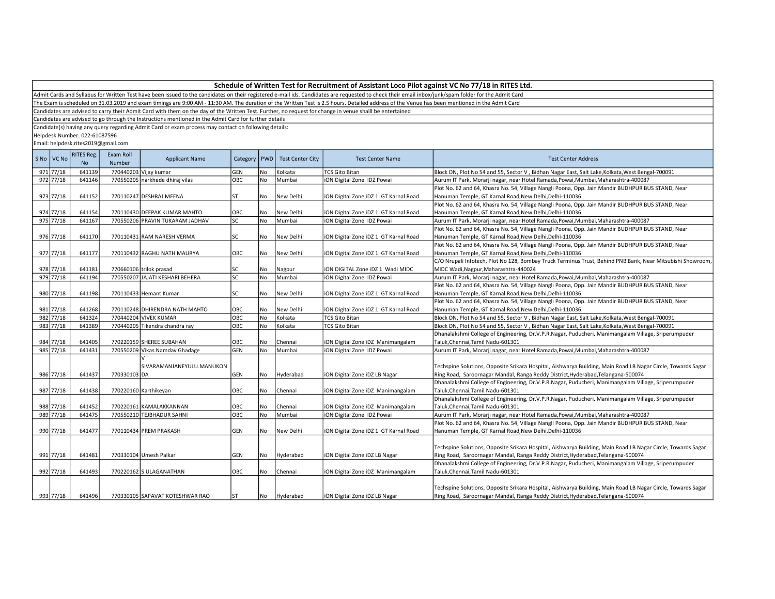Admit Cards and Syllabus for Written Test have been issued to the candidates on their registered e-mail ids. Candidates are requested to check their email inbox/junk/spam folder for the Admit Card

The Exam is scheduled on 31.03.2019 and exam timings are 9:00 AM - 11:30 AM. The duration of the Written Test is 2.5 hours. Detailed address of the Venue has been mentioned in the Admit Card

Candidates are advised to carry their Admit Card with them on the day of the Written Test. Further, no request for change in venue shalll be entertained

Candidates are advised to go through the Instructions mentioned in the Admit Card for further details

Candidate(s) having any query regarding Admit Card or exam process may contact on following details:

Helpdesk Number: 022-61087596

| S No VC No | <b>RITES Reg.</b><br><b>No</b> | Exam Roll<br>Number | <b>Applicant Name</b>           | Category   | <b>PWD</b> | <b>Test Center City</b> | <b>Test Center Name</b>               | <b>Test Center Address</b>                                                                                   |
|------------|--------------------------------|---------------------|---------------------------------|------------|------------|-------------------------|---------------------------------------|--------------------------------------------------------------------------------------------------------------|
| 971 77/18  | 641139                         |                     | 770440203 Vijay kumar           | GEN        | No         | Kolkata                 | <b>TCS Gito Bitan</b>                 | Block DN, Plot No 54 and 55, Sector V, Bidhan Nagar East, Salt Lake, Kolkata, West Bengal-700091             |
| 972 77/18  | 641146                         |                     | 770550205 narkhede dhiraj vilas | ОВС        | No         | Mumbai                  | iON Digital Zone IDZ Powai            | Aurum IT Park, Morarji nagar, near Hotel Ramada, Powai, Mumbai, Maharashtra-400087                           |
|            |                                |                     |                                 |            |            |                         |                                       | Plot No. 62 and 64, Khasra No. 54, Village Nangli Poona, Opp. Jain Mandir BUDHPUR BUS STAND, Near            |
| 973 77/18  | 641152                         |                     | 770110247 DESHRAJ MEENA         | lst        | No         | New Delhi               | iON Digital Zone iDZ 1 GT Karnal Road | Hanuman Temple, GT Karnal Road, New Delhi, Delhi-110036                                                      |
|            |                                |                     |                                 |            |            |                         |                                       | Plot No. 62 and 64, Khasra No. 54, Village Nangli Poona, Opp. Jain Mandir BUDHPUR BUS STAND, Near            |
| 974 77/18  | 641154                         |                     | 770110430 DEEPAK KUMAR MAHTO    | OBC        | No         | New Delhi               | iON Digital Zone iDZ 1 GT Karnal Road | Hanuman Temple, GT Karnal Road, New Delhi, Delhi-110036                                                      |
| 975 77/18  | 641167                         |                     | 770550206 PRAVIN TUKARAM JADHAV | lsc        | <b>No</b>  | Mumbai                  | iON Digital Zone IDZ Powai            | Aurum IT Park, Morarji nagar, near Hotel Ramada, Powai, Mumbai, Maharashtra-400087                           |
|            |                                |                     |                                 |            |            |                         |                                       | Plot No. 62 and 64, Khasra No. 54, Village Nangli Poona, Opp. Jain Mandir BUDHPUR BUS STAND, Near            |
| 976 77/18  | 641170                         |                     | 770110431 RAM NARESH VERMA      | <b>SC</b>  | No         | New Delhi               | iON Digital Zone iDZ 1 GT Karnal Road | Hanuman Temple, GT Karnal Road, New Delhi, Delhi-110036                                                      |
|            |                                |                     |                                 |            |            |                         |                                       | Plot No. 62 and 64, Khasra No. 54, Village Nangli Poona, Opp. Jain Mandir BUDHPUR BUS STAND, Near            |
| 977 77/18  | 641177                         |                     | 770110432 RAGHU NATH MAURYA     | OBC        | No         | New Delhi               | iON Digital Zone iDZ 1 GT Karnal Road | Hanuman Temple, GT Karnal Road, New Delhi, Delhi-110036                                                      |
|            |                                |                     |                                 |            |            |                         |                                       | C/O Nrupali Infotech, Plot No 128, Bombay Truck Terminus Trust, Behind PNB Bank, Near Mitsubishi Showroom,   |
| 978 77/18  | 641181                         |                     | 770660106 trilok prasad         | SC         | No         | Nagpur                  | iON DIGITAL Zone iDZ 1 Wadi MIDC      | MIDC Wadi, Nagpur, Maharashtra-440024                                                                        |
| 979 77/18  | 641194                         |                     | 770550207 JAJATI KESHARI BEHERA | lsc        | <b>No</b>  | Mumbai                  | iON Digital Zone IDZ Powai            | Aurum IT Park, Morarji nagar, near Hotel Ramada, Powai, Mumbai, Maharashtra-400087                           |
|            |                                |                     |                                 |            |            |                         |                                       | Plot No. 62 and 64, Khasra No. 54, Village Nangli Poona, Opp. Jain Mandir BUDHPUR BUS STAND, Near            |
| 980 77/18  | 641198                         |                     | 770110433 Hemant Kumar          | lsc        | No         | New Delhi               | iON Digital Zone iDZ 1 GT Karnal Road | Hanuman Temple, GT Karnal Road, New Delhi, Delhi-110036                                                      |
|            |                                |                     |                                 |            |            |                         |                                       | Plot No. 62 and 64, Khasra No. 54, Village Nangli Poona, Opp. Jain Mandir BUDHPUR BUS STAND, Near            |
| 981 77/18  | 641268                         |                     | 770110248 DHIRENDRA NATH MAHTO  | OBC        | No         | New Delhi               | iON Digital Zone iDZ 1 GT Karnal Road | Hanuman Temple, GT Karnal Road, New Delhi, Delhi-110036                                                      |
| 982 77/18  | 641324                         |                     | 770440204 VIVEK KUMAR           | Овс        | No         | Kolkata                 | <b>TCS Gito Bitan</b>                 | Block DN, Plot No 54 and 55, Sector V, Bidhan Nagar East, Salt Lake, Kolkata, West Bengal-700091             |
| 983 77/18  | 641389                         |                     | 770440205 Tikendra chandra ray  | OBC        | <b>No</b>  | Kolkata                 | <b>TCS Gito Bitan</b>                 | Block DN, Plot No 54 and 55, Sector V, Bidhan Nagar East, Salt Lake, Kolkata, West Bengal-700091             |
|            |                                |                     |                                 |            |            |                         |                                       | Dhanalakshmi College of Engineering, Dr.V.P.R.Nagar, Puducheri, Manimangalam Village, Sriperumpuder          |
| 984 77/18  | 641405                         |                     | 770220159 SHEREE SUBAHAN        | OBC        | No         | Chennai                 | iON Digital Zone iDZ Manimangalam     | Taluk, Chennai, Tamil Nadu-601301                                                                            |
| 985 77/18  | 641431                         |                     | 770550209 Vikas Namdav Ghadage  | GEN        | No         | Mumbai                  | iON Digital Zone IDZ Powai            | Aurum IT Park, Morarji nagar, near Hotel Ramada, Powai, Mumbai, Maharashtra-400087                           |
|            |                                |                     |                                 |            |            |                         |                                       |                                                                                                              |
|            |                                |                     | SIVARAMANJANEYULU.MANUKON       |            |            |                         |                                       | Techspine Solutions, Opposite Srikara Hospital, Aishwarya Building, Main Road LB Nagar Circle, Towards Sagar |
| 986 77/18  | 641437                         | 770330103 DA        |                                 | <b>GEN</b> | No         | Hyderabad               | iON Digital Zone iDZ LB Nagar         | Ring Road, Saroornagar Mandal, Ranga Reddy District, Hyderabad, Telangana-500074                             |
|            |                                |                     |                                 |            |            |                         |                                       | Dhanalakshmi College of Engineering, Dr.V.P.R.Nagar, Puducheri, Manimangalam Village, Sriperumpuder          |
| 987 77/18  | 641438                         |                     | 770220160 Karthikeyan           | OBC        | No         | Chennai                 | iON Digital Zone iDZ Manimangalam     | Taluk, Chennai, Tamil Nadu-601301                                                                            |
|            |                                |                     |                                 |            |            |                         |                                       | Dhanalakshmi College of Engineering, Dr.V.P.R.Nagar, Puducheri, Manimangalam Village, Sriperumpuder          |
| 988 77/18  | 641452                         |                     | 770220161 KAMALAKKANNAN         | OBC        | No         | Chennai                 | iON Digital Zone iDZ Manimangalam     | Taluk, Chennai, Tamil Nadu-601301                                                                            |
| 989 77/18  | 641475                         |                     | 770550210 TEJBHADUR SAHNI       | OBC        | No         | Mumbai                  | iON Digital Zone IDZ Powai            | Aurum IT Park, Morarji nagar, near Hotel Ramada, Powai, Mumbai, Maharashtra-400087                           |
|            |                                |                     |                                 |            |            |                         |                                       | Plot No. 62 and 64, Khasra No. 54, Village Nangli Poona, Opp. Jain Mandir BUDHPUR BUS STAND, Near            |
| 990 77/18  | 641477                         |                     | 770110434 PREM PRAKASH          | GEN        | No         | New Delhi               | iON Digital Zone iDZ 1 GT Karnal Road | Hanuman Temple, GT Karnal Road, New Delhi, Delhi-110036                                                      |
|            |                                |                     |                                 |            |            |                         |                                       |                                                                                                              |
|            |                                |                     |                                 |            |            |                         |                                       | Techspine Solutions, Opposite Srikara Hospital, Aishwarya Building, Main Road LB Nagar Circle, Towards Sagar |
| 991 77/18  | 641481                         |                     | 770330104 Umesh Palkar          | <b>GEN</b> | <b>No</b>  | Hyderabad               | iON Digital Zone iDZ LB Nagar         | Ring Road, Saroornagar Mandal, Ranga Reddy District, Hyderabad, Telangana-500074                             |
|            |                                |                     |                                 |            |            |                         |                                       | Dhanalakshmi College of Engineering, Dr.V.P.R.Nagar, Puducheri, Manimangalam Village, Sriperumpuder          |
| 992 77/18  | 641493                         |                     | 770220162 S ULAGANATHAN         | ОВС        | No         | Chennai                 | iON Digital Zone iDZ Manimangalam     | Taluk, Chennai, Tamil Nadu-601301                                                                            |
|            |                                |                     |                                 |            |            |                         |                                       |                                                                                                              |
|            |                                |                     |                                 |            |            |                         |                                       | Techspine Solutions, Opposite Srikara Hospital, Aishwarya Building, Main Road LB Nagar Circle, Towards Sagar |
| 993 77/18  | 641496                         |                     | 770330105 SAPAVAT KOTESHWAR RAO | lst        | No         | Hyderabad               | iON Digital Zone iDZ LB Nagar         | Ring Road, Saroornagar Mandal, Ranga Reddy District, Hyderabad, Telangana-500074                             |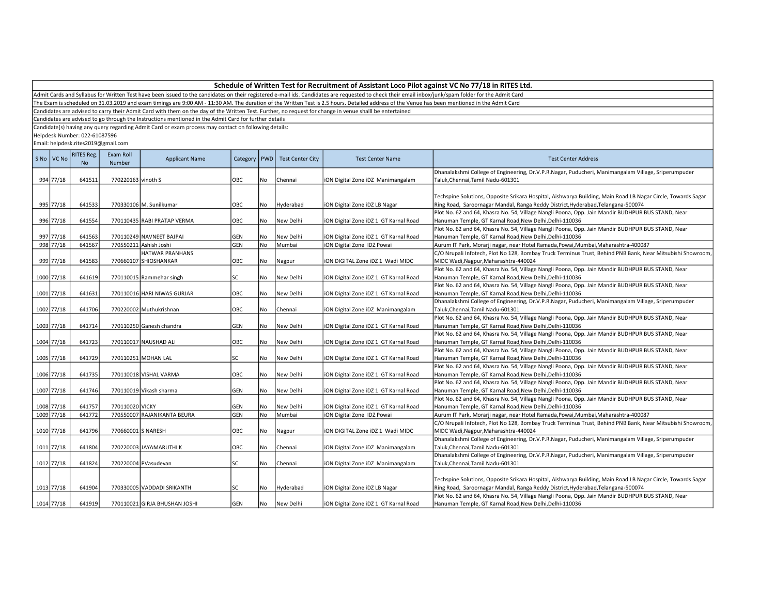Admit Cards and Syllabus for Written Test have been issued to the candidates on their registered e-mail ids. Candidates are requested to check their email inbox/junk/spam folder for the Admit Card

The Exam is scheduled on 31.03.2019 and exam timings are 9:00 AM - 11:30 AM. The duration of the Written Test is 2.5 hours. Detailed address of the Venue has been mentioned in the Admit Card

Candidates are advised to carry their Admit Card with them on the day of the Written Test. Further, no request for change in venue shalll be entertained

Candidates are advised to go through the Instructions mentioned in the Admit Card for further details

Candidate(s) having any query regarding Admit Card or exam process may contact on following details:

Helpdesk Number: 022-61087596

| S No VC No | <b>RITES Reg.</b><br>N <sub>o</sub> | Exam Roll<br>Number | <b>Applicant Name</b>         | Category | <b>I</b> PWD | <b>Test Center City</b> | <b>Test Center Name</b>               | <b>Test Center Address</b>                                                                                                               |
|------------|-------------------------------------|---------------------|-------------------------------|----------|--------------|-------------------------|---------------------------------------|------------------------------------------------------------------------------------------------------------------------------------------|
| 994 77/18  | 641511                              | 770220163 vinoth S  |                               | OBC      | No           | Chennai                 | iON Digital Zone iDZ Manimangalam     | Dhanalakshmi College of Engineering, Dr.V.P.R.Nagar, Puducheri, Manimangalam Village, Sriperumpuder<br>Taluk, Chennai, Tamil Nadu-601301 |
|            |                                     |                     |                               |          |              |                         |                                       |                                                                                                                                          |
|            |                                     |                     |                               |          |              |                         |                                       | Techspine Solutions, Opposite Srikara Hospital, Aishwarya Building, Main Road LB Nagar Circle, Towards Sagar                             |
| 995 77/18  | 641533                              |                     | 770330106 M. Sunilkumar       | OBC      | No           | Hyderabad               | ION Digital Zone IDZ LB Nagar         | Ring Road, Saroornagar Mandal, Ranga Reddy District, Hyderabad, Telangana-500074                                                         |
|            |                                     |                     |                               |          |              |                         |                                       | Plot No. 62 and 64, Khasra No. 54, Village Nangli Poona, Opp. Jain Mandir BUDHPUR BUS STAND, Near                                        |
| 996 77/18  | 641554                              |                     | 770110435 RABI PRATAP VERMA   | OBC      | No           | New Delhi               | iON Digital Zone iDZ 1 GT Karnal Road | Hanuman Temple, GT Karnal Road, New Delhi, Delhi-110036                                                                                  |
|            |                                     |                     |                               |          |              |                         |                                       | Plot No. 62 and 64, Khasra No. 54, Village Nangli Poona, Opp. Jain Mandir BUDHPUR BUS STAND, Near                                        |
| 997 77/18  | 641563                              |                     | 770110249 NAVNEET BAJPAI      | GEN      | l No         | New Delhi               | iON Digital Zone iDZ 1 GT Karnal Road | Hanuman Temple, GT Karnal Road, New Delhi, Delhi-110036                                                                                  |
| 998 77/18  | 641567                              |                     | 770550211 Ashish Joshi        | GEN      | No           | Mumbai                  | iON Digital Zone IDZ Powai            | Aurum IT Park, Morarji nagar, near Hotel Ramada, Powai, Mumbai, Maharashtra-400087                                                       |
|            |                                     |                     | HATWAR PRANHANS               |          |              |                         |                                       | C/O Nrupali Infotech, Plot No 128, Bombay Truck Terminus Trust, Behind PNB Bank, Near Mitsubishi Showroom,                               |
| 999 77/18  | 641583                              |                     | 770660107 SHIOSHANKAR         | OBC      | No           | Nagpur                  | ION DIGITAL Zone IDZ 1 Wadi MIDC      | MIDC Wadi, Nagpur, Maharashtra-440024                                                                                                    |
|            |                                     |                     |                               |          |              |                         |                                       | Plot No. 62 and 64, Khasra No. 54, Village Nangli Poona, Opp. Jain Mandir BUDHPUR BUS STAND, Near                                        |
| 1000 77/18 | 641619                              |                     | 770110015 Rammehar singh      | SC       | No           | New Delhi               | iON Digital Zone iDZ 1 GT Karnal Road | Hanuman Temple, GT Karnal Road, New Delhi, Delhi-110036                                                                                  |
|            |                                     |                     |                               |          |              |                         |                                       | Plot No. 62 and 64, Khasra No. 54, Village Nangli Poona, Opp. Jain Mandir BUDHPUR BUS STAND, Near                                        |
| 1001 77/18 | 641631                              |                     | 770110016 HARI NIWAS GURJAR   | OBC      | No           | New Delhi               | iON Digital Zone iDZ 1 GT Karnal Road | Hanuman Temple, GT Karnal Road, New Delhi, Delhi-110036                                                                                  |
|            |                                     |                     |                               |          |              |                         |                                       | Dhanalakshmi College of Engineering, Dr.V.P.R.Nagar, Puducheri, Manimangalam Village, Sriperumpuder                                      |
| 1002 77/18 | 641706                              |                     | 770220002 Muthukrishnan       | OBC      | No           | Chennai                 | ION Digital Zone IDZ Manimangalam     | Taluk, Chennai, Tamil Nadu-601301                                                                                                        |
|            |                                     |                     |                               |          |              |                         |                                       | Plot No. 62 and 64, Khasra No. 54, Village Nangli Poona, Opp. Jain Mandir BUDHPUR BUS STAND, Near                                        |
| 1003 77/18 | 641714                              |                     | 770110250 Ganesh chandra      | GEN      | No           | New Delhi               | iON Digital Zone iDZ 1 GT Karnal Road | Hanuman Temple, GT Karnal Road,New Delhi,Delhi-110036                                                                                    |
|            |                                     |                     |                               |          |              |                         |                                       | Plot No. 62 and 64, Khasra No. 54, Village Nangli Poona, Opp. Jain Mandir BUDHPUR BUS STAND, Near                                        |
| 1004 77/18 | 641723                              |                     | 770110017 NAUSHAD ALI         | OBC      | No           | New Delhi               | iON Digital Zone iDZ 1 GT Karnal Road | Hanuman Temple, GT Karnal Road, New Delhi, Delhi-110036                                                                                  |
|            |                                     |                     |                               |          |              |                         |                                       | Plot No. 62 and 64, Khasra No. 54, Village Nangli Poona, Opp. Jain Mandir BUDHPUR BUS STAND, Near                                        |
| 1005 77/18 | 641729                              |                     | 770110251 MOHAN LAL           | SC       | No           | New Delhi               | iON Digital Zone iDZ 1 GT Karnal Road | Hanuman Temple, GT Karnal Road, New Delhi, Delhi-110036                                                                                  |
|            |                                     |                     |                               |          |              |                         |                                       | Plot No. 62 and 64, Khasra No. 54, Village Nangli Poona, Opp. Jain Mandir BUDHPUR BUS STAND, Near                                        |
| 1006 77/18 | 641735                              |                     | 770110018 VISHAL VARMA        | OBC      | No           | New Delhi               | iON Digital Zone iDZ 1 GT Karnal Road | Hanuman Temple, GT Karnal Road, New Delhi, Delhi-110036                                                                                  |
|            |                                     |                     |                               |          |              |                         |                                       | Plot No. 62 and 64, Khasra No. 54, Village Nangli Poona, Opp. Jain Mandir BUDHPUR BUS STAND, Near                                        |
| 1007 77/18 | 641746                              |                     | 770110019 Vikash sharma       | GEN      | No           | New Delhi               | iON Digital Zone iDZ 1 GT Karnal Road | Hanuman Temple, GT Karnal Road, New Delhi, Delhi-110036                                                                                  |
|            |                                     |                     |                               |          |              |                         |                                       | Plot No. 62 and 64, Khasra No. 54, Village Nangli Poona, Opp. Jain Mandir BUDHPUR BUS STAND, Near                                        |
| 1008 77/18 | 641757                              | 770110020 VICKY     |                               | GEN      | No           | New Delhi               | iON Digital Zone iDZ 1 GT Karnal Road | Hanuman Temple, GT Karnal Road, New Delhi, Delhi-110036                                                                                  |
| 1009 77/18 | 641772                              |                     | 770550007 RAJANIKANTA BEURA   | GEN      | No           | Mumbai                  | iON Digital Zone IDZ Powai            | Aurum IT Park, Morarji nagar, near Hotel Ramada, Powai, Mumbai, Maharashtra-400087                                                       |
|            |                                     |                     |                               |          |              |                         |                                       | C/O Nrupali Infotech, Plot No 128, Bombay Truck Terminus Trust, Behind PNB Bank, Near Mitsubishi Showroom,                               |
| 1010 77/18 | 641796                              | 770660001 S NARESH  |                               | OBC      | No           | Nagpur                  | iON DIGITAL Zone iDZ 1 Wadi MIDC      | MIDC Wadi, Nagpur, Maharashtra-440024                                                                                                    |
|            |                                     |                     |                               |          |              |                         |                                       | Dhanalakshmi College of Engineering, Dr.V.P.R.Nagar, Puducheri, Manimangalam Village, Sriperumpuder                                      |
| 1011 77/18 | 641804                              |                     | 770220003 JAYAMARUTHI K       | OBC      | No           | Chennai                 | iON Digital Zone iDZ Manimangalam     | Taluk, Chennai, Tamil Nadu-601301                                                                                                        |
|            |                                     |                     |                               |          |              |                         |                                       | Dhanalakshmi College of Engineering, Dr.V.P.R.Nagar, Puducheri, Manimangalam Village, Sriperumpuder                                      |
| 1012 77/18 | 641824                              |                     | 770220004 PVasudevan          | SC       | l No         | Chennai                 | iON Digital Zone iDZ Manimangalam     | Taluk, Chennai, Tamil Nadu-601301                                                                                                        |
|            |                                     |                     |                               |          |              |                         |                                       |                                                                                                                                          |
|            |                                     |                     |                               |          |              |                         |                                       | Techspine Solutions, Opposite Srikara Hospital, Aishwarya Building, Main Road LB Nagar Circle, Towards Sagar                             |
| 1013 77/18 | 641904                              |                     | 770330005 VADDADI SRIKANTH    | SC       | No           | Hyderabad               | ION Digital Zone IDZ LB Nagar         | Ring Road, Saroornagar Mandal, Ranga Reddy District, Hyderabad, Telangana-500074                                                         |
|            |                                     |                     |                               |          |              |                         |                                       | Plot No. 62 and 64, Khasra No. 54, Village Nangli Poona, Opp. Jain Mandir BUDHPUR BUS STAND, Near                                        |
| 1014 77/18 | 641919                              |                     | 770110021 GIRJA BHUSHAN JOSHI | GEN      | No           | New Delhi               | ION Digital Zone IDZ 1 GT Karnal Road | Hanuman Temple, GT Karnal Road, New Delhi, Delhi-110036                                                                                  |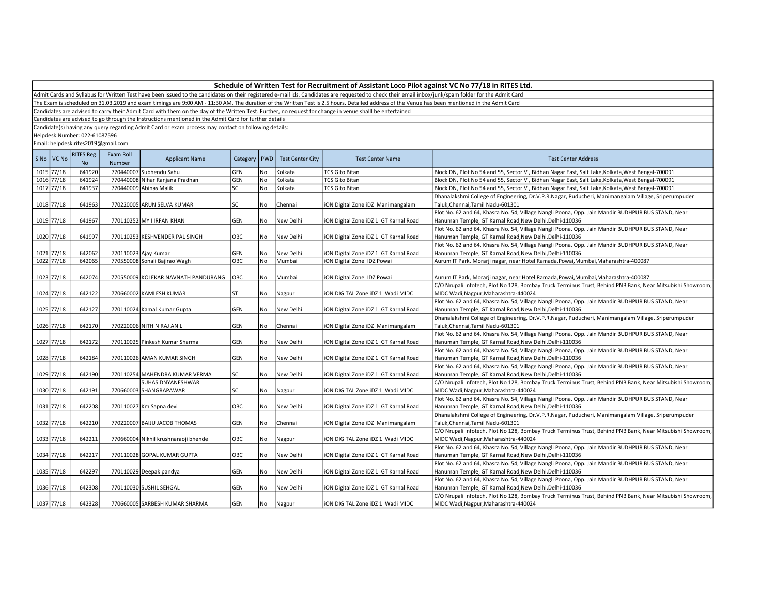Admit Cards and Syllabus for Written Test have been issued to the candidates on their registered e-mail ids. Candidates are requested to check their email inbox/junk/spam folder for the Admit Card

The Exam is scheduled on 31.03.2019 and exam timings are 9:00 AM - 11:30 AM. The duration of the Written Test is 2.5 hours. Detailed address of the Venue has been mentioned in the Admit Card

Candidates are advised to carry their Admit Card with them on the day of the Written Test. Further, no request for change in venue shalll be entertained

Candidates are advised to go through the Instructions mentioned in the Admit Card for further details

Candidate(s) having any query regarding Admit Card or exam process may contact on following details:

Helpdesk Number: 022-61087596

| S No VC No | RITES Reg.<br><b>No</b> | Exam Roll<br>Number | <b>Applicant Name</b>                | Category   PWD |           | <b>Test Center City</b> | <b>Test Center Name</b>               | <b>Test Center Address</b>                                                                                 |
|------------|-------------------------|---------------------|--------------------------------------|----------------|-----------|-------------------------|---------------------------------------|------------------------------------------------------------------------------------------------------------|
| 1015 77/18 | 641920                  |                     | 770440007 Subhendu Sahu              | GEN            | No        | Kolkata                 | <b>TCS Gito Bitan</b>                 | Block DN, Plot No 54 and 55, Sector V, Bidhan Nagar East, Salt Lake, Kolkata, West Bengal-700091           |
| 1016 77/18 | 641924                  |                     | 770440008 Nihar Ranjana Pradhan      | GEN            | <b>No</b> | Kolkata                 | <b>TCS Gito Bitan</b>                 | Block DN, Plot No 54 and 55, Sector V, Bidhan Nagar East, Salt Lake, Kolkata, West Bengal-700091           |
| 1017 77/18 | 641937                  |                     | 770440009 Abinas Malik               | SC             | <b>No</b> | Kolkata                 | <b>TCS Gito Bitan</b>                 | Block DN, Plot No 54 and 55, Sector V, Bidhan Nagar East, Salt Lake, Kolkata, West Bengal-700091           |
|            |                         |                     |                                      |                |           |                         |                                       | Dhanalakshmi College of Engineering, Dr.V.P.R.Nagar, Puducheri, Manimangalam Village, Sriperumpuder        |
| 1018 77/18 | 641963                  |                     | 770220005 ARUN SELVA KUMAR           | SC             | No        | Chennai                 | ION Digital Zone IDZ Manimangalam     | Taluk, Chennai, Tamil Nadu-601301                                                                          |
|            |                         |                     |                                      |                |           |                         |                                       | Plot No. 62 and 64, Khasra No. 54, Village Nangli Poona, Opp. Jain Mandir BUDHPUR BUS STAND, Near          |
| 1019 77/18 | 641967                  |                     | 770110252 MY LIRFAN KHAN             | GEN            | No        | New Delhi               | iON Digital Zone iDZ 1 GT Karnal Road | Hanuman Temple, GT Karnal Road,New Delhi,Delhi-110036                                                      |
|            |                         |                     |                                      |                |           |                         |                                       | Plot No. 62 and 64, Khasra No. 54, Village Nangli Poona, Opp. Jain Mandir BUDHPUR BUS STAND, Near          |
| 1020 77/18 | 641997                  |                     | 770110253 KESHVENDER PAL SINGH       | OBC            | No        | New Delhi               | iON Digital Zone iDZ 1 GT Karnal Road | Hanuman Temple, GT Karnal Road, New Delhi, Delhi-110036                                                    |
|            |                         |                     |                                      |                |           |                         |                                       | Plot No. 62 and 64, Khasra No. 54, Village Nangli Poona, Opp. Jain Mandir BUDHPUR BUS STAND, Near          |
| 1021 77/18 | 642062                  |                     | 770110023 Ajay Kumar                 | GEN            | No        | New Delhi               | iON Digital Zone iDZ 1 GT Karnal Road | Hanuman Temple, GT Karnal Road, New Delhi, Delhi-110036                                                    |
| 1022 77/18 | 642065                  |                     | 770550008 Sonali Bajirao Wagh        | ОВС            | No        | Mumbai                  | iON Digital Zone IDZ Powai            | Aurum IT Park, Morarji nagar, near Hotel Ramada, Powai, Mumbai, Maharashtra-400087                         |
|            |                         |                     |                                      |                |           |                         |                                       |                                                                                                            |
| 1023 77/18 | 642074                  |                     | 770550009 KOLEKAR NAVNATH PANDURANG  | <b>OBC</b>     | No        | Mumbai                  | iON Digital Zone IDZ Powai            | Aurum IT Park, Morarji nagar, near Hotel Ramada, Powai, Mumbai, Maharashtra-400087                         |
|            |                         |                     |                                      |                |           |                         |                                       | C/O Nrupali Infotech, Plot No 128, Bombay Truck Terminus Trust, Behind PNB Bank, Near Mitsubishi Showroom, |
| 1024 77/18 | 642122                  |                     | 770660002 KAMLESH KUMAR              | <b>ST</b>      | No        | Nagpur                  | ION DIGITAL Zone IDZ 1 Wadi MIDC      | MIDC Wadi, Nagpur, Maharashtra-440024                                                                      |
|            |                         |                     |                                      |                |           |                         |                                       | Plot No. 62 and 64, Khasra No. 54, Village Nangli Poona, Opp. Jain Mandir BUDHPUR BUS STAND, Near          |
| 1025 77/18 | 642127                  |                     | 770110024 Kamal Kumar Gupta          | GEN            | No        | New Delhi               | iON Digital Zone iDZ 1 GT Karnal Road | Hanuman Temple, GT Karnal Road, New Delhi, Delhi-110036                                                    |
|            |                         |                     |                                      |                |           |                         |                                       | Dhanalakshmi College of Engineering, Dr.V.P.R.Nagar, Puducheri, Manimangalam Village, Sriperumpuder        |
| 1026 77/18 | 642170                  |                     | 770220006 NITHIN RAJ ANIL            | GEN            | No        | Chennai                 | iON Digital Zone iDZ Manimangalam     | Taluk, Chennai, Tamil Nadu-601301                                                                          |
|            |                         |                     |                                      |                |           |                         |                                       | Plot No. 62 and 64, Khasra No. 54, Village Nangli Poona, Opp. Jain Mandir BUDHPUR BUS STAND, Near          |
| 1027 77/18 | 642172                  |                     | 770110025 Pinkesh Kumar Sharma       | GEN            | No        | New Delhi               | iON Digital Zone iDZ 1 GT Karnal Road | Hanuman Temple, GT Karnal Road, New Delhi, Delhi-110036                                                    |
|            |                         |                     |                                      |                |           |                         |                                       | Plot No. 62 and 64, Khasra No. 54, Village Nangli Poona, Opp. Jain Mandir BUDHPUR BUS STAND, Near          |
| 1028 77/18 | 642184                  |                     | 770110026 AMAN KUMAR SINGH           | GEN            | l No      | New Delhi               | ION Digital Zone IDZ 1 GT Karnal Road | Hanuman Temple, GT Karnal Road, New Delhi, Delhi-110036                                                    |
|            |                         |                     |                                      |                |           |                         |                                       | Plot No. 62 and 64, Khasra No. 54, Village Nangli Poona, Opp. Jain Mandir BUDHPUR BUS STAND, Near          |
| 1029 77/18 | 642190                  |                     | 770110254 MAHENDRA KUMAR VERMA       | SC             | No        | New Delhi               | iON Digital Zone iDZ 1 GT Karnal Road | Hanuman Temple, GT Karnal Road, New Delhi, Delhi-110036                                                    |
|            |                         |                     | <b>SUHAS DNYANESHWAR</b>             |                |           |                         |                                       | C/O Nrupali Infotech, Plot No 128, Bombay Truck Terminus Trust, Behind PNB Bank, Near Mitsubishi Showroom, |
| 1030 77/18 | 642191                  |                     | 770660003 SHANGRAPAWAR               | SC             | No        | Nagpur                  | ION DIGITAL Zone IDZ 1 Wadi MIDC      | MIDC Wadi, Nagpur, Maharashtra-440024                                                                      |
|            |                         |                     |                                      |                |           |                         |                                       | Plot No. 62 and 64, Khasra No. 54, Village Nangli Poona, Opp. Jain Mandir BUDHPUR BUS STAND, Near          |
| 1031 77/18 | 642208                  |                     | 770110027 Km Sapna devi              | OBC            | No        | New Delhi               | iON Digital Zone iDZ 1 GT Karnal Road | Hanuman Temple, GT Karnal Road, New Delhi, Delhi-110036                                                    |
|            |                         |                     |                                      |                |           |                         |                                       | Dhanalakshmi College of Engineering, Dr.V.P.R.Nagar, Puducheri, Manimangalam Village, Sriperumpuder        |
| 1032 77/18 | 642210                  |                     | 770220007 BAIJU JACOB THOMAS         | GEN            | No        | Chennai                 | iON Digital Zone iDZ Manimangalam     | Taluk, Chennai, Tamil Nadu-601301                                                                          |
|            |                         |                     |                                      |                |           |                         |                                       | C/O Nrupali Infotech, Plot No 128, Bombay Truck Terminus Trust, Behind PNB Bank, Near Mitsubishi Showroom, |
| 1033 77/18 | 642211                  |                     | 770660004 Nikhil krushnaraoji bhende | OBC            | No        | Nagpur                  | ION DIGITAL Zone IDZ 1 Wadi MIDC      | MIDC Wadi, Nagpur, Maharashtra-440024                                                                      |
|            |                         |                     |                                      |                |           |                         |                                       | Plot No. 62 and 64, Khasra No. 54, Village Nangli Poona, Opp. Jain Mandir BUDHPUR BUS STAND, Near          |
| 1034 77/18 | 642217                  |                     | 770110028 GOPAL KUMAR GUPTA          | OBC            | No        | New Delhi               | iON Digital Zone iDZ 1 GT Karnal Road | Hanuman Temple, GT Karnal Road, New Delhi, Delhi-110036                                                    |
|            |                         |                     |                                      |                |           |                         |                                       | Plot No. 62 and 64, Khasra No. 54, Village Nangli Poona, Opp. Jain Mandir BUDHPUR BUS STAND, Near          |
| 1035 77/18 | 642297                  |                     | 770110029 Deepak pandya              | GEN            | No        | New Delhi               | iON Digital Zone iDZ 1 GT Karnal Road | Hanuman Temple, GT Karnal Road, New Delhi, Delhi-110036                                                    |
|            |                         |                     |                                      |                |           |                         |                                       | Plot No. 62 and 64, Khasra No. 54, Village Nangli Poona, Opp. Jain Mandir BUDHPUR BUS STAND, Near          |
| 1036 77/18 | 642308                  |                     | 770110030 SUSHIL SEHGAL              | GEN            | l No      | New Delhi               | ION Digital Zone IDZ 1 GT Karnal Road | Hanuman Temple, GT Karnal Road, New Delhi, Delhi-110036                                                    |
|            |                         |                     |                                      |                |           |                         |                                       | C/O Nrupali Infotech, Plot No 128, Bombay Truck Terminus Trust, Behind PNB Bank, Near Mitsubishi Showroom, |
| 1037 77/18 | 642328                  |                     | 770660005 SARBESH KUMAR SHARMA       | GEN            | No        | Nagpur                  | liON DIGITAL Zone iDZ 1 Wadi MIDC     | MIDC Wadi, Nagpur, Maharashtra-440024                                                                      |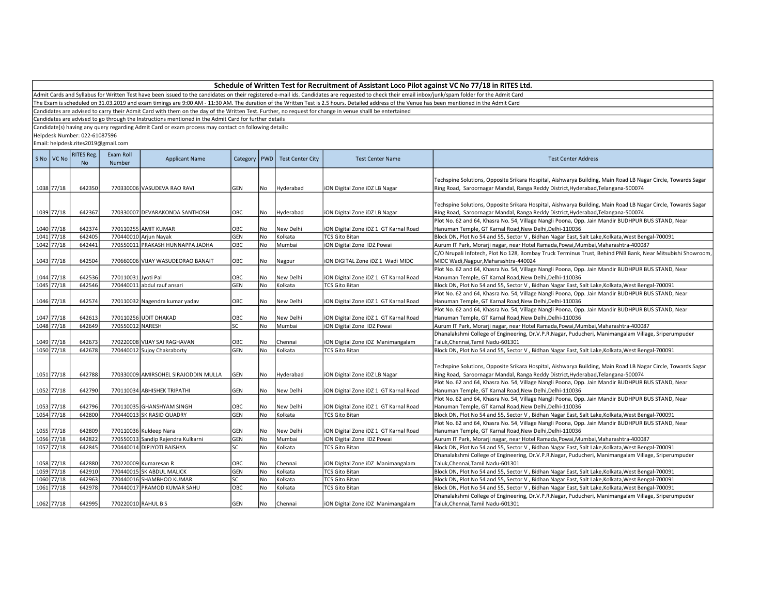Admit Cards and Syllabus for Written Test have been issued to the candidates on their registered e-mail ids. Candidates are requested to check their email inbox/junk/spam folder for the Admit Card

The Exam is scheduled on 31.03.2019 and exam timings are 9:00 AM - 11:30 AM. The duration of the Written Test is 2.5 hours. Detailed address of the Venue has been mentioned in the Admit Card

Candidates are advised to carry their Admit Card with them on the day of the Written Test. Further, no request for change in venue shalll be entertained

Candidates are advised to go through the Instructions mentioned in the Admit Card for further details

Candidate(s) having any query regarding Admit Card or exam process may contact on following details:

Helpdesk Number: 022-61087596

|      | S No VC No | <b>RITES Reg.</b><br>No | Exam Roll<br>Number | <b>Applicant Name</b>                | Category   PWD |           | <b>Test Center City</b> | <b>Test Center Name</b>               | <b>Test Center Address</b>                                                                                                                                                                       |
|------|------------|-------------------------|---------------------|--------------------------------------|----------------|-----------|-------------------------|---------------------------------------|--------------------------------------------------------------------------------------------------------------------------------------------------------------------------------------------------|
|      | 1038 77/18 | 642350                  |                     | 770330006 VASUDEVA RAO RAVI          | GEN            | No        | Hyderabad               | iON Digital Zone iDZ LB Nagar         | Techspine Solutions, Opposite Srikara Hospital, Aishwarya Building, Main Road LB Nagar Circle, Towards Sagar<br>Ring Road, Saroornagar Mandal, Ranga Reddy District, Hyderabad, Telangana-500074 |
|      |            |                         |                     |                                      |                |           |                         |                                       |                                                                                                                                                                                                  |
|      |            |                         |                     |                                      |                |           |                         |                                       | Techspine Solutions, Opposite Srikara Hospital, Aishwarya Building, Main Road LB Nagar Circle, Towards Sagar                                                                                     |
|      | 1039 77/18 | 642367                  |                     | 770330007 DEVARAKONDA SANTHOSH       | OBC            | No        | Hyderabad               | iON Digital Zone iDZ LB Nagar         | Ring Road, Saroornagar Mandal, Ranga Reddy District, Hyderabad, Telangana-500074                                                                                                                 |
|      |            |                         |                     |                                      |                |           |                         |                                       | Plot No. 62 and 64, Khasra No. 54, Village Nangli Poona, Opp. Jain Mandir BUDHPUR BUS STAND, Near                                                                                                |
|      | 1040 77/18 | 642374                  |                     | 770110255 AMIT KUMAR                 | OBC            | No        | New Delhi               | iON Digital Zone iDZ 1 GT Karnal Road | Hanuman Temple, GT Karnal Road, New Delhi, Delhi-110036                                                                                                                                          |
|      | 1041 77/18 | 642405                  |                     | 770440010 Arjun Nayak                | GEN            | No        | Kolkata                 | <b>TCS Gito Bitan</b>                 | Block DN, Plot No 54 and 55, Sector V, Bidhan Nagar East, Salt Lake, Kolkata, West Bengal-700091                                                                                                 |
|      | 1042 77/18 | 642441                  |                     | 770550011 PRAKASH HUNNAPPA JADHA     | OBC            | <b>No</b> | Mumbai                  | iON Digital Zone IDZ Powai            | Aurum IT Park, Morarji nagar, near Hotel Ramada, Powai, Mumbai, Maharashtra-400087                                                                                                               |
|      |            |                         |                     |                                      |                |           |                         |                                       | C/O Nrupali Infotech, Plot No 128, Bombay Truck Terminus Trust, Behind PNB Bank, Near Mitsubishi Showroom,                                                                                       |
|      | 1043 77/18 | 642504                  |                     | 770660006 VIJAY WASUDEORAO BANAIT    | OBC            | No        | Nagpur                  | ION DIGITAL Zone IDZ 1 Wadi MIDC      | MIDC Wadi, Nagpur, Maharashtra-440024                                                                                                                                                            |
|      |            |                         |                     |                                      |                |           |                         |                                       | Plot No. 62 and 64, Khasra No. 54, Village Nangli Poona, Opp. Jain Mandir BUDHPUR BUS STAND, Near                                                                                                |
|      | 1044 77/18 | 642536                  | 770110031 Jyoti Pal |                                      | OBC            | No.       | New Delhi               | iON Digital Zone iDZ 1 GT Karnal Road | Hanuman Temple, GT Karnal Road, New Delhi, Delhi-110036                                                                                                                                          |
|      | 1045 77/18 | 642546                  |                     | 770440011 abdul rauf ansari          | <b>GEN</b>     | No        | Kolkata                 | <b>TCS Gito Bitan</b>                 | Block DN, Plot No 54 and 55, Sector V, Bidhan Nagar East, Salt Lake, Kolkata, West Bengal-700091                                                                                                 |
|      |            |                         |                     |                                      |                |           |                         |                                       | Plot No. 62 and 64, Khasra No. 54, Village Nangli Poona, Opp. Jain Mandir BUDHPUR BUS STAND, Near                                                                                                |
|      | 1046 77/18 | 642574                  |                     | 770110032 Nagendra kumar yadav       | OBC            | No        | New Delhi               | iON Digital Zone iDZ 1 GT Karnal Road | Hanuman Temple, GT Karnal Road, New Delhi, Delhi-110036                                                                                                                                          |
|      |            |                         |                     |                                      |                |           |                         |                                       | Plot No. 62 and 64, Khasra No. 54, Village Nangli Poona, Opp. Jain Mandir BUDHPUR BUS STAND, Near                                                                                                |
|      | 1047 77/18 | 642613                  |                     | 770110256 UDIT DHAKAD                | OBC            | No        | New Delhi               | iON Digital Zone iDZ 1 GT Karnal Road | Hanuman Temple, GT Karnal Road, New Delhi, Delhi-110036                                                                                                                                          |
|      | 1048 77/18 | 642649                  | 770550012 NARESH    |                                      | <b>SC</b>      | No        | Mumbai                  | iON Digital Zone IDZ Powai            | Aurum IT Park, Morarji nagar, near Hotel Ramada, Powai, Mumbai, Maharashtra-400087                                                                                                               |
|      |            |                         |                     |                                      |                |           |                         |                                       | Dhanalakshmi College of Engineering, Dr.V.P.R.Nagar, Puducheri, Manimangalam Village, Sriperumpuder                                                                                              |
|      | 1049 77/18 | 642673                  |                     | 770220008 VIJAY SAI RAGHAVAN         | OBC            | No        | Chennai                 | iON Digital Zone iDZ Manimangalam     | Taluk, Chennai, Tamil Nadu-601301                                                                                                                                                                |
|      | 1050 77/18 | 642678                  |                     | 770440012 Sujoy Chakraborty          | <b>GEN</b>     | No        | Kolkata                 | <b>TCS Gito Bitan</b>                 | Block DN, Plot No 54 and 55, Sector V, Bidhan Nagar East, Salt Lake, Kolkata, West Bengal-700091                                                                                                 |
|      |            |                         |                     |                                      |                |           |                         |                                       |                                                                                                                                                                                                  |
|      |            |                         |                     |                                      |                |           |                         |                                       | Techspine Solutions, Opposite Srikara Hospital, Aishwarya Building, Main Road LB Nagar Circle, Towards Sagar                                                                                     |
|      | 1051 77/18 | 642788                  |                     | 770330009 AMIRSOHEL SIRAJODDIN MULLA | GEN            | No        | Hyderabad               | iON Digital Zone iDZ LB Nagar         | Ring Road, Saroornagar Mandal, Ranga Reddy District, Hyderabad, Telangana-500074                                                                                                                 |
|      |            |                         |                     |                                      |                |           |                         |                                       | Plot No. 62 and 64, Khasra No. 54, Village Nangli Poona, Opp. Jain Mandir BUDHPUR BUS STAND, Near                                                                                                |
|      | 1052 77/18 | 642790                  |                     | 770110034 ABHISHEK TRIPATHI          | GEN            | No        | New Delhi               | iON Digital Zone iDZ 1 GT Karnal Road | Hanuman Temple, GT Karnal Road, New Delhi, Delhi-110036                                                                                                                                          |
|      |            |                         |                     |                                      |                |           |                         |                                       | Plot No. 62 and 64, Khasra No. 54, Village Nangli Poona, Opp. Jain Mandir BUDHPUR BUS STAND, Near                                                                                                |
|      | 1053 77/18 | 642796                  |                     | 770110035 GHANSHYAM SINGH            | OBC            | No        | New Delhi               | iON Digital Zone iDZ 1 GT Karnal Road | Hanuman Temple, GT Karnal Road, New Delhi, Delhi-110036                                                                                                                                          |
|      | 1054 77/18 | 642800                  |                     | 770440013 SK RASID QUADRY            | GEN            | No        | Kolkata                 | <b>TCS Gito Bitan</b>                 | Block DN, Plot No 54 and 55, Sector V, Bidhan Nagar East, Salt Lake, Kolkata, West Bengal-700091                                                                                                 |
|      |            |                         |                     |                                      |                |           |                         |                                       | Plot No. 62 and 64, Khasra No. 54, Village Nangli Poona, Opp. Jain Mandir BUDHPUR BUS STAND, Near                                                                                                |
|      | 1055 77/18 | 642809                  |                     | 770110036 Kuldeep Nara               | GEN            | No        | New Delhi               | iON Digital Zone iDZ 1 GT Karnal Road | Hanuman Temple, GT Karnal Road, New Delhi, Delhi-110036                                                                                                                                          |
|      | 1056 77/18 | 642822                  |                     | 770550013 Sandip Rajendra Kulkarni   | GEN            | No        | Mumbai                  | iON Digital Zone IDZ Powai            | Aurum IT Park, Morarji nagar, near Hotel Ramada, Powai, Mumbai, Maharashtra-400087                                                                                                               |
|      | 1057 77/18 | 642845                  |                     | 770440014 DIPJYOTI BAISHYA           | SC             | <b>No</b> | Kolkata                 | <b>TCS Gito Bitan</b>                 | Block DN, Plot No 54 and 55, Sector V, Bidhan Nagar East, Salt Lake, Kolkata, West Bengal-700091                                                                                                 |
|      |            |                         |                     |                                      |                |           |                         |                                       | Dhanalakshmi College of Engineering, Dr.V.P.R.Nagar, Puducheri, Manimangalam Village, Sriperumpuder                                                                                              |
|      | 1058 77/18 | 642880                  |                     | 770220009 Kumaresan R                | OBC            | No        | Chennai                 | iON Digital Zone iDZ Manimangalam     | Taluk, Chennai, Tamil Nadu-601301                                                                                                                                                                |
| 1059 | 77/18      | 642910                  |                     | 770440015 SK ABDUL MALICK            | GEN            | No        | Kolkata                 | <b>TCS Gito Bitan</b>                 | Block DN, Plot No 54 and 55, Sector V, Bidhan Nagar East, Salt Lake, Kolkata, West Bengal-700091                                                                                                 |
|      | 1060 77/18 | 642963                  |                     | 770440016 SHAMBHOO KUMAR             | SC             | No        | Kolkata                 | TCS Gito Bitan                        | Block DN, Plot No 54 and 55, Sector V, Bidhan Nagar East, Salt Lake, Kolkata, West Bengal-700091                                                                                                 |
|      | 1061 77/18 | 642978                  |                     | 770440017 PRAMOD KUMAR SAHU          | OBC            | No        | Kolkata                 | <b>TCS Gito Bitan</b>                 | Block DN, Plot No 54 and 55, Sector V, Bidhan Nagar East, Salt Lake, Kolkata, West Bengal-700091                                                                                                 |
|      |            |                         |                     |                                      |                |           |                         |                                       | Dhanalakshmi College of Engineering, Dr.V.P.R.Nagar, Puducheri, Manimangalam Village, Sriperumpuder                                                                                              |
|      | 1062 77/18 | 642995                  | 770220010 RAHUL B S |                                      | <b>GEN</b>     | No        | Chennai                 |                                       | Taluk.Chennai.Tamil Nadu-601301                                                                                                                                                                  |
|      |            |                         |                     |                                      |                |           |                         | iON Digital Zone iDZ Manimangalam     |                                                                                                                                                                                                  |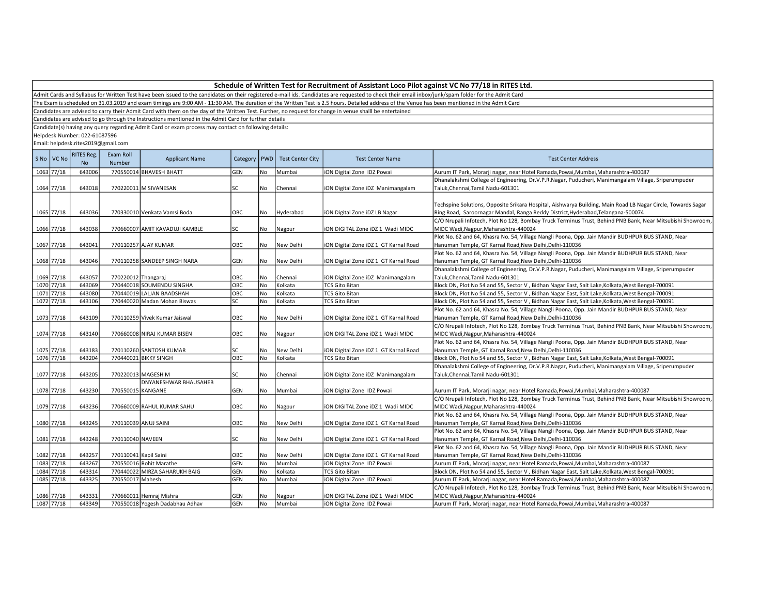| Schedule of Written Test for Recruitment of Assistant Loco Pilot against VC No 77/18 in RITES Ltd. |  |
|----------------------------------------------------------------------------------------------------|--|
|----------------------------------------------------------------------------------------------------|--|

The Exam is scheduled on 31.03.2019 and exam timings are 9:00 AM - 11:30 AM. The duration of the Written Test is 2.5 hours. Detailed address of the Venue has been mentioned in the Admit Card

Candidates are advised to carry their Admit Card with them on the day of the Written Test. Further, no request for change in venue shalll be entertained

Candidates are advised to go through the Instructions mentioned in the Admit Card for further details

Candidate(s) having any query regarding Admit Card or exam process may contact on following details:

Helpdesk Number: 022-61087596

|      | S No   VC No | <b>RITES Reg.</b><br><b>No</b> | Exam Roll<br><b>Number</b> | <b>Applicant Name</b>           |            |     | Category   PWD   Test Center City | <b>Test Center Name</b>               | <b>Test Center Address</b>                                                                                   |
|------|--------------|--------------------------------|----------------------------|---------------------------------|------------|-----|-----------------------------------|---------------------------------------|--------------------------------------------------------------------------------------------------------------|
|      | 1063 77/18   | 643006                         |                            | 770550014 BHAVESH BHATT         | <b>GEN</b> | No  | Mumbai                            | iON Digital Zone IDZ Powai            | Aurum IT Park, Morarji nagar, near Hotel Ramada, Powai, Mumbai, Maharashtra-400087                           |
|      |              |                                |                            |                                 |            |     |                                   |                                       | Dhanalakshmi College of Engineering, Dr.V.P.R.Nagar, Puducheri, Manimangalam Village, Sriperumpuder          |
|      | 1064 77/18   | 643018                         |                            | 770220011 M SIVANESAN           | SC         | No  | Chennai                           | iON Digital Zone iDZ Manimangalam     | Taluk, Chennai, Tamil Nadu-601301                                                                            |
|      |              |                                |                            |                                 |            |     |                                   |                                       |                                                                                                              |
|      |              |                                |                            |                                 |            |     |                                   |                                       | Techspine Solutions, Opposite Srikara Hospital, Aishwarya Building, Main Road LB Nagar Circle, Towards Sagar |
|      | 1065 77/18   | 643036                         |                            | 770330010 Venkata Vamsi Boda    | OBC        | No  | Hyderabad                         | iON Digital Zone iDZ LB Nagar         | Ring Road, Saroornagar Mandal, Ranga Reddy District, Hyderabad, Telangana-500074                             |
|      |              |                                |                            |                                 |            |     |                                   |                                       | C/O Nrupali Infotech, Plot No 128, Bombay Truck Terminus Trust, Behind PNB Bank, Near Mitsubishi Showroom,   |
|      | 1066 77/18   | 643038                         |                            | 770660007 AMIT KAVADUJI KAMBLE  | lsc        | No  | Nagpur                            | ION DIGITAL Zone IDZ 1 Wadi MIDC      | MIDC Wadi, Nagpur, Maharashtra-440024                                                                        |
|      |              |                                |                            |                                 |            |     |                                   |                                       | Plot No. 62 and 64, Khasra No. 54, Village Nangli Poona, Opp. Jain Mandir BUDHPUR BUS STAND, Near            |
|      | 1067 77/18   | 643041                         |                            | 770110257 AJAY KUMAR            | OBC        | No  | New Delhi                         | iON Digital Zone iDZ 1 GT Karnal Road | Hanuman Temple, GT Karnal Road, New Delhi, Delhi-110036                                                      |
|      |              |                                |                            |                                 |            |     |                                   |                                       | Plot No. 62 and 64, Khasra No. 54, Village Nangli Poona, Opp. Jain Mandir BUDHPUR BUS STAND, Near            |
|      | 1068 77/18   | 643046                         |                            | 770110258 SANDEEP SINGH NARA    | GEN        | No  | New Delhi                         | iON Digital Zone iDZ 1 GT Karnal Road | Hanuman Temple, GT Karnal Road, New Delhi, Delhi-110036                                                      |
|      |              |                                |                            |                                 |            |     |                                   |                                       | Dhanalakshmi College of Engineering, Dr.V.P.R.Nagar, Puducheri, Manimangalam Village, Sriperumpuder          |
|      | 1069 77/18   | 643057                         | 770220012 Thangaraj        |                                 | OBC        | No. | Chennai                           | iON Digital Zone iDZ Manimangalam     | Taluk, Chennai, Tamil Nadu-601301                                                                            |
|      | 1070 77/18   | 643069                         |                            | 770440018 SOUMENDU SINGHA       | OBC        | No  | Kolkata                           | <b>TCS Gito Bitan</b>                 | Block DN, Plot No 54 and 55, Sector V, Bidhan Nagar East, Salt Lake, Kolkata, West Bengal-700091             |
|      | 1071 77/18   | 643080                         |                            | 770440019 LALJAN BAADSHAH       | OBC        | No  | Kolkata                           | <b>TCS Gito Bitan</b>                 | Block DN, Plot No 54 and 55, Sector V, Bidhan Nagar East, Salt Lake, Kolkata, West Bengal-700091             |
|      | 1072 77/18   | 643106                         |                            | 770440020 Madan Mohan Biswas    | SC         | No  | Kolkata                           | <b>TCS Gito Bitan</b>                 | Block DN, Plot No 54 and 55, Sector V, Bidhan Nagar East, Salt Lake, Kolkata, West Bengal-700091             |
|      |              |                                |                            |                                 |            |     |                                   |                                       | Plot No. 62 and 64, Khasra No. 54, Village Nangli Poona, Opp. Jain Mandir BUDHPUR BUS STAND, Near            |
|      | 1073 77/18   | 643109                         |                            | 770110259 Vivek Kumar Jaiswal   | OBC        | No  | New Delhi                         | iON Digital Zone iDZ 1 GT Karnal Road | Hanuman Temple, GT Karnal Road, New Delhi, Delhi-110036                                                      |
|      |              |                                |                            |                                 |            |     |                                   |                                       | C/O Nrupali Infotech, Plot No 128, Bombay Truck Terminus Trust, Behind PNB Bank, Near Mitsubishi Showroom,   |
|      | 1074 77/18   | 643140                         |                            | 770660008 NIRAJ KUMAR BISEN     | OBC        | No  | Nagpur                            | ION DIGITAL Zone IDZ 1 Wadi MIDC      | MIDC Wadi, Nagpur, Maharashtra-440024                                                                        |
|      |              |                                |                            |                                 |            |     |                                   |                                       | Plot No. 62 and 64, Khasra No. 54, Village Nangli Poona, Opp. Jain Mandir BUDHPUR BUS STAND, Near            |
|      | 1075 77/18   | 643183                         |                            | 770110260 SANTOSH KUMAR         | SC         | No  | New Delhi                         | iON Digital Zone iDZ 1 GT Karnal Road | Hanuman Temple, GT Karnal Road, New Delhi, Delhi-110036                                                      |
|      | 1076 77/18   | 643204                         |                            | 770440021 BIKKY SINGH           | OBC        | No  | Kolkata                           | <b>TCS Gito Bitan</b>                 | Block DN, Plot No 54 and 55, Sector V, Bidhan Nagar East, Salt Lake, Kolkata, West Bengal-700091             |
|      |              |                                |                            |                                 |            |     |                                   |                                       | Dhanalakshmi College of Engineering, Dr.V.P.R.Nagar, Puducheri, Manimangalam Village, Sriperumpuder          |
|      | 1077 77/18   | 643205                         |                            | 770220013 MAGESH M              | SC         | No  | Chennai                           | iON Digital Zone iDZ Manimangalam     | Taluk, Chennai, Tamil Nadu-601301                                                                            |
|      |              |                                |                            | DNYANESHWAR BHAUSAHEB           |            |     |                                   |                                       |                                                                                                              |
|      | 1078 77/18   | 643230                         | 770550015 KANGANE          |                                 | GEN        | No  | Mumbai                            | iON Digital Zone IDZ Powai            | Aurum IT Park, Morarji nagar, near Hotel Ramada, Powai, Mumbai, Maharashtra-400087                           |
|      |              |                                |                            |                                 |            |     |                                   |                                       | C/O Nrupali Infotech, Plot No 128, Bombay Truck Terminus Trust, Behind PNB Bank, Near Mitsubishi Showroom,   |
|      | 1079 77/18   | 643236                         |                            | 770660009 RAHUL KUMAR SAHU      | OBC        | No  | Nagpur                            | ION DIGITAL Zone IDZ 1 Wadi MIDC      | MIDC Wadi, Nagpur, Maharashtra-440024                                                                        |
|      |              |                                |                            |                                 |            |     |                                   |                                       | Plot No. 62 and 64, Khasra No. 54, Village Nangli Poona, Opp. Jain Mandir BUDHPUR BUS STAND, Near            |
|      | 1080 77/18   | 643245                         |                            | 770110039 ANUJ SAINI            | OBC        | No  | New Delhi                         | iON Digital Zone iDZ 1 GT Karnal Road | Hanuman Temple, GT Karnal Road, New Delhi, Delhi-110036                                                      |
|      |              |                                |                            |                                 |            |     |                                   |                                       | Plot No. 62 and 64, Khasra No. 54, Village Nangli Poona, Opp. Jain Mandir BUDHPUR BUS STAND, Near            |
|      | 1081 77/18   | 643248                         | 770110040 NAVEEN           |                                 | SC         | No  | New Delhi                         | iON Digital Zone iDZ 1 GT Karnal Road | Hanuman Temple, GT Karnal Road, New Delhi, Delhi-110036                                                      |
|      |              |                                |                            |                                 |            |     |                                   |                                       | Plot No. 62 and 64, Khasra No. 54, Village Nangli Poona, Opp. Jain Mandir BUDHPUR BUS STAND, Near            |
|      | 1082 77/18   | 643257                         | 770110041 Kapil Saini      |                                 | OBC        | No  | New Delhi                         | iON Digital Zone iDZ 1 GT Karnal Road | Hanuman Temple, GT Karnal Road, New Delhi, Delhi-110036                                                      |
|      | 1083 77/18   | 643267                         |                            | 770550016 Rohit Marathe         | GEN        | No  | Mumbai                            | iON Digital Zone IDZ Powai            | Aurum IT Park, Morarji nagar, near Hotel Ramada, Powai, Mumbai, Maharashtra-400087                           |
| 1084 | 77/18        | 643314                         |                            | 770440022 MIRZA SAHARUKH BAIG   | GEN        | No  | Kolkata                           | <b>TCS Gito Bitan</b>                 | Block DN, Plot No 54 and 55, Sector V, Bidhan Nagar East, Salt Lake, Kolkata, West Bengal-700091             |
|      | 1085 77/18   | 643325                         | 770550017 Mahesh           |                                 | GEN        | No  | Mumbai                            | iON Digital Zone IDZ Powai            | Aurum IT Park, Morarji nagar, near Hotel Ramada, Powai, Mumbai, Maharashtra-400087                           |
|      |              |                                |                            |                                 |            |     |                                   |                                       | C/O Nrupali Infotech, Plot No 128, Bombay Truck Terminus Trust, Behind PNB Bank, Near Mitsubishi Showroom,   |
|      | 1086 77/18   | 643331                         |                            | 770660011 Hemraj Mishra         | GEN        | No  | Nagpur                            | iON DIGITAL Zone iDZ 1 Wadi MIDC      | MIDC Wadi, Nagpur, Maharashtra-440024                                                                        |
|      | 1087 77/18   | 643349                         |                            | 770550018 Yogesh Dadabhau Adhav | <b>GEN</b> | No  | Mumbai                            | iON Digital Zone IDZ Powai            | Aurum IT Park, Morarji nagar, near Hotel Ramada, Powai, Mumbai, Maharashtra-400087                           |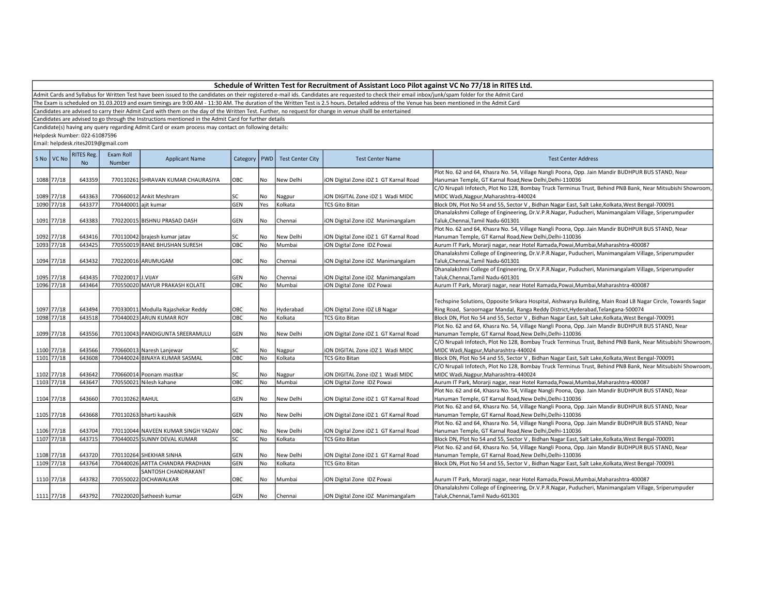Admit Cards and Syllabus for Written Test have been issued to the candidates on their registered e-mail ids. Candidates are requested to check their email inbox/junk/spam folder for the Admit Card

The Exam is scheduled on 31.03.2019 and exam timings are 9:00 AM - 11:30 AM. The duration of the Written Test is 2.5 hours. Detailed address of the Venue has been mentioned in the Admit Card

Candidates are advised to carry their Admit Card with them on the day of the Written Test. Further, no request for change in venue shalll be entertained

Candidates are advised to go through the Instructions mentioned in the Admit Card for further details

Candidate(s) having any query regarding Admit Card or exam process may contact on following details:

Helpdesk Number: 022-61087596

| S No   VC No | RITES Reg.<br>No. | Exam Roll<br>Number  | <b>Applicant Name</b>              | Category   PWD |           | <b>Test Center City</b> | <b>Test Center Name</b>               | <b>Test Center Address</b>                                                                                   |
|--------------|-------------------|----------------------|------------------------------------|----------------|-----------|-------------------------|---------------------------------------|--------------------------------------------------------------------------------------------------------------|
|              |                   |                      |                                    |                |           |                         |                                       | Plot No. 62 and 64, Khasra No. 54, Village Nangli Poona, Opp. Jain Mandir BUDHPUR BUS STAND, Near            |
| 1088 77/18   | 643359            |                      | 770110261 SHRAVAN KUMAR CHAURASIYA | ОВС            | No        | New Delhi               | iON Digital Zone iDZ 1 GT Karnal Road | Hanuman Temple, GT Karnal Road, New Delhi, Delhi-110036                                                      |
|              |                   |                      |                                    |                |           |                         |                                       | C/O Nrupali Infotech, Plot No 128, Bombay Truck Terminus Trust, Behind PNB Bank, Near Mitsubishi Showroom,   |
| 1089 77/18   | 643363            |                      | 770660012 Ankit Meshram            | SC             | No        | Nagpur                  | iON DIGITAL Zone iDZ 1 Wadi MIDC      | MIDC Wadi, Nagpur, Maharashtra-440024                                                                        |
| 1090 77/18   | 643377            | 770440001 ajit kumar |                                    | <b>GEN</b>     | Yes       | Kolkata                 | <b>TCS Gito Bitan</b>                 | Block DN, Plot No 54 and 55, Sector V, Bidhan Nagar East, Salt Lake, Kolkata, West Bengal-700091             |
|              |                   |                      |                                    |                |           |                         |                                       | Dhanalakshmi College of Engineering, Dr.V.P.R.Nagar, Puducheri, Manimangalam Village, Sriperumpuder          |
| 1091 77/18   | 643383            |                      | 770220015 BISHNU PRASAD DASH       | GEN            | No        | Chennai                 | iON Digital Zone iDZ Manimangalam     | Taluk, Chennai, Tamil Nadu-601301                                                                            |
|              |                   |                      |                                    |                |           |                         |                                       | Plot No. 62 and 64, Khasra No. 54, Village Nangli Poona, Opp. Jain Mandir BUDHPUR BUS STAND, Near            |
| 1092 77/18   | 643416            |                      | 770110042 brajesh kumar jatav      | SC             | No        | New Delhi               | iON Digital Zone iDZ 1 GT Karnal Road | Hanuman Temple, GT Karnal Road, New Delhi, Delhi-110036                                                      |
| 1093 77/18   | 643425            |                      | 770550019 RANE BHUSHAN SURESH      | OBC            | No        | Mumbai                  | iON Digital Zone IDZ Powai            | Aurum IT Park, Morarji nagar, near Hotel Ramada, Powai, Mumbai, Maharashtra-400087                           |
|              |                   |                      |                                    |                |           |                         |                                       | Dhanalakshmi College of Engineering, Dr.V.P.R.Nagar, Puducheri, Manimangalam Village, Sriperumpuder          |
| 1094 77/18   | 643432            |                      | 770220016 ARUMUGAM                 | OBC            | No        | Chennai                 | iON Digital Zone iDZ Manimangalam     | Taluk, Chennai, Tamil Nadu-601301                                                                            |
|              |                   |                      |                                    |                |           |                         |                                       | Dhanalakshmi College of Engineering, Dr.V.P.R.Nagar, Puducheri, Manimangalam Village, Sriperumpuder          |
| 1095 77/18   | 643435            | 770220017 J.VIJAY    |                                    | <b>GEN</b>     | No.       | Chennai                 | iON Digital Zone iDZ Manimangalam     | Taluk, Chennai, Tamil Nadu-601301                                                                            |
| 1096 77/18   | 643464            |                      | 770550020 MAYUR PRAKASH KOLATE     | OBC            | <b>No</b> | Mumbai                  | iON Digital Zone IDZ Powai            | Aurum IT Park, Morarji nagar, near Hotel Ramada, Powai, Mumbai, Maharashtra-400087                           |
|              |                   |                      |                                    |                |           |                         |                                       |                                                                                                              |
|              |                   |                      |                                    |                |           |                         |                                       | Techspine Solutions, Opposite Srikara Hospital, Aishwarya Building, Main Road LB Nagar Circle, Towards Sagar |
| 1097 77/18   | 643494            |                      | 770330011 Modulla Rajashekar Reddy | OBC            | No        | Hyderabad               | ION Digital Zone IDZ LB Nagar         | Ring Road, Saroornagar Mandal, Ranga Reddy District, Hyderabad, Telangana-500074                             |
| 1098 77/18   | 643518            |                      | 770440023 ARUN KUMAR ROY           | OBC            | No        | Kolkata                 | <b>TCS Gito Bitan</b>                 | Block DN, Plot No 54 and 55, Sector V, Bidhan Nagar East, Salt Lake, Kolkata, West Bengal-700091             |
|              |                   |                      |                                    |                |           |                         |                                       | Plot No. 62 and 64, Khasra No. 54, Village Nangli Poona, Opp. Jain Mandir BUDHPUR BUS STAND, Near            |
| 1099 77/18   | 643556            |                      | 770110043 PANDIGUNTA SREERAMULU    | GEN            | l No      | New Delhi               | iON Digital Zone iDZ 1 GT Karnal Road | Hanuman Temple, GT Karnal Road, New Delhi, Delhi-110036                                                      |
|              |                   |                      |                                    |                |           |                         |                                       | C/O Nrupali Infotech, Plot No 128, Bombay Truck Terminus Trust, Behind PNB Bank, Near Mitsubishi Showroom,   |
| 1100 77/18   | 643566            |                      | 770660013 Naresh Lanjewar          | SC             | No        | Nagpur                  | iON DIGITAL Zone iDZ 1 Wadi MIDC      | MIDC Wadi, Nagpur, Maharashtra-440024                                                                        |
| 1101 77/18   | 643608            |                      | 770440024 BINAYA KUMAR SASMAL      | OBC            | No        | Kolkata                 | <b>TCS Gito Bitan</b>                 | Block DN, Plot No 54 and 55, Sector V, Bidhan Nagar East, Salt Lake, Kolkata, West Bengal-700091             |
|              |                   |                      |                                    |                |           |                         |                                       | C/O Nrupali Infotech, Plot No 128, Bombay Truck Terminus Trust, Behind PNB Bank, Near Mitsubishi Showroom,   |
| 1102 77/18   | 643642            |                      | 770660014 Poonam mastkar           | SC             | No        | Nagpur                  | iON DIGITAL Zone iDZ 1 Wadi MIDC      | MIDC Wadi, Nagpur, Maharashtra-440024                                                                        |
| 1103 77/18   | 643647            |                      | 770550021 Nilesh kahane            | Овс            | <b>No</b> | Mumbai                  | iON Digital Zone IDZ Powai            | Aurum IT Park, Morarji nagar, near Hotel Ramada, Powai, Mumbai, Maharashtra-400087                           |
|              |                   |                      |                                    |                |           |                         |                                       | Plot No. 62 and 64, Khasra No. 54, Village Nangli Poona, Opp. Jain Mandir BUDHPUR BUS STAND, Near            |
| 1104 77/18   | 643660            | 770110262 RAHUL      |                                    | GEN            | No        | New Delhi               | iON Digital Zone iDZ 1 GT Karnal Road | Hanuman Temple, GT Karnal Road, New Delhi, Delhi-110036                                                      |
|              |                   |                      |                                    |                |           |                         |                                       | Plot No. 62 and 64, Khasra No. 54, Village Nangli Poona, Opp. Jain Mandir BUDHPUR BUS STAND, Near            |
| 1105 77/18   | 643668            |                      | 770110263 bharti kaushik           | <b>GEN</b>     | <b>No</b> | New Delhi               | iON Digital Zone iDZ 1 GT Karnal Road | Hanuman Temple, GT Karnal Road, New Delhi, Delhi-110036                                                      |
|              |                   |                      |                                    |                |           |                         |                                       | Plot No. 62 and 64, Khasra No. 54, Village Nangli Poona, Opp. Jain Mandir BUDHPUR BUS STAND, Near            |
| 1106 77/18   | 643704            |                      | 770110044 NAVEEN KUMAR SINGH YADAV | OBC            | No        | New Delhi               | iON Digital Zone iDZ 1 GT Karnal Road | Hanuman Temple, GT Karnal Road, New Delhi, Delhi-110036                                                      |
| 1107 77/18   | 643715            |                      | 770440025 SUNNY DEVAL KUMAR        | SC             | No        | Kolkata                 | <b>TCS Gito Bitan</b>                 | Block DN, Plot No 54 and 55, Sector V, Bidhan Nagar East, Salt Lake, Kolkata, West Bengal-700091             |
|              |                   |                      |                                    |                |           |                         |                                       | Plot No. 62 and 64, Khasra No. 54, Village Nangli Poona, Opp. Jain Mandir BUDHPUR BUS STAND, Near            |
| 1108 77/18   | 643720            |                      | 770110264 SHEKHAR SINHA            | <b>GEN</b>     | No        | New Delhi               | iON Digital Zone iDZ 1 GT Karnal Road | Hanuman Temple, GT Karnal Road, New Delhi, Delhi-110036                                                      |
| 1109 77/18   | 643764            |                      | 770440026 ARTTA CHANDRA PRADHAN    | GEN            | No        | Kolkata                 | <b>TCS Gito Bitan</b>                 | Block DN, Plot No 54 and 55, Sector V, Bidhan Nagar East, Salt Lake, Kolkata, West Bengal-700091             |
|              |                   |                      | <b>SANTOSH CHANDRAKANT</b>         |                |           |                         |                                       |                                                                                                              |
| 1110 77/18   | 643782            |                      | 770550022 DICHAWALKAR              | OBC            | No        | Mumbai                  | iON Digital Zone IDZ Powai            | Aurum IT Park, Morarji nagar, near Hotel Ramada, Powai, Mumbai, Maharashtra-400087                           |
|              |                   |                      |                                    |                |           |                         |                                       | Dhanalakshmi College of Engineering, Dr.V.P.R.Nagar, Puducheri, Manimangalam Village, Sriperumpuder          |
| 1111 77/18   | 643792            |                      | 770220020 Satheesh kumar           | GEN            | l No      | Chennai                 | iON Digital Zone iDZ Manimangalam     | Taluk.Chennai.Tamil Nadu-601301                                                                              |
|              |                   |                      |                                    |                |           |                         |                                       |                                                                                                              |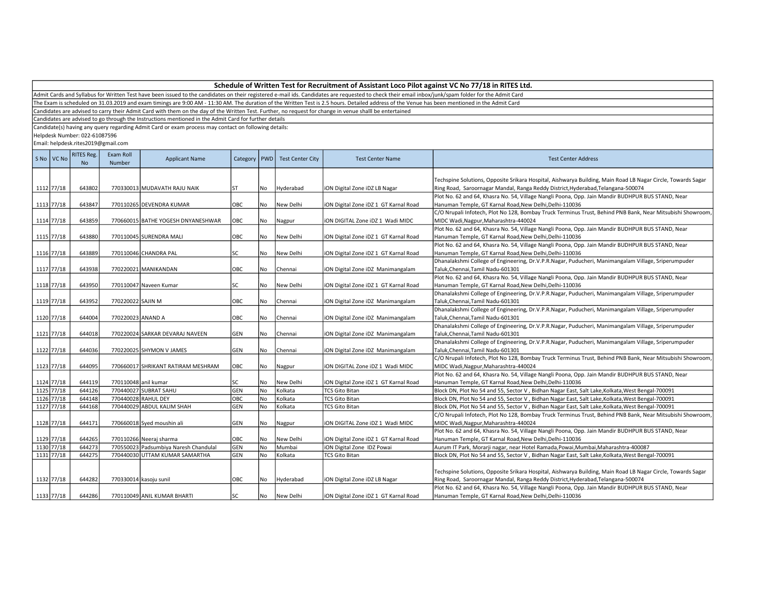Admit Cards and Syllabus for Written Test have been issued to the candidates on their registered e-mail ids. Candidates are requested to check their email inbox/junk/spam folder for the Admit Card

The Exam is scheduled on 31.03.2019 and exam timings are 9:00 AM - 11:30 AM. The duration of the Written Test is 2.5 hours. Detailed address of the Venue has been mentioned in the Admit Card

Candidates are advised to carry their Admit Card with them on the day of the Written Test. Further, no request for change in venue shalll be entertained

Candidates are advised to go through the Instructions mentioned in the Admit Card for further details

Candidate(s) having any query regarding Admit Card or exam process may contact on following details:

Helpdesk Number: 022-61087596

| S No VC No | <b>RITES Reg.</b><br>N <sub>o</sub> | Exam Roll<br>Number | <b>Applicant Name</b>                 | Category | <b>PWD</b> | <b>Test Center City</b> | <b>Test Center Name</b>               | <b>Test Center Address</b>                                                                                   |
|------------|-------------------------------------|---------------------|---------------------------------------|----------|------------|-------------------------|---------------------------------------|--------------------------------------------------------------------------------------------------------------|
|            |                                     |                     |                                       |          |            |                         |                                       | Techspine Solutions, Opposite Srikara Hospital, Aishwarya Building, Main Road LB Nagar Circle, Towards Sagar |
| 1112 77/18 | 643802                              |                     | 770330013 MUDAVATH RAJU NAIK          | lst.     | No         | Hyderabad               | ION Digital Zone IDZ LB Nagar         | Ring Road, Saroornagar Mandal, Ranga Reddy District, Hyderabad, Telangana-500074                             |
|            |                                     |                     |                                       |          |            |                         |                                       | Plot No. 62 and 64, Khasra No. 54, Village Nangli Poona, Opp. Jain Mandir BUDHPUR BUS STAND, Near            |
| 1113 77/18 | 643847                              |                     | 770110265 DEVENDRA KUMAR              | OBC      | No         | New Delhi               | ION Digital Zone IDZ 1 GT Karnal Road | Hanuman Temple, GT Karnal Road, New Delhi, Delhi-110036                                                      |
|            |                                     |                     |                                       |          |            |                         |                                       | C/O Nrupali Infotech, Plot No 128, Bombay Truck Terminus Trust, Behind PNB Bank, Near Mitsubishi Showroom,   |
| 1114 77/18 | 643859                              |                     | 770660015 BATHE YOGESH DNYANESHWAR    | OBC      | l No       | Nagpur                  | ION DIGITAL Zone IDZ 1 Wadi MIDC      | MIDC Wadi, Nagpur, Maharashtra-440024                                                                        |
|            |                                     |                     |                                       |          |            |                         |                                       | Plot No. 62 and 64, Khasra No. 54, Village Nangli Poona, Opp. Jain Mandir BUDHPUR BUS STAND, Near            |
| 1115 77/18 | 643880                              |                     | 770110045 SURENDRA MALI               | OBC      | No         | New Delhi               | iON Digital Zone iDZ 1 GT Karnal Road | Hanuman Temple, GT Karnal Road, New Delhi, Delhi-110036                                                      |
|            |                                     |                     |                                       |          |            |                         |                                       | Plot No. 62 and 64, Khasra No. 54, Village Nangli Poona, Opp. Jain Mandir BUDHPUR BUS STAND, Near            |
| 1116 77/18 | 643889                              |                     | 770110046 CHANDRA PAL                 | SC       | No         | New Delhi               | iON Digital Zone iDZ 1 GT Karnal Road | Hanuman Temple, GT Karnal Road, New Delhi, Delhi-110036                                                      |
|            |                                     |                     |                                       |          |            |                         |                                       | Dhanalakshmi College of Engineering, Dr.V.P.R.Nagar, Puducheri, Manimangalam Village, Sriperumpuder          |
| 1117 77/18 | 643938                              |                     | 770220021 MANIKANDAN                  | OBC      | No         | Chennai                 | iON Digital Zone iDZ Manimangalam     | Taluk,Chennai,Tamil Nadu-601301                                                                              |
|            |                                     |                     |                                       |          |            |                         |                                       | Plot No. 62 and 64, Khasra No. 54, Village Nangli Poona, Opp. Jain Mandir BUDHPUR BUS STAND, Near            |
| 1118 77/18 | 643950                              |                     | 770110047 Naveen Kumar                | SC       | No         | New Delhi               | iON Digital Zone iDZ 1 GT Karnal Road | Hanuman Temple, GT Karnal Road, New Delhi, Delhi-110036                                                      |
|            |                                     |                     |                                       |          |            |                         |                                       | Dhanalakshmi College of Engineering, Dr.V.P.R.Nagar, Puducheri, Manimangalam Village, Sriperumpuder          |
| 1119 77/18 | 643952                              | 770220022 SAJIN M   |                                       | ОВС      | No         | Chennai                 | ION Digital Zone IDZ Manimangalam     | Taluk, Chennai, Tamil Nadu-601301                                                                            |
|            |                                     |                     |                                       |          |            |                         |                                       | Dhanalakshmi College of Engineering, Dr.V.P.R.Nagar, Puducheri, Manimangalam Village, Sriperumpuder          |
| 1120 77/18 | 644004                              | 770220023 ANAND A   |                                       | OBC      | No         | Chennai                 | iON Digital Zone iDZ Manimangalam     | Taluk, Chennai, Tamil Nadu-601301                                                                            |
|            |                                     |                     |                                       |          |            |                         |                                       | Dhanalakshmi College of Engineering, Dr.V.P.R.Nagar, Puducheri, Manimangalam Village, Sriperumpuder          |
| 1121 77/18 | 644018                              |                     | 770220024 SARKAR DEVARAJ NAVEEN       | GEN      | No         | Chennai                 | iON Digital Zone iDZ Manimangalam     | Taluk, Chennai, Tamil Nadu-601301                                                                            |
|            |                                     |                     |                                       |          |            |                         |                                       | Dhanalakshmi College of Engineering, Dr.V.P.R.Nagar, Puducheri, Manimangalam Village, Sriperumpuder          |
| 1122 77/18 | 644036                              |                     | 770220025 SHYMON V JAMES              | GEN      | No         | Chennai                 | iON Digital Zone iDZ Manimangalam     | Taluk,Chennai,Tamil Nadu-601301                                                                              |
|            |                                     |                     |                                       |          |            |                         |                                       | C/O Nrupali Infotech, Plot No 128, Bombay Truck Terminus Trust, Behind PNB Bank, Near Mitsubishi Showroom,   |
| 1123 77/18 | 644095                              |                     | 770660017 SHRIKANT RATIRAM MESHRAM    | OBC      | No         | Nagpur                  | ION DIGITAL Zone IDZ 1 Wadi MIDC      | MIDC Wadi, Nagpur, Maharashtra-440024                                                                        |
|            |                                     |                     |                                       |          |            |                         |                                       | Plot No. 62 and 64, Khasra No. 54, Village Nangli Poona, Opp. Jain Mandir BUDHPUR BUS STAND, Near            |
| 1124 77/18 | 644119                              |                     | 770110048 anil kumar                  | SC       | No         | New Delhi               | iON Digital Zone iDZ 1 GT Karnal Road | Hanuman Temple, GT Karnal Road, New Delhi, Delhi-110036                                                      |
| 1125 77/18 | 644126                              |                     | 770440027 SUBRAT SAHU                 | GEN      | No         | Kolkata                 | <b>TCS Gito Bitan</b>                 | Block DN, Plot No 54 and 55, Sector V, Bidhan Nagar East, Salt Lake, Kolkata, West Bengal-700091             |
| 1126 77/18 | 644148                              |                     | 770440028 RAHUL DEY                   | OBC      | No         | Kolkata                 | <b>TCS Gito Bitan</b>                 | Block DN, Plot No 54 and 55, Sector V, Bidhan Nagar East, Salt Lake, Kolkata, West Bengal-700091             |
| 1127 77/18 | 644168                              |                     | 770440029 ABDUL KALIM SHAH            | GEN      | No         | Kolkata                 | <b>TCS Gito Bitan</b>                 | Block DN, Plot No 54 and 55, Sector V, Bidhan Nagar East, Salt Lake, Kolkata, West Bengal-700091             |
|            |                                     |                     |                                       |          |            |                         |                                       | C/O Nrupali Infotech, Plot No 128, Bombay Truck Terminus Trust, Behind PNB Bank, Near Mitsubishi Showroom,   |
| 1128 77/18 | 644171                              |                     | 770660018 Syed moushin ali            | GEN      | No         | Nagpur                  | ION DIGITAL Zone IDZ 1 Wadi MIDC      | MIDC Wadi, Nagpur, Maharashtra-440024                                                                        |
|            |                                     |                     |                                       |          |            |                         |                                       | Plot No. 62 and 64, Khasra No. 54, Village Nangli Poona, Opp. Jain Mandir BUDHPUR BUS STAND, Near            |
| 1129 77/18 | 644265                              |                     | 770110266 Neeraj sharma               | OBC      | No         | New Delhi               | iON Digital Zone iDZ 1 GT Karnal Road | Hanuman Temple, GT Karnal Road, New Delhi, Delhi-110036                                                      |
| 1130 77/18 | 644273                              |                     | 770550023 Padsumbiya Naresh Chandulal | GEN      | No         | Mumbai                  | ION Digital Zone IDZ Powai            | Aurum IT Park, Morarji nagar, near Hotel Ramada, Powai, Mumbai, Maharashtra-400087                           |
| 1131 77/18 | 644275                              |                     | 770440030 UTTAM KUMAR SAMARTHA        | GEN      | No         | Kolkata                 | <b>TCS Gito Bitan</b>                 | Block DN, Plot No 54 and 55, Sector V, Bidhan Nagar East, Salt Lake, Kolkata, West Bengal-700091             |
|            |                                     |                     |                                       |          |            |                         |                                       |                                                                                                              |
|            |                                     |                     |                                       |          |            |                         |                                       | Techspine Solutions, Opposite Srikara Hospital, Aishwarya Building, Main Road LB Nagar Circle, Towards Sagar |
| 1132 77/18 | 644282                              |                     | 770330014 kasoju sunil                | OBC      | No         | Hyderabad               | ION Digital Zone IDZ LB Nagar         | Ring Road, Saroornagar Mandal, Ranga Reddy District, Hyderabad, Telangana-500074                             |
|            |                                     |                     |                                       |          |            |                         |                                       | Plot No. 62 and 64, Khasra No. 54, Village Nangli Poona, Opp. Jain Mandir BUDHPUR BUS STAND, Near            |
| 1133 77/18 | 644286                              |                     | 770110049 ANIL KUMAR BHARTI           | SC       | No         | New Delhi               | ION Digital Zone IDZ 1 GT Karnal Road | Hanuman Temple, GT Karnal Road, New Delhi, Delhi-110036                                                      |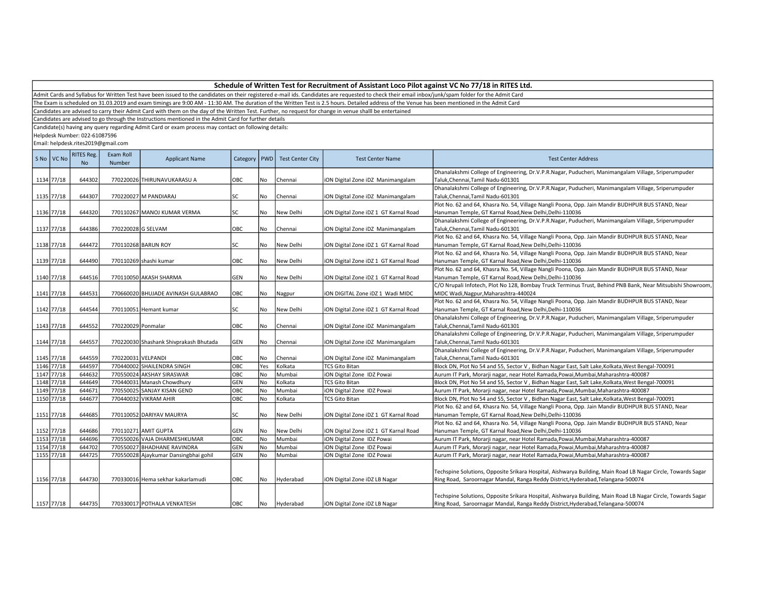The Exam is scheduled on 31.03.2019 and exam timings are 9:00 AM - 11:30 AM. The duration of the Written Test is 2.5 hours. Detailed address of the Venue has been mentioned in the Admit Card

Candidates are advised to carry their Admit Card with them on the day of the Written Test. Further, no request for change in venue shalll be entertained

Candidates are advised to go through the Instructions mentioned in the Admit Card for further details

Candidate(s) having any query regarding Admit Card or exam process may contact on following details:

Helpdesk Number: 022-61087596

| S No | VC No      | <b>RITES Reg.</b><br><b>No</b> | Exam Roll<br>Number | <b>Applicant Name</b>                  | Category   | <b>PWD</b> | <b>Test Center City</b> | <b>Test Center Name</b>               | <b>Test Center Address</b>                                                                                                               |
|------|------------|--------------------------------|---------------------|----------------------------------------|------------|------------|-------------------------|---------------------------------------|------------------------------------------------------------------------------------------------------------------------------------------|
|      | 1134 77/18 | 644302                         |                     | 770220026 THIRUNAVUKARASU A            | OBC        | No         | Chennai                 | iON Digital Zone iDZ Manimangalam     | Dhanalakshmi College of Engineering, Dr.V.P.R.Nagar, Puducheri, Manimangalam Village, Sriperumpuder<br>Taluk, Chennai, Tamil Nadu-601301 |
|      |            |                                |                     |                                        |            |            |                         |                                       | Dhanalakshmi College of Engineering, Dr.V.P.R.Nagar, Puducheri, Manimangalam Village, Sriperumpuder                                      |
|      | 1135 77/18 | 644307                         |                     | 770220027 M PANDIARAJ                  | SC         | No         | Chennai                 | iON Digital Zone iDZ Manimangalam     | Taluk, Chennai, Tamil Nadu-601301                                                                                                        |
|      |            |                                |                     |                                        |            |            |                         |                                       | Plot No. 62 and 64, Khasra No. 54, Village Nangli Poona, Opp. Jain Mandir BUDHPUR BUS STAND, Near                                        |
|      | 1136 77/18 | 644320                         |                     | 770110267 MANOJ KUMAR VERMA            | SC         | No         | New Delhi               | iON Digital Zone iDZ 1 GT Karnal Road | Hanuman Temple, GT Karnal Road, New Delhi, Delhi-110036                                                                                  |
|      |            |                                |                     |                                        |            |            |                         |                                       | Dhanalakshmi College of Engineering, Dr.V.P.R.Nagar, Puducheri, Manimangalam Village, Sriperumpuder                                      |
|      | 1137 77/18 | 644386                         | 770220028 G SELVAM  |                                        | OBC        | No         | Chennai                 | iON Digital Zone iDZ Manimangalam     | Taluk, Chennai, Tamil Nadu-601301                                                                                                        |
|      |            |                                |                     |                                        |            |            |                         |                                       | Plot No. 62 and 64, Khasra No. 54, Village Nangli Poona, Opp. Jain Mandir BUDHPUR BUS STAND, Near                                        |
|      | 1138 77/18 | 644472                         |                     | 770110268 BARUN ROY                    | SC         | No         | New Delhi               | iON Digital Zone iDZ 1 GT Karnal Road | Hanuman Temple, GT Karnal Road, New Delhi, Delhi-110036                                                                                  |
|      |            |                                |                     |                                        |            |            |                         |                                       | Plot No. 62 and 64, Khasra No. 54, Village Nangli Poona, Opp. Jain Mandir BUDHPUR BUS STAND, Near                                        |
|      | 1139 77/18 | 644490                         |                     | 770110269 shashi kumar                 | OBC        | No         | New Delhi               | iON Digital Zone iDZ 1 GT Karnal Road | Hanuman Temple, GT Karnal Road, New Delhi, Delhi-110036                                                                                  |
|      |            |                                |                     |                                        |            |            |                         |                                       | Plot No. 62 and 64, Khasra No. 54, Village Nangli Poona, Opp. Jain Mandir BUDHPUR BUS STAND, Near                                        |
|      | 1140 77/18 | 644516                         |                     | 770110050 AKASH SHARMA                 | GEN        | No         | New Delhi               | iON Digital Zone iDZ 1 GT Karnal Road | Hanuman Temple, GT Karnal Road, New Delhi, Delhi-110036                                                                                  |
|      |            |                                |                     |                                        |            |            |                         |                                       | C/O Nrupali Infotech, Plot No 128, Bombay Truck Terminus Trust, Behind PNB Bank, Near Mitsubishi Showroom,                               |
|      | 1141 77/18 | 644531                         |                     | 770660020 BHUJADE AVINASH GULABRAO     | OBC        | No         | Nagpur                  | ION DIGITAL Zone IDZ 1 Wadi MIDC      | MIDC Wadi, Nagpur, Maharashtra-440024                                                                                                    |
|      |            |                                |                     |                                        |            |            |                         |                                       | Plot No. 62 and 64, Khasra No. 54, Village Nangli Poona, Opp. Jain Mandir BUDHPUR BUS STAND, Near                                        |
|      | 1142 77/18 | 644544                         |                     | 770110051 Hemant kumar                 | SC         | No         | New Delhi               | iON Digital Zone iDZ 1 GT Karnal Road | Hanuman Temple, GT Karnal Road, New Delhi, Delhi-110036                                                                                  |
|      |            |                                |                     |                                        |            |            |                         |                                       | Dhanalakshmi College of Engineering, Dr.V.P.R.Nagar, Puducheri, Manimangalam Village, Sriperumpuder                                      |
|      | 1143 77/18 | 644552                         | 770220029 Ponmalar  |                                        | OBC        | No         | Chennai                 | iON Digital Zone iDZ Manimangalam     | Taluk, Chennai, Tamil Nadu-601301                                                                                                        |
|      |            |                                |                     |                                        |            |            |                         |                                       | Dhanalakshmi College of Engineering, Dr.V.P.R.Nagar, Puducheri, Manimangalam Village, Sriperumpuder                                      |
|      | 1144 77/18 | 644557                         |                     | 770220030 Shashank Shivprakash Bhutada | GEN        | No         | Chennai                 | iON Digital Zone iDZ Manimangalam     | Taluk, Chennai, Tamil Nadu-601301                                                                                                        |
|      |            |                                |                     |                                        |            |            |                         |                                       | Dhanalakshmi College of Engineering, Dr.V.P.R.Nagar, Puducheri, Manimangalam Village, Sriperumpuder                                      |
|      | 1145 77/18 | 644559                         | 770220031 VELPANDI  |                                        | OBC        | No         | Chennai                 | iON Digital Zone iDZ Manimangalam     | Taluk, Chennai, Tamil Nadu-601301                                                                                                        |
|      | 1146 77/18 | 644597                         |                     | 770440002 SHAILENDRA SINGH             | OBC        | Yes        | Kolkata                 | <b>TCS Gito Bitan</b>                 | Block DN, Plot No 54 and 55, Sector V, Bidhan Nagar East, Salt Lake, Kolkata, West Bengal-700091                                         |
|      | 1147 77/18 | 644632                         |                     | 770550024 AKSHAY SIRASWAR              | OBC        | No         | Mumbai                  | iON Digital Zone IDZ Powai            | Aurum IT Park, Morarji nagar, near Hotel Ramada, Powai, Mumbai, Maharashtra-400087                                                       |
|      | 1148 77/18 | 644649                         |                     | 770440031 Manash Chowdhury             | GEN        | No         | Kolkata                 | <b>TCS Gito Bitan</b>                 | Block DN, Plot No 54 and 55, Sector V, Bidhan Nagar East, Salt Lake, Kolkata, West Bengal-700091                                         |
| 1149 | 77/18      | 644671                         |                     | 770550025 SANJAY KISAN GEND            | OBC        | No         | Mumbai                  | iON Digital Zone IDZ Powai            | Aurum IT Park, Morarji nagar, near Hotel Ramada, Powai, Mumbai, Maharashtra-400087                                                       |
|      | 1150 77/18 | 644677                         |                     | 770440032 VIKRAM AHIR                  | OBC        | No         | Kolkata                 | <b>TCS Gito Bitan</b>                 | Block DN, Plot No 54 and 55, Sector V, Bidhan Nagar East, Salt Lake, Kolkata, West Bengal-700091                                         |
|      |            |                                |                     |                                        |            |            |                         |                                       | Plot No. 62 and 64, Khasra No. 54, Village Nangli Poona, Opp. Jain Mandir BUDHPUR BUS STAND, Near                                        |
|      | 1151 77/18 | 644685                         |                     | 770110052 DARIYAV MAURYA               | SC         | l No       | New Delhi               | iON Digital Zone iDZ 1 GT Karnal Road | Hanuman Temple, GT Karnal Road, New Delhi, Delhi-110036                                                                                  |
|      |            |                                |                     |                                        |            |            |                         |                                       | Plot No. 62 and 64, Khasra No. 54, Village Nangli Poona, Opp. Jain Mandir BUDHPUR BUS STAND, Near                                        |
|      | 1152 77/18 | 644686                         |                     | 770110271 AMIT GUPTA                   | GEN        | No         | New Delhi               | iON Digital Zone iDZ 1 GT Karnal Road | Hanuman Temple, GT Karnal Road, New Delhi, Delhi-110036                                                                                  |
|      | 1153 77/18 | 644696                         |                     | 770550026 VAJA DHARMESHKUMAR           | OBC        | No         | Mumbai                  | iON Digital Zone IDZ Powai            | Aurum IT Park, Morarji nagar, near Hotel Ramada, Powai, Mumbai, Maharashtra-400087                                                       |
|      | 1154 77/18 | 644702                         |                     | 770550027 BHADHANE RAVINDRA            | <b>GEN</b> | <b>No</b>  | Mumbai                  | iON Digital Zone IDZ Powai            | Aurum IT Park, Morarji nagar, near Hotel Ramada, Powai, Mumbai, Maharashtra-400087                                                       |
|      | 1155 77/18 | 644725                         |                     | 770550028 Ajaykumar Dansingbhai gohil  | <b>GEN</b> | No         | Mumbai                  | iON Digital Zone IDZ Powai            | Aurum IT Park, Morarji nagar, near Hotel Ramada, Powai, Mumbai, Maharashtra-400087                                                       |
|      |            |                                |                     |                                        |            |            |                         |                                       | Techspine Solutions, Opposite Srikara Hospital, Aishwarya Building, Main Road LB Nagar Circle, Towards Sagar                             |
|      | 1156 77/18 | 644730                         |                     | 770330016 Hema sekhar kakarlamudi      | OBC        | No         | Hyderabad               | iON Digital Zone iDZ LB Nagar         | Ring Road, Saroornagar Mandal, Ranga Reddy District, Hyderabad, Telangana-500074                                                         |
|      |            |                                |                     |                                        |            |            |                         |                                       |                                                                                                                                          |
|      |            |                                |                     |                                        |            |            |                         |                                       | Techspine Solutions, Opposite Srikara Hospital, Aishwarya Building, Main Road LB Nagar Circle, Towards Sagar                             |
|      | 1157 77/18 | 644735                         |                     | 770330017 POTHALA VENKATESH            | OBC        | No         | Hyderabad               | iON Digital Zone iDZ LB Nagar         | Ring Road, Saroornagar Mandal, Ranga Reddy District, Hyderabad, Telangana-500074                                                         |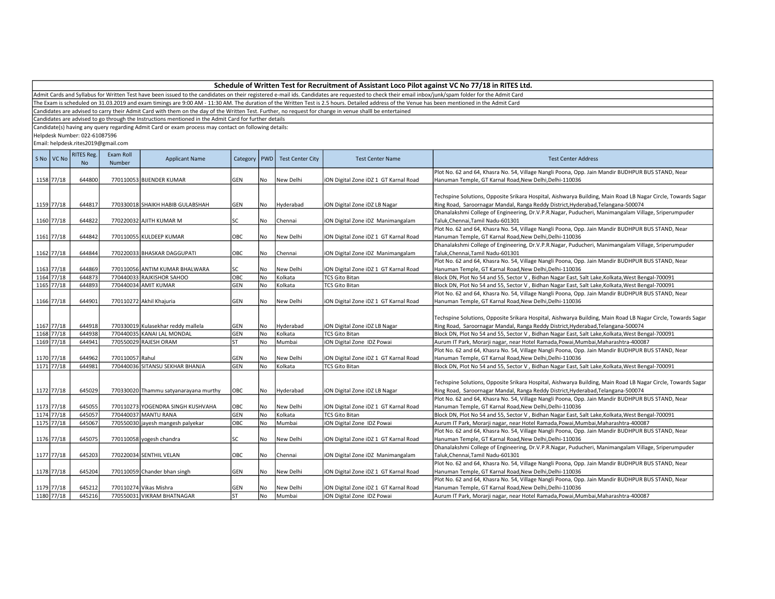|                          | Schedule of Written Test for Recruitment of Assistant Loco Pilot against VC No 77/18 in RITES Ltd. |                                     |                     |                                                                                                       |                |    |                         |                                                                                                                                                                                                      |                                                                                                              |  |  |  |
|--------------------------|----------------------------------------------------------------------------------------------------|-------------------------------------|---------------------|-------------------------------------------------------------------------------------------------------|----------------|----|-------------------------|------------------------------------------------------------------------------------------------------------------------------------------------------------------------------------------------------|--------------------------------------------------------------------------------------------------------------|--|--|--|
|                          |                                                                                                    |                                     |                     |                                                                                                       |                |    |                         | Admit Cards and Syllabus for Written Test have been issued to the candidates on their registered e-mail ids. Candidates are requested to check their email inbox/junk/spam folder for the Admit Card |                                                                                                              |  |  |  |
|                          |                                                                                                    |                                     |                     |                                                                                                       |                |    |                         | The Exam is scheduled on 31.03.2019 and exam timings are 9:00 AM - 11:30 AM. The duration of the Written Test is 2.5 hours. Detailed address of the Venue has been mentioned in the Admit Card       |                                                                                                              |  |  |  |
|                          |                                                                                                    |                                     |                     |                                                                                                       |                |    |                         | Candidates are advised to carry their Admit Card with them on the day of the Written Test. Further, no request for change in venue shalll be entertained                                             |                                                                                                              |  |  |  |
|                          |                                                                                                    |                                     |                     | Candidates are advised to go through the Instructions mentioned in the Admit Card for further details |                |    |                         |                                                                                                                                                                                                      |                                                                                                              |  |  |  |
|                          |                                                                                                    |                                     |                     | Candidate(s) having any query regarding Admit Card or exam process may contact on following details:  |                |    |                         |                                                                                                                                                                                                      |                                                                                                              |  |  |  |
|                          |                                                                                                    | Helpdesk Number: 022-61087596       |                     |                                                                                                       |                |    |                         |                                                                                                                                                                                                      |                                                                                                              |  |  |  |
|                          |                                                                                                    | Email: helpdesk.rites2019@gmail.com |                     |                                                                                                       |                |    |                         |                                                                                                                                                                                                      |                                                                                                              |  |  |  |
|                          |                                                                                                    |                                     |                     |                                                                                                       |                |    |                         |                                                                                                                                                                                                      |                                                                                                              |  |  |  |
|                          | S No   VC No                                                                                       | <b>RITES Reg.</b><br>No             | Exam Roll<br>Number | <b>Applicant Name</b>                                                                                 | Category   PWD |    | <b>Test Center City</b> | <b>Test Center Name</b>                                                                                                                                                                              | <b>Test Center Address</b>                                                                                   |  |  |  |
|                          |                                                                                                    |                                     |                     |                                                                                                       |                |    |                         |                                                                                                                                                                                                      | Plot No. 62 and 64, Khasra No. 54, Village Nangli Poona, Opp. Jain Mandir BUDHPUR BUS STAND, Near            |  |  |  |
| 1158 77/18               |                                                                                                    | 644800                              |                     | 770110053 BIJENDER KUMAR                                                                              | GEN            | No | New Delhi               | iON Digital Zone iDZ 1 GT Karnal Road                                                                                                                                                                | Hanuman Temple, GT Karnal Road, New Delhi, Delhi-110036                                                      |  |  |  |
|                          |                                                                                                    |                                     |                     |                                                                                                       |                |    |                         |                                                                                                                                                                                                      |                                                                                                              |  |  |  |
|                          |                                                                                                    |                                     |                     |                                                                                                       |                |    |                         |                                                                                                                                                                                                      | Techspine Solutions, Opposite Srikara Hospital, Aishwarya Building, Main Road LB Nagar Circle, Towards Sagar |  |  |  |
| 1159 77/18               |                                                                                                    | 644817                              |                     | 770330018 SHAIKH HABIB GULABSHAH                                                                      | <b>GEN</b>     | No | Hyderabad               | iON Digital Zone iDZ LB Nagar                                                                                                                                                                        | Ring Road, Saroornagar Mandal, Ranga Reddy District, Hyderabad, Telangana-500074                             |  |  |  |
|                          |                                                                                                    |                                     |                     |                                                                                                       |                |    |                         |                                                                                                                                                                                                      | Dhanalakshmi College of Engineering, Dr.V.P.R.Nagar, Puducheri, Manimangalam Village, Sriperumpuder          |  |  |  |
| 1160 77/18               |                                                                                                    | 644822                              |                     | 770220032 AJITH KUMAR M                                                                               | SC             | No | Chennai                 | iON Digital Zone iDZ Manimangalam                                                                                                                                                                    | Taluk, Chennai, Tamil Nadu-601301                                                                            |  |  |  |
|                          |                                                                                                    |                                     |                     |                                                                                                       |                |    |                         |                                                                                                                                                                                                      | Plot No. 62 and 64, Khasra No. 54, Village Nangli Poona, Opp. Jain Mandir BUDHPUR BUS STAND, Near            |  |  |  |
| 1161 77/18               |                                                                                                    | 644842                              |                     | 770110055 KULDEEP KUMAR                                                                               | OBC            | No | New Delhi               | iON Digital Zone iDZ 1 GT Karnal Road                                                                                                                                                                | Hanuman Temple, GT Karnal Road, New Delhi, Delhi-110036                                                      |  |  |  |
|                          |                                                                                                    |                                     |                     |                                                                                                       |                |    |                         |                                                                                                                                                                                                      | Dhanalakshmi College of Engineering, Dr.V.P.R.Nagar, Puducheri, Manimangalam Village, Sriperumpuder          |  |  |  |
| 1162 77/18               |                                                                                                    | 644844                              |                     | 770220033 BHASKAR DAGGUPATI                                                                           | OBC            | No | Chennai                 | iON Digital Zone iDZ Manimangalam                                                                                                                                                                    | Taluk, Chennai, Tamil Nadu-601301                                                                            |  |  |  |
|                          |                                                                                                    |                                     |                     |                                                                                                       |                |    |                         |                                                                                                                                                                                                      | Plot No. 62 and 64, Khasra No. 54, Village Nangli Poona, Opp. Jain Mandir BUDHPUR BUS STAND, Near            |  |  |  |
| 1163 77/18               |                                                                                                    | 644869                              |                     | 770110056 ANTIM KUMAR BHALWARA                                                                        | SC             | No | New Delhi               | iON Digital Zone iDZ 1 GT Karnal Road                                                                                                                                                                | Hanuman Temple, GT Karnal Road, New Delhi, Delhi-110036                                                      |  |  |  |
| 1164 77/18               |                                                                                                    | 644873                              |                     | 770440033 RAJKISHOR SAHOO                                                                             | овс            | No | Kolkata                 | <b>TCS Gito Bitan</b>                                                                                                                                                                                | Block DN, Plot No 54 and 55, Sector V, Bidhan Nagar East, Salt Lake, Kolkata, West Bengal-700091             |  |  |  |
| 1165 77/18               |                                                                                                    | 644893                              |                     | 770440034 AMIT KUMAR                                                                                  | GEN            | No | Kolkata                 | <b>TCS Gito Bitan</b>                                                                                                                                                                                | Block DN, Plot No 54 and 55, Sector V, Bidhan Nagar East, Salt Lake, Kolkata, West Bengal-700091             |  |  |  |
|                          |                                                                                                    |                                     |                     |                                                                                                       |                |    |                         |                                                                                                                                                                                                      | Plot No. 62 and 64, Khasra No. 54, Village Nangli Poona, Opp. Jain Mandir BUDHPUR BUS STAND, Near            |  |  |  |
| 1166 77/18               |                                                                                                    | 644901                              |                     | 770110272 Akhil Khajuria                                                                              | <b>GEN</b>     | No | New Delhi               | iON Digital Zone iDZ 1 GT Karnal Road                                                                                                                                                                | Hanuman Temple, GT Karnal Road, New Delhi, Delhi-110036                                                      |  |  |  |
|                          |                                                                                                    |                                     |                     |                                                                                                       |                |    |                         |                                                                                                                                                                                                      |                                                                                                              |  |  |  |
|                          |                                                                                                    |                                     |                     |                                                                                                       |                |    |                         |                                                                                                                                                                                                      |                                                                                                              |  |  |  |
|                          |                                                                                                    | 644918                              |                     |                                                                                                       | <b>GEN</b>     |    |                         |                                                                                                                                                                                                      | Techspine Solutions, Opposite Srikara Hospital, Aishwarya Building, Main Road LB Nagar Circle, Towards Sagar |  |  |  |
| 1167 77/18<br>1168 77/18 |                                                                                                    |                                     |                     | 770330019 Kulasekhar reddy mallela                                                                    |                | No | Hyderabad               | iON Digital Zone iDZ LB Nagar                                                                                                                                                                        | Ring Road, Saroornagar Mandal, Ranga Reddy District, Hyderabad, Telangana-500074                             |  |  |  |
|                          |                                                                                                    | 644938                              |                     | 770440035 KANAI LAL MONDAL                                                                            | GEN            | No | Kolkata                 | <b>TCS Gito Bitan</b>                                                                                                                                                                                | Block DN, Plot No 54 and 55, Sector V, Bidhan Nagar East, Salt Lake, Kolkata, West Bengal-700091             |  |  |  |
| 1169 77/18               |                                                                                                    | 644941                              |                     | 770550029 RAJESH ORAM                                                                                 | <b>ST</b>      | No | Mumbai                  | iON Digital Zone IDZ Powai                                                                                                                                                                           | Aurum IT Park, Morarji nagar, near Hotel Ramada, Powai, Mumbai, Maharashtra-400087                           |  |  |  |
|                          |                                                                                                    |                                     |                     |                                                                                                       |                |    |                         |                                                                                                                                                                                                      | Plot No. 62 and 64, Khasra No. 54, Village Nangli Poona, Opp. Jain Mandir BUDHPUR BUS STAND, Near            |  |  |  |
| 1170 77/18               |                                                                                                    | 644962                              | 770110057 Rahul     |                                                                                                       | <b>GEN</b>     | No | New Delhi               | iON Digital Zone iDZ 1 GT Karnal Road                                                                                                                                                                | Hanuman Temple, GT Karnal Road, New Delhi, Delhi-110036                                                      |  |  |  |
| 1171 77/18               |                                                                                                    | 644981                              |                     | 770440036 SITANSU SEKHAR BHANJA                                                                       | <b>GEN</b>     | No | Kolkata                 | <b>TCS Gito Bitan</b>                                                                                                                                                                                | Block DN, Plot No 54 and 55, Sector V, Bidhan Nagar East, Salt Lake, Kolkata, West Bengal-700091             |  |  |  |
|                          |                                                                                                    |                                     |                     |                                                                                                       |                |    |                         |                                                                                                                                                                                                      |                                                                                                              |  |  |  |
|                          |                                                                                                    |                                     |                     |                                                                                                       |                |    |                         |                                                                                                                                                                                                      | Techspine Solutions, Opposite Srikara Hospital, Aishwarya Building, Main Road LB Nagar Circle, Towards Sagar |  |  |  |
| 1172 77/18               |                                                                                                    | 645029                              |                     | 770330020 Thammu satyanarayana murthy                                                                 | OBC            | No | Hyderabad               | iON Digital Zone iDZ LB Nagar                                                                                                                                                                        | Ring Road, Saroornagar Mandal, Ranga Reddy District, Hyderabad, Telangana-500074                             |  |  |  |
|                          |                                                                                                    |                                     |                     |                                                                                                       |                |    |                         |                                                                                                                                                                                                      | Plot No. 62 and 64, Khasra No. 54, Village Nangli Poona, Opp. Jain Mandir BUDHPUR BUS STAND, Near            |  |  |  |
| 1173 77/18               |                                                                                                    | 645055                              |                     | 770110273 YOGENDRA SINGH KUSHVAHA                                                                     | OBC            | No | New Delhi               | iON Digital Zone iDZ 1 GT Karnal Road                                                                                                                                                                | Hanuman Temple, GT Karnal Road, New Delhi, Delhi-110036                                                      |  |  |  |
| 1174 77/18               |                                                                                                    | 645057                              |                     | 770440037 MANTU RANA                                                                                  | <b>GEN</b>     | No | Kolkata                 | <b>TCS Gito Bitan</b>                                                                                                                                                                                | Block DN, Plot No 54 and 55, Sector V, Bidhan Nagar East, Salt Lake, Kolkata, West Bengal-700091             |  |  |  |
| 1175 77/18               |                                                                                                    | 645067                              |                     | 770550030 jayesh mangesh palyekar                                                                     | OBC            | No | Mumbai                  | iON Digital Zone IDZ Powai                                                                                                                                                                           | Aurum IT Park, Morarji nagar, near Hotel Ramada, Powai, Mumbai, Maharashtra-400087                           |  |  |  |
|                          |                                                                                                    |                                     |                     |                                                                                                       |                |    |                         |                                                                                                                                                                                                      | Plot No. 62 and 64, Khasra No. 54, Village Nangli Poona, Opp. Jain Mandir BUDHPUR BUS STAND, Near            |  |  |  |
| 1176 77/18               |                                                                                                    | 645075                              |                     | 770110058 yogesh chandra                                                                              | SC             | No | New Delhi               | iON Digital Zone iDZ 1 GT Karnal Road                                                                                                                                                                | Hanuman Temple, GT Karnal Road, New Delhi, Delhi-110036                                                      |  |  |  |
|                          |                                                                                                    |                                     |                     |                                                                                                       |                |    |                         |                                                                                                                                                                                                      | Dhanalakshmi College of Engineering, Dr.V.P.R.Nagar, Puducheri, Manimangalam Village, Sriperumpuder          |  |  |  |
| 1177 77/18               |                                                                                                    | 645203                              |                     | 770220034 SENTHIL VELAN                                                                               | OBC            | No | Chennai                 | iON Digital Zone iDZ Manimangalam                                                                                                                                                                    | Taluk, Chennai, Tamil Nadu-601301                                                                            |  |  |  |
|                          |                                                                                                    |                                     |                     |                                                                                                       |                |    |                         |                                                                                                                                                                                                      | Plot No. 62 and 64, Khasra No. 54, Village Nangli Poona, Opp. Jain Mandir BUDHPUR BUS STAND, Near            |  |  |  |

Hanuman Temple, GT Karnal Road,New Delhi,Delhi-110036

Hanuman Temple, GT Karnal Road,New Delhi,Delhi-110036

Plot No. 62 and 64, Khasra No. 54, Village Nangli Poona, Opp. Jain Mandir BUDHPUR BUS STAND, Near

Aurum IT Park, Morarji nagar, near Hotel Ramada,Powai,Mumbai,Maharashtra-400087

1178 77/18 645204 770110059 Chander bhan singh GEN No New Delhi iON Digital Zone iDZ 1 GT Karnal Road

1179 77/18 645212 770110274 Vikas Mishra GEN No New Delhi iON Digital Zone iDZ 1 GT Karnal Road<br>1180 77/18 645216 770550031 VIKRAM BHATNAGAR ST No Mumbai iON Digital Zone IDZ Powai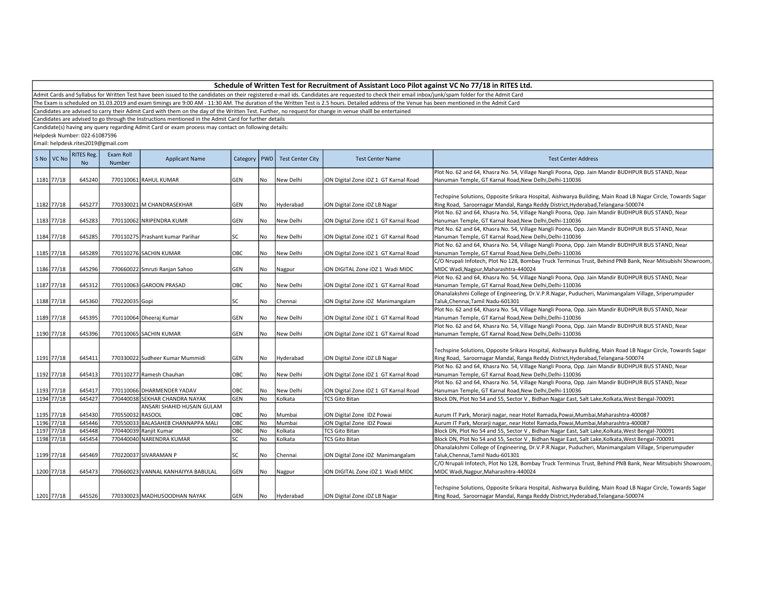| Schedule of Written Test for Recruitment of Assistant Loco Pilot against VC No 77/18 in RITES Ltd. |  |
|----------------------------------------------------------------------------------------------------|--|
|----------------------------------------------------------------------------------------------------|--|

The Exam is scheduled on 31.03.2019 and exam timings are 9:00 AM - 11:30 AM. The duration of the Written Test is 2.5 hours. Detailed address of the Venue has been mentioned in the Admit Card

Candidates are advised to carry their Admit Card with them on the day of the Written Test. Further, no request for change in venue shalll be entertained

Candidates are advised to go through the Instructions mentioned in the Admit Card for further details

Candidate(s) having any query regarding Admit Card or exam process may contact on following details:

Helpdesk Number: 022-61087596

| S No VC No | <b>RITES Reg.</b><br><b>No</b> | Exam Roll<br>Number | <b>Applicant Name</b>              |           |           | Category   PWD   Test Center City | <b>Test Center Name</b>               | <b>Test Center Address</b>                                                                                                                                                                       |
|------------|--------------------------------|---------------------|------------------------------------|-----------|-----------|-----------------------------------|---------------------------------------|--------------------------------------------------------------------------------------------------------------------------------------------------------------------------------------------------|
|            |                                |                     |                                    |           |           |                                   |                                       | Plot No. 62 and 64, Khasra No. 54, Village Nangli Poona, Opp. Jain Mandir BUDHPUR BUS STAND, Near                                                                                                |
| 1181 77/18 | 645240                         |                     | 770110061 RAHUL KUMAR              | GEN       | No        | New Delhi                         | iON Digital Zone iDZ 1 GT Karnal Road | Hanuman Temple, GT Karnal Road, New Delhi, Delhi-110036                                                                                                                                          |
| 1182 77/18 | 645277                         |                     | 770330021 M CHANDRASEKHAR          | GEN       | No        | Hyderabad                         | iON Digital Zone iDZ LB Nagar         | Techspine Solutions, Opposite Srikara Hospital, Aishwarya Building, Main Road LB Nagar Circle, Towards Sagar<br>Ring Road, Saroornagar Mandal, Ranga Reddy District, Hyderabad, Telangana-500074 |
|            |                                |                     |                                    |           |           |                                   |                                       | Plot No. 62 and 64, Khasra No. 54, Village Nangli Poona, Opp. Jain Mandir BUDHPUR BUS STAND, Near                                                                                                |
| 1183 77/18 | 645283                         |                     | 770110062 NRIPENDRA KUMR           | GEN       | <b>No</b> | New Delhi                         | iON Digital Zone iDZ 1 GT Karnal Road | Hanuman Temple, GT Karnal Road, New Delhi, Delhi-110036                                                                                                                                          |
|            |                                |                     |                                    |           |           |                                   |                                       | Plot No. 62 and 64, Khasra No. 54, Village Nangli Poona, Opp. Jain Mandir BUDHPUR BUS STAND, Near                                                                                                |
| 1184 77/18 | 645285                         |                     | 770110275 Prashant kumar Parihar   | SC        | No        | New Delhi                         | iON Digital Zone iDZ 1 GT Karnal Road | Hanuman Temple, GT Karnal Road, New Delhi, Delhi-110036                                                                                                                                          |
|            |                                |                     |                                    |           |           |                                   |                                       | Plot No. 62 and 64, Khasra No. 54, Village Nangli Poona, Opp. Jain Mandir BUDHPUR BUS STAND, Near                                                                                                |
| 1185 77/18 | 645289                         |                     | 770110276 SACHIN KUMAR             | OBC       | No        | New Delhi                         | iON Digital Zone iDZ 1 GT Karnal Road | Hanuman Temple, GT Karnal Road, New Delhi, Delhi-110036                                                                                                                                          |
|            |                                |                     |                                    |           |           |                                   |                                       | C/O Nrupali Infotech, Plot No 128, Bombay Truck Terminus Trust, Behind PNB Bank, Near Mitsubishi Showroom,                                                                                       |
| 1186 77/18 | 645296                         |                     | 770660022 Smruti Ranjan Sahoo      | GEN       | No        | Nagpur                            | iON DIGITAL Zone iDZ 1 Wadi MIDC      | MIDC Wadi, Nagpur, Maharashtra-440024                                                                                                                                                            |
|            |                                |                     |                                    |           |           |                                   |                                       | Plot No. 62 and 64, Khasra No. 54, Village Nangli Poona, Opp. Jain Mandir BUDHPUR BUS STAND, Near                                                                                                |
| 1187 77/18 | 645312                         |                     | 770110063 GAROON PRASAD            | OBC       | No        | New Delhi                         | iON Digital Zone iDZ 1 GT Karnal Road | Hanuman Temple, GT Karnal Road, New Delhi, Delhi-110036                                                                                                                                          |
|            |                                |                     |                                    |           |           |                                   |                                       | Dhanalakshmi College of Engineering, Dr.V.P.R.Nagar, Puducheri, Manimangalam Village, Sriperumpuder                                                                                              |
| 1188 77/18 | 645360                         | 770220035 Gopi      |                                    | SC        | No        | Chennai                           | iON Digital Zone iDZ Manimangalam     | Taluk, Chennai, Tamil Nadu-601301                                                                                                                                                                |
|            |                                |                     |                                    |           |           |                                   |                                       | Plot No. 62 and 64, Khasra No. 54, Village Nangli Poona, Opp. Jain Mandir BUDHPUR BUS STAND, Near                                                                                                |
| 1189 77/18 | 645395                         |                     | 770110064 Dheeraj Kumar            | GEN       | No        | New Delhi                         | iON Digital Zone iDZ 1 GT Karnal Road | Hanuman Temple, GT Karnal Road, New Delhi, Delhi-110036                                                                                                                                          |
|            |                                |                     |                                    |           |           |                                   |                                       | Plot No. 62 and 64, Khasra No. 54, Village Nangli Poona, Opp. Jain Mandir BUDHPUR BUS STAND, Near                                                                                                |
| 1190 77/18 | 645396                         |                     | 770110065 SACHIN KUMAR             | GEN       | <b>No</b> | New Delhi                         | iON Digital Zone iDZ 1 GT Karnal Road | Hanuman Temple, GT Karnal Road, New Delhi, Delhi-110036                                                                                                                                          |
| 1191 77/18 | 645411                         |                     | 770330022 Sudheer Kumar Mummidi    | GEN       | No.       | Hyderabad                         | iON Digital Zone iDZ LB Nagar         | Techspine Solutions, Opposite Srikara Hospital, Aishwarya Building, Main Road LB Nagar Circle, Towards Sagar<br>Ring Road, Saroornagar Mandal, Ranga Reddy District, Hyderabad, Telangana-500074 |
|            |                                |                     |                                    |           |           |                                   |                                       | Plot No. 62 and 64, Khasra No. 54, Village Nangli Poona, Opp. Jain Mandir BUDHPUR BUS STAND, Near                                                                                                |
| 1192 77/18 | 645413                         |                     | 770110277 Ramesh Chauhan           | OBC       | No        | New Delhi                         | iON Digital Zone iDZ 1 GT Karnal Road | Hanuman Temple, GT Karnal Road, New Delhi, Delhi-110036                                                                                                                                          |
|            |                                |                     |                                    |           |           |                                   |                                       | Plot No. 62 and 64, Khasra No. 54, Village Nangli Poona, Opp. Jain Mandir BUDHPUR BUS STAND, Near                                                                                                |
| 1193 77/18 | 645417                         |                     | 770110066 DHARMENDER YADAV         | OBC       | No        | New Delhi                         | iON Digital Zone iDZ 1 GT Karnal Road | Hanuman Temple, GT Karnal Road, New Delhi, Delhi-110036                                                                                                                                          |
| 1194 77/18 | 645427                         |                     | 770440038 SEKHAR CHANDRA NAYAK     | GEN       | <b>No</b> | Kolkata                           | <b>TCS Gito Bitan</b>                 | Block DN, Plot No 54 and 55, Sector V, Bidhan Nagar East, Salt Lake, Kolkata, West Bengal-700091                                                                                                 |
|            |                                |                     | ANSARI SHAHID HUSAIN GULAM         |           |           |                                   |                                       |                                                                                                                                                                                                  |
| 1195 77/18 | 645430                         | 770550032 RASOOL    |                                    | OBC       | No        | Mumbai                            | iON Digital Zone IDZ Powai            | Aurum IT Park, Morarji nagar, near Hotel Ramada, Powai, Mumbai, Maharashtra-400087                                                                                                               |
| 1196 77/18 | 645446                         |                     | 770550033 BALASAHEB CHANNAPPA MALI | OBC       | No        | Mumbai                            | iON Digital Zone IDZ Powai            | Aurum IT Park, Morarji nagar, near Hotel Ramada, Powai, Mumbai, Maharashtra-400087                                                                                                               |
| 1197 77/18 | 645448                         |                     | 770440039 Ranjit Kumar             | OBC       | No        | Kolkata                           | <b>TCS Gito Bitan</b>                 | Block DN, Plot No 54 and 55, Sector V, Bidhan Nagar East, Salt Lake, Kolkata, West Bengal-700091                                                                                                 |
| 1198 77/18 | 645454                         |                     | 770440040 NARENDRA KUMAR           | <b>SC</b> | No        | Kolkata                           | <b>TCS Gito Bitan</b>                 | Block DN, Plot No 54 and 55, Sector V, Bidhan Nagar East, Salt Lake, Kolkata, West Bengal-700091                                                                                                 |
| 1199 77/18 | 645469                         |                     | 770220037 SIVARAMAN P              | SC        | No        | Chennai                           | iON Digital Zone iDZ Manimangalam     | Dhanalakshmi College of Engineering, Dr.V.P.R.Nagar, Puducheri, Manimangalam Village, Sriperumpuder<br>Taluk, Chennai, Tamil Nadu-601301                                                         |
| 1200 77/18 | 645473                         |                     | 770660023 VANNAL KANHAIYYA BABULAL | GEN       | No        | Nagpur                            | ION DIGITAL Zone IDZ 1 Wadi MIDC      | C/O Nrupali Infotech, Plot No 128, Bombay Truck Terminus Trust, Behind PNB Bank, Near Mitsubishi Showroom,<br>MIDC Wadi, Nagpur, Maharashtra-440024                                              |
| 1201 77/18 | 645526                         |                     | 770330023 MADHUSOODHAN NAYAK       | GEN       | No        | Hyderabad                         | iON Digital Zone iDZ LB Nagar         | Techspine Solutions, Opposite Srikara Hospital, Aishwarya Building, Main Road LB Nagar Circle, Towards Sagar<br>Ring Road, Saroornagar Mandal, Ranga Reddy District, Hyderabad, Telangana-500074 |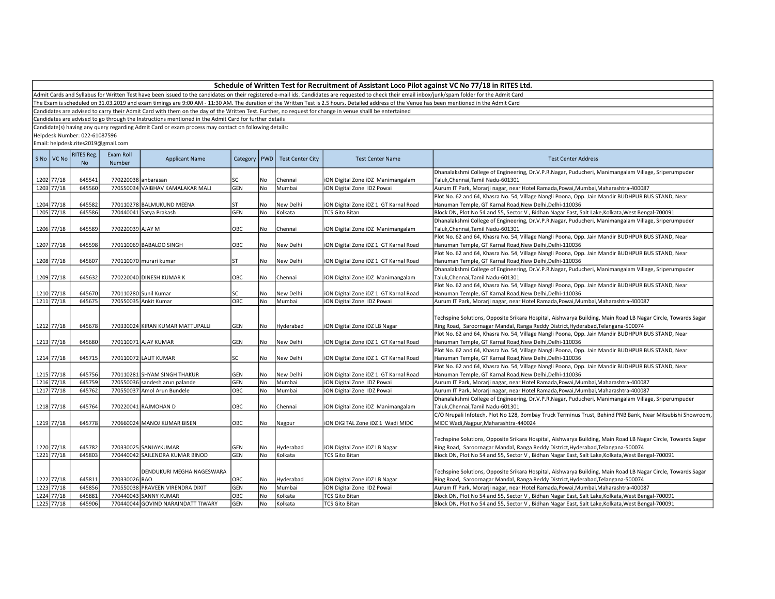Admit Cards and Syllabus for Written Test have been issued to the candidates on their registered e-mail ids. Candidates are requested to check their email inbox/junk/spam folder for the Admit Card

The Exam is scheduled on 31.03.2019 and exam timings are 9:00 AM - 11:30 AM. The duration of the Written Test is 2.5 hours. Detailed address of the Venue has been mentioned in the Admit Card

Candidates are advised to carry their Admit Card with them on the day of the Written Test. Further, no request for change in venue shalll be entertained

Candidates are advised to go through the Instructions mentioned in the Admit Card for further details

Candidate(s) having any query regarding Admit Card or exam process may contact on following details:

Helpdesk Number: 022-61087596

| S No   VC No | RITES Reg.<br><b>No</b> | Exam Roll<br>Number | <b>Applicant Name</b>              | Category   PWD |      | <b>Test Center City</b> | <b>Test Center Name</b>               | <b>Test Center Address</b>                                                                                                                                                                       |
|--------------|-------------------------|---------------------|------------------------------------|----------------|------|-------------------------|---------------------------------------|--------------------------------------------------------------------------------------------------------------------------------------------------------------------------------------------------|
| 1202 77/18   | 645541                  | 770220038 anbarasan |                                    | SC             | No.  | Chennai                 | iON Digital Zone iDZ Manimangalam     | Dhanalakshmi College of Engineering, Dr.V.P.R.Nagar, Puducheri, Manimangalam Village, Sriperumpuder<br>Taluk, Chennai, Tamil Nadu-601301                                                         |
| 1203 77/18   | 645560                  |                     | 770550034 VAIBHAV KAMALAKAR MALI   | GEN            | l No | Mumbai                  | iON Digital Zone IDZ Powai            | Aurum IT Park, Morarji nagar, near Hotel Ramada, Powai, Mumbai, Maharashtra-400087                                                                                                               |
|              |                         |                     |                                    |                |      |                         |                                       | Plot No. 62 and 64, Khasra No. 54, Village Nangli Poona, Opp. Jain Mandir BUDHPUR BUS STAND, Near                                                                                                |
| 1204 77/18   | 645582                  |                     | 770110278 BALMUKUND MEENA          | <b>ST</b>      | No   | New Delhi               | iON Digital Zone iDZ 1 GT Karnal Road | Hanuman Temple, GT Karnal Road, New Delhi, Delhi-110036                                                                                                                                          |
| 1205 77/18   | 645586                  |                     | 770440041 Satya Prakash            | GEN            | No   | Kolkata                 | <b>TCS Gito Bitan</b>                 | Block DN, Plot No 54 and 55, Sector V, Bidhan Nagar East, Salt Lake, Kolkata, West Bengal-700091                                                                                                 |
|              |                         |                     |                                    |                |      |                         |                                       | Dhanalakshmi College of Engineering, Dr.V.P.R.Nagar, Puducheri, Manimangalam Village, Sriperumpuder                                                                                              |
| 1206 77/18   | 645589                  | 770220039 AJAY M    |                                    | OBC            | No.  | Chennai                 | iON Digital Zone iDZ Manimangalam     | Taluk, Chennai, Tamil Nadu-601301                                                                                                                                                                |
|              |                         |                     |                                    |                |      |                         |                                       | Plot No. 62 and 64, Khasra No. 54, Village Nangli Poona, Opp. Jain Mandir BUDHPUR BUS STAND, Near                                                                                                |
| 1207 77/18   | 645598                  |                     | 770110069 BABALOO SINGH            | ОВС            | l No | New Delhi               | iON Digital Zone iDZ 1 GT Karnal Road | Hanuman Temple, GT Karnal Road, New Delhi, Delhi-110036                                                                                                                                          |
|              |                         |                     |                                    |                |      |                         |                                       | Plot No. 62 and 64, Khasra No. 54, Village Nangli Poona, Opp. Jain Mandir BUDHPUR BUS STAND, Near                                                                                                |
| 1208 77/18   | 645607                  |                     | 770110070 murari kumar             | ST             | No   | New Delhi               | iON Digital Zone iDZ 1 GT Karnal Road | Hanuman Temple, GT Karnal Road, New Delhi, Delhi-110036                                                                                                                                          |
|              |                         |                     |                                    |                |      |                         |                                       | Dhanalakshmi College of Engineering, Dr.V.P.R.Nagar, Puducheri, Manimangalam Village, Sriperumpuder                                                                                              |
| 1209 77/18   | 645632                  |                     | 770220040 DINESH KUMAR K           | OBC            | No.  | Chennai                 | iON Digital Zone iDZ Manimangalam     | Taluk, Chennai, Tamil Nadu-601301                                                                                                                                                                |
|              |                         |                     |                                    |                |      |                         |                                       | Plot No. 62 and 64, Khasra No. 54, Village Nangli Poona, Opp. Jain Mandir BUDHPUR BUS STAND, Near                                                                                                |
| 1210 77/18   | 645670                  |                     | 770110280 Sunil Kumar              | SC             | l No | New Delhi               | iON Digital Zone iDZ 1 GT Karnal Road | Hanuman Temple, GT Karnal Road, New Delhi, Delhi-110036                                                                                                                                          |
| 1211 77/18   | 645675                  |                     | 770550035 Ankit Kumar              | ОВС            | No   | Mumbai                  | iON Digital Zone IDZ Powai            | Aurum IT Park, Morarji nagar, near Hotel Ramada, Powai, Mumbai, Maharashtra-400087                                                                                                               |
| 1212 77/18   | 645678                  |                     | 770330024 KIRAN KUMAR MATTUPALLI   | GEN            | No   | Hyderabad               | iON Digital Zone iDZ LB Nagar         | Techspine Solutions, Opposite Srikara Hospital, Aishwarya Building, Main Road LB Nagar Circle, Towards Sagar<br>Ring Road, Saroornagar Mandal, Ranga Reddy District, Hyderabad, Telangana-500074 |
|              |                         |                     |                                    |                |      |                         |                                       | Plot No. 62 and 64, Khasra No. 54, Village Nangli Poona, Opp. Jain Mandir BUDHPUR BUS STAND, Near                                                                                                |
| 1213 77/18   | 645680                  |                     | 770110071 AJAY KUMAR               | GEN            | No   | New Delhi               | iON Digital Zone iDZ 1 GT Karnal Road | Hanuman Temple, GT Karnal Road, New Delhi, Delhi-110036                                                                                                                                          |
|              |                         |                     |                                    |                |      |                         |                                       | Plot No. 62 and 64, Khasra No. 54, Village Nangli Poona, Opp. Jain Mandir BUDHPUR BUS STAND, Near                                                                                                |
| 1214 77/18   | 645715                  |                     | 770110072 LALIT KUMAR              | <b>SC</b>      | No   | New Delhi               | iON Digital Zone iDZ 1 GT Karnal Road | Hanuman Temple, GT Karnal Road, New Delhi, Delhi-110036                                                                                                                                          |
|              |                         |                     |                                    |                |      |                         |                                       | Plot No. 62 and 64, Khasra No. 54, Village Nangli Poona, Opp. Jain Mandir BUDHPUR BUS STAND, Near                                                                                                |
| 1215 77/18   | 645756                  |                     | 770110281 SHYAM SINGH THAKUR       | GEN            | No.  | New Delhi               | iON Digital Zone iDZ 1 GT Karnal Road | Hanuman Temple, GT Karnal Road, New Delhi, Delhi-110036                                                                                                                                          |
| 1216 77/18   | 645759                  |                     | 770550036 sandesh arun palande     | GEN            | No   | Mumbai                  | iON Digital Zone IDZ Powai            | Aurum IT Park, Morarji nagar, near Hotel Ramada, Powai, Mumbai, Maharashtra-400087                                                                                                               |
| 1217 77/18   | 645762                  |                     | 770550037 Amol Arun Bundele        | OBC            | No   | Mumbai                  | iON Digital Zone IDZ Powai            | Aurum IT Park, Morarji nagar, near Hotel Ramada, Powai, Mumbai, Maharashtra-400087                                                                                                               |
|              |                         |                     |                                    |                |      |                         |                                       | Dhanalakshmi College of Engineering, Dr.V.P.R.Nagar, Puducheri, Manimangalam Village, Sriperumpuder                                                                                              |
| 1218 77/18   | 645764                  |                     | 770220041 RAJMOHAN D               | OBC            | No   | Chennai                 | iON Digital Zone iDZ Manimangalam     | Taluk, Chennai, Tamil Nadu-601301                                                                                                                                                                |
|              |                         |                     |                                    |                |      |                         |                                       | C/O Nrupali Infotech, Plot No 128, Bombay Truck Terminus Trust, Behind PNB Bank, Near Mitsubishi Showroom,                                                                                       |
| 1219 77/18   | 645778                  |                     | 770660024 MANOJ KUMAR BISEN        | OBC            | No   | Nagpur                  | ION DIGITAL Zone IDZ 1 Wadi MIDC      | MIDC Wadi, Nagpur, Maharashtra-440024                                                                                                                                                            |
| 1220 77/18   | 645782                  |                     | 770330025 SANJAYKUMAR              | GEN            | No   | Hyderabad               | iON Digital Zone iDZ LB Nagar         | Techspine Solutions, Opposite Srikara Hospital, Aishwarya Building, Main Road LB Nagar Circle, Towards Sagar<br>Ring Road, Saroornagar Mandal, Ranga Reddy District, Hyderabad, Telangana-500074 |
| 1221 77/18   | 645803                  |                     | 770440042 SAILENDRA KUMAR BINOD    | GEN            | No   | Kolkata                 | <b>TCS Gito Bitan</b>                 | Block DN, Plot No 54 and 55, Sector V, Bidhan Nagar East, Salt Lake, Kolkata, West Bengal-700091                                                                                                 |
| 1222 77/18   | 645811                  | 770330026 RAO       | DENDUKURI MEGHA NAGESWARA          | OBC            | No   | Hyderabad               | iON Digital Zone iDZ LB Nagar         | Techspine Solutions, Opposite Srikara Hospital, Aishwarya Building, Main Road LB Nagar Circle, Towards Sagar<br>Ring Road, Saroornagar Mandal, Ranga Reddy District, Hyderabad, Telangana-500074 |
| 1223 77/18   | 645856                  |                     | 770550038 PRAVEEN VIRENDRA DIXIT   | GEN            | No   | Mumbai                  | iON Digital Zone IDZ Powai            | Aurum IT Park, Morarji nagar, near Hotel Ramada, Powai, Mumbai, Maharashtra-400087                                                                                                               |
| 1224 77/18   | 645881                  |                     | 770440043 SANNY KUMAR              | OBC            | No   | Kolkata                 | <b>TCS Gito Bitan</b>                 | Block DN, Plot No 54 and 55, Sector V, Bidhan Nagar East, Salt Lake, Kolkata, West Bengal-700091                                                                                                 |
| 1225 77/18   | 645906                  |                     | 770440044 GOVIND NARAINDATT TIWARY | GEN            | lno  | Kolkata                 | <b>TCS Gito Bitan</b>                 | Block DN, Plot No 54 and 55, Sector V, Bidhan Nagar East, Salt Lake, Kolkata, West Bengal-700091                                                                                                 |